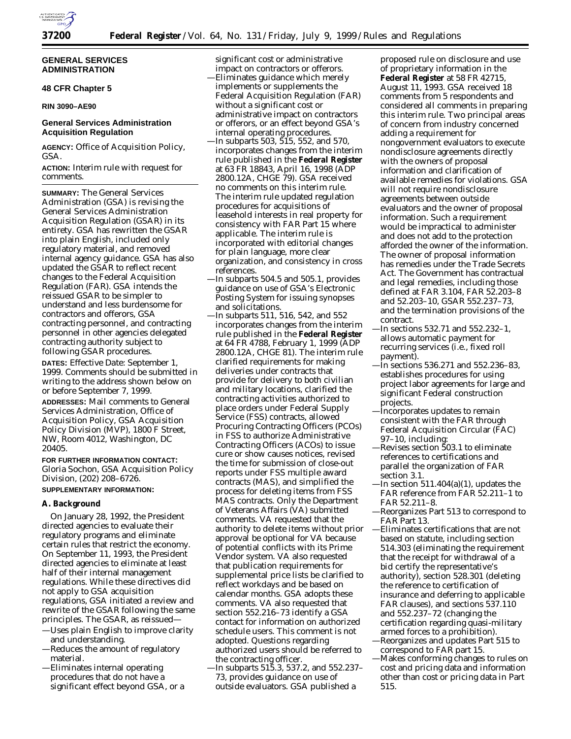

### **GENERAL SERVICES ADMINISTRATION**

# **48 CFR Chapter 5**

# **RIN 3090–AE90**

# **General Services Administration Acquisition Regulation**

**AGENCY:** Office of Acquisition Policy, GSA.

**ACTION:** Interim rule with request for comments.

**SUMMARY:** The General Services Administration (GSA) is revising the General Services Administration Acquisition Regulation (GSAR) in its entirety. GSA has rewritten the GSAR into plain English, included only regulatory material, and removed internal agency guidance. GSA has also updated the GSAR to reflect recent changes to the Federal Acquisition Regulation (FAR). GSA intends the reissued GSAR to be simpler to understand and less burdensome for contractors and offerors, GSA contracting personnel, and contracting personnel in other agencies delegated contracting authority subject to following GSAR procedures.

**DATES:** *Effective Date:* September 1, 1999. Comments should be submitted in writing to the address shown below on or before September 7, 1999.

**ADDRESSES:** Mail comments to General Services Administration, Office of Acquisition Policy, GSA Acquisition Policy Division (MVP), 1800 F Street, NW, Room 4012, Washington, DC 20405.

**FOR FURTHER INFORMATION CONTACT:** Gloria Sochon, GSA Acquisition Policy Division, (202) 208–6726.

# **SUPPLEMENTARY INFORMATION:**

### **A. Background**

On January 28, 1992, the President directed agencies to evaluate their regulatory programs and eliminate certain rules that restrict the economy. On September 11, 1993, the President directed agencies to eliminate at least half of their internal management regulations. While these directives did not apply to GSA acquisition regulations, GSA initiated a review and rewrite of the GSAR following the same principles. The GSAR, as reissued—

- —Uses plain English to improve clarity and understanding.
- —Reduces the amount of regulatory material.
- —Eliminates internal operating procedures that do not have a significant effect beyond GSA, or a

significant cost or administrative impact on contractors or offerors. —Eliminates guidance which merely implements or supplements the Federal Acquisition Regulation (FAR) without a significant cost or administrative impact on contractors or offerors, or an effect beyond GSA's internal operating procedures.

- —In subparts 503, 515, 552, and 570, incorporates changes from the interim rule published in the **Federal Register** at 63 FR 18843, April 16, 1998 (ADP 2800.12A, CHGE 79). GSA received no comments on this interim rule. The interim rule updated regulation procedures for acquisitions of leasehold interests in real property for consistency with FAR Part 15 where applicable. The interim rule is incorporated with editorial changes for plain language, more clear organization, and consistency in cross references.
- —In subparts 504.5 and 505.1, provides guidance on use of GSA's Electronic Posting System for issuing synopses and solicitations.
- —In subparts 511, 516, 542, and 552 incorporates changes from the interim rule published in the **Federal Register** at 64 FR 4788, February 1, 1999 (ADP 2800.12A, CHGE 81). The interim rule clarified requirements for making deliveries under contracts that provide for delivery to both civilian and military locations, clarified the contracting activities authorized to place orders under Federal Supply Service (FSS) contracts, allowed Procuring Contracting Officers (PCOs) in FSS to authorize Administrative Contracting Officers (ACOs) to issue cure or show causes notices, revised the time for submission of close-out reports under FSS multiple award contracts (MAS), and simplified the process for deleting items from FSS MAS contracts. Only the Department of Veterans Affairs (VA) submitted comments. VA requested that the authority to delete items without prior approval be optional for VA because of potential conflicts with its Prime Vendor system. VA also requested that publication requirements for supplemental price lists be clarified to reflect workdays and be based on calendar months. GSA adopts these comments. VA also requested that section 552.216–73 identify a GSA contact for information on authorized schedule users. This comment is not adopted. Questions regarding authorized users should be referred to the contracting officer.
- —In subparts 515.3, 537.2, and 552.237– 73, provides guidance on use of outside evaluators. GSA published a

proposed rule on disclosure and use of proprietary information in the **Federal Register** at 58 FR 42715, August 11, 1993. GSA received 18 comments from 5 respondents and considered all comments in preparing this interim rule. Two principal areas of concern from industry concerned adding a requirement for nongovernment evaluators to execute nondisclosure agreements directly with the owners of proposal information and clarification of available remedies for violations. GSA will not require nondisclosure agreements between outside evaluators and the owner of proposal information. Such a requirement would be impractical to administer and does not add to the protection afforded the owner of the information. The owner of proposal information has remedies under the Trade Secrets Act. The Government has contractual and legal remedies, including those defined at FAR 3.104, FAR 52.203–8 and 52.203–10, GSAR 552.237–73, and the termination provisions of the contract.

- —In sections 532.71 and 552.232–1, allows automatic payment for recurring services (i.e., fixed roll payment).
- —In sections 536.271 and 552.236–83, establishes procedures for using project labor agreements for large and significant Federal construction projects.
- —Incorporates updates to remain consistent with the FAR through Federal Acquisition Circular (FAC) 97–10, including:
- —Revises section 503.1 to eliminate references to certifications and parallel the organization of FAR section 3.1.
- —In section  $511.404(a)(1)$ , updates the FAR reference from FAR 52.211–1 to FAR 52.211–8.
- —Reorganizes Part 513 to correspond to FAR Part 13.
- —Eliminates certifications that are not based on statute, including section 514.303 (eliminating the requirement that the receipt for withdrawal of a bid certify the representative's authority), section 528.301 (deleting the reference to certification of insurance and deferring to applicable FAR clauses), and sections 537.110 and 552.237–72 (changing the certification regarding quasi-military armed forces to a prohibition).
- —Reorganizes and updates Part 515 to correspond to FAR part 15.
- —Makes conforming changes to rules on cost and pricing data and information other than cost or pricing data in Part 515.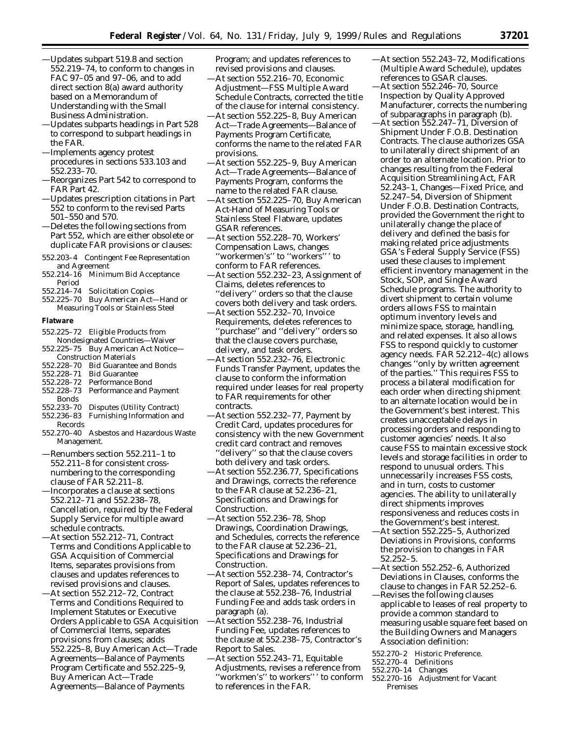- —Updates subpart 519.8 and section 552.219–74, to conform to changes in FAC 97–05 and 97–06, and to add direct section 8(a) award authority based on a Memorandum of Understanding with the Small Business Administration.
- —Updates subparts headings in Part 528 to correspond to subpart headings in the FAR.
- —Implements agency protest procedures in sections 533.103 and 552.233–70.
- —Reorganizes Part 542 to correspond to FAR Part 42.
- —Updates prescription citations in Part 552 to conform to the revised Parts 501–550 and 570.
- —Deletes the following sections from Part 552, which are either obsolete or duplicate FAR provisions or clauses:
- 552.203–4 Contingent Fee Representation and Agreement
- 552.214–16 Minimum Bid Acceptance Period<br>552.214–74
- Solicitation Copies
- 552.225–70 Buy American Act—Hand or Measuring Tools or Stainless Steel
- **Flatware**
- 552.225–72 Eligible Products from
- Nondesignated Countries—Waiver 552.225-75 Buy American Act Notice-
- Construction Materials
- 552.228–70 Bid Guarantee and Bonds
- 552.228–71 Bid Guarantee
- 552.228–72 Performance Bond
- 552.228–73 Performance and Payment Bonds<br>552.233–70
- 552.233–70 Disputes (Utility Contract)
- Furnishing Information and Records
- 552.270–40 Asbestos and Hazardous Waste Management.
- —Renumbers section 552.211–1 to 552.211–8 for consistent crossnumbering to the corresponding clause of FAR 52.211–8.
- —Incorporates a clause at sections 552.212–71 and 552.238–78, Cancellation, required by the Federal Supply Service for multiple award schedule contracts.
- —At section 552.212–71, Contract Terms and Conditions Applicable to GSA Acquisition of Commercial Items, separates provisions from clauses and updates references to revised provisions and clauses.
- —At section 552.212–72, Contract Terms and Conditions Required to Implement Statutes or Executive Orders Applicable to GSA Acquisition of Commercial Items, separates provisions from clauses; adds 552.225–8, Buy American Act—Trade Agreements—Balance of Payments Program Certificate and 552.225–9, Buy American Act—Trade Agreements—Balance of Payments

Program; and updates references to revised provisions and clauses.

- —At section 552.216–70, Economic Adjustment—FSS Multiple Award Schedule Contracts, corrected the title of the clause for internal consistency.
- —At section 552.225–8, Buy American Act—Trade Agreements—Balance of Payments Program Certificate, conforms the name to the related FAR provisions.
- —At section 552.225–9, Buy American Act—Trade Agreements—Balance of Payments Program, conforms the name to the related FAR clause.
- —At section 552.225–70, Buy American Act-Hand of Measuring Tools or Stainless Steel Flatware, updates GSAR references.
- —At section 552.228–70, Workers' Compensation Laws, changes 'workermen's'' to "workers''' to conform to FAR references.
- —At section 552.232–23, Assignment of Claims, deletes references to ''delivery'' orders so that the clause covers both delivery and task orders.
- —At section 552.232–70, Invoice Requirements, deletes references to ''purchase'' and ''delivery'' orders so that the clause covers purchase, delivery, and task orders.
- —At section 552.232–76, Electronic Funds Transfer Payment, updates the clause to conform the information required under leases for real property to FAR requirements for other contracts.
- —At section 552.232–77, Payment by Credit Card, updates procedures for consistency with the new Government credit card contract and removes "delivery" so that the clause covers both delivery and task orders.
- —At section 552.236.77, Specifications and Drawings, corrects the reference to the FAR clause at 52.236–21, Specifications and Drawings for Construction.
- —At section 552.236–78, Shop Drawings, Coordination Drawings, and Schedules, corrects the reference to the FAR clause at 52.236–21, Specifications and Drawings for Construction.
- —At section 552.238–74, Contractor's Report of Sales, updates references to the clause at 552.238–76, Industrial Funding Fee and adds task orders in paragraph (a).
- —At section 552.238–76, Industrial Funding Fee, updates references to the clause at 552.238–75, Contractor's Report to Sales.
- —At section 552.243–71, Equitable Adjustments, revises a reference from ''workmen's'' to workers'' ' to conform to references in the FAR.
- —At section 552.243–72, Modifications (Multiple Award Schedule), updates references to GSAR clauses.
- —At section 552.246–70, Source Inspection by Quality Approved Manufacturer, corrects the numbering of subparagraphs in paragraph (b).
- —At section 552.247–71, Diversion of Shipment Under F.O.B. Destination Contracts. The clause authorizes GSA to unilaterally direct shipment of an order to an alternate location. Prior to changes resulting from the Federal Acquisition Streamlining Act, FAR 52.243–1, Changes—Fixed Price, and 52.247–54, Diversion of Shipment Under F.O.B. Destination Contracts, provided the Government the right to unilaterally change the place of delivery and defined the basis for making related price adjustments GSA's Federal Supply Service (FSS) used these clauses to implement efficient inventory management in the Stock, SOP, and Single Award Schedule programs. The authority to divert shipment to certain volume orders allows FSS to maintain optimum inventory levels and minimize space, storage, handling, and related expenses. It also allows FSS to respond quickly to customer agency needs. FAR 52.212–4(c) allows changes ''only by written agreement of the parties.'' This requires FSS to process a bilateral modification for each order when directing shipment to an alternate location would be in the Government's best interest. This creates unacceptable delays in processing orders and responding to customer agencies' needs. It also cause FSS to maintain excessive stock levels and storage facilities in order to respond to unusual orders. This unnecessarily increases FSS costs, and in turn, costs to customer agencies. The ability to unilaterally direct shipments improves responsiveness and reduces costs in the Government's best interest.
- —At section 552.225–5, Authorized Deviations in Provisions, conforms the provision to changes in FAR 52.252–5.
- —At section 552.252–6, Authorized Deviations in Clauses, conforms the clause to changes in FAR 52.252–6.
- —Revises the following clauses applicable to leases of real property to provide a common standard to measuring usable square feet based on the Building Owners and Managers Association definition:
- 552.270–2 Historic Preference.
- 552.270–4 Definitions
- 552.270–14 Changes
- 552.270–16 Adjustment for Vacant Premises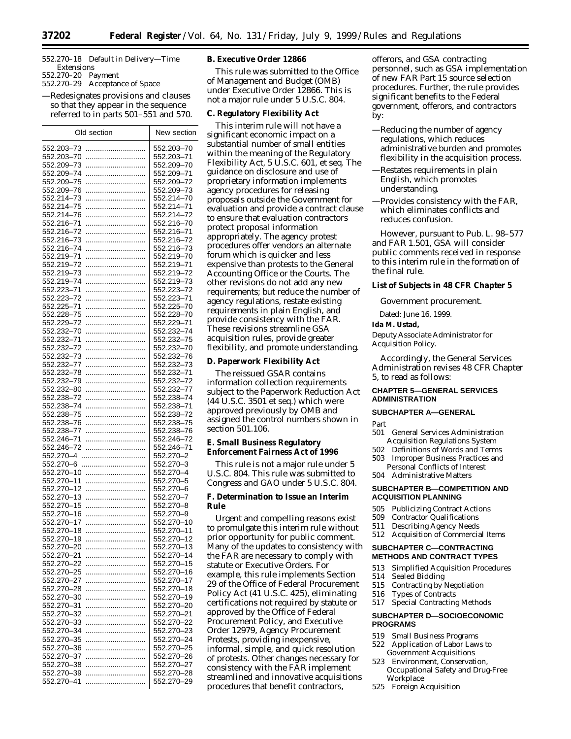- 552.270–18 Default in Delivery—Time Extensions
- 552.270–20 Payment
- 552.270–29 Acceptance of Space
- —Redesignates provisions and clauses so that they appear in the sequence referred to in parts 501–551 and 570.

| Old section | New section |
|-------------|-------------|
| 552.203–73  | 552.203-70  |
| 552.203-70  | 552.203-71  |
| 552.209–73  | 552.209-70  |
| 552.209-74  |             |
|             | 552.209-71  |
| 552.209-75  | 552.209-72  |
| 552.209-76  | 552.209-73  |
| 552.214-73  | 552.214-70  |
| 552.214-75  | 552.214-71  |
| 552.214-76  | 552.214-72  |
| 552.216-71  | 552.216-70  |
| 552.216-72  | 552.216-71  |
| 552.216-73  | 552.216-72  |
| 552.216-74  | 552.216-73  |
| 552.219-71  | 552.219-70  |
| 552.219-72  | 552.219-71  |
| 552.219-73  | 552.219-72  |
| 552.219-74  | 552.219-73  |
| 552.223–71  | 552.223–72  |
| 552.223–72  | 552.223–71  |
| 552.225–71  | 552.225–70  |
| 552.228–75  | 552.228-70  |
| 552.229-72  | 552.229–71  |
| 552.232-70  | 552.232–74  |
| 552.232–71  | 552.232–75  |
| 552.232-72  | 552.232-70  |
| 552.232–73  | 552.232–76  |
|             | 552.232-73  |
| 552.232–77  |             |
| 552.232–78  | 552.232-71  |
| 552.232-79  | 552.232-72  |
| 552.232-80  | 552.232-77  |
| 552.238–72  | 552.238-74  |
| 552.238-74  | 552.238-71  |
| 552.238–75  | 552.238–72  |
| 552.238–76  | 552.238-75  |
| 552.238–77  | 552.238-76  |
| 552.246-71  | 552.246-72  |
| 552.246–72  | 552.246-71  |
| 552.270–4   | 552.270-2   |
| 552.270–6   | 552.270–3   |
| 552.270-10  | 552.270-4   |
| 552.270-11  | 552.270-5   |
| 552.270-12  | 552.270-6   |
| 552.270-13  | 552.270-7   |
| 552.270-15  | 552.270-8   |
| 552.270-16  | 552.270-9   |
| 552.270-17  | 552.270-10  |
| 552.270-18  | 552.270-11  |
| 552.270-19  | 552.270-12  |
| 552.270-20  | 552.270-13  |
| 552.270–21  | 552.270-14  |
| 552.270-22  | 552.270–15  |
| 552.270-25  | 552.270-16  |
| 552.270-27  | 552.270–17  |
| 552.270-28  | 552.270-18  |
| 552.270–30  | 552.270–19  |
| 552.270-31  | 552.270-20  |
| 552.270–32  | 552.270–21  |
| 552.270-33  | 552.270-22  |
| 552.270-34  | 552.270–23  |
| 552.270-35  | 552.270-24  |
| 552.270–36  | 552.270–25  |
| 552.270-37  | 552.270-26  |
| 552.270-38  | 552.270-27  |
| 552.270-39  | 552.270–28  |
| 552.270–41  | 552.270-29  |
|             |             |

# **B. Executive Order 12866**

This rule was submitted to the Office of Management and Budget (OMB) under Executive Order 12866. This is not a major rule under 5 U.S.C. 804.

# **C. Regulatory Flexibility Act**

This interim rule will not have a significant economic impact on a substantial number of small entities within the meaning of the Regulatory Flexibility Act, 5 U.S.C. 601, *et seq*. The guidance on disclosure and use of proprietary information implements agency procedures for releasing proposals outside the Government for evaluation and provide a contract clause to ensure that evaluation contractors protect proposal information appropriately. The agency protest procedures offer vendors an alternate forum which is quicker and less expensive than protests to the General Accounting Office or the Courts. The other revisions do not add any new requirements; but reduce the number of agency regulations, restate existing requirements in plain English, and provide consistency with the FAR. These revisions streamline GSA acquisition rules, provide greater flexibility, and promote understanding.

### **D. Paperwork Flexibility Act**

The reissued GSAR contains information collection requirements subject to the Paperwork Reduction Act (44 U.S.C. 3501 *et seq.*) which were approved previously by OMB and assigned the control numbers shown in section 501.106.

### **E. Small Business Regulatory Enforcement Fairness Act of 1996**

This rule is not a major rule under 5 U.S.C. 804. This rule was submitted to Congress and GAO under 5 U.S.C. 804.

### **F. Determination to Issue an Interim Rule**

Urgent and compelling reasons exist to promulgate this interim rule without prior opportunity for public comment. Many of the updates to consistency with the FAR are necessary to comply with statute or Executive Orders. For example, this rule implements Section 29 of the Office of Federal Procurement Policy Act (41 U.S.C. 425), eliminating certifications not required by statute or approved by the Office of Federal Procurement Policy, and Executive Order 12979, Agency Procurement Protests, providing inexpensive, informal, simple, and quick resolution of protests. Other changes necessary for consistency with the FAR implement streamlined and innovative acquisitions procedures that benefit contractors,

offerors, and GSA contracting personnel, such as GSA implementation of new FAR Part 15 source selection procedures. Further, the rule provides significant benefits to the Federal government, offerors, and contractors by:

- —Reducing the number of agency regulations, which reduces administrative burden and promotes flexibility in the acquisition process.
- —Restates requirements in plain English, which promotes understanding.
- —Provides consistency with the FAR, which eliminates conflicts and reduces confusion.

However, pursuant to Pub. L. 98–577 and FAR 1.501, GSA will consider public comments received in response to this interim rule in the formation of the final rule.

#### **List of Subjects in 48 CFR Chapter 5**

Government procurement.

Dated: June 16, 1999.

#### **Ida M. Ustad,**

*Deputy Associate Administrator for Acquisition Policy.*

Accordingly, the General Services Administration revises 48 CFR Chapter 5, to read as follows:

### **CHAPTER 5—GENERAL SERVICES ADMINISTRATION**

#### **SUBCHAPTER A—GENERAL**

- Part
- 501 General Services Administration Acquisition Regulations System
- 502 Definitions of Words and Terms
- 503 Improper Business Practices and Personal Conflicts of Interest 504 Administrative Matters

### **SUBCHAPTER B—COMPETITION AND ACQUISITION PLANNING**

- 505 Publicizing Contract Actions<br>509 Contractor Qualifications
- Contractor Qualifications
- 511 Describing Agency Needs
- 512 Acquisition of Commercial Items
- **SUBCHAPTER C—CONTRACTING METHODS AND CONTRACT TYPES**
- 513 Simplified Acquisition Procedures<br>514 Sealed Bidding
- Sealed Bidding
- 515 Contracting by Negotiation
- 516 Types of Contracts
- 517 Special Contracting Methods

#### **SUBCHAPTER D—SOCIOECONOMIC PROGRAMS**

- 519 Small Business Programs
- 522 Application of Labor Laws to Government Acquisitions
- 523 Environment, Conservation, Occupational Safety and Drug-Free Workplace
- 525 Foreign Acquisition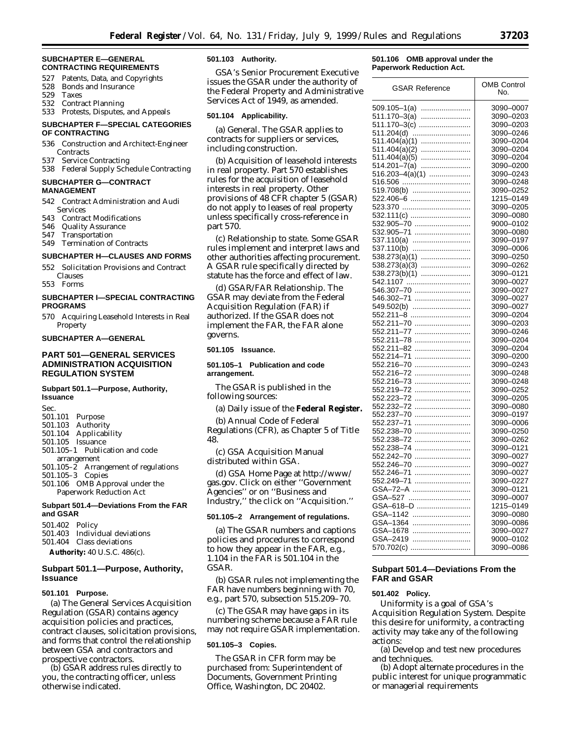#### **SUBCHAPTER E—GENERAL CONTRACTING REQUIREMENTS**

- 527 Patents, Data, and Copyrights
- 528 Bonds and Insurance
- 529 Taxes
- **Contract Planning**
- 533 Protests, Disputes, and Appeals

#### **SUBCHAPTER F—SPECIAL CATEGORIES OF CONTRACTING**

- 536 Construction and Architect-Engineer **Contracts**
- 537 Service Contracting
- 538 Federal Supply Schedule Contracting

#### **SUBCHAPTER G—CONTRACT MANAGEMENT**

- 542 Contract Administration and Audi Services
- 543 Contract Modifications
- 546 Quality Assurance<br>547 Transportation
- **Transportation**
- 549 Termination of Contracts

#### **SUBCHAPTER H—CLAUSES AND FORMS**

- 552 Solicitation Provisions and Contract Clauses
- 553 Forms

#### **SUBCHAPTER I—SPECIAL CONTRACTING PROGRAMS**

570 Acquiring Leasehold Interests in Real Property

# **SUBCHAPTER A—GENERAL**

# **PART 501—GENERAL SERVICES ADMINISTRATION ACQUISITION REGULATION SYSTEM**

#### **Subpart 501.1—Purpose, Authority, Issuance**

Sec.

- 501.101 Purpose
- 501.103 Authority
- Applicability
- 501.105 Issuance
- 501.105–1 Publication and code arrangement
- 501.105–2 Arrangement of regulations
- 501.105–3 Copies
- 501.106 OMB Approval under the
- Paperwork Reduction Act

# **Subpart 501.4—Deviations From the FAR and GSAR**

- 501.402 Policy
- 501.403 Individual deviations

501.404 Class deviations **Authority:** 40 U.S.C. 486(c).

#### **Subpart 501.1—Purpose, Authority, Issuance**

#### **501.101 Purpose.**

(a) The General Services Acquisition Regulation (GSAR) contains agency acquisition policies and practices, contract clauses, solicitation provisions, and forms that control the relationship between GSA and contractors and prospective contractors.

(b) GSAR address rules directly to you, the contracting officer, unless otherwise indicated.

#### **501.103 Authority.**

GSA's Senior Procurement Executive issues the GSAR under the authority of the Federal Property and Administrative Services Act of 1949, as amended.

#### **501.104 Applicability.**

(a) *General.* The GSAR applies to contracts for suppliers or services, including construction.

(b) *Acquisition of leasehold interests in real property.* Part 570 establishes rules for the acquisition of leasehold interests in real property. Other provisions of 48 CFR chapter 5 (GSAR) do not apply to leases of real property unless specifically cross-reference in part 570.

(c) *Relationship to state.* Some GSAR rules implement and interpret laws and other authorities affecting procurement. A GSAR rule specifically directed by statute has the force and effect of law.

(d) *GSAR/FAR Relationship.* The GSAR may deviate from the Federal Acquisition Regulation (FAR) if authorized. If the GSAR does not implement the FAR, the FAR alone governs.

#### **501.105 Issuance.**

#### **501.105–1 Publication and code arrangement.**

The GSAR is published in the following sources:

(a) Daily issue of the **Federal Register.**

(b) Annual Code of Federal Regulations (CFR), as Chapter 5 of Title 48.

(c) GSA Acquisition Manual distributed within GSA.

(d) GSA Home Page at http://www/ gas.gov. Click on either ''Government Agencies'' or on ''Business and Industry,'' the click on ''Acquisition.''

#### **501.105–2 Arrangement of regulations.**

(a) The GSAR numbers and captions policies and procedures to correspond to how they appear in the FAR, e.g., 1.104 in the FAR is 501.104 in the GSAR.

(b) GSAR rules not implementing the FAR have numbers beginning with 70, e.g., part 570, subsection 515.209–70.

(c) The GSAR may have gaps in its numbering scheme because a FAR rule may not require GSAR implementation.

### **501.105–3 Copies.**

The GSAR in CFR form may be purchased from: Superintendent of Documents, Government Printing Office, Washington, DC 20402.

#### **501.106 OMB approval under the Paperwork Reduction Act.**

| <b>GSAR Reference</b>    | <b>OMB Control</b><br>No. |
|--------------------------|---------------------------|
| 509.105–1(a)             | 3090-0007                 |
| 511.170–3(a)             | 3090-0203                 |
| 511.170-3(c)             | 3090–0203                 |
| 511.204(d)               | 3090-0246                 |
| 511.404(a)(1)            | 3090-0204                 |
| 511.404(a)(2)            | 3090–0204                 |
| 511.404(a)(5)            | 3090-0204                 |
| 514.201–7(̀a)            | 3090–0200                 |
| 516.203-4(a)(1)          | 3090–0243                 |
|                          | 3090–0248                 |
| 519.708(b)               | 3090-0252                 |
| 522.406-6                | 1215-0149                 |
|                          | 3090-0205                 |
| 532.111(c)               | 3090-0080                 |
|                          | 9000-0102                 |
| 532.905–70<br>532.905–71 | 3090–0080                 |
| 537.110(a)               | 3090–0197                 |
| 537.110(b)               | 3090–0006                 |
|                          | 3090-0250                 |
| 538.273(a)(3)            | 3090-0262                 |
| 538.273(b)(1)            | 3090–0121                 |
| 542.1107                 | 3090–0027                 |
| 546.307–70               | 3090-0027                 |
| 546.302-71<br>           | 3090–0027                 |
| 549.502(b)               | 3090–0027                 |
| 552.211-8                | 3090–0204                 |
| 552.211-70               | 3090-0203                 |
| 552.211-77               | 3090-0246                 |
| 552.211-78               | 3090-0204                 |
| 552.211–82               | 3090-0204                 |
| 552.214-71               | 3090–0200                 |
| 552.216-70<br>           | 3090–0243                 |
| 552.216–72               | 3090-0248                 |
| 552.216-73               | 3090-0248                 |
| 552.219-72               | 3090-0252                 |
| 552.223–72               | 3090-0205                 |
| 552.232-72               | 3090-0080                 |
| 552.237-70               | 3090–0197                 |
| 552.237-71               | 3090-0006                 |
| 552.238-70               | 3090–0250                 |
| 552.238-72               | 3090–0262                 |
| 552.238-74               | 3090–0121                 |
| 552.242-70               | 3090-0027                 |
| 552.246-70               | 3090-0027                 |
| 552.246-71               | 3090–0027                 |
| 552.249-71               | 3090-0227                 |
| GSA-72-A                 | 3090-0121                 |
| GSA–527<br>              | 3090–0007                 |
| GSA-618-D                | 1215-0149                 |
| GSA–1142                 | 3090-0080                 |
| GSA-1364<br>             | 3090-0086                 |
| GSA-1678                 | 3090-0027                 |
| GSA-2419                 | 9000-0102                 |
| 570.702(c)               | 3090-0086                 |

### **Subpart 501.4—Deviations From the FAR and GSAR**

### **501.402 Policy.**

Uniformity is a goal of GSA's Acquisition Regulation System. Despite this desire for uniformity, a contracting activity may take any of the following actions:

(a) Develop and test new procedures and techniques.

(b) Adopt alternate procedures in the public interest for unique programmatic or managerial requirements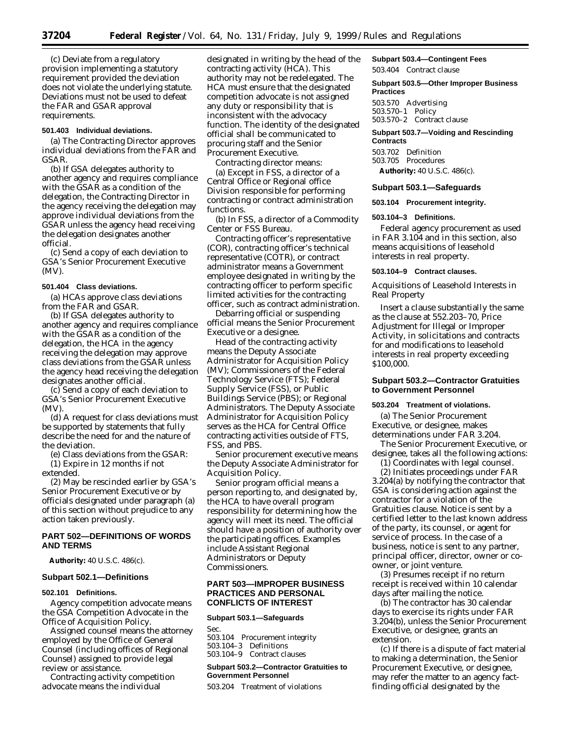(c) Deviate from a regulatory provision implementing a statutory requirement provided the deviation does not violate the underlying statute. Deviations must not be used to defeat the FAR and GSAR approval requirements.

### **501.403 Individual deviations.**

(a) The Contracting Director approves individual deviations from the FAR and GSAR.

(b) If GSA delegates authority to another agency and requires compliance with the GSAR as a condition of the delegation, the Contracting Director in the agency receiving the delegation may approve individual deviations from the GSAR unless the agency head receiving the delegation designates another official.

(c) Send a copy of each deviation to GSA's Senior Procurement Executive (MV).

# **501.404 Class deviations.**

(a) HCAs approve class deviations from the FAR and GSAR.

(b) If GSA delegates authority to another agency and requires compliance with the GSAR as a condition of the delegation, the HCA in the agency receiving the delegation may approve class deviations from the GSAR unless the agency head receiving the delegation designates another official.

(c) Send a copy of each deviation to GSA's Senior Procurement Executive (MV).

(d) A request for class deviations must be supported by statements that fully describe the need for and the nature of the deviation.

(e) Class deviations from the GSAR: (1) Expire in 12 months if not

extended.

(2) May be rescinded earlier by GSA's Senior Procurement Executive or by officials designated under paragraph (a) of this section without prejudice to any action taken previously.

### **PART 502—DEFINITIONS OF WORDS AND TERMS**

**Authority:** 40 U.S.C. 486(c).

#### **Subpart 502.1—Definitions**

#### **502.101 Definitions.**

*Agency competition advocate* means the GSA Competition Advocate in the Office of Acquisition Policy.

*Assigned counsel* means the attorney employed by the Office of General Counsel (including offices of Regional Counsel) assigned to provide legal review or assistance.

*Contracting activity competition advocate* means the individual

designated in writing by the head of the contracting activity (HCA). This authority may not be redelegated. The HCA must ensure that the designated competition advocate is not assigned any duty or responsibility that is inconsistent with the advocacy function. The identity of the designated official shall be communicated to procuring staff and the Senior Procurement Executive.

*Contracting director* means: (a) Except in FSS, a director of a Central Office or Regional office Division responsible for performing contracting or contract administration functions.

(b) In FSS, a director of a Commodity Center or FSS Bureau.

*Contracting officer's representative (COR), contracting officer's technical representative (COTR), or contract administrator* means a Government employee designated in writing by the contracting officer to perform specific limited activities for the contracting officer, such as contract administration.

*Debarring official* or *suspending official* means the Senior Procurement Executive or a designee.

*Head of the contracting activity* means the Deputy Associate Administrator for Acquisition Policy (MV); Commissioners of the Federal Technology Service (FTS); Federal Supply Service (FSS), or Public Buildings Service (PBS); or Regional Administrators. The Deputy Associate Administrator for Acquisition Policy serves as the HCA for Central Office contracting activities outside of FTS, FSS, and PBS.

*Senior procurement executive* means the Deputy Associate Administrator for Acquisition Policy.

*Senior program official* means a person reporting to, and designated by, the HCA to have overall program responsibility for determining how the agency will meet its need. The official should have a position of authority over the participating offices. Examples include Assistant Regional Administrators or Deputy Commissioners.

### **PART 503—IMPROPER BUSINESS PRACTICES AND PERSONAL CONFLICTS OF INTEREST**

#### **Subpart 503.1—Safeguards**

Sec. 503.104 Procurement integrity 503.104–3 Definitions 503.104–9 Contract clauses

### **Subpart 503.2—Contractor Gratuities to Government Personnel**

503.204 Treatment of violations

**Subpart 503.4—Contingent Fees**

503.404 Contract clause

# **Subpart 503.5—Other Improper Business Practices**

503.570 Advertising 503.570–1 Policy 503.570–2 Contract clause

**Subpart 503.7—Voiding and Rescinding Contracts**

503.702 Definition 503.705 Procedures **Authority:** 40 U.S.C. 486(c).

#### **Subpart 503.1—Safeguards**

### **503.104 Procurement integrity.**

#### **503.104–3 Definitions.**

*Federal agency procurement* as used in FAR 3.104 and in this section, also means acquisitions of leasehold interests in real property.

### **503.104–9 Contract clauses.**

*Acquisitions of Leasehold Interests in Real Property*

Insert a clause substantially the same as the clause at 552.203–70, Price Adjustment for Illegal or Improper Activity, in solicitations and contracts for and modifications to leasehold interests in real property exceeding \$100,000.

### **Subpart 503.2—Contractor Gratuities to Government Personnel**

#### **503.204 Treatment of violations.**

(a) The Senior Procurement Executive, or designee, makes determinations under FAR 3.204.

The Senior Procurement Executive, or designee, takes all the following actions:

(1) Coordinates with legal counsel.

(2) Initiates proceedings under FAR 3.204(a) by notifying the contractor that GSA is considering action against the contractor for a violation of the Gratuities clause. Notice is sent by a certified letter to the last known address of the party, its counsel, or agent for service of process. In the case of a business, notice is sent to any partner, principal officer, director, owner or coowner, or joint venture.

(3) Presumes receipt if no return receipt is received within 10 calendar days after mailing the notice.

(b) The contractor has 30 calendar days to exercise its rights under FAR 3.204(b), unless the Senior Procurement Executive, or designee, grants an extension.

(c) If there is a dispute of fact material to making a determination, the Senior Procurement Executive, or designee, may refer the matter to an agency factfinding official designated by the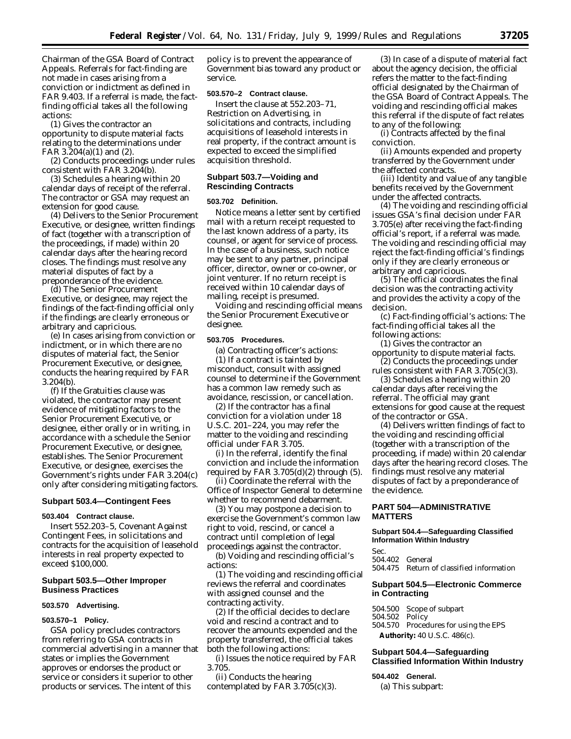Chairman of the GSA Board of Contract Appeals. Referrals for fact-finding are not made in cases arising from a conviction or indictment as defined in FAR 9.403. If a referral is made, the factfinding official takes all the following actions:

(1) Gives the contractor an opportunity to dispute material facts relating to the determinations under FAR 3.204(a)(1) and (2).

(2) Conducts proceedings under rules consistent with FAR 3.204(b).

(3) Schedules a hearing within 20 calendar days of receipt of the referral. The contractor or GSA may request an extension for good cause.

(4) Delivers to the Senior Procurement Executive, or designee, written findings of fact (together with a transcription of the proceedings, if made) within 20 calendar days after the hearing record closes. The findings must resolve any material disputes of fact by a preponderance of the evidence.

(d) The Senior Procurement Executive, or designee, may reject the findings of the fact-finding official only if the findings are clearly erroneous or arbitrary and capricious.

(e) In cases arising from conviction or indictment, or in which there are no disputes of material fact, the Senior Procurement Executive, or designee, conducts the hearing required by FAR 3.204(b).

(f) If the Gratuities clause was violated, the contractor may present evidence of mitigating factors to the Senior Procurement Executive, or designee, either orally or in writing, in accordance with a schedule the Senior Procurement Executive, or designee, establishes. The Senior Procurement Executive, or designee, exercises the Government's rights under FAR 3.204(c) only after considering mitigating factors.

# **Subpart 503.4—Contingent Fees**

### **503.404 Contract clause.**

Insert 552.203–5, Covenant Against Contingent Fees, in solicitations and contracts for the acquisition of leasehold interests in real property expected to exceed \$100,000.

### **Subpart 503.5—Other Improper Business Practices**

#### **503.570 Advertising.**

### **503.570–1 Policy.**

GSA policy precludes contractors from referring to GSA contracts in commercial advertising in a manner that states or implies the Government approves or endorses the product or service or considers it superior to other products or services. The intent of this

policy is to prevent the appearance of Government bias toward any product or service.

### **503.570–2 Contract clause.**

Insert the clause at 552.203–71, Restriction on Advertising, in solicitations and contracts, including acquisitions of leasehold interests in real property, if the contract amount is expected to exceed the simplified acquisition threshold.

# **Subpart 503.7—Voiding and Rescinding Contracts**

#### **503.702 Definition.**

*Notice* means a letter sent by certified mail with a return receipt requested to the last known address of a party, its counsel, or agent for service of process. In the case of a business, such notice may be sent to any partner, principal officer, director, owner or co-owner, or joint venturer. If no return receipt is received within 10 calendar days of mailing, receipt is presumed.

*Voiding and rescinding official* means the Senior Procurement Executive or designee.

### **503.705 Procedures.**

(a) *Contracting officer's actions:*

(1) If a contract is tainted by misconduct, consult with assigned counsel to determine if the Government has a common law remedy such as avoidance, rescission, or cancellation.

(2) If the contractor has a final conviction for a violation under 18 U.S.C. 201–224, you may refer the matter to the voiding and rescinding official under FAR 3.705.

(i) In the referral, identify the final conviction and include the information required by FAR  $3.705(d)(2)$  through  $(5)$ .

(ii) Coordinate the referral with the Office of Inspector General to determine whether to recommend debarment.

(3) You may postpone a decision to exercise the Government's common law right to void, rescind, or cancel a contract until completion of legal proceedings against the contractor.

(b) *Voiding and rescinding official's actions:*

(1) The voiding and rescinding official reviews the referral and coordinates with assigned counsel and the contracting activity.

(2) If the official decides to declare void and rescind a contract and to recover the amounts expended and the property transferred, the official takes both the following actions:

(i) Issues the notice required by FAR 3.705.

(ii) Conducts the hearing contemplated by FAR 3.705(c)(3).

(3) In case of a dispute of material fact about the agency decision, the official refers the matter to the fact-finding official designated by the Chairman of the GSA Board of Contract Appeals. The voiding and rescinding official makes this referral if the dispute of fact relates to any of the following:

(i) Contracts affected by the final conviction.

(ii) Amounts expended and property transferred by the Government under the affected contracts.

(iii) Identity and value of any tangible benefits received by the Government under the affected contracts.

(4) The voiding and rescinding official issues GSA's final decision under FAR 3.705(e) after receiving the fact-finding official's report, if a referral was made. The voiding and rescinding official may reject the fact-finding official's findings only if they are clearly erroneous or arbitrary and capricious.

(5) The official coordinates the final decision was the contracting activity and provides the activity a copy of the decision.

(c) *Fact-finding official's actions:* The fact-finding official takes all the following actions:

(1) Gives the contractor an opportunity to dispute material facts.

(2) Conducts the proceedings under rules consistent with FAR 3.705(c)(3).

(3) Schedules a hearing within 20 calendar days after receiving the referral. The official may grant extensions for good cause at the request of the contractor or GSA.

(4) Delivers written findings of fact to the voiding and rescinding official (together with a transcription of the proceeding, if made) within 20 calendar days after the hearing record closes. The findings must resolve any material disputes of fact by a preponderance of the evidence.

# **PART 504—ADMINISTRATIVE MATTERS**

# **Subpart 504.4—Safeguarding Classified Information Within Industry**

Sec. 504.402 General

504.475 Return of classified information

# **Subpart 504.5—Electronic Commerce in Contracting**

- 504.500 Scope of subpart
- 504.502
- 504.570 Procedures for using the EPS **Authority:** 40 U.S.C. 486(c).

# **Subpart 504.4—Safeguarding Classified Information Within Industry**

# **504.402 General.**

(a) This subpart: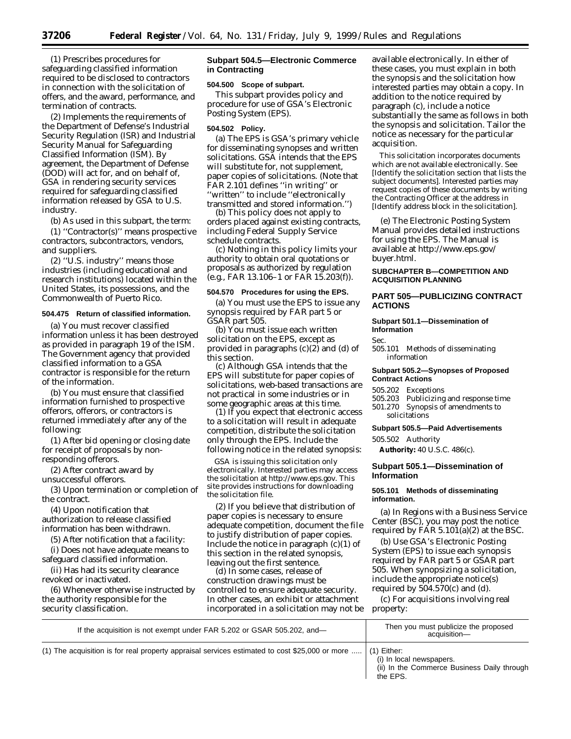(1) Prescribes procedures for safeguarding classified information required to be disclosed to contractors in connection with the solicitation of offers, and the award, performance, and termination of contracts.

(2) Implements the requirements of the Department of Defense's Industrial Security Regulation (ISR) and Industrial Security Manual for Safeguarding Classified Information (ISM). By agreement, the Department of Defense (DOD) will act for, and on behalf of, GSA in rendering security services required for safeguarding classified information released by GSA to U.S. industry.

(b) As used in this subpart, the term:

(1) ''Contractor(s)'' means prospective contractors, subcontractors, vendors, and suppliers.

(2) ''U.S. industry'' means those industries (including educational and research institutions) located within the United States, its possessions, and the Commonwealth of Puerto Rico.

### **504.475 Return of classified information.**

(a) You must recover classified information unless it has been destroyed as provided in paragraph 19 of the ISM. The Government agency that provided classified information to a GSA contractor is responsible for the return of the information.

(b) You must ensure that classified information furnished to prospective offerors, offerors, or contractors is returned immediately after any of the following:

(1) After bid opening or closing date for receipt of proposals by nonresponding offerors.

(2) After contract award by unsuccessful offerors.

(3) Upon termination or completion of the contract.

(4) Upon notification that authorization to release classified information has been withdrawn.

(5) After notification that a facility:

(i) Does not have adequate means to safeguard classified information.

(ii) Has had its security clearance revoked or inactivated.

(6) Whenever otherwise instructed by the authority responsible for the security classification.

### **Subpart 504.5—Electronic Commerce in Contracting**

#### **504.500 Scope of subpart.**

This subpart provides policy and procedure for use of GSA's Electronic Posting System (EPS).

### **504.502 Policy.**

(a) The EPS is GSA's primary vehicle for disseminating synopses and written solicitations. GSA intends that the EPS will substitute for, not supplement, paper copies of solicitations. (Note that FAR 2.101 defines ''in writing'' or ''written'' to include ''electronically transmitted and stored information.'')

(b) This policy does not apply to orders placed against existing contracts, including Federal Supply Service schedule contracts.

(c) Nothing in this policy limits your authority to obtain oral quotations or proposals as authorized by regulation (e.g., FAR 13.106–1 or FAR 15.203(f)).

### **504.570 Procedures for using the EPS.**

(a) You must use the EPS to issue any synopsis required by FAR part 5 or GSAR part 505.

(b) You must issue each written solicitation on the EPS, except as provided in paragraphs  $(c)(2)$  and  $(d)$  of this section.

(c) Although GSA intends that the EPS will substitute for paper copies of solicitations, web-based transactions are not practical in some industries or in some geographic areas at this time.

(1) If you expect that electronic access to a solicitation will result in adequate competition, distribute the solicitation only through the EPS. Include the following notice in the related synopsis:

GSA is issuing this solicitation only electronically. Interested parties may access the solicitation at *http://www.eps.gov.* This site provides instructions for downloading the solicitation file.

(2) If you believe that distribution of paper copies is necessary to ensure adequate competition, document the file to justify distribution of paper copies. Include the notice in paragraph (c)(1) of this section in the related synopsis, leaving out the first sentence.

(d) In some cases, release of construction drawings must be controlled to ensure adequate security. In other cases, an exhibit or attachment incorporated in a solicitation may not be available electronically. In either of these cases, you must explain in both the synopsis and the solicitation how interested parties may obtain a copy. In addition to the notice required by paragraph (c), include a notice substantially the same as follows in both the synopsis and solicitation. Tailor the notice as necessary for the particular acquisition.

This solicitation incorporates documents which are not available electronically. See [Identify the solicitation section that lists the subject documents]. Interested parties may request copies of these documents by writing the Contracting Officer at the address in [Identify address block in the solicitation].

(e) The Electronic Posting System Manual provides detailed instructions for using the EPS. The Manual is available at *http://www.eps.gov/ buyer.html.*

# **SUBCHAPTER B—COMPETITION AND ACQUISITION PLANNING**

# **PART 505—PUBLICIZING CONTRACT ACTIONS**

### **Subpart 501.1—Dissemination of Information**

Sec.

505.101 Methods of disseminating information

#### **Subpart 505.2—Synopses of Proposed Contract Actions**

- 505.202 Exceptions<br>505.203 Publicizing Publicizing and response time
- 501.270 Synopsis of amendments to
- solicitations

### **Subpart 505.5—Paid Advertisements**

505.502 Authority

**Authority:** 40 U.S.C. 486(c).

### **Subpart 505.1—Dissemination of Information**

# **505.101 Methods of disseminating information.**

(a) In Regions with a Business Service Center (BSC), you may post the notice required by FAR  $5.101(a)(2)$  at the BSC.

(b) Use GSA's Electronic Posting System (EPS) to issue each synopsis required by FAR part 5 or GSAR part 505. When synopsizing a solicitation, include the appropriate notice(s) required by  $504.570(c)$  and (d).

(c) For acquisitions involving real property:

| If the acquisition is not exempt under FAR 5.202 or GSAR 505.202, and-                         | Then you must publicize the proposed<br>acquisition-                                                 |
|------------------------------------------------------------------------------------------------|------------------------------------------------------------------------------------------------------|
| (1) The acquisition is for real property appraisal services estimated to cost \$25,000 or more | $(1)$ Either:<br>(i) In local newspapers.<br>(ii) In the Commerce Business Daily through<br>the EPS. |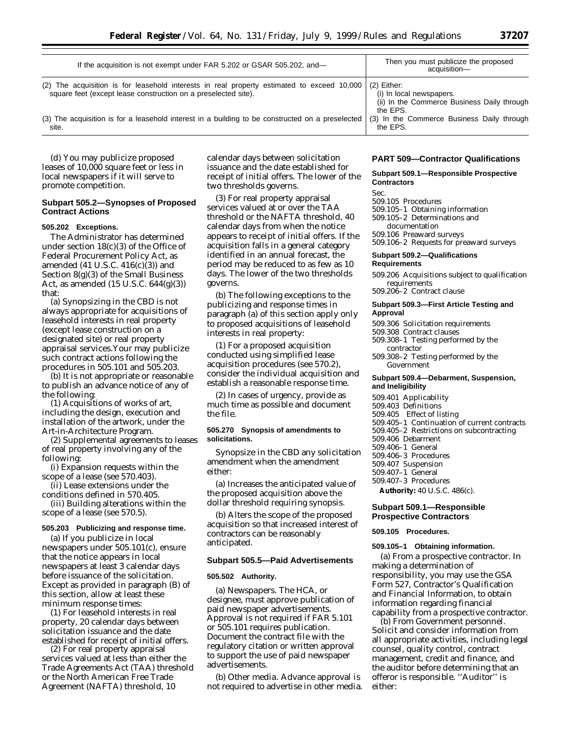| If the acquisition is not exempt under FAR 5.202 or GSAR 505.202, and-                                                                                       | Then you must publicize the proposed<br>acquisition-                                                 |
|--------------------------------------------------------------------------------------------------------------------------------------------------------------|------------------------------------------------------------------------------------------------------|
| (2) The acquisition is for leasehold interests in real property estimated to exceed 10,000<br>square feet (except lease construction on a preselected site). | $(2)$ Either:<br>(i) In local newspapers.<br>(ii) In the Commerce Business Daily through<br>the FPS. |
| (3) The acquisition is for a leasehold interest in a building to be constructed on a preselected<br>site.                                                    | (3) In the Commerce Business Daily through<br>the EPS.                                               |

(d) You may publicize proposed leases of 10,000 square feet or less in local newspapers if it will serve to promote competition.

### **Subpart 505.2—Synopses of Proposed Contract Actions**

#### **505.202 Exceptions.**

The Administrator has determined under section 18(c)(3) of the Office of Federal Procurement Policy Act, as amended (41 U.S.C. 416(c)(3)) and Section 8(g)(3) of the Small Business Act, as amended (15 U.S.C. 644(g)(3)) that:

(a) Synopsizing in the CBD is not always appropriate for acquisitions of leasehold interests in real property (except lease construction on a designated site) or real property appraisal services.Your may publicize such contract actions following the procedures in 505.101 and 505.203.

(b) It is not appropriate or reasonable to publish an advance notice of any of the following:

(1) Acquisitions of works of art, including the design, execution and installation of the artwork, under the Art-in-Architecture Program.

(2) Supplemental agreements to leases of real property involving any of the following:

(i) Expansion requests within the scope of a lease (see 570.403).

(ii) Lease extensions under the conditions defined in 570.405.

(iii) Building alterations within the scope of a lease (see 570.5).

#### **505.203 Publicizing and response time.**

(a) If you publicize in local newspapers under 505.101(c), ensure that the notice appears in local newspapers at least 3 calendar days before issuance of the solicitation. Except as provided in paragraph (B) of this section, allow at least these minimum response times:

(1) For leasehold interests in real property, 20 calendar days between solicitation issuance and the date established for receipt of initial offers.

(2) For real property appraisal services valued at less than either the Trade Agreements Act (TAA) threshold or the North American Free Trade Agreement (NAFTA) threshold, 10

calendar days between solicitation issuance and the date established for receipt of initial offers. The lower of the two thresholds governs.

(3) For real property appraisal services valued at or over the TAA threshold or the NAFTA threshold, 40 calendar days from when the notice appears to receipt of initial offers. If the acquisition falls in a general category identified in an annual forecast, the period may be reduced to as few as 10 days. The lower of the two thresholds governs.

(b) The following exceptions to the publicizing and response times in paragraph (a) of this section apply only to proposed acquisitions of leasehold interests in real property:

(1) For a proposed acquisition conducted using simplified lease acquisition procedures (see 570.2), consider the individual acquisition and establish a reasonable response time.

(2) In cases of urgency, provide as much time as possible and document the file.

### **505.270 Synopsis of amendments to solicitations.**

Synopsize in the CBD any solicitation amendment when the amendment either:

(a) Increases the anticipated value of the proposed acquisition above the dollar threshold requiring synopsis.

(b) Alters the scope of the proposed acquisition so that increased interest of contractors can be reasonably anticipated.

#### **Subpart 505.5—Paid Advertisements**

### **505.502 Authority.**

(a) *Newspapers*. The HCA, or designee, must approve publication of paid newspaper advertisements. Approval is not required if FAR 5.101 or 505.101 requires publication. Document the contract file with the regulatory citation or written approval to support the use of paid newspaper advertisements.

(b) *Other media*. Advance approval is not required to advertise in other media.

#### **PART 509—Contractor Qualifications**

**Subpart 509.1—Responsible Prospective Contractors**

#### Sec.

509.105 Procedures

509.105–1 Obtaining information

- 509.105–2 Determinations and
- documentation
- 509.106 Preaward surveys

509.106–2 Requests for preaward surveys

#### **Subpart 509.2—Qualifications Requirements**

509.206 Acquisitions subject to qualification requirements 509.206–2 Contract clause

#### **Subpart 509.3—First Article Testing and Approval**

- 509.306 Solicitation requirements
- 509.308 Contract clauses
- 509.308–1 Testing performed by the contractor
- 509.308–2 Testing performed by the Government

#### **Subpart 509.4—Debarment, Suspension, and Ineligibility**

509.401 Applicability

509.403 Definitions

509.405 Effect of listing

- 509.405–1 Continuation of current contracts
- 509.405–2 Restrictions on subcontracting
- 509.406 Debarment
- 509.406–1 General
- 509.406–3 Procedures
- 509.407 Suspension
- 509.407–1 General

509.407–3 Procedures

**Authority:** 40 U.S.C. 486(c).

### **Subpart 509.1—Responsible Prospective Contractors**

#### **509.105 Procedures.**

#### **509.105–1 Obtaining information.**

(a) *From a prospective contractor.* In making a determination of responsibility, you may use the GSA Form 527, Contractor's Qualification and Financial Information, to obtain information regarding financial capability from a prospective contractor.

(b) *From Government personnel.* Solicit and consider information from all appropriate activities, including legal counsel, quality control, contract management, credit and finance, and the auditor before determining that an offeror is responsible. ''Auditor'' is either: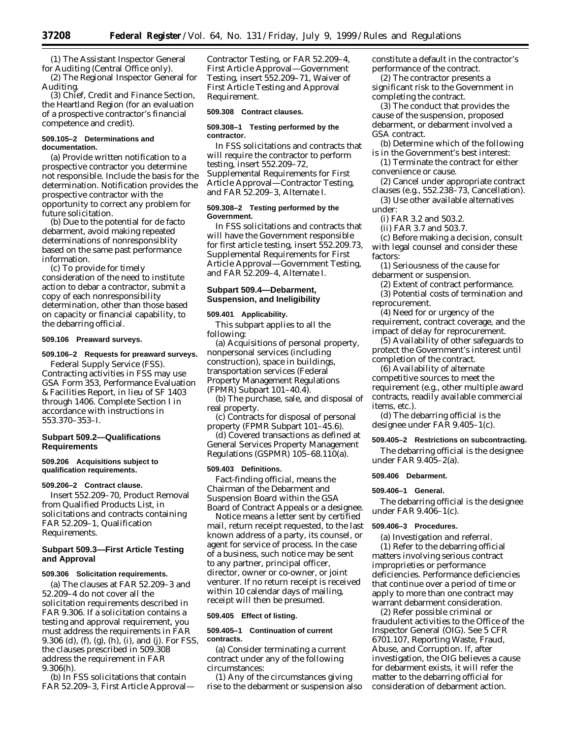(1) The Assistant Inspector General for Auditing (Central Office only).

(2) The Regional Inspector General for Auditing.

(3) Chief, Credit and Finance Section, the Heartland Region (for an evaluation of a prospective contractor's financial competence and credit).

### **509.105–2 Determinations and documentation.**

(a) Provide written notification to a prospective contractor you determine not responsible. Include the basis for the determination. Notification provides the prospective contractor with the opportunity to correct any problem for future solicitation.

(b) Due to the potential for de facto debarment, avoid making repeated determinations of nonresponsiblity based on the same past performance information.

(c) To provide for timely consideration of the need to institute action to debar a contractor, submit a copy of each nonresponsibility determination, other than those based on capacity or financial capability, to the debarring official.

# **509.106 Preaward surveys.**

# **509.106–2 Requests for preaward surveys.**

*Federal Supply Service (FSS).* Contracting activities in FSS may use GSA Form 353, Performance Evaluation & Facilities Report, in lieu of SF 1403 through 1406. Complete Section I in accordance with instructions in 553.370–353–I.

# **Subpart 509.2—Qualifications Requirements**

#### **509.206 Acquisitions subject to qualification requirements.**

#### **509.206–2 Contract clause.**

Insert 552.209–70, Product Removal from Qualified Products List, in solicitations and contracts containing FAR 52.209–1, Qualification Requirements.

# **Subpart 509.3—First Article Testing and Approval**

### **509.306 Solicitation requirements.**

(a) The clauses at FAR 52.209–3 and 52.209–4 do not cover all the solicitation requirements described in FAR 9.306. If a solicitation contains a testing and approval requirement, you must address the requirements in FAR 9.306 (d), (f), (g), (h), (i), and (j). For FSS, the clauses prescribed in 509.308 address the requirement in FAR 9.306(h).

(b) In FSS solicitations that contain FAR 52.209–3, First Article Approval—

Contractor Testing, or FAR 52.209–4, First Article Approval—Government Testing, insert 552.209–71, Waiver of First Article Testing and Approval Requirement.

#### **509.308 Contract clauses.**

#### **509.308–1 Testing performed by the contractor.**

In FSS solicitations and contracts that will require the contractor to perform testing, insert 552.209–72, Supplemental Requirements for First Article Approval—Contractor Testing, and FAR 52.209–3, Alternate I.

#### **509.308–2 Testing performed by the Government.**

In FSS solicitations and contracts that will have the Government responsible for first article testing, insert 552.209.73, Supplemental Requirements for First Article Approval—Government Testing, and FAR 52.209–4, Alternate I.

# **Subpart 509.4—Debarment, Suspension, and Ineligibility**

### **509.401 Applicability.**

This subpart applies to all the following:

(a) Acquisitions of personal property, nonpersonal services (including construction), space in buildings, transportation services (Federal Property Management Regulations (FPMR) Subpart 101–40.4).

(b) The purchase, sale, and disposal of real property.

(c) Contracts for disposal of personal property (FPMR Subpart 101–45.6).

(d) Covered transactions as defined at General Services Property Management Regulations (GSPMR) 105–68.110(a).

#### **509.403 Definitions.**

*Fact-finding official,* means the Chairman of the Debarment and Suspension Board within the GSA Board of Contract Appeals or a designee.

*Notice* means a letter sent by certified mail, return receipt requested, to the last known address of a party, its counsel, or agent for service of process. In the case of a business, such notice may be sent to any partner, principal officer, director, owner or co-owner, or joint venturer. If no return receipt is received within 10 calendar days of mailing, receipt will then be presumed.

#### **509.405 Effect of listing.**

### **509.405–1 Continuation of current contracts.**

(a) Consider terminating a current contract under any of the following circumstances:

(1) Any of the circumstances giving rise to the debarment or suspension also constitute a default in the contractor's performance of the contract.

(2) The contractor presents a significant risk to the Government in completing the contract.

(3) The conduct that provides the cause of the suspension, proposed debarment, or debarment involved a GSA contract.

(b) Determine which of the following is in the Government's best interest:

(1) Terminate the contract for either convenience or cause.

(2) Cancel under appropriate contract clauses (e.g., 552.238–73, Cancellation).

(3) Use other available alternatives under:

(i) FAR 3.2 and 503.2.

(ii) FAR 3.7 and 503.7. (c) Before making a decision, consult

with legal counsel and consider these factors:

(1) Seriousness of the cause for debarment or suspension.

(2) Extent of contract performance. (3) Potential costs of termination and reprocurement.

(4) Need for or urgency of the requirement, contract coverage, and the impact of delay for reprocurement.

(5) Availability of other safeguards to protect the Government's interest until completion of the contract.

(6) Availability of alternate competitive sources to meet the requirement (e.g., other multiple award contracts, readily available commercial items, etc.).

(d) The debarring official is the designee under FAR 9.405–1(c).

### **509.405–2 Restrictions on subcontracting.**

The debarring official is the designee under FAR 9.405–2(a).

#### **509.406 Debarment.**

### **509.406–1 General.**

The debarring official is the designee under FAR 9.406–1(c).

#### **509.406–3 Procedures.**

(a) *Investigation and referral.* (1) Refer to the debarring official matters involving serious contract improprieties or performance deficiencies. Performance deficiencies that continue over a period of time or apply to more than one contract may warrant debarment consideration.

(2) Refer possible criminal or fraudulent activities to the Office of the Inspector General (OIG). See 5 CFR 6701.107, Reporting Waste, Fraud, Abuse, and Corruption. If, after investigation, the OIG believes a cause for debarment exists, it will refer the matter to the debarring official for consideration of debarment action.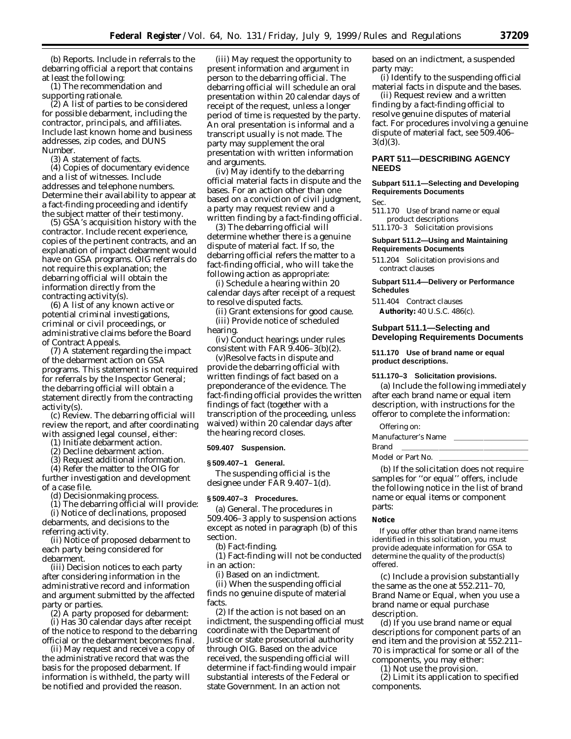(b) *Reports.* Include in referrals to the debarring official a report that contains at least the following:

(1) The recommendation and supporting rationale.

(2) A list of parties to be considered for possible debarment, including the contractor, principals, and affiliates. Include last known home and business addresses, zip codes, and DUNS Number.

(3) A statement of facts.

(4) Copies of documentary evidence and a list of witnesses. Include addresses and telephone numbers. Determine their availability to appear at a fact-finding proceeding and identify the subject matter of their testimony.

(5) GSA's acquisition history with the contractor. Include recent experience, copies of the pertinent contracts, and an explanation of impact debarment would have on GSA programs. OIG referrals do not require this explanation; the debarring official will obtain the information directly from the contracting activity(s).

(6) A list of any known active or potential criminal investigations, criminal or civil proceedings, or administrative claims before the Board of Contract Appeals.

(7) A statement regarding the impact of the debarment action on GSA programs. This statement is not required for referrals by the Inspector General; the debarring official will obtain a statement directly from the contracting activity(s).

(c) *Review.* The debarring official will review the report, and after coordinating with assigned legal counsel, either:

(1) Initiate debarment action.

(2) Decline debarment action.

(3) Request additional information.

(4) Refer the matter to the OIG for further investigation and development of a case file.

(d) *Decisionmaking process.*

(1) The debarring official will provide:

(i) Notice of declinations, proposed debarments, and decisions to the referring activity.

(ii) Notice of proposed debarment to each party being considered for debarment.

(iii) Decision notices to each party after considering information in the administrative record and information and argument submitted by the affected party or parties.

(2) A party proposed for debarment:

(i) Has 30 calendar days after receipt of the notice to respond to the debarring official or the debarment becomes final.

(ii) May request and receive a copy of the administrative record that was the basis for the proposed debarment. If information is withheld, the party will be notified and provided the reason.

(iii) May request the opportunity to present information and argument in person to the debarring official. The debarring official will schedule an oral presentation within 20 calendar days of receipt of the request, unless a longer period of time is requested by the party. An oral presentation is informal and a transcript usually is not made. The party may supplement the oral presentation with written information and arguments.

(iv) May identify to the debarring official material facts in dispute and the bases. For an action other than one based on a conviction of civil judgment, a party may request review and a written finding by a fact-finding official.

(3) The debarring official will determine whether there is a genuine dispute of material fact. If so, the debarring official refers the matter to a fact-finding official, who will take the following action as appropriate:

(i) Schedule a hearing within 20 calendar days after receipt of a request to resolve disputed facts.

(ii) Grant extensions for good cause. (iii) Provide notice of scheduled hearing.

(iv) Conduct hearings under rules consistent with FAR 9.406–3(b)(2).

(v)Resolve facts in dispute and provide the debarring official with written findings of fact based on a preponderance of the evidence. The fact-finding official provides the written findings of fact (together with a transcription of the proceeding, unless waived) within 20 calendar days after the hearing record closes.

#### **509.407 Suspension.**

**§ 509.407–1 General.**

The suspending official is the designee under FAR 9.407–1(d).

#### **§ 509.407–3 Procedures.**

(a) *General.* The procedures in 509.406–3 apply to suspension actions except as noted in paragraph (b) of this section.

(b) *Fact-finding.*

(1) Fact-finding will not be conducted in an action:

(i) Based on an indictment.

(ii) When the suspending official finds no genuine dispute of material facts.

(2) If the action is not based on an indictment, the suspending official must coordinate with the Department of Justice or state prosecutorial authority through OIG. Based on the advice received, the suspending official will determine if fact-finding would impair substantial interests of the Federal or state Government. In an action not

based on an indictment, a suspended party may:

(i) Identify to the suspending official material facts in dispute and the bases.

(ii) Request review and a written finding by a fact-finding official to resolve genuine disputes of material fact. For procedures involving a genuine dispute of material fact, see 509.406– 3(d)(3).

# **PART 511—DESCRIBING AGENCY NEEDS**

#### **Subpart 511.1—Selecting and Developing Requirements Documents** Sec.

- 511.170 Use of brand name or equal product descriptions
- 511.170–3 Solicitation provisions

#### **Subpart 511.2—Using and Maintaining Requirements Documents**

511.204 Solicitation provisions and contract clauses

#### **Subpart 511.4—Delivery or Performance Schedules**

511.404 Contract clauses **Authority:** 40 U.S.C. 486(c).

#### **Subpart 511.1—Selecting and Developing Requirements Documents**

#### **511.170 Use of brand name or equal product descriptions.**

#### **511.170–3 Solicitation provisions.**

(a) Include the following immediately after each brand name or equal item description, with instructions for the offeror to complete the information:

Offering on:

Manufacturer's Name

Brand

Model or Part No.

(b) If the solicitation does not require samples for ''or equal'' offers, include the following notice in the list of brand name or equal items or component parts:

#### **Notice**

If you offer other than brand name items identified in this solicitation, you must provide adequate information for GSA to determine the quality of the product(s) offered.

(c) Include a provision substantially the same as the one at 552.211–70, Brand Name or Equal, when you use a brand name or equal purchase description.

(d) If you use brand name or equal descriptions for component parts of an end item and the provision at 552.211– 70 is impractical for some or all of the components, you may either:

(1) Not use the provision.

(2) Limit its application to specified components.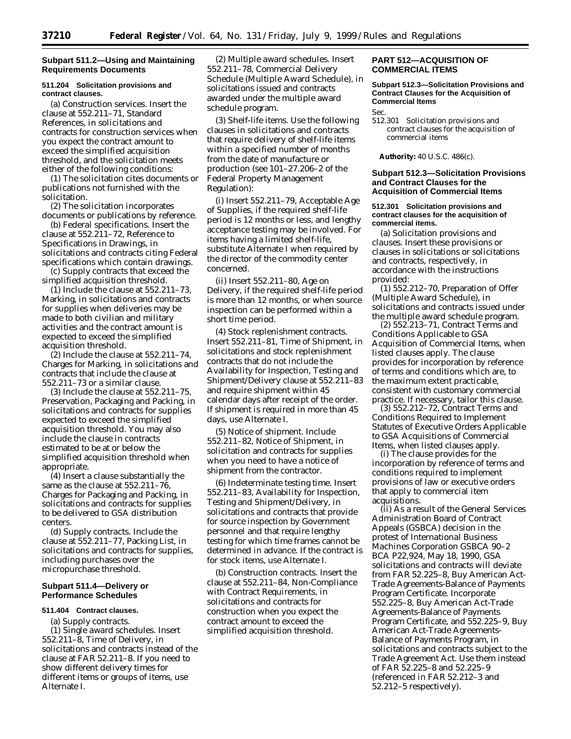### **Subpart 511.2—Using and Maintaining Requirements Documents**

### **511.204 Solicitation provisions and contract clauses.**

(a) *Construction services.* Insert the clause at 552.211–71, Standard References, in solicitations and contracts for construction services when you expect the contract amount to exceed the simplified acquisition threshold, and the solicitation meets either of the following conditions:

(1) The solicitation cites documents or publications not furnished with the solicitation.

(2) The solicitation incorporates documents or publications by reference.

(b) *Federal specifications.* Insert the clause at 552.211–72, Reference to Specifications in Drawings, in solicitations and contracts citing Federal specifications which contain drawings.

(c) *Supply contracts that exceed the simplified acquisition threshold*.

(1) Include the clause at 552.211–73, Marking, in solicitations and contracts for supplies when deliveries may be made to both civilian and military activities and the contract amount is expected to exceed the simplified acquisition threshold.

 $(2)$  Include the clause at 552.211–74, Charges for Marking, in solicitations and contracts that include the clause at 552.211–73 or a similar clause.

(3) Include the clause at 552.211–75, Preservation, Packaging and Packing, in solicitations and contracts for supplies expected to exceed the simplified acquisition threshold. You may also include the clause in contracts estimated to be at or below the simplified acquisition threshold when appropriate.

(4) Insert a clause substantially the same as the clause at 552.211–76, Charges for Packaging and Packing, in solicitations and contracts for supplies to be delivered to GSA distribution centers.

(d) *Supply contracts.* Include the clause at 552.211–77, Packing List, in solicitations and contracts for supplies, including purchases over the micropurchase threshold.

### **Subpart 511.4—Delivery or Performance Schedules**

# **511.404 Contract clauses.**

(a) *Supply contracts.*

(1) *Single award schedules.* Insert 552.211–8, Time of Delivery, in solicitations and contracts instead of the clause at FAR 52.211–8. If you need to show different delivery times for different items or groups of items, use Alternate I.

(2) *Multiple award schedules.* Insert 552.211–78, Commercial Delivery Schedule (Multiple Award Schedule), in solicitations issued and contracts awarded under the multiple award schedule program.

(3) *Shelf-life items.* Use the following clauses in solicitations and contracts that require delivery of shelf-life items within a specified number of months from the date of manufacture or production (see 101–27.206–2 of the Federal Property Management Regulation):

(i) Insert 552.211–79, Acceptable Age of Supplies, if the required shelf-life period is 12 months or less, and lengthy acceptance testing may be involved. For items having a limited shelf-life, substitute Alternate I when required by the director of the commodity center concerned.

(ii) Insert 552.211–80, Age on Delivery, if the required shelf-life period is more than 12 months, or when source inspection can be performed within a short time period.

(4) *Stock replenishment contracts.* Insert 552.211–81, Time of Shipment, in solicitations and stock replenishment contracts that do not include the Availability for Inspection, Testing and Shipment/Delivery clause at 552.211–83 and require shipment within 45 calendar days after receipt of the order. If shipment is required in more than 45 days, use Alternate I.

(5) *Notice of shipment.* Include 552.211–82, Notice of Shipment, in solicitation and contracts for supplies when you need to have a notice of shipment from the contractor.

(6) *Indeterminate testing time.* Insert 552.211–83, Availability for Inspection, Testing and Shipment/Delivery, in solicitations and contracts that provide for source inspection by Government personnel and that require lengthy testing for which time frames cannot be determined in advance. If the contract is for stock items, use Alternate I.

(b) *Construction contracts.* Insert the clause at 552.211–84, Non-Compliance with Contract Requirements, in solicitations and contracts for construction when you expect the contract amount to exceed the simplified acquisition threshold.

# **PART 512—ACQUISITION OF COMMERCIAL ITEMS**

# **Subpart 512.3—Solicitation Provisions and Contract Clauses for the Acquisition of Commercial Items**

Sec.

512.301 Solicitation provisions and contract clauses for the acquisition of commercial items

**Authority:** 40 U.S.C. 486(c).

# **Subpart 512.3—Solicitation Provisions and Contract Clauses for the Acquisition of Commercial Items**

# **512.301 Solicitation provisions and contract clauses for the acquisition of commercial items.**

(a) *Solicitation provisions and clauses.* Insert these provisions or clauses in solicitations or solicitations and contracts, respectively, in accordance with the instructions provided:

(1) 552.212–70, Preparation of Offer (Multiple Award Schedule), in solicitations and contracts issued under the multiple award schedule program.

(2) 552.213–71, Contract Terms and Conditions Applicable to GSA Acquisition of Commercial Items, when listed clauses apply. The clause provides for incorporation by reference of terms and conditions which are, to the maximum extent practicable, consistent with customary commercial practice. If necessary, tailor this clause.

(3) 552.212–72, Contract Terms and Conditions Required to Implement Statutes of Executive Orders Applicable to GSA Acquisitions of Commercial Items, when listed clauses apply.

(i) The clause provides for the incorporation by reference of terms and conditions required to implement provisions of law or executive orders that apply to commercial item acquisitions.

(ii) As a result of the General Services Administration Board of Contract Appeals (GSBCA) decision in the protest of *International Business Machines Corporation* GSBCA 90–2 BCA P22,924, May 18, 1990, GSA solicitations and contracts will deviate from FAR 52.225–8, Buy American Act-Trade Agreements-Balance of Payments Program Certificate. Incorporate 552.225–8, Buy American Act-Trade Agreements-Balance of Payments Program Certificate, and 552.225–9, Buy American Act-Trade Agreements-Balance of Payments Program, in solicitations and contracts subject to the Trade Agreement Act. Use them instead of FAR 52.225–8 and 52.225–9 (referenced in FAR 52.212–3 and 52.212–5 respectively).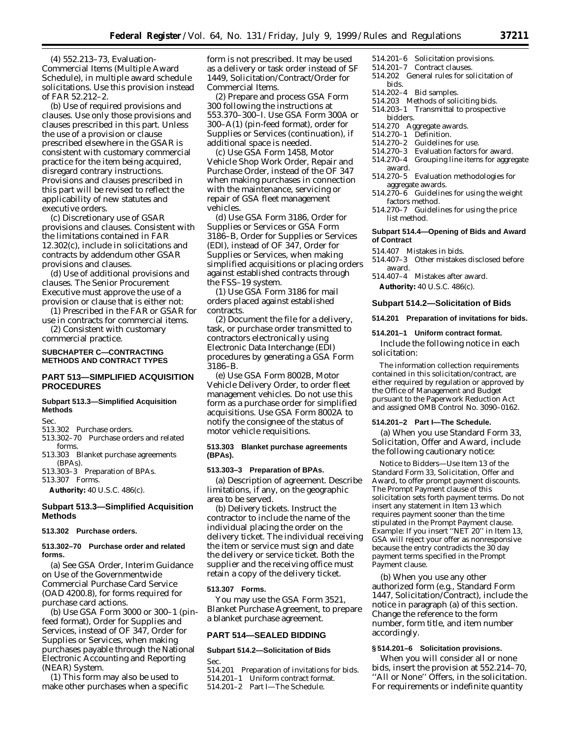(4) 552.213–73, Evaluation-Commercial Items (Multiple Award Schedule), in multiple award schedule solicitations. Use this provision instead of FAR 52.212–2.

(b) *Use of required provisions and clauses.* Use only those provisions and clauses prescribed in this part. Unless the use of a provision or clause prescribed elsewhere in the GSAR is consistent with customary commercial practice for the item being acquired, disregard contrary instructions. Provisions and clauses prescribed in this part will be revised to reflect the applicability of new statutes and executive orders.

(c) *Discretionary use of GSAR provisions and clauses.* Consistent with the limitations contained in FAR 12.302(c), include in solicitations and contracts by addendum other GSAR provisions and clauses.

(d) *Use of additional provisions and clauses.* The Senior Procurement Executive must approve the use of a provision or clause that is either not:

(1) Prescribed in the FAR or GSAR for use in contracts for commercial items.

(2) Consistent with customary commercial practice.

### **SUBCHAPTER C—CONTRACTING METHODS AND CONTRACT TYPES**

# **PART 513—SIMPLIFIED ACQUISITION PROCEDURES**

#### **Subpart 513.3—Simplified Acquisition Methods**

Sec.

#### 513.302 Purchase orders.

- 513.302–70 Purchase orders and related
- forms. 513.303 Blanket purchase agreements (BPAs).
- 513.303–3 Preparation of BPAs.

# 513.307 Forms.

**Authority:** 40 U.S.C. 486(c).

# **Subpart 513.3—Simplified Acquisition Methods**

#### **513.302 Purchase orders.**

#### **513.302–70 Purchase order and related forms.**

(a) See GSA Order, Interim Guidance on Use of the Governmentwide Commercial Purchase Card Service (OAD 4200.8), for forms required for purchase card actions.

(b) Use GSA Form 3000 or 300–1 (pinfeed format), Order for Supplies and Services, instead of OF 347, Order for Supplies or Services, when making purchases payable through the National Electronic Accounting and Reporting (NEAR) System.

(1) This form may also be used to make other purchases when a specific

form is not prescribed. It may be used as a delivery or task order instead of SF 1449, Solicitation/Contract/Order for Commercial Items.

(2) Prepare and process GSA Form 300 following the instructions at 553.370–300–I. Use GSA Form 300A or 300–A(1) (pin-feed format), order for Supplies or Services (continuation), if additional space is needed.

(c) Use GSA Form 1458, Motor Vehicle Shop Work Order, Repair and Purchase Order, instead of the OF 347 when making purchases in connection with the maintenance, servicing or repair of GSA fleet management vehicles.

(d) Use GSA Form 3186, Order for Supplies or Services or GSA Form 3186–B, Order for Supplies or Services (EDI), instead of OF 347, Order for Supplies or Services, when making simplified acquisitions or placing orders against established contracts through the FSS–19 system.

(1) Use GSA Form 3186 for mail orders placed against established contracts.

(2) Document the file for a delivery, task, or purchase order transmitted to contractors electronically using Electronic Data Interchange (EDI) procedures by generating a GSA Form 3186–B.

(e) Use GSA Form 8002B, Motor Vehicle Delivery Order, to order fleet management vehicles. Do not use this form as a purchase order for simplified acquisitions. Use GSA Form 8002A to notify the consignee of the status of motor vehicle requisitions.

#### **513.303 Blanket purchase agreements (BPAs).**

#### **513.303–3 Preparation of BPAs.**

(a) *Description of agreement.* Describe limitations, if any, on the geographic area to be served.

(b) *Delivery tickets.* Instruct the contractor to include the name of the individual placing the order on the delivery ticket. The individual receiving the item or service must sign and date the delivery or service ticket. Both the supplier and the receiving office must retain a copy of the delivery ticket.

### **513.307 Forms.**

You may use the GSA Form 3521, Blanket Purchase Agreement, to prepare a blanket purchase agreement.

# **PART 514—SEALED BIDDING**

#### **Subpart 514.2—Solicitation of Bids**

Sec. 514.201 Preparation of invitations for bids. 514.201–1 Uniform contract format. 514.201–2 Part I—The Schedule.

- 514.201–6 Solicitation provisions. 514.201–7 Contract clauses.
- 514.202 General rules for solicitation of
- bids.
- 514.202–4 Bid samples.
- 514.203 Methods of soliciting bids.
- 514.203–1 Transmittal to prospective bidders.
- 514.270 Aggregate awards.
- 514.270–1 Definition.
- Guidelines for use.
- 514.270–3 Evaluation factors for award.
- Grouping line items for aggregate award.
- 514.270–5 Evaluation methodologies for aggregate awards.
- 514.270–6 Guidelines for using the weight factors method.
- 514.270–7 Guidelines for using the price list method.

### **Subpart 514.4—Opening of Bids and Award of Contract**

- 514.407 Mistakes in bids.
- 514.407–3 Other mistakes disclosed before award.

514.407–4 Mistakes after award. **Authority:** 40 U.S.C. 486(c).

#### **Subpart 514.2—Solicitation of Bids**

**514.201 Preparation of invitations for bids.**

**514.201–1 Uniform contract format.**

Include the following notice in each solicitation:

The information collection requirements contained in this solicitation/contract, are either required by regulation or approved by the Office of Management and Budget pursuant to the Paperwork Reduction Act and assigned OMB Control No. 3090–0162.

#### **514.201–2 Part I—The Schedule.**

(a) When you use Standard Form 33, Solicitation, Offer and Award, include the following cautionary notice:

Notice to Bidders—Use Item 13 of the Standard Form 33, Solicitation, Offer and Award, to offer prompt payment discounts. The Prompt Payment clause of this solicitation sets forth payment terms. Do not insert any statement in Item 13 which requires payment sooner than the time stipulated in the Prompt Payment clause. *Example:* If you insert ''NET 20'' in Item 13, GSA will reject your offer as nonresponsive because the entry contradicts the 30 day payment terms specified in the Prompt Payment clause.

(b) When you use any other authorized form (e.g., Standard Form 1447, Solicitation/Contract), include the notice in paragraph (a) of this section. Change the reference to the form number, form title, and item number accordingly.

# **§ 514.201–6 Solicitation provisions.**

When you will consider all or none bids, insert the provision at 552.214–70, ''All or None'' Offers, in the solicitation. For requirements or indefinite quantity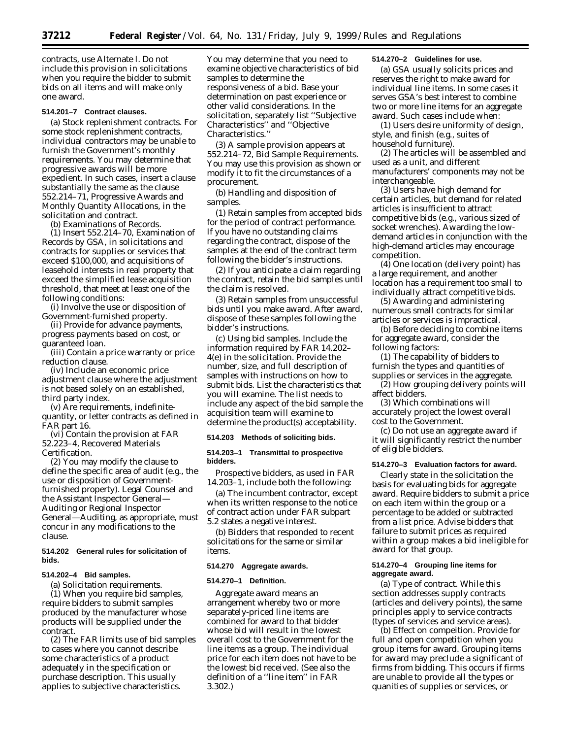contracts, use Alternate I. Do not include this provision in solicitations when you require the bidder to submit bids on all items and will make only one award.

# **514.201–7 Contract clauses.**

(a) *Stock replenishment contracts.* For some stock replenishment contracts, individual contractors may be unable to furnish the Government's monthly requirements. You may determine that progressive awards will be more expedient. In such cases, insert a clause substantially the same as the clause 552.214–71, Progressive Awards and Monthly Quantity Allocations, in the solicitation and contract.

(b) *Examinations of Records.*

(1) Insert 552.214–70, Examination of Records by GSA, in solicitations and contracts for supplies or services that exceed \$100,000, and acquisitions of leasehold interests in real property that exceed the simplified lease acquisition threshold, that meet at least one of the following conditions:

(i) Involve the use or disposition of Government-furnished property.

(ii) Provide for advance payments, progress payments based on cost, or guaranteed loan.

(iii) Contain a price warranty or price reduction clause.

(iv) Include an economic price adjustment clause where the adjustment is not based solely on an established, third party index.

(v) Are requirements, indefinitequantity, or letter contracts as defined in FAR part 16.

(vi) Contain the provision at FAR 52.223–4, Recovered Materials Certification.

(2) You may modify the clause to define the specific area of audit (e.g., the use or disposition of Governmentfurnished property). Legal Counsel and the Assistant Inspector General— Auditing or Regional Inspector General—Auditing, as appropriate, must concur in any modifications to the clause.

#### **514.202 General rules for solicitation of bids.**

### **514.202–4 Bid samples.**

(a) *Solicitation requirements.*

(1) When you require bid samples, require bidders to submit samples produced by the manufacturer whose products will be supplied under the contract.

(2) The FAR limits use of bid samples to cases where you cannot describe some characteristics of a product adequately in the specification or purchase description. This usually applies to subjective characteristics.

You may determine that you need to examine objective characteristics of bid samples to determine the responsiveness of a bid. Base your determination on past experience or other valid considerations. In the solicitation, separately list ''Subjective Characteristics'' and ''Objective Characteristics.''

(3) A sample provision appears at 552.214–72, Bid Sample Requirements. You may use this provision as shown or modify it to fit the circumstances of a procurement.

(b) *Handling and disposition of samples.*

(1) Retain samples from accepted bids for the period of contract performance. If you have no outstanding claims regarding the contract, dispose of the samples at the end of the contract term following the bidder's instructions.

(2) If you anticipate a claim regarding the contract, retain the bid samples until the claim is resolved.

(3) Retain samples from unsuccessful bids until you make award. After award, dispose of these samples following the bidder's instructions.

(c) *Using bid samples.* Include the information required by FAR 14.202– 4(e) in the solicitation. Provide the number, size, and full description of samples with instructions on how to submit bids. List the characteristics that you will examine. The list needs to include any aspect of the bid sample the acquisition team will examine to determine the product(s) acceptability.

#### **514.203 Methods of soliciting bids.**

#### **514.203–1 Transmittal to prospective bidders.**

Prospective bidders, as used in FAR 14.203–1, include both the following:

(a) The incumbent contractor, except when its written response to the notice of contract action under FAR subpart 5.2 states a negative interest.

(b) Bidders that responded to recent solicitations for the same or similar items.

#### **514.270 Aggregate awards.**

#### **514.270–1 Definition.**

*Aggregate award* means an arrangement whereby two or more separately-priced line items are combined for award to that bidder whose bid will result in the lowest overall cost to the Government for the line items as a group. The individual price for each item does not have to be the lowest bid received. (See also the definition of a ''line item'' in FAR 3.302.)

#### **514.270–2 Guidelines for use.**

(a) GSA usually solicits prices and reserves the right to make award for individual line items. In some cases it serves GSA's best interest to combine two or more line items for an aggregate award. Such cases include when:

(1) Users desire uniformity of design, style, and finish (e.g., suites of household furniture).

(2) The articles will be assembled and used as a unit, and different manufacturers' components may not be interchangeable.

(3) Users have high demand for certain articles, but demand for related articles is insufficient to attract competitive bids (e.g., various sized of socket wrenches). Awarding the lowdemand articles in conjunction with the high-demand articles may encourage competition.

(4) One location (delivery point) has a large requirement, and another location has a requirement too small to individually attract competitive bids.

(5) Awarding and administering numerous small contracts for similar articles or services is impractical.

(b) Before deciding to combine items for aggregate award, consider the following factors:

(1) The capability of bidders to furnish the types and quantities of supplies or services in the aggregate.

(2) How grouping delivery points will affect bidders.

(3) Which combinations will accurately project the lowest overall cost to the Government.

(c) Do not use an aggregate award if it will significantly restrict the number of eligible bidders.

#### **514.270–3 Evaluation factors for award.**

Clearly state in the solicitation the basis for evaluating bids for aggregate award. Require bidders to submit a price on each item within the group or a percentage to be added or subtracted from a list price. Advise bidders that failure to submit prices as required within a group makes a bid ineligible for award for that group.

# **514.270–4 Grouping line items for aggregate award.**

(a) *Type of contract.* While this section addresses supply contracts (articles and delivery points), the same principles apply to service contracts (types of services and service areas).

(b) *Effect on compeition.* Provide for full and open competition when you group items for award. Grouping items for award may preclude a significant of firms from bidding. This occurs if firms are unable to provide all the types or quanities of supplies or services, or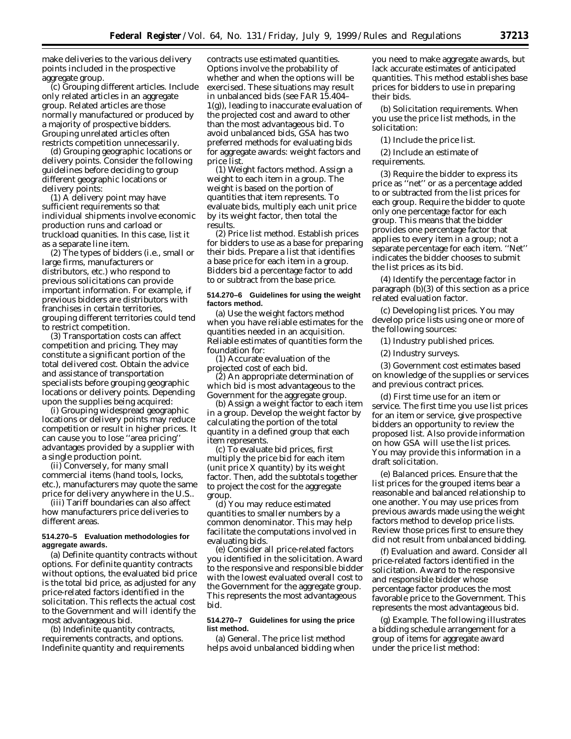make deliveries to the various delivery points included in the prospective aggregate group.

(c) *Grouping different articles.* Include only related articles in an aggregate group. Related articles are those normally manufactured or produced by a majority of prospective bidders. Grouping unrelated articles often restricts competition unnecessarily.

(d) *Grouping geographic locations or delivery points.* Consider the following guidelines before deciding to group different geographic locations or delivery points:

(1) A delivery point may have sufficient requirements so that individual shipments involve economic production runs and carload or truckload quanities. In this case, list it as a separate line item.

(2) The types of bidders (i.e., small or large firms, manufacturers or distributors, etc.) who respond to previous solicitations can provide important information. For example, if previous bidders are distributors with franchises in certain territories, grouping different territories could tend to restrict competition.

(3) Transportation costs can affect competition and pricing. They may constitute a significant portion of the total delivered cost. Obtain the advice and assistance of transportation specialists before grouping geographic locations or delivery points. Depending upon the supplies being acquired:

(i) Grouping widespread geographic locations or delivery points may reduce competition or result in higher prices. It can cause you to lose ''area pricing'' advantages provided by a supplier with a single production point.

(ii) Conversely, for many small commercial items (hand tools, locks, etc.), manufacturers may quote the same price for delivery anywhere in the U.S..

(iii) Tariff boundaries can also affect how manufacturers price deliveries to different areas.

#### **514.270–5 Evaluation methodologies for aggregate awards.**

(a) *Definite quantity contracts without options.* For definite quantity contracts without options, the evaluated bid price is the total bid price, as adjusted for any price-related factors identified in the solicitation. This reflects the actual cost to the Government and will identify the most advantageous bid.

(b) *Indefinite quantity contracts, requirements contracts, and options.* Indefinite quantity and requirements

contracts use estimated quantities. Options involve the probability of whether and when the options will be exercised. These situations may result in unbalanced bids (see FAR 15.404– 1(g)), leading to inaccurate evaluation of the projected cost and award to other than the most advantageous bid. To avoid unbalanced bids, GSA has two preferred methods for evaluating bids for aggregate awards: weight factors and price list.

(1) *Weight factors method.* Assign a weight to each item in a group. The weight is based on the portion of quantities that item represents. To evaluate bids, multiply each unit price by its weight factor, then total the results.

(2) *Price list method.* Establish prices for bidders to use as a base for preparing their bids. Prepare a list that identifies a base price for each item in a group. Bidders bid a percentage factor to add to or subtract from the base price.

#### **514.270–6 Guidelines for using the weight factors method.**

(a) Use the weight factors method when you have reliable estimates for the quantities needed in an acquisition. Reliable estimates of quantities form the foundation for:

(1) Accurate evaluation of the projected cost of each bid.

(2) An appropriate determination of which bid is most advantageous to the Government for the aggregate group.

(b) Assign a weight factor to each item in a group. Develop the weight factor by calculating the portion of the total quantity in a defined group that each item represents.

(c) To evaluate bid prices, first multiply the price bid for each item (unit price X quantity) by its weight factor. Then, add the subtotals together to project the cost for the aggregate group.

(d) You may reduce estimated quantities to smaller numbers by a common denominator. This may help facilitate the computations involved in evaluating bids.

(e) Consider all price-related factors you identified in the solicitation. Award to the responsive and responsible bidder with the lowest evaluated overall cost to the Government for the aggregate group. This represents the most advantageous bid.

### **514.270–7 Guidelines for using the price list method.**

(a) *General.* The price list method helps avoid unbalanced bidding when you need to make aggregate awards, but lack accurate estimates of anticipated quantities. This method establishes base prices for bidders to use in preparing their bids.

(b) *Solicitation requirements.* When you use the price list methods, in the solicitation:

(1) Include the price list.

(2) Include an estimate of requirements.

(3) Require the bidder to express its price as ''net'' or as a percentage added to or subtracted from the list prices for each group. Require the bidder to quote only one percentage factor for each group. This means that the bidder provides one percentage factor that applies to every item in a group; not a separate percentage for each item. ''Net'' indicates the bidder chooses to submit the list prices as its bid.

(4) Identify the percentage factor in paragraph (b)(3) of this section as a price related evaluation factor.

(c) *Developing list prices.* You may develop price lists using one or more of the following sources:

(1) Industry published prices.

(2) Industry surveys.

(3) Government cost estimates based on knowledge of the supplies or services and previous contract prices.

(d) *First time use for an item or service.* The first time you use list prices for an item or service, give prospective bidders an opportunity to review the proposed list. Also provide information on how GSA will use the list prices. You may provide this information in a draft solicitation.

(e) *Balanced prices.* Ensure that the list prices for the grouped items bear a reasonable and balanced relationship to one another. You may use prices from previous awards made using the weight factors method to develop price lists. Review those prices first to ensure they did not result from unbalanced bidding.

(f) *Evaluation and award.* Consider all price-related factors identified in the solicitation. Award to the responsive and responsible bidder whose percentage factor produces the most favorable price to the Government. This represents the most advantageous bid.

(g) *Example.* The following illustrates a bidding schedule arrangement for a group of items for aggregate award under the price list method: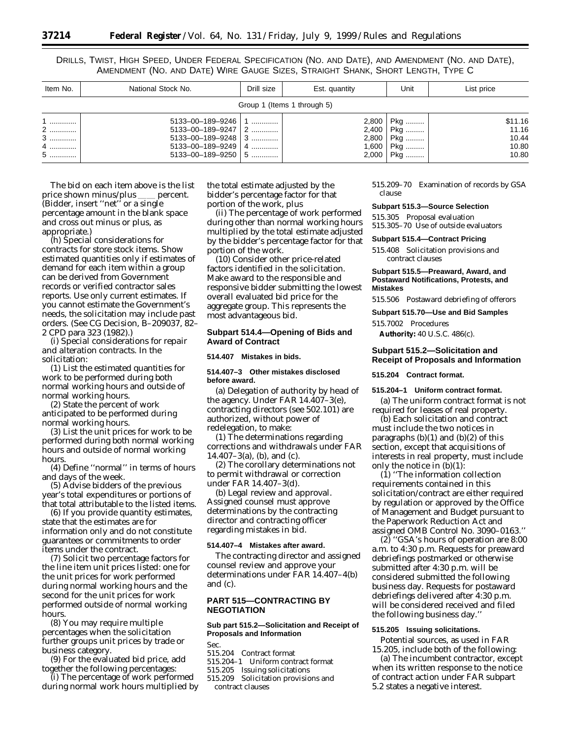DRILLS, TWIST, HIGH SPEED, UNDER FEDERAL SPECIFICATION (NO. AND DATE), AND AMENDMENT (NO. AND DATE), AMENDMENT (NO. AND DATE) WIRE GAUGE SIZES, STRAIGHT SHANK, SHORT LENGTH, TYPE C

| Item No.                    | National Stock No.                                                                                                                             | Drill size<br>Est. quantity |  | Unit                                                                          | List price                                  |
|-----------------------------|------------------------------------------------------------------------------------------------------------------------------------------------|-----------------------------|--|-------------------------------------------------------------------------------|---------------------------------------------|
| Group 1 (Items 1 through 5) |                                                                                                                                                |                             |  |                                                                               |                                             |
| $1$<br>2<br>$3$<br>4<br>5   | 5133-00-189-9246<br>$5133 - 00 - 189 - 9247$   2<br>$5133 - 00 - 189 - 9248$   3<br>$5133 - 00 - 189 - 9249$   4<br>$5133 - 00 - 189 - 9250$ 5 |                             |  | $2,800$   Pkg<br>$2,400$   Pkg<br>2,800   Pkg<br>1,600   Pkg<br>$2,000$   Pkg | \$11.16<br>11.16<br>10.44<br>10.80<br>10.80 |

The bid on each item above is the list<br>rice shown minus/plus \_\_\_\_ percent. price shown minus/plus  $\blacksquare$ (Bidder, insert ''net'' or a single percentage amount in the blank space and cross out minus or plus, as appropriate.)

(h) *Special considerations for contracts for store stock items.* Show estimated quantities only if estimates of demand for each item within a group can be derived from Government records or verified contractor sales reports. Use only current estimates. If you cannot estimate the Government's needs, the solicitation may include past orders. (See CG Decision, B–209037, 82– 2 CPD para 323 (1982).)

(i) *Special considerations for repair and alteration contracts.* In the solicitation:

(1) List the estimated quantities for work to be performed during both normal working hours and outside of normal working hours.

(2) State the percent of work anticipated to be performed during normal working hours.

(3) List the unit prices for work to be performed during both normal working hours and outside of normal working hours.

(4) Define ''normal'' in terms of hours and days of the week.

(5) Advise bidders of the previous year's total expenditures or portions of that total attributable to the listed items.

(6) If you provide quantity estimates, state that the estimates are for information only and do not constitute guarantees or commitments to order items under the contract.

(7) Solicit two percentage factors for the line item unit prices listed: one for the unit prices for work performed during normal working hours and the second for the unit prices for work performed outside of normal working hours.

(8) You may require multiple percentages when the solicitation further groups unit prices by trade or business category.

(9) For the evaluated bid price, add together the following percentages:

(i) The percentage of work performed during normal work hours multiplied by

the total estimate adjusted by the bidder's percentage factor for that portion of the work, plus

(ii) The percentage of work performed during other than normal working hours multiplied by the total estimate adjusted by the bidder's percentage factor for that portion of the work.

(10) Consider other price-related factors identified in the solicitation. Make award to the responsible and responsive bidder submitting the lowest overall evaluated bid price for the aggregate group. This represents the most advantageous bid.

# **Subpart 514.4—Opening of Bids and Award of Contract**

#### **514.407 Mistakes in bids.**

#### **514.407–3 Other mistakes disclosed before award.**

(a) *Delegation of authority by head of the agency.* Under FAR 14.407–3(e), contracting directors (see 502.101) are authorized, without power of redelegation, to make:

(1) The determinations regarding corrections and withdrawals under FAR 14.407–3(a), (b), and (c).

(2) The corollary determinations not to permit withdrawal or correction under FAR 14.407–3(d).

(b) *Legal review and approval.* Assigned counsel must approve determinations by the contracting director and contracting officer regarding mistakes in bid.

#### **514.407–4 Mistakes after award.**

The contracting director and assigned counsel review and approve your determinations under FAR 14.407–4(b) and (c).

# **PART 515—CONTRACTING BY NEGOTIATION**

# **Sub part 515.2—Solicitation and Receipt of Proposals and Information**

Sec.

- 515.204 Contract format
- 515.204–1 Uniform contract format
- 515.205 Issuing solicitations
- 515.209 Solicitation provisions and contract clauses

515.209–70 Examination of records by GSA clause

#### **Subpart 515.3—Source Selection**

515.305 Proposal evaluation

515.305–70 Use of outside evaluators

### **Subpart 515.4—Contract Pricing**

515.408 Solicitation provisions and contract clauses

#### **Subpart 515.5—Preaward, Award, and Postaward Notifications, Protests, and Mistakes**

515.506 Postaward debriefing of offerors

# **Subpart 515.70—Use and Bid Samples**

515.7002 Procedures

**Authority:** 40 U.S.C. 486(c).

# **Subpart 515.2—Solicitation and Receipt of Proposals and Information**

#### **515.204 Contract format.**

#### **515.204–1 Uniform contract format.**

(a) The uniform contract format is not required for leases of real property.

(b) Each solicitation and contract must include the two notices in paragraphs  $(b)(1)$  and  $(b)(2)$  of this section, except that acquisitions of interests in real property, must include only the notice in  $(b)(1)$ :

(1) ''The information collection requirements contained in this solicitation/contract are either required by regulation or approved by the Office of Management and Budget pursuant to the Paperwork Reduction Act and assigned OMB Control No. 3090–0163.''

 $(2)$  "GSA's hours of operation are 8:00 a.m. to 4:30 p.m. Requests for preaward debriefings postmarked or otherwise submitted after 4:30 p.m. will be considered submitted the following business day. Requests for postaward debriefings delivered after 4:30 p.m. will be considered received and filed the following business day.''

# **515.205 Issuing solicitations.**

Potential sources, as used in FAR 15.205, include both of the following:

(a) The incumbent contractor, except when its written response to the notice of contract action under FAR subpart 5.2 states a negative interest.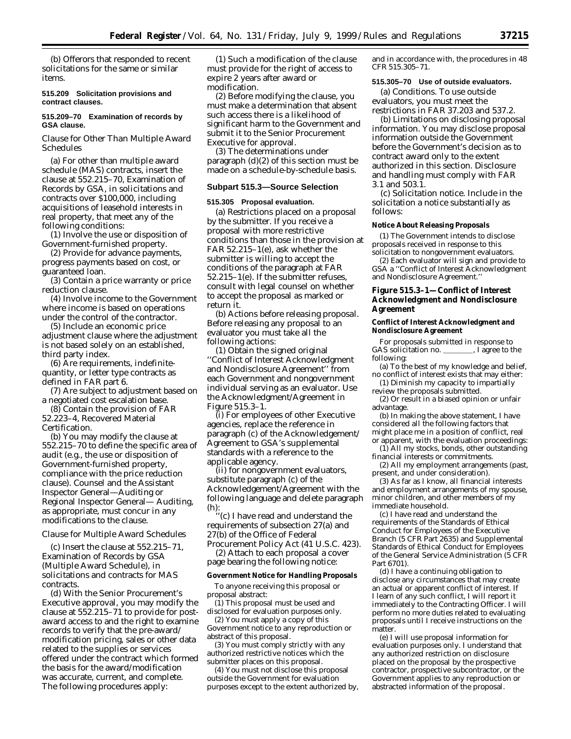(b) Offerors that responded to recent solicitations for the same or similar items.

#### **515.209 Solicitation provisions and contract clauses.**

### **515.209–70 Examination of records by GSA clause.**

# *Clause for Other Than Multiple Award Schedules*

(a) For other than multiple award schedule (MAS) contracts, insert the clause at 552.215–70, Examination of Records by GSA, in solicitations and contracts over \$100,000, including acquisitions of leasehold interests in real property, that meet any of the following conditions:

(1) Involve the use or disposition of Government-furnished property.

(2) Provide for advance payments, progress payments based on cost, or guaranteed loan.

(3) Contain a price warranty or price reduction clause.

(4) Involve income to the Government where income is based on operations under the control of the contractor.

(5) Include an economic price adjustment clause where the adjustment is not based solely on an established, third party index.

(6) Are requirements, indefinitequantity, or letter type contracts as defined in FAR part 6.

(7) Are subject to adjustment based on a negotiated cost escalation base.

(8) Contain the provision of FAR 52.223–4, Recovered Material Certification.

(b) You may modify the clause at 552.215–70 to define the specific area of audit (e.g., the use or disposition of Government-furnished property, compliance with the price reduction clause). Counsel and the Assistant Inspector General—Auditing or Regional Inspector General— Auditing, as appropriate, must concur in any modifications to the clause.

## *Clause for Multiple Award Schedules*

(c) Insert the clause at 552.215–71, Examination of Records by GSA (Multiple Award Schedule), in solicitations and contracts for MAS **contracts** 

(d) With the Senior Procurement's Executive approval, you may modify the clause at 552.215–71 to provide for postaward access to and the right to examine records to verify that the pre-award/ modification pricing, sales or other data related to the supplies or services offered under the contract which formed the basis for the award/modification was accurate, current, and complete. The following procedures apply:

(1) Such a modification of the clause must provide for the right of access to expire 2 years after award or modification.

(2) Before modifying the clause, you must make a determination that absent such access there is a likelihood of significant harm to the Government and submit it to the Senior Procurement Executive for approval.

(3) The determinations under paragraph (d)(2) of this section must be made on a schedule-by-schedule basis.

#### **Subpart 515.3—Source Selection**

#### **515.305 Proposal evaluation.**

(a) *Restrictions placed on a proposal by the submitter.* If you receive a proposal with more restrictive conditions than those in the provision at FAR 52.215–1(e), ask whether the submitter is willing to accept the conditions of the paragraph at FAR 52.215–1(e). If the submitter refuses, consult with legal counsel on whether to accept the proposal as marked or return it.

(b) *Actions before releasing proposal.* Before releasing any proposal to an evaluator you must take all the following actions:

(1) Obtain the signed original ''Conflict of Interest Acknowledgment and Nondisclosure Agreement'' from each Government and nongovernment individual serving as an evaluator. Use the Acknowledgment/Agreement in Figure 515.3–1.

(i) For employees of other Executive agencies, replace the reference in paragraph (c) of the Acknowledgement/ Agreement to GSA's supplemental standards with a reference to the applicable agency.

(ii) for nongovernment evaluators, substitute paragraph (c) of the Acknowledgement/Agreement with the following language and delete paragraph (h):

(c) I have read and understand the requirements of subsection 27(a) and 27(b) of the Office of Federal Procurement Policy Act (41 U.S.C. 423).

(2) Attach to each proposal a cover page bearing the following notice:

#### **Government Notice for Handling Proposals**

To anyone receiving this proposal or proposal abstract:

(1) This proposal must be used and disclosed for evaluation purposes only.

(2) You must apply a copy of this Government notice to any reproduction or abstract of this proposal.

(3) You must comply strictly with any authorized restrictive notices which the submitter places on this proposal.

(4) You must *not* disclose this proposal outside the Government for evaluation purposes except to the extent authorized by, and in accordance with, the procedures in 48 CFR 515.305–71.

#### **515.305–70 Use of outside evaluators.**

(a) *Conditions.* To use outside evaluators, you must meet the restrictions in FAR 37.203 and 537.2.

(b) *Limitations on disclosing proposal information.* You may disclose proposal information outside the Government before the Government's decision as to contract award only to the extent authorized in this section. Disclosure and handling must comply with FAR 3.1 and 503.1.

(c) *Solicitation notice.* Include in the solicitation a notice substantially as follows:

#### **Notice About Releasing Proposals**

(1) The Government intends to disclose proposals received in response to this solicitation to nongovernment evaluators.

(2) Each evaluator will sign and provide to GSA a ''Conflict of Interest Acknowledgment and Nondisclosure Agreement.''

# **Figure 515.3–1—Conflict of Interest Acknowledgment and Nondisclosure Agreement**

#### **Conflict of Interest Acknowledgment and Nondisclosure Agreement**

For proposals submitted in response to GAS solicitation no. \_\_\_\_\_\_\_\_, I agree to the following:

- (a) To the best of my knowledge and belief, no conflict of interest exists that may either:
- (1) Diminish my capacity to impartially review the proposals submitted.

(2) Or result in a biased opinion or unfair advantage.

(b) In making the above statement, I have considered all the following factors that might place me in a position of conflict, real or apparent, with the evaluation proceedings:

(1) All my stocks, bonds, other outstanding financial interests or commitments.

(2) All my employment arrangements (past, present, and under consideration).

(3) As far as I know, all financial interests and employment arrangements of my spouse, minor children, and other members of my immediate household.

(c) I have read and understand the requirements of the Standards of Ethical Conduct for Employees of the Executive Branch (5 CFR Part 2635) and Supplemental Standards of Ethical Conduct for Employees of the General Service Administration (5 CFR Part 6701).

(d) I have a continuing obligation to disclose any circumstances that may create an actual or apparent conflict of interest. If I learn of any such conflict, I will report it immediately to the Contracting Officer. I will perform no more duties related to evaluating proposals until I receive instructions on the matter.

(e) I will use proposal information for evaluation purposes only. I understand that any authorized restriction on disclosure placed on the proposal by the prospective contractor, prospective subcontractor, or the Government applies to any reproduction or abstracted information of the proposal.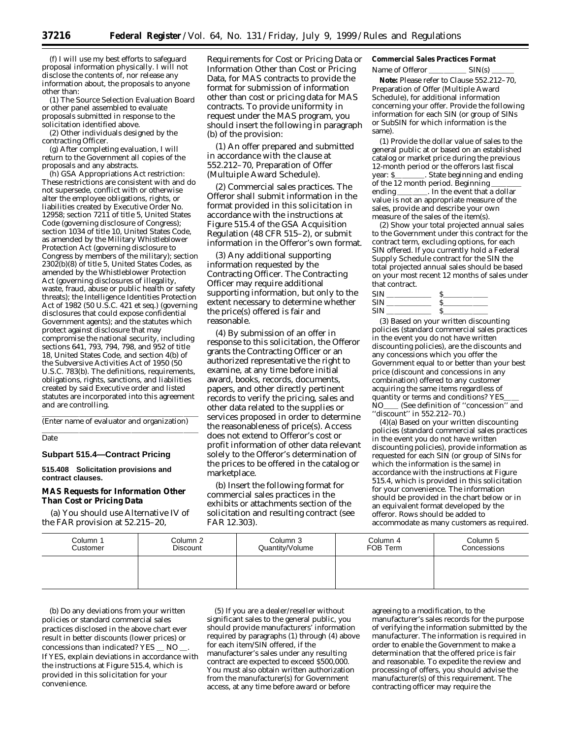(f) I will use my best efforts to safeguard proposal information physically. I will not disclose the contents of, nor release any information about, the proposals to anyone other than:

(1) The Source Selection Evaluation Board or other panel assembled to evaluate proposals submitted in response to the solicitation identified above.

(2) Other individuals designed by the contracting Officer.

(g) After completing evaluation, I will return to the Government all copies of the proposals and any abstracts.

(h) GSA Appropriations Act restriction: These restrictions are consistent with and do not supersede, conflict with or otherwise alter the employee obligations, rights, or liabilities created by Executive Order No. 12958; section 7211 of title 5, United States Code (governing disclosure of Congress); section 1034 of title 10, United States Code, as amended by the Military Whistleblower Protection Act (governing disclosure to Congress by members of the military); section 2302(b)(8) of title 5, United States Codes, as amended by the Whistleblower Protection Act (governing disclosures of illegality, waste, fraud, abuse or public health or safety threats); the Intelligence Identities Protection Act of 1982 (50 U.S.C. 421 et seq.) (governing disclosures that could expose confidential Government agents); and the statutes which protect against disclosure that may compromise the national security, including sections 641, 793, 794, 798, and 952 of title 18, United States Code, and section 4(b) of the Subversive Activities Act of 1950 (50 U.S.C. 783(b). The definitions, requirements, obligations, rights, sanctions, and liabilities created by said Executive order and listed statutes are incorporated into this agreement and are controlling.

(Enter name of evaluator and organization) lllllllllllllllllllll

Date

### **Subpart 515.4—Contract Pricing**

**515.408 Solicitation provisions and contract clauses.**

### **MAS Requests for Information Other Than Cost or Pricing Data**

(a) You should use Alternative IV of the FAR provision at 52.215–20,

Requirements for Cost or Pricing Data or Information Other than Cost or Pricing Data, for MAS contracts to provide the format for submission of information other than cost or pricing data for MAS contracts. To provide uniformity in request under the MAS program, you should insert the following in paragraph (b) of the provision:

(1) An offer prepared and submitted in accordance with the clause at 552.212–70, Preparation of Offer (Multuiple Award Schedule).

(2) Commercial sales practices. The Offeror shall submit information in the format provided in this solicitation in accordance with the instructions at Figure 515.4 of the GSA Acquisition Regulation (48 CFR 515–2), or submit information in the Offeror's own format.

(3) Any additional supporting information requested by the Contracting Officer. The Contracting Officer may require additional supporting information, but only to the extent necessary to determine whether the price(s) offered is fair and reasonable.

(4) By submission of an offer in response to this solicitation, the Offeror grants the Contracting Officer or an authorized representative the right to examine, at any time before initial award, books, records, documents, papers, and other directly pertinent records to verify the pricing, sales and other data related to the supplies or services proposed in order to determine the reasonableness of price(s). Access does not extend to Offeror's cost or profit information of other data relevant solely to the Offeror's determination of the prices to be offered in the catalog or marketplace.

(b) Insert the following format for commercial sales practices in the exhibits or attachments section of the solicitation and resulting contract (see FAR 12.303).

# **Commercial Sales Practices Format**

Name of Offeror  $\text{SIN}(s)$ 

**Note:** Please refer to Clause 552.212–70, Preparation of Offer (Multiple Award Schedule), for additional information concerning your offer. Provide the following information for each SIN (or group of SINs or SubSIN for which information is the same).

(1) Provide the dollar value of sales to the general public at or based on an established catalog or market price during the previous 12-month period or the offerors last fiscal<br>year: \$\_\_\_\_\_\_\_\_\_\_. State beginning and ending . State beginning and ending of the 12 month period. Beginning ending \_\_\_\_\_\_\_\_. In the event that a dollar value is not an appropriate measure of the sales, provide and describe your own measure of the sales of the item(s).

(2) Show your total projected annual sales to the Government under this contract for the contract term, excluding options, for each SIN offered. If you currently hold a Federal Supply Schedule contract for the SIN the total projected annual sales should be based on your most recent 12 months of sales under that contract.

| c  |  |
|----|--|
| CТ |  |
| СT |  |

(3) Based on your written discounting policies (standard commercial sales practices in the event you do not have written discounting policies), are the discounts and any concessions which you offer the Government equal to or better than your best price (discount and concessions in any combination) offered to any customer acquiring the same items regardless of quantity or terms and conditions? YES NO<sub>\_\_\_</sub> (See definition of "concession" and ''discount'' in 552.212–70.)

(4)(a) Based on your written discounting policies (standard commercial sales practices in the event you do not have written discounting policies), provide information as requested for each SIN (or group of SINs for which the information is the same) in accordance with the instructions at Figure 515.4, which is provided in this solicitation for your convenience. The information should be provided in the chart below or in an equivalent format developed by the offeror. Rows should be added to accommodate as many customers as required.

| Column 1 | Column 2 | Column 3        | Column 4 | Column 5    |
|----------|----------|-----------------|----------|-------------|
| Customer | Discount | Quantity/Volume | FOB Term | Concessions |
|          |          |                 |          |             |

(b) Do any deviations from your written policies or standard commercial sales practices disclosed in the above chart ever result in better discounts (lower prices) or concessions than indicated? YES  $\_\,$  NO  $\_\,$ If YES, explain deviations in accordance with the instructions at Figure 515.4, which is provided in this solicitation for your convenience.

(5) If you are a dealer/reseller without significant sales to the general public, you should provide manufacturers' information required by paragraphs (1) through (4) above for each item/SIN offered, if the manufacturer's sales under any resulting contract are expected to exceed \$500,000. You must also obtain written authorization from the manufacturer(s) for Government access, at any time before award or before

agreeing to a modification, to the manufacturer's sales records for the purpose of verifying the information submitted by the manufacturer. The information is required in order to enable the Government to make a determination that the offered price is fair and reasonable. To expedite the review and processing of offers, you should advise the manufacturer(s) of this requirement. The contracting officer may require the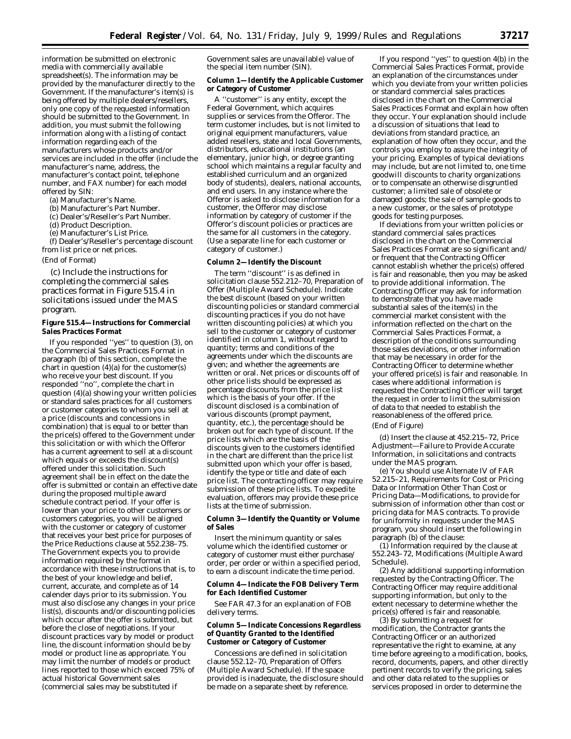information be submitted on electronic media with commercially available spreadsheet(s). The information may be provided by the manufacturer directly to the Government. If the manufacturer's item(s) is being offered by multiple dealers/resellers, only one copy of the requested information should be submitted to the Government. In addition, you must submit the following information along with a listing of contact information regarding each of the manufacturers whose products and/or services are included in the offer (include the manufacturer's name, address, the manufacturer's contact point, telephone number, and FAX number) for each model offered by SIN:

- (a) Manufacturer's Name.
- (b) Manufacturer's Part Number.
- (c) Dealer's/Reseller's Part Number.
- (d) Product Description.
- (e) Manufacturer's List Price.

(f) Dealer's/Reseller's percentage discount from list price or net prices. (End of Format)

(c) Include the instructions for completing the commercial sales practices format in Figure 515.4 in solicitations issued under the MAS program.

#### **Figure 515.4—Instructions for Commercial Sales Practices Format**

If you responded ''yes'' to question (3), on the Commercial Sales Practices Format in paragraph (b) of this section, complete the chart in question  $(4)(a)$  for the customer(s) who receive your best discount. If you responded ''no'', complete the chart in question (4)(a) showing your written policies or standard sales practices for all customers or customer categories to whom you sell at a price (discounts and concessions in combination) that is equal to or better than the price(s) offered to the Government under this solicitation or with which the Offeror has a current agreement to sell at a discount which equals or exceeds the discount(s) offered under this solicitation. Such agreement shall be in effect on the date the offer is submitted or contain an effective date during the proposed multiple award schedule contract period. If your offer is lower than your price to other customers or customers categories, you will be aligned with the customer or category of customer that receives your best price for purposes of the Price Reductions clause at 552.238–75. The Government expects you to provide information required by the format in accordance with these instructions that is, to the best of your knowledge and belief, current, accurate, and complete as of 14 calender days prior to its submission. You must also disclose any changes in your price list(s), discounts and/or discounting policies which occur after the offer is submitted, but before the close of negotiations. If your discount practices vary by model or product line, the discount information should be by model or product line as appropriate. You may limit the number of models or product lines reported to those which exceed 75% of actual historical Government sales (commercial sales may be substituted if

Government sales are unavailable) value of the special item number (SIN).

#### **Column 1—Identify the Applicable Customer or Category of Customer**

A ''customer'' is any entity, except the Federal Government, which acquires supplies or services from the Offeror. The term customer includes, but is not limited to original equipment manufacturers, value added resellers, state and local Governments, distributors, educational institutions (an elementary, junior high, or degree granting school which maintains a regular faculty and established curriculum and an organized body of students), dealers, national accounts, and end users. In any instance where the Offeror is asked to disclose information for a customer, the Offeror may disclose information by category of customer if the Offeror's discount policies or practices are the same for all customers in the category. (Use a separate line for each customer or category of customer.)

### **Column 2—Identify the Discount**

The term ''discount'' is as defined in solicitation clause 552.212–70, Preparation of Offer (Multiple Award Schedule). Indicate the best discount (based on your written discounting policies or standard commercial discounting practices if you do not have written discounting policies) at which you sell to the customer or category of customer identified in column 1, without regard to quantity; terms and conditions of the agreements under which the discounts are given; and whether the agreements are written or oral. Net prices or discounts off of other price lists should be expressed as percentage discounts from the price list which is the basis of your offer. If the discount disclosed is a combination of various discounts (prompt payment, quantity, etc.), the percentage should be broken out for each type of discount. If the price lists which are the basis of the discounts given to the customers identified in the chart are different than the price list submitted upon which your offer is based, identify the type or title and date of each price list. The contracting officer may require submission of these price lists. To expedite evaluation, offerors may provide these price lists at the time of submission.

#### **Column 3—Identify the Quantity or Volume of Sales**

Insert the minimum quantity or sales volume which the identified customer or category of customer must either purchase/ order, per order or within a specified period, to earn a discount indicate the time period.

#### **Column 4—Indicate the FOB Delivery Term for Each Identified Customer**

See FAR 47.3 for an explanation of FOB delivery terms.

#### **Column 5—Indicate Concessions Regardless of Quantity Granted to the Identified Customer or Category of Customer**

Concessions are defined in solicitation clause 552.12–70, Preparation of Offers (Multiple Award Schedule). If the space provided is inadequate, the disclosure should be made on a separate sheet by reference.

If you respond ''yes'' to question 4(b) in the Commercial Sales Practices Format, provide an explanation of the circumstances under which you deviate from your written policies or standard commercial sales practices disclosed in the chart on the Commercial Sales Practices Format and explain how often they occur. Your explanation should include a discussion of situations that lead to deviations from standard practice, an explanation of how often they occur, and the controls you employ to assure the integrity of your pricing. Examples of typical deviations may include, but are not limited to, one time goodwill discounts to charity organizations or to compensate an otherwise disgruntled customer; a limited sale of obsolete or damaged goods; the sale of sample goods to a new customer, or the sales of prototype goods for testing purposes.

If deviations from your written policies or standard commercial sales practices disclosed in the chart on the Commercial Sales Practices Format are so significant and/ or frequent that the Contracting Officer cannot establish whether the price(s) offered is fair and reasonable, then you may be asked to provide additional information. The Contracting Officer may ask for information to demonstrate that you have made substantial sales of the item(s) in the commercial market consistent with the information reflected on the chart on the Commercial Sales Practices Format, a description of the conditions surrounding those sales deviations, or other information that may be necessary in order for the Contracting Officer to determine whether your offered price(s) is fair and reasonable. In cases where additional information is requested the Contracting Officer will target the request in order to limit the submission of data to that needed to establish the reasonableness of the offered price. (End of Figure)

(d) Insert the clause at 452.215–72, Price Adjustment—Failure to Provide Accurate Information, in solicitations and contracts under the MAS program.

(e) You should use Alternate IV of FAR 52.215–21, Requirements for Cost or Pricing Data or Information Other Than Cost or Pricing Data—Modifications, to provide for submission of information other than cost or pricing data for MAS contracts. To provide for uniformity in requests under the MAS program, you should insert the following in paragraph (b) of the clause:

(1) Information required by the clause at 552.243–72, Modifications (Multiple Award Schedule).

(2) Any additional supporting information requested by the Contracting Officer. The Contracting Officer may require additional supporting information, but only to the extent necessary to determine whether the price(s) offered is fair and reasonable.

(3) By submitting a request for modification, the Contractor grants the Contracting Officer or an authorized representative the right to examine, at any time before agreeing to a modification, books, record, documents, papers, and other directly pertinent records to verify the pricing, sales and other data related to the supplies or services proposed in order to determine the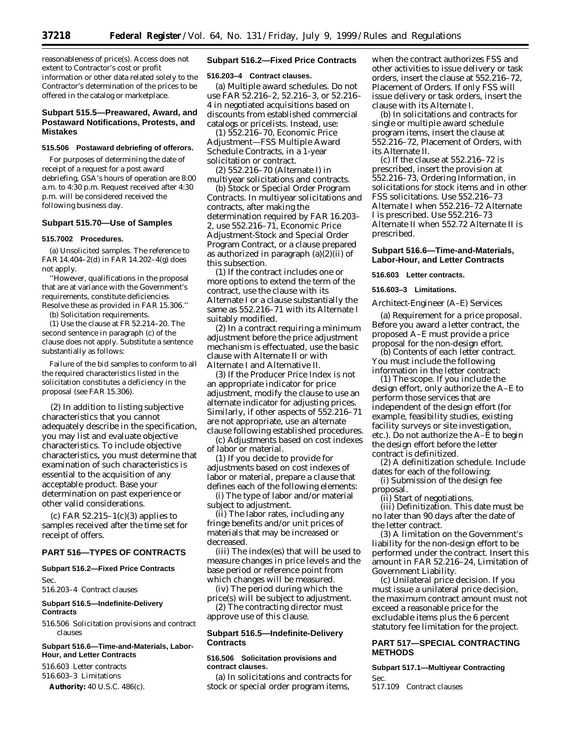reasonableness of price(s). Access does not extent to Contractor's cost or profit information or other data related solely to the Contractor's determination of the prices to be offered in the catalog or marketplace.

# **Subpart 515.5—Preawared, Award, and Postaward Notifications, Protests, and Mistakes**

# **515.506 Postaward debriefing of offerors.**

For purposes of determining the date of receipt of a request for a post award debriefing, GSA's hours of operation are 8:00 a.m. to 4:30 p.m. Request received after 4:30 p.m. will be considered received the following business day.

### **Subpart 515.70—Use of Samples**

#### **515.7002 Procedures.**

(a) *Unsolicited samples.* The reference to FAR 14.404–2(d) in FAR 14.202–4(g) does not apply.

''However, qualifications in the proposal that are at variance with the Government's requirements, constitute deficiencies. Resolve these as provided in FAR 15.306.''

(b) *Solicitation requirements.*

(1) Use the clause at FR 52.214–20. The second sentence in paragraph (c) of the clause does not apply. Substitute a sentence substantially as follows:

Failure of the bid samples to conform to all the required characteristics listed in the solicitation constitutes a deficiency in the proposal (see FAR 15.306).

(2) In addition to listing subjective characteristics that you cannot adequately describe in the specification, you may list and evaluate objective characteristics. To include objective characteristics, you must determine that examination of such characteristics is essential to the acquisition of any acceptable product. Base your determination on past experience or other valid considerations.

(c) FAR  $52.215-1(c)(3)$  applies to samples received after the time set for receipt of offers.

#### **PART 516—TYPES OF CONTRACTS**

# **Subpart 516.2—Fixed Price Contracts**

Sec.

516.203–4 Contract clauses

### **Subpart 516.5—Indefinite-Delivery Contracts**

516.506 Solicitation provisions and contract clauses

# **Subpart 516.6—Time-and-Materials, Labor-Hour, and Letter Contracts**

516.603 Letter contracts

516.603–3 Limitations

**Authority:** 40 U.S.C. 486(c).

# **Subpart 516.2—Fixed Price Contracts**

#### **516.203–4 Contract clauses.**

(a) *Multiple award schedules.* Do not use FAR 52.216–2, 52.216–3, or 52.216– 4 in negotiated acquisitions based on discounts from established commercial catalogs or pricelists. Instead, use:

(1) 552.216–70, Economic Price Adjustment—FSS Multiple Award Schedule Contracts, in a 1-year solicitation or contract.

(2) 552.216–70 (Alternate I) in multiyear solicitations and contracts.

(b) *Stock or Special Order Program Contracts.* In multiyear solicitations and contracts, after making the determination required by FAR 16.203– 2, use 552.216–71, Economic Price Adjustment-Stock and Special Order Program Contract, or a clause prepared as authorized in paragraph  $(a)(2)(ii)$  of this subsection.

(1) If the contract includes one or more options to extend the term of the contract, use the clause with its Alternate I or a clause substantially the same as 552.216–71 with its Alternate I suitably modified.

(2) In a contract requiring a minimum adjustment before the price adjustment mechanism is effectuated, use the basic clause with Alternate II or with Alternate I and Alternative II.

(3) If the Producer Price Index is not an appropriate indicator for price adjustment, modify the clause to use an alternate indicator for adjusting prices. Similarly, if other aspects of 552.216–71 are not appropriate, use an alternate clause following established procedures.

(c) *Adjustments based on cost indexes of labor or material.*

(1) If you decide to provide for adjustments based on cost indexes of labor or material, prepare a clause that defines each of the following elements:

(i) The type of labor and/or material subject to adjustment.

(ii) The labor rates, including any fringe benefits and/or unit prices of materials that may be increased or decreased.

(iii) The index(es) that will be used to measure changes in price levels and the base period or reference point from which changes will be measured.

(iv) The period during which the price(s) will be subject to adjustment.

(2) The contracting director must approve use of this clause.

# **Subpart 516.5—Indefinite-Delivery Contracts**

### **516.506 Solicitation provisions and contract clauses.**

(a) In solicitations and contracts for stock or special order program items,

when the contract authorizes FSS and other activities to issue delivery or task orders, insert the clause at 552.216–72, Placement of Orders. If only FSS will issue delivery or task orders, insert the clause with its Alternate I.

(b) In solicitations and contracts for single or multiple award schedule program items, insert the clause at 552.216–72, Placement of Orders, with its Alternate II.

(c) If the clause at 552.216–72 is prescribed, insert the provision at 552.216–73, Ordering Information, in solicitations for stock items and in other FSS solicitations. Use 552.216–73 Alternate I when 552.216–72 Alternate I is prescribed. Use 552.216–73 Alternate II when 552.72 Alternate II is prescribed.

#### **Subpart 516.6—Time-and-Materials, Labor-Hour, and Letter Contracts**

#### **516.603 Letter contracts.**

#### **516.603–3 Limitations.**

#### *Architect-Engineer (A–E) Services*

(a) *Requirement for a price proposal.* Before you award a letter contract, the proposed A–E must provide a price proposal for the non-design effort.

(b) *Contents of each letter contract.* You must include the following information in the letter contract:

(1) The scope. If you include the design effort, only authorize the A–E to perform those services that are independent of the design effort (for example, feasibility studies, existing facility surveys or site investigation, etc.). Do not authorize the A–E to begin the design effort before the letter contract is definitized.

(2) A definitization schedule. Include dates for each of the following:

(i) Submission of the design fee proposal.

(ii) Start of negotiations.

(iii) Definitization. This date must be no later than 90 days after the date of the letter contract.

(3) A limitation on the Government's liability for the non-design effort to be performed under the contract. Insert this amount in FAR 52.216–24, Limitation of Government Liability.

(c) *Unilateral price decision.* If you must issue a unilateral price decision, the maximum contract amount must not exceed a reasonable price for the excludable items plus the 6 percent statutory fee limitation for the project.

# **PART 517—SPECIAL CONTRACTING METHODS**

### **Subpart 517.1—Multiyear Contracting**

Sec. 517.109 Contract clauses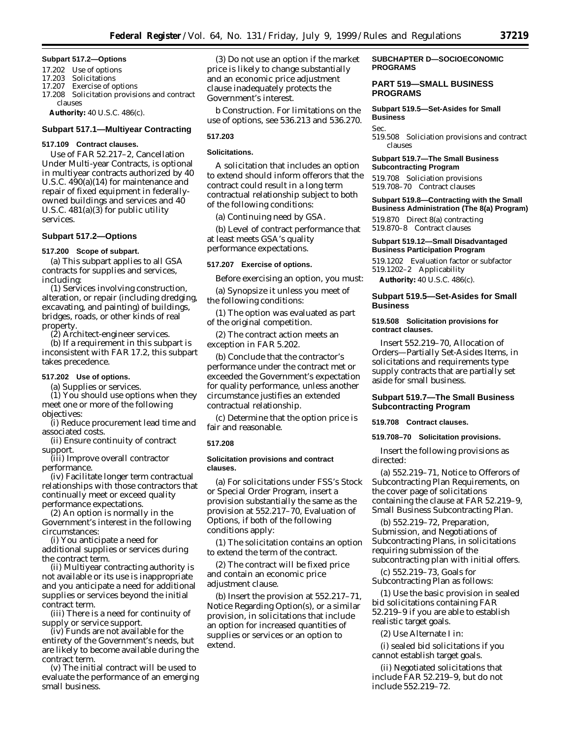#### **Subpart 517.2—Options**

- 17.202 Use of options<br>17.203 Solicitations
- 17.203 Solicitations<br>17.207 Exercise of o
- Exercise of options
- 17.208 Solicitation provisions and contract clauses

**Authority:** 40 U.S.C. 486(c).

# **Subpart 517.1—Multiyear Contracting**

#### **517.109 Contract clauses.**

Use of FAR 52.217–2, Cancellation Under Multi-year Contracts, is optional in multiyear contracts authorized by 40 U.S.C. 490(a)(14) for maintenance and repair of fixed equipment in federallyowned buildings and services and 40 U.S.C. 481(a)(3) for public utility services.

### **Subpart 517.2—Options**

#### **517.200 Scope of subpart.**

(a) This subpart applies to all GSA contracts for supplies and services, including:

(1) Services involving construction, alteration, or repair (including dredging, excavating, and painting) of buildings, bridges, roads, or other kinds of real property.

(2) Architect-engineer services.

(b) If a requirement in this subpart is inconsistent with FAR 17.2, this subpart takes precedence.

#### **517.202 Use of options.**

(a) *Supplies or services.*

(1) You should use options when they meet one or more of the following objectives:

(i) Reduce procurement lead time and associated costs.

(ii) Ensure continuity of contract support.

(iii) Improve overall contractor performance.

(iv) Facilitate longer term contractual relationships with those contractors that continually meet or exceed quality performance expectations.

(2) An option is normally in the Government's interest in the following circumstances:

(i) You anticipate a need for additional supplies or services during the contract term.

(ii) Multiyear contracting authority is not available or its use is inappropriate and you anticipate a need for additional supplies or services beyond the initial contract term.

(iii) There is a need for continuity of supply or service support.

(iv) Funds are not available for the entirety of the Government's needs, but are likely to become available during the contract term.

(v) The initial contract will be used to evaluate the performance of an emerging small business.

(3) Do not use an option if the market price is likely to change substantially and an economic price adjustment clause inadequately protects the Government's interest.

b *Construction.* For limitations on the use of options, see 536.213 and 536.270.

#### **517.203**

### **Solicitations.**

A solicitation that includes an option to extend should inform offerors that the contract could result in a long term contractual relationship subject to both of the following conditions:

(a) Continuing need by GSA.

(b) Level of contract performance that at least meets GSA's quality performance expectations.

### **517.207 Exercise of options.**

Before exercising an option, you must:

(a) Synopsize it unless you meet of the following conditions:

(1) The option was evaluated as part of the original competition.

(2) The contract action meets an exception in FAR 5.202.

(b) Conclude that the contractor's performance under the contract met or exceeded the Government's expectation for quality performance, unless another circumstance justifies an extended contractual relationship.

(c) Determine that the option price is fair and reasonable.

#### **517.208**

#### **Solicitation provisions and contract clauses.**

(a) For solicitations under FSS's Stock or Special Order Program, insert a provision substantially the same as the provision at 552.217–70, Evaluation of Options, if both of the following conditions apply:

(1) The solicitation contains an option to extend the term of the contract.

(2) The contract will be fixed price and contain an economic price adjustment clause.

(b) Insert the provision at 552.217–71, Notice Regarding Option(s), or a similar provision, in solicitations that include an option for increased quantities of supplies or services or an option to extend.

### **SUBCHAPTER D—SOCIOECONOMIC PROGRAMS**

# **PART 519—SMALL BUSINESS PROGRAMS**

# **Subpart 519.5—Set-Asides for Small Business**

Sec.

519.508 Soliciation provisions and contract clauses

### **Subpart 519.7—The Small Business Subcontracting Program**

519.708 Soliciation provisions 519.708–70 Contract clauses

#### **Subpart 519.8—Contracting with the Small Business Administration (The 8(a) Program)**

519.870 Direct 8(a) contracting 519.870–8 Contract clauses

#### **Subpart 519.12—Small Disadvantaged Business Participation Program**

519.1202 Evaluation factor or subfactor 519.1202–2 Applicability

**Authority:** 40 U.S.C. 486(c).

### **Subpart 519.5—Set-Asides for Small Business**

#### **519.508 Solicitation provisions for contract clauses.**

Insert 552.219–70, Allocation of Orders—Partially Set-Asides Items, in solicitations and requirements type supply contracts that are partially set aside for small business.

# **Subpart 519.7—The Small Business Subcontracting Program**

**519.708 Contract clauses.**

#### **519.708–70 Solicitation provisions.**

Insert the following provisions as directed:

(a) 552.219–71, Notice to Offerors of Subcontracting Plan Requirements, on the cover page of solicitations containing the clause at FAR 52.219–9, Small Business Subcontracting Plan.

(b) 552.219–72, Preparation, Submission, and Negotiations of Subcontracting Plans, in solicitations requiring submission of the subcontracting plan with initial offers.

(c) 552.219–73, Goals for Subcontracting Plan as follows:

(1) Use the basic provision in sealed bid solicitations containing FAR 52.219–9 if you are able to establish realistic target goals.

(2) Use Alternate I in:

(i) sealed bid solicitations if you cannot establish target goals.

(ii) Negotiated solicitations that include FAR 52.219–9, but do not include 552.219–72.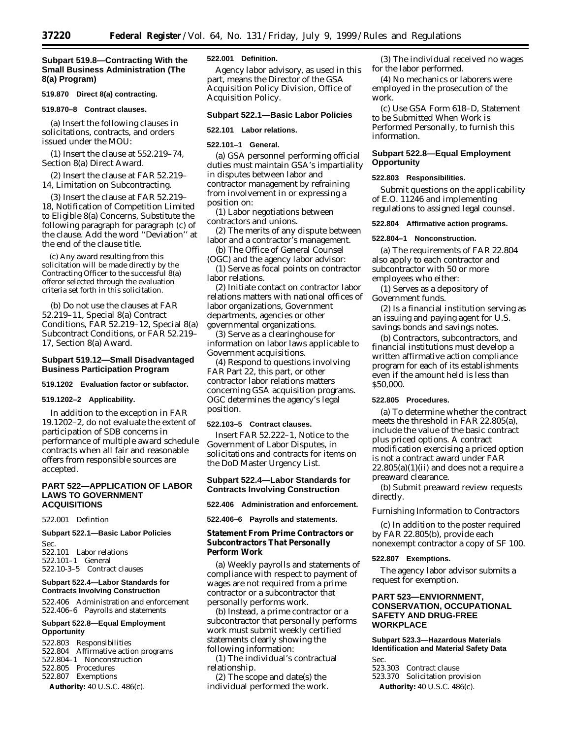# **Subpart 519.8—Contracting With the Small Business Administration (The 8(a) Program)**

#### **519.870 Direct 8(a) contracting.**

#### **519.870–8 Contract clauses.**

(a) Insert the following clauses in solicitations, contracts, and orders issued under the MOU:

(1) Insert the clause at 552.219–74, Section 8(a) Direct Award.

(2) Insert the clause at FAR 52.219– 14, Limitation on Subcontracting.

(3) Insert the clause at FAR 52.219– 18, Notification of Competition Limited to Eligible 8(a) Concerns, Substitute the following paragraph for paragraph (c) of the clause. Add the word ''Deviation'' at the end of the clause title.

(c) Any award resulting from this solicitation will be made directly by the Contracting Officer to the successful 8(a) offeror selected through the evaluation criteria set forth in this solicitation.

(b) Do not use the clauses at FAR 52.219–11, Special 8(a) Contract Conditions, FAR 52.219–12, Special 8(a) Subcontract Conditions, or FAR 52.219– 17, Section 8(a) Award.

#### **Subpart 519.12—Small Disadvantaged Business Participation Program**

#### **519.1202 Evaluation factor or subfactor.**

#### **519.1202–2 Applicability.**

In addition to the exception in FAR 19.1202–2, do not evaluate the extent of participation of SDB concerns in performance of multiple award schedule contracts when all fair and reasonable offers from responsible sources are accepted.

### **PART 522—APPLICATION OF LABOR LAWS TO GOVERNMENT ACQUISITIONS**

522.001 Defintion

# **Subpart 522.1—Basic Labor Policies**

Sec. 522.101 Labor relations 522.101–1 General 522.10-3–5 Contract clauses

#### **Subpart 522.4—Labor Standards for Contracts Involving Construction**

522.406 Administration and enforcement 522.406–6 Payrolls and statements

#### **Subpart 522.8—Equal Employment Opportunity**

522.803 Responsibilities 522.804 Affirmative action programs 522.804–1 Nonconstruction 522.805 Procedures 522.807 Exemptions

**Authority:** 40 U.S.C. 486(c).

# **522.001 Definition.**

*Agency labor advisory,* as used in this part, means the Director of the GSA Acquisition Policy Division, Office of Acquisition Policy.

### **Subpart 522.1—Basic Labor Policies**

### **522.101 Labor relations.**

### **522.101–1 General.**

(a) GSA personnel performing official duties must maintain GSA's impartiality in disputes between labor and contractor management by refraining from involvement in or expressing a position on:

(1) Labor negotiations between contractors and unions.

(2) The merits of any dispute between labor and a contractor's management.

(b) The Office of General Counsel

(OGC) and the agency labor advisor: (1) Serve as focal points on contractor

labor relations. (2) Initiate contact on contractor labor relations matters with national offices of

labor organizations, Government departments, agencies or other governmental organizations.

(3) Serve as a clearinghouse for information on labor laws applicable to Government acquisitions.

(4) Respond to questions involving FAR Part 22, this part, or other contractor labor relations matters concerning GSA acquisition programs. OGC determines the agency's legal position.

### **522.103–5 Contract clauses.**

Insert FAR 52.222–1, Notice to the Government of Labor Disputes, in solicitations and contracts for items on the DoD Master Urgency List.

### **Subpart 522.4—Labor Standards for Contracts Involving Construction**

#### **522.406 Administration and enforcement.**

**522.406–6 Payrolls and statements.**

# **Statement From Prime Contractors or Subcontractors That Personally Perform Work**

(a) Weekly payrolls and statements of compliance with respect to payment of wages are not required from a prime contractor or a subcontractor that personally performs work.

(b) Instead, a prime contractor or a subcontractor that personally performs work must submit weekly certified statements clearly showing the following information:

(1) The individual's contractual relationship.

(2) The scope and date(s) the individual performed the work.

(3) The individual received no wages for the labor performed.

(4) No mechanics or laborers were employed in the prosecution of the work.

(c) Use GSA Form 618–D, Statement to be Submitted When Work is Performed Personally, to furnish this information.

# **Subpart 522.8—Equal Employment Opportunity**

### **522.803 Responsibilities.**

Submit questions on the applicability of E.O. 11246 and implementing regulations to assigned legal counsel.

#### **522.804 Affirmative action programs.**

#### **522.804–1 Nonconstruction.**

(a) The requirements of FAR 22.804 also apply to each contractor and subcontractor with 50 or more employees who either:

(1) Serves as a depository of Government funds.

(2) Is a financial institution serving as an issuing and paying agent for U.S. savings bonds and savings notes.

(b) Contractors, subcontractors, and financial institutions must develop a written affirmative action compliance program for each of its establishments even if the amount held is less than \$50,000.

# **522.805 Procedures.**

(a) To determine whether the contract meets the threshold in FAR 22.805(a), include the value of the basic contract plus priced options. A contract modification exercising a priced option is not a contract award under FAR  $22.805(a)(1)(ii)$  and does not a require a preaward clearance.

(b) Submit preaward review requests directly.

#### *Furnishing Information to Contractors*

(c) In addition to the poster required by FAR 22.805(b), provide each nonexempt contractor a copy of SF 100.

#### **522.807 Exemptions.**

The agency labor advisor submits a request for exemption.

# **PART 523—ENVIORNMENT, CONSERVATION, OCCUPATIONAL SAFETY AND DRUG-FREE WORKPLACE**

# **Subpart 523.3—Hazardous Materials Identification and Material Safety Data**

Sec.

523.303 Contract clause

523.370 Solicitation provision

**Authority:** 40 U.S.C. 486(c).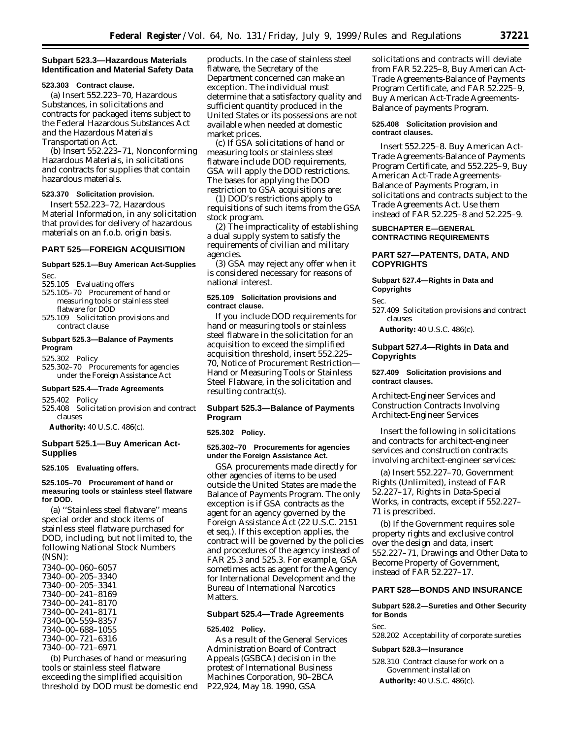### **Subpart 523.3—Hazardous Materials Identification and Material Safety Data**

#### **523.303 Contract clause.**

(a) Insert 552.223–70, Hazardous Substances, in solicitations and contracts for packaged items subject to the Federal Hazardous Substances Act and the Hazardous Materials Transportation Act.

(b) Insert 552.223–71, Nonconforming Hazardous Materials, in solicitations and contracts for supplies that contain hazardous materials.

## **523.370 Solicitation provision.**

Insert 552.223–72, Hazardous Material Information, in any solicitation that provides for delivery of hazardous materials on an f.o.b. origin basis.

#### **PART 525—FOREIGN ACQUISITION**

# **Subpart 525.1—Buy American Act-Supplies**

Sec.

- 525.105 Evaluating offers
- 525.105–70 Procurement of hand or measuring tools or stainless steel flatware for DOD
- 525.109 Solicitation provisions and contract clause

### **Subpart 525.3—Balance of Payments Program**

525.302 Policy

525.302–70 Procurements for agencies under the Foreign Assistance Act

### **Subpart 525.4—Trade Agreements**

- 525.402 Policy
- 525.408 Solicitation provision and contract clauses

**Authority:** 40 U.S.C. 486(c).

### **Subpart 525.1—Buy American Act-Supplies**

#### **525.105 Evaluating offers.**

#### **525.105–70 Procurement of hand or measuring tools or stainless steel flatware for DOD.**

(a) ''Stainless steel flatware'' means special order and stock items of stainless steel flatware purchased for DOD, including, but not limited to, the following National Stock Numbers (NSN):

7340–00–060–6057 7340–00–205–3340 7340–00–205–3341 7340–00–241–8169 7340–00–241–8170 7340–00–241–8171 7340–00–559–8357 7340–00–688–1055 7340–00–721–6316 7340–00–721–6971

(b) Purchases of hand or measuring tools or stainless steel flatware exceeding the simplified acquisition threshold by DOD must be domestic end products. In the case of stainless steel flatware, the Secretary of the Department concerned can make an exception. The individual must determine that a satisfactory quality and sufficient quantity produced in the United States or its possessions are not available when needed at domestic market prices.

(c) If GSA solicitations of hand or measuring tools or stainless steel flatware include DOD requirements, GSA will apply the DOD restrictions. The bases for applying the DOD restriction to GSA acquisitions are:

(1) DOD's restrictions apply to requisitions of such items from the GSA stock program.

(2) The impracticality of establishing a dual supply system to satisfy the requirements of civilian and military agencies.

(3) GSA may reject any offer when it is considered necessary for reasons of national interest.

#### **525.109 Solicitation provisions and contract clause.**

If you include DOD requirements for hand or measuring tools or stainless steel flatware in the solicitation for an acquisition to exceed the simplified acquisition threshold, insert 552.225– 70, Notice of Procurement Restriction— Hand or Measuring Tools or Stainless Steel Flatware, in the solicitation and resulting contract(s).

# **Subpart 525.3—Balance of Payments Program**

#### **525.302 Policy.**

#### **525.302–70 Procurements for agencies under the Foreign Assistance Act.**

GSA procurements made directly for other agencies of items to be used outside the United States are made the Balance of Payments Program. The only exception is if GSA contracts as the agent for an agency governed by the Foreign Assistance Act (22 U.S.C. 2151 *et seq.*). If this exception applies, the contract will be governed by the policies and procedures of the agency instead of FAR 25.3 and 525.3. For example, GSA sometimes acts as agent for the Agency for International Development and the Bureau of International Narcotics Matters.

#### **Subpart 525.4—Trade Agreements**

# **525.402 Policy.**

As a result of the General Services Administration Board of Contract Appeals (GSBCA) decision in the protest of *International Business Machines Corporation,* 90–2BCA P22,924, May 18. 1990, GSA

solicitations and contracts will deviate from FAR 52.225–8, Buy American Act-Trade Agreements-Balance of Payments Program Certificate, and FAR 52.225–9, Buy American Act-Trade Agreements-Balance of payments Program.

#### **525.408 Solicitation provision and contract clauses.**

Insert 552.225–8. Buy American Act-Trade Agreements-Balance of Payments Program Certificate, and 552.225–9, Buy American Act-Trade Agreements-Balance of Payments Program, in solicitations and contracts subject to the Trade Agreements Act. Use them instead of FAR 52.225–8 and 52.225–9.

### **SUBCHAPTER E—GENERAL CONTRACTING REQUIREMENTS**

# **PART 527—PATENTS, DATA, AND COPYRIGHTS**

# **Subpart 527.4—Rights in Data and Copyrights**

Sec.

527.409 Solicitation provisions and contract clauses

**Authority:** 40 U.S.C. 486(c).

# **Subpart 527.4—Rights in Data and Copyrights**

# **527.409 Solicitation provisions and contract clauses.**

*Architect-Engineer Services and Construction Contracts Involving Architect-Engineer Services*

Insert the following in solicitations and contracts for architect-engineer services and construction contracts involving architect-engineer services:

(a) Insert 552.227–70, Government Rights (Unlimited), instead of FAR 52.227–17, Rights in Data-Special Works, in contracts, except if 552.227– 71 is prescribed.

(b) If the Government requires sole property rights and exclusive control over the design and data, insert 552.227–71, Drawings and Other Data to Become Property of Government, instead of FAR 52.227–17.

### **PART 528—BONDS AND INSURANCE**

# **Subpart 528.2—Sureties and Other Security for Bonds**

Sec.

528.202 Acceptability of corporate sureties

#### **Subpart 528.3—Insurance**

- 528.310 Contract clause for work on a Government installation
	- **Authority:** 40 U.S.C. 486(c).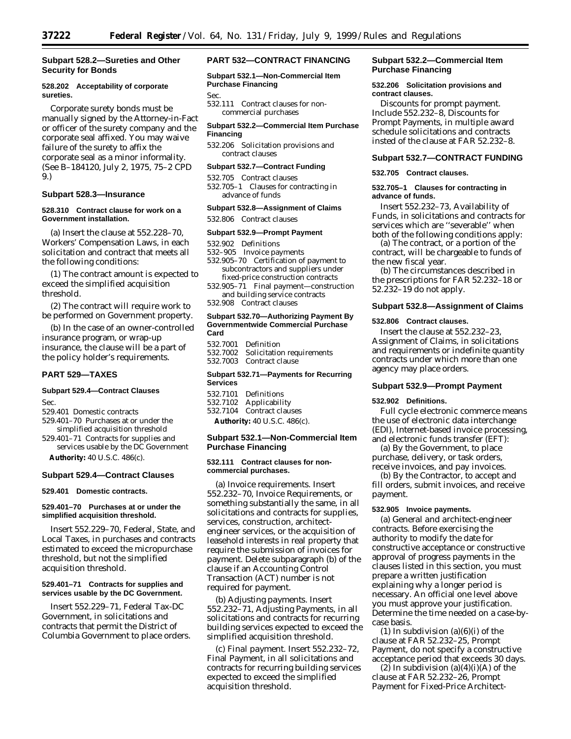# **Subpart 528.2—Sureties and Other Security for Bonds**

### **528.202 Acceptability of corporate sureties.**

Corporate surety bonds must be manually signed by the Attorney-in-Fact or officer of the surety company and the corporate seal affixed. You may waive failure of the surety to affix the corporate seal as a minor informality. (See B–184120, July 2, 1975, 75–2 CPD 9.)

# **Subpart 528.3—Insurance**

## **528.310 Contract clause for work on a Government installation.**

(a) Insert the clause at 552.228–70, Workers' Compensation Laws, in each solicitation and contract that meets all the following conditions:

(1) The contract amount is expected to exceed the simplified acquisition threshold.

(2) The contract will require work to be performed on Government property.

(b) In the case of an owner-controlled insurance program, or wrap-up insurance, the clause will be a part of the policy holder's requirements.

# **PART 529—TAXES**

# **Subpart 529.4—Contract Clauses**

Sec.

- 529.401 Domestic contracts
- 529.401–70 Purchases at or under the simplified acquisition threshold
- 529.401–71 Contracts for supplies and services usable by the DC Government

**Authority:** 40 U.S.C. 486(c).

#### **Subpart 529.4—Contract Clauses**

#### **529.401 Domestic contracts.**

# **529.401–70 Purchases at or under the simplified acquisition threshold.**

Insert 552.229–70, Federal, State, and Local Taxes, in purchases and contracts estimated to exceed the micropurchase threshold, but not the simplified acquisition threshold.

# **529.401–71 Contracts for supplies and services usable by the DC Government.**

Insert 552.229–71, Federal Tax-DC Government, in solicitations and contracts that permit the District of Columbia Government to place orders.

### **PART 532—CONTRACT FINANCING**

**Subpart 532.1—Non-Commercial Item Purchase Financing**

Sec.

532.111 Contract clauses for noncommercial purchases

#### **Subpart 532.2—Commercial Item Purchase Financing**

532.206 Solicitation provisions and contract clauses

#### **Subpart 532.7—Contract Funding**

532.705 Contract clauses 532.705–1 Clauses for contracting in advance of funds

#### **Subpart 532.8—Assignment of Claims**

532.806 Contract clauses

#### **Subpart 532.9—Prompt Payment**

532.902 Definitions

- 532–905 Invoice payments
- 532.905–70 Certification of payment to subcontractors and suppliers under fixed-price construction contracts
- 532.905–71 Final payment—construction and building service contracts 532.908 Contract clauses
- 

### **Subpart 532.70—Authorizing Payment By Governmentwide Commercial Purchase Card**

| 532.7001 Definition                |
|------------------------------------|
| 532.7002 Solicitation requirements |
| 532.7003 Contract clause           |
|                                    |

### **Subpart 532.71—Payments for Recurring Services**

| <b>Authority: 40 U.S.C. 486(c).</b> |
|-------------------------------------|
| 532.7104 Contract clauses           |
| 532.7102 Applicability              |
| 532.7101 Definitions                |

### **Subpart 532.1—Non-Commercial Item Purchase Financing**

### **532.111 Contract clauses for noncommercial purchases.**

(a) *Invoice requirements.* Insert 552.232–70, Invoice Requirements, or something substantially the same, in all solicitations and contracts for supplies, services, construction, architectengineer services, or the acquisition of leasehold interests in real property that require the submission of invoices for payment. Delete subparagraph (b) of the clause if an Accounting Control Transaction (ACT) number is not required for payment.

(b) *Adjusting payments.* Insert 552.232–71, Adjusting Payments, in all solicitations and contracts for recurring building services expected to exceed the simplified acquisition threshold.

(c) *Final payment.* Insert 552.232–72, Final Payment, in all solicitations and contracts for recurring building services expected to exceed the simplified acquisition threshold.

### **Subpart 532.2—Commercial Item Purchase Financing**

#### **532.206 Solicitation provisions and contract clauses.**

*Discounts for prompt payment.* Include 552.232–8, Discounts for Prompt Payments, in multiple award schedule solicitations and contracts insted of the clause at FAR 52.232–8.

# **Subpart 532.7—CONTRACT FUNDING**

#### **532.705 Contract clauses.**

## **532.705–1 Clauses for contracting in advance of funds.**

Insert 552.232–73, Availability of Funds, in solicitations and contracts for services which are ''severable'' when both of the following conditions apply:

(a) The contract, or a portion of the contract, will be chargeable to funds of the new fiscal year.

(b) The circumstances described in the prescriptions for FAR 52.232–18 or 52.232–19 do not apply.

### **Subpart 532.8—Assignment of Claims**

# **532.806 Contract clauses.**

Insert the clause at 552.232–23, Assignment of Claims, in solicitations and requirements or indefinite quantity contracts under which more than one agency may place orders.

#### **Subpart 532.9—Prompt Payment**

#### **532.902 Definitions.**

*Full cycle electronic commerce* means the use of electronic data interchange (EDI), Internet-based invoice processing, and electronic funds transfer (EFT):

(a) By the Government, to place purchase, delivery, or task orders, receive invoices, and pay invoices.

(b) By the Contractor, to accept and fill orders, submit invoices, and receive payment.

#### **532.905 Invoice payments.**

(a) *General and architect-engineer contracts.* Before exercising the authority to modify the date for constructive acceptance or constructive approval of progress payments in the clauses listed in this section, you must prepare a written justification explaining why a longer period is necessary. An official one level above you must approve your justification. Determine the time needed on a case-bycase basis.

(1) In subdivision  $(a)(6)(i)$  of the clause at FAR 52.232–25, Prompt Payment, do not specify a constructive acceptance period that exceeds 30 days.

(2) In subdivision  $(a)(4)(i)(A)$  of the clause at FAR 52.232–26, Prompt Payment for Fixed-Price Architect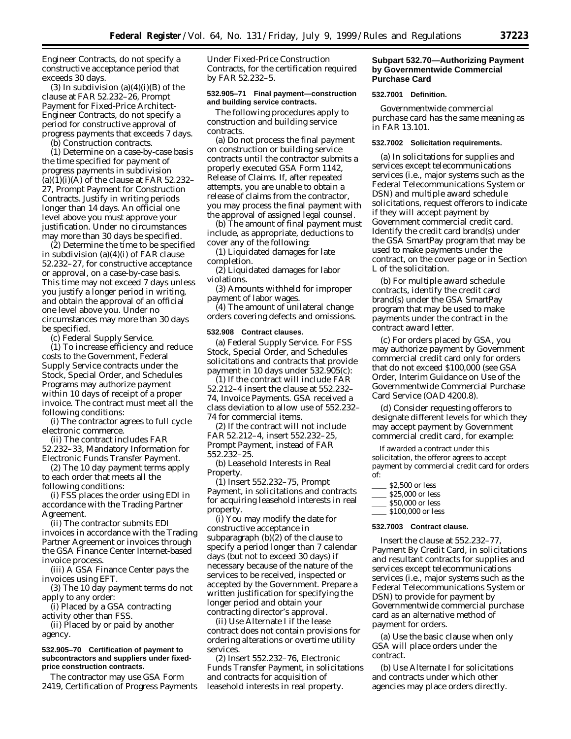Engineer Contracts, do not specify a constructive acceptance period that exceeds 30 days.

(3) In subdivision  $(a)(4)(i)(B)$  of the clause at FAR 52.232–26, Prompt Payment for Fixed-Price Architect-Engineer Contracts, do not specify a period for constructive approval of progress payments that exceeds 7 days.

(b) *Construction contracts.*

(1) Determine on a case-by-case basis the time specified for payment of progress payments in subdivision  $(a)(1)(i)(A)$  of the clause at FAR 52.232-27, Prompt Payment for Construction Contracts. Justify in writing periods longer than 14 days. An official one level above you must approve your justification. Under no circumstances may more than 30 days be specified.

(2) Determine the time to be specified in subdivision (a)(4)(i) of FAR clause 52.232–27, for constructive acceptance or approval, on a case-by-case basis. This time may not exceed 7 days unless you justify a longer period in writing, and obtain the approval of an official one level above you. Under no circumstances may more than 30 days be specified.

(c) *Federal Supply Service.*

(1) To increase efficiency and reduce costs to the Government, Federal Supply Service contracts under the Stock, Special Order, and Schedules Programs may authorize payment within 10 days of receipt of a proper invoice. The contract must meet all the following conditions:

(i) The contractor agrees to full cycle electronic commerce.

(ii) The contract includes FAR 52.232–33, Mandatory Information for Electronic Funds Transfer Payment.

(2) The 10 day payment terms apply to each order that meets all the following conditions:

(i) FSS places the order using EDI in accordance with the Trading Partner Agreement.

(ii) The contractor submits EDI invoices in accordance with the Trading Partner Agreement or invoices through the GSA Finance Center Internet-based invoice process.

(iii) A GSA Finance Center pays the invoices using EFT.

(3) The 10 day payment terms do not apply to any order:

(i) Placed by a GSA contracting activity other than FSS.

(ii) Placed by or paid by another agency.

#### **532.905–70 Certification of payment to subcontractors and suppliers under fixedprice construction contracts.**

The contractor may use GSA Form 2419, Certification of Progress Payments Under Fixed-Price Construction Contracts, for the certification required by FAR 52.232–5.

### **532.905–71 Final payment—construction and building service contracts.**

The following procedures apply to construction and building service contracts.

(a) Do not process the final payment on construction or building service contracts until the contractor submits a properly executed GSA Form 1142, Release of Claims. If, after repeated attempts, you are unable to obtain a release of claims from the contractor, you may process the final payment with the approval of assigned legal counsel.

(b) The amount of final payment must include, as appropriate, deductions to cover any of the following:

(1) Liquidated damages for late completion.

(2) Liquidated damages for labor violations.

(3) Amounts withheld for improper payment of labor wages.

(4) The amount of unilateral change orders covering defects and omissions.

#### **532.908 Contract clauses.**

(a) *Federal Supply Service.* For FSS Stock, Special Order, and Schedules solicitations and contracts that provide payment in 10 days under 532.905(c):

(1) If the contract will include FAR 52.212–4 insert the clause at 552.232– 74, Invoice Payments. GSA received a class deviation to allow use of 552.232– 74 for commercial items.

(2) If the contract will not include FAR 52.212–4, insert 552.232–25, Prompt Payment, instead of FAR 552.232–25.

(b) *Leasehold Interests in Real Property.*

(1) Insert 552.232–75, Prompt Payment, in solicitations and contracts for acquiring leasehold interests in real property.

(i) You may modify the date for constructive acceptance in subparagraph (b)(2) of the clause to specify a period longer than 7 calendar days (but not to exceed 30 days) if necessary because of the nature of the services to be received, inspected or accepted by the Government. Prepare a written justification for specifying the longer period and obtain your contracting director's approval.

(ii) Use Alternate I if the lease contract does not contain provisions for ordering alterations or overtime utility services.

(2) Insert 552.232–76, Electronic Funds Transfer Payment, in solicitations and contracts for acquisition of leasehold interests in real property.

### **Subpart 532.70—Authorizing Payment by Governmentwide Commercial Purchase Card**

# **532.7001 Definition.**

*Governmentwide commercial purchase card* has the same meaning as in FAR 13.101.

#### **532.7002 Solicitation requirements.**

(a) In solicitations for supplies and services except telecommunications services (i.e., major systems such as the Federal Telecommunications System or DSN) and multiple award schedule solicitations, request offerors to indicate if they will accept payment by Government commercial credit card. Identify the credit card brand(s) under the GSA SmartPay program that may be used to make payments under the contract, on the cover page or in Section L of the solicitation.

(b) For multiple award schedule contracts, identify the credit card brand(s) under the GSA SmartPay program that may be used to make payments under the contract in the contract award letter.

(c) For orders placed by GSA, you may authorize payment by Government commercial credit card only for orders that do not exceed \$100,000 (see GSA Order, Interim Guidance on Use of the Governmentwide Commercial Purchase Card Service (OAD 4200.8).

(d) Consider requesting offerors to designate different levels for which they may accept payment by Government commercial credit card, for example:

If awarded a contract under this solicitation, the offeror agrees to accept payment by commercial credit card for orders of:

- \$2,500 or less
- $$25,000$  or less
- \$50,000 or less

 $\_$  \$100,000 or less

### **532.7003 Contract clause.**

Insert the clause at 552.232–77, Payment By Credit Card, in solicitations and resultant contracts for supplies and services except telecommunications services (i.e., major systems such as the Federal Telecommunications System or DSN) to provide for payment by Governmentwide commercial purchase card as an alternative method of payment for orders.

(a) Use the basic clause when only GSA will place orders under the contract.

(b) Use Alternate I for solicitations and contracts under which other agencies may place orders directly.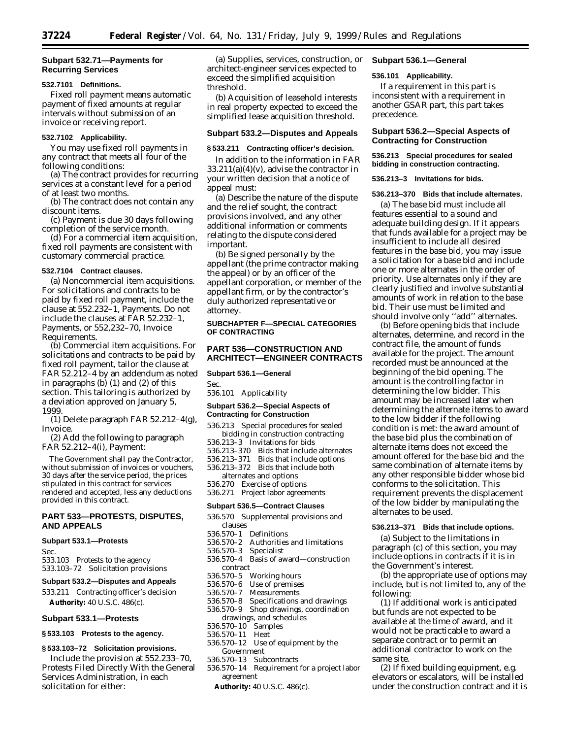### **Subpart 532.71—Payments for Recurring Services**

#### **532.7101 Definitions.**

*Fixed roll payment* means automatic payment of fixed amounts at regular intervals without submission of an invoice or receiving report.

### **532.7102 Applicability.**

You may use fixed roll payments in any contract that meets all four of the following conditions:

(a) The contract provides for recurring services at a constant level for a period of at least two months.

(b) The contract does not contain any discount items.

(c) Payment is due 30 days following completion of the service month.

(d) For a commercial item acquisition, fixed roll payments are consistent with customary commercial practice.

#### **532.7104 Contract clauses.**

(a) *Noncommercial item acquisitions.* For solicitations and contracts to be paid by fixed roll payment, include the clause at 552.232–1, Payments. Do not include the clauses at FAR 52, 232–1 Payments, or 552,232–70, Invoice Requirements.

(b) *Commercial item acquisitions.* For solicitations and contracts to be paid by fixed roll payment, tailor the clause at FAR 52.212–4 by an addendum as noted in paragraphs (b) (1) and (2) of this section. This tailoring is authorized by a deviation approved on January 5, 1999.

(1) Delete paragraph FAR 52.212–4(g), Invoice.

(2) Add the following to paragraph FAR 52.212–4(i), Payment:

The Government shall pay the Contractor, without submission of invoices or vouchers, 30 days after the service period, the prices stipulated in this contract for services rendered and accepted, less any deductions provided in this contract.

# **PART 533—PROTESTS, DISPUTES, AND APPEALS**

#### **Subpart 533.1—Protests**

Sec. 533.103 Protests to the agency 533.103–72 Solicitation provisions

#### **Subpart 533.2—Disputes and Appeals**

533.211 Contracting officer's decision **Authority:** 40 U.S.C. 486(c).

### **Subpart 533.1—Protests**

#### **§ 533.103 Protests to the agency.**

# **§ 533.103–72 Solicitation provisions.**

Include the provision at 552.233–70, Protests Filed Directly With the General Services Administration, in each solicitation for either:

(a) Supplies, services, construction, or architect-engineer services expected to exceed the simplified acquisition threshold.

(b) Acquisition of leasehold interests in real property expected to exceed the simplified lease acquisition threshold.

# **Subpart 533.2—Disputes and Appeals**

### **§ 533.211 Contracting officer's decision.**

In addition to the information in FAR  $33.211(a)(4)(v)$ , advise the contractor in your written decision that a notice of appeal must:

(a) Describe the nature of the dispute and the relief sought, the contract provisions involved, and any other additional information or comments relating to the dispute considered important.

(b) Be signed personally by the appellant (the prime contractor making the appeal) or by an officer of the appellant corporation, or member of the appellant firm, or by the contractor's duly authorized representative or attorney.

# **SUBCHAPTER F—SPECIAL CATEGORIES OF CONTRACTING**

# **PART 536—CONSTRUCTION AND ARCHITECT—ENGINEER CONTRACTS**

**Subpart 536.1—General**

Sec.

536.101 Applicability

#### **Subpart 536.2—Special Aspects of Contracting for Construction**

- 536.213 Special procedures for sealed bidding in construction contracting 536.213–3 Invitations for bids 536.213–370 Bids that include alternates
- 536.213–371 Bids that include options

536.213–372 Bids that include both

- alternates and options
- 536.270 Exercise of options
- 536.271 Project labor agreements

# **Subpart 536.5—Contract Clauses**

- 536.570 Supplemental provisions and clauses
- 
- 536.570–1 Definitions Authorities and limitations
- 536.570–3 Specialist
- 536.570–4 Basis of award—construction
- contract<br>536.570-5
- 536.570–5 Working hours
- Use of premises
- 536.570–7 Measurements
- Specifications and drawings
- 536.570–9 Shop drawings, coordination drawings, and schedules
	-
- 536.570–10 Samples  $536.570 - 11$
- 536.570–12 Use of equipment by the Government
- 536.570–13 Subcontracts
- 536.570–14 Requirement for a project labor agreement
	- **Authority:** 40 U.S.C. 486(c).

#### **Subpart 536.1—General**

### **536.101 Applicability.**

If a requirement in this part is inconsistent with a requirement in another GSAR part, this part takes precedence.

### **Subpart 536.2—Special Aspects of Contracting for Construction**

**536.213 Special procedures for sealed bidding in construction contracting.**

**536.213–3 Invitations for bids.**

#### **536.213–370 Bids that include alternates.**

(a) The base bid must include all features essential to a sound and adequate building design. If it appears that funds available for a project may be insufficient to include all desired features in the base bid, you may issue a solicitation for a base bid and include one or more alternates in the order of priority. Use alternates only if they are clearly justified and involve substantial amounts of work in relation to the base bid. Their use must be limited and should involve only ''add'' alternates.

(b) Before opening bids that include alternates, determine, and record in the contract file, the amount of funds available for the project. The amount recorded must be announced at the beginning of the bid opening. The amount is the controlling factor in determining the low bidder. This amount may be increased later when determining the alternate items to award to the low bidder if the following condition is met: the award amount of the base bid plus the combination of alternate items does not exceed the amount offered for the base bid and the same combination of alternate items by any other responsible bidder whose bid conforms to the solicitation. This requirement prevents the displacement of the low bidder by manipulating the alternates to be used.

# **536.213–371 Bids that include options.**

(a) Subject to the limitations in paragraph (c) of this section, you may include options in contracts if it is in the Government's interest.

(b) the appropriate use of options may include, but is not limited to, any of the following:

(1) If additional work is anticipated but funds are not expected to be available at the time of award, and it would not be practicable to award a separate contract or to permit an additional contractor to work on the same site.

(2) If fixed building equipment, e.g. elevators or escalators, will be installed under the construction contract and it is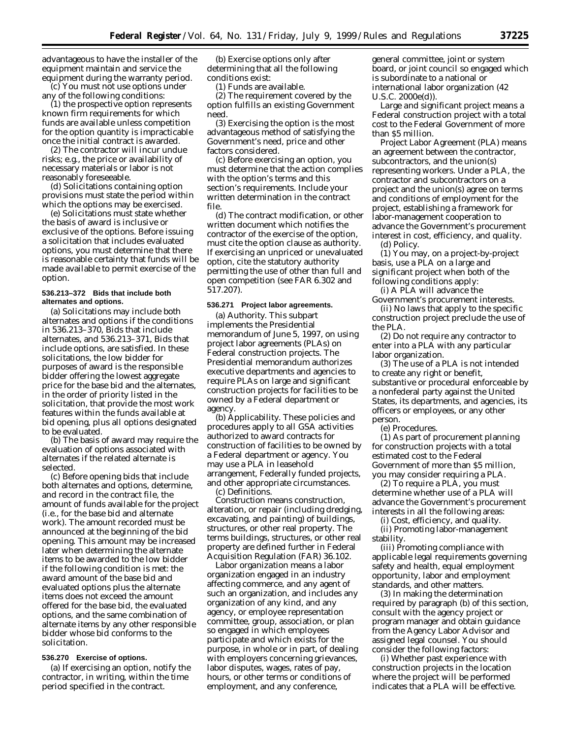advantageous to have the installer of the equipment maintain and service the equipment during the warranty period.

(c) You must not use options under any of the following conditions:

(1) the prospective option represents known firm requirements for which funds are available unless competition for the option quantity is impracticable once the initial contract is awarded.

(2) The contractor will incur undue risks; e.g., the price or availability of necessary materials or labor is not reasonably foreseeable.

(d) Solicitations containing option provisions must state the period within which the options may be exercised.

(e) Solicitations must state whether the basis of award is inclusive or exclusive of the options. Before issuing a solicitation that includes evaluated options, you must determine that there is reasonable certainty that funds will be made available to permit exercise of the option.

#### **536.213–372 Bids that include both alternates and options.**

(a) Solicitations may include both alternates and options if the conditions in 536.213–370, Bids that include alternates, and 536.213–371, Bids that include options, are satisfied. In these solicitations, the low bidder for purposes of award is the responsible bidder offering the lowest aggregate price for the base bid and the alternates, in the order of priority listed in the solicitation, that provide the most work features within the funds available at bid opening, plus all options designated to be evaluated.

(b) The basis of award may require the evaluation of options associated with alternates if the related alternate is selected.

(c) Before opening bids that include both alternates and options, determine, and record in the contract file, the amount of funds available for the project (i.e., for the base bid and alternate work). The amount recorded must be announced at the beginning of the bid opening. This amount may be increased later when determining the alternate items to be awarded to the low bidder if the following condition is met: the award amount of the base bid and evaluated options plus the alternate items does not exceed the amount offered for the base bid, the evaluated options, and the same combination of alternate items by any other responsible bidder whose bid conforms to the solicitation.

# **536.270 Exercise of options.**

(a) If exercising an option, notify the contractor, in writing, within the time period specified in the contract.

(b) Exercise options only after determining that all the following conditions exist:

(1) Funds are available.

(2) The requirement covered by the option fulfills an existing Government need.

(3) Exercising the option is the most advantageous method of satisfying the Government's need, price and other factors considered.

(c) Before exercising an option, you must determine that the action complies with the option's terms and this section's requirements. Include your written determination in the contract file.

(d) The contract modification, or other written document which notifies the contractor of the exercise of the option, must cite the option clause as authority. If exercising an unpriced or unevaluated option, cite the statutory authority permitting the use of other than full and open competition (see FAR 6.302 and 517.207).

#### **536.271 Project labor agreements.**

(a) *Authority.* This subpart implements the Presidential memorandum of June 5, 1997, on using project labor agreements (PLAs) on Federal construction projects. The Presidential memorandum authorizes executive departments and agencies to require PLAs on large and significant construction projects for facilities to be owned by a Federal department or agency.

(b) *Applicability.* These policies and procedures apply to all GSA activities authorized to award contracts for construction of facilities to be owned by a Federal department or agency. You may use a PLA in leasehold arrangement, Federally funded projects, and other appropriate circumstances. (c) *Definitions.*

*Construction* means construction, alteration, or repair (including dredging, excavating, and painting) of buildings, structures, or other real property. The terms buildings, structures, or other real property are defined further in Federal Acquisition Regulation (FAR) 36.102.

*Labor organization* means a labor organization engaged in an industry affecting commerce, and any agent of such an organization, and includes any organization of any kind, and any agency, or employee representation committee, group, association, or plan so engaged in which employees participate and which exists for the purpose, in whole or in part, of dealing with employers concerning grievances, labor disputes, wages, rates of pay, hours, or other terms or conditions of employment, and any conference,

general committee, joint or system board, or joint council so engaged which is subordinate to a national or international labor organization (42 U.S.C. 2000e(d)).

*Large and significant project* means a Federal construction project with a total cost to the Federal Government of more than \$5 million.

*Project Labor Agreement (PLA)* means an agreement between the contractor, subcontractors, and the union(s) representing workers. Under a PLA, the contractor and subcontractors on a project and the union(s) agree on terms and conditions of employment for the project, establishing a framework for labor-management cooperation to advance the Government's procurement interest in cost, efficiency, and quality.

(d) *Policy.*

(1) You may, on a project-by-project basis, use a PLA on a large and significant project when both of the following conditions apply:

(i) A PLA will advance the Government's procurement interests. (ii) No laws that apply to the specific construction project preclude the use of the PLA.

(2) Do not require any contractor to enter into a PLA with any particular labor organization.

(3) The use of a PLA is not intended to create any right or benefit, substantive or procedural enforceable by a nonfederal party against the United States, its departments, and agencies, its officers or employees, or any other person.

(e) *Procedures.*

(1) As part of procurement planning for construction projects with a total estimated cost to the Federal Government of more than \$5 million, you may consider requiring a PLA.

(2) To require a PLA, you must determine whether use of a PLA will advance the Government's procurement interests in all the following areas:

(i) Cost, efficiency, and quality. (ii) Promoting labor-management stability.

(iii) Promoting compliance with applicable legal requirements governing safety and health, equal employment opportunity, labor and employment standards, and other matters.

(3) In making the determination required by paragraph (b) of this section, consult with the agency project or program manager and obtain guidance from the Agency Labor Advisor and assigned legal counsel. You should consider the following factors:

(i) Whether past experience with construction projects in the location where the project will be performed indicates that a PLA will be effective.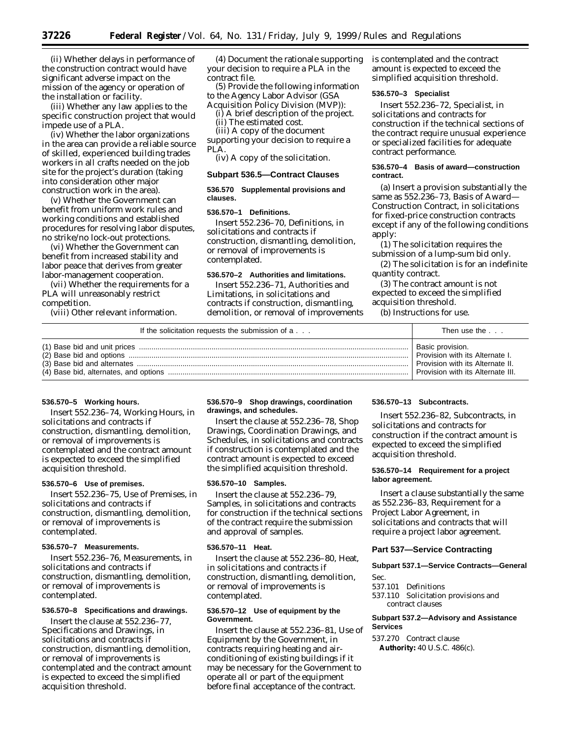(ii) Whether delays in performance of the construction contract would have significant adverse impact on the mission of the agency or operation of the installation or facility.

(iii) Whether any law applies to the specific construction project that would impede use of a PLA.

(iv) Whether the labor organizations in the area can provide a reliable source of skilled, experienced building trades workers in all crafts needed on the job site for the project's duration (taking into consideration other major construction work in the area).

(v) Whether the Government can benefit from uniform work rules and working conditions and established procedures for resolving labor disputes, no strike/no lock-out protections.

(vi) Whether the Government can benefit from increased stability and labor peace that derives from greater labor-management cooperation.

(vii) Whether the requirements for a PLA will unreasonably restrict competition.

(viii) Other relevant information.

(4) Document the rationale supporting your decision to require a PLA in the contract file.

(5) Provide the following information to the Agency Labor Advisor (GSA Acquisition Policy Division (MVP)):

(i) A brief description of the project.

(ii) The estimated cost.

(iii) A copy of the document

supporting your decision to require a PLA.

(iv) A copy of the solicitation.

### **Subpart 536.5—Contract Clauses**

#### **536.570 Supplemental provisions and clauses.**

### **536.570–1 Definitions.**

Insert 552.236–70, Definitions, in solicitations and contracts if construction, dismantling, demolition, or removal of improvements is contemplated.

#### **536.570–2 Authorities and limitations.**

Insert 552.236–71, Authorities and Limitations, in solicitations and contracts if construction, dismantling, demolition, or removal of improvements is contemplated and the contract amount is expected to exceed the simplified acquisition threshold.

#### **536.570–3 Specialist**

Insert 552.236–72, Specialist, in solicitations and contracts for construction if the technical sections of the contract require unusual experience or specialized facilities for adequate contract performance.

### **536.570–4 Basis of award—construction contract.**

(a) Insert a provision substantially the same as 552.236–73, Basis of Award— Construction Contract, in solicitations for fixed-price construction contracts except if any of the following conditions apply:

(1) The solicitation requires the submission of a lump-sum bid only.

(2) The solicitation is for an indefinite quantity contract.

(3) The contract amount is not expected to exceed the simplified acquisition threshold.

(b) *Instructions for use.*

| If the solicitation requests the submission of a | Then use the                      |
|--------------------------------------------------|-----------------------------------|
|                                                  | Basic provision.                  |
|                                                  | Provision with its Alternate I.   |
|                                                  | Provision with its Alternate II.  |
|                                                  | Provision with its Alternate III. |

# **536.570–5 Working hours.**

Insert 552.236–74, Working Hours, in solicitations and contracts if construction, dismantling, demolition, or removal of improvements is contemplated and the contract amount is expected to exceed the simplified acquisition threshold.

#### **536.570–6 Use of premises.**

Insert 552.236–75, Use of Premises, in solicitations and contracts if construction, dismantling, demolition, or removal of improvements is contemplated.

### **536.570–7 Measurements.**

Insert 552.236–76, Measurements, in solicitations and contracts if construction, dismantling, demolition, or removal of improvements is contemplated.

### **536.570–8 Specifications and drawings.**

Insert the clause at 552.236–77, Specifications and Drawings, in solicitations and contracts if construction, dismantling, demolition, or removal of improvements is contemplated and the contract amount is expected to exceed the simplified acquisition threshold.

#### **536.570–9 Shop drawings, coordination drawings, and schedules.**

Insert the clause at 552.236–78, Shop Drawings, Coordination Drawings, and Schedules, in solicitations and contracts if construction is contemplated and the contract amount is expected to exceed the simplified acquisition threshold.

#### **536.570–10 Samples.**

Insert the clause at 552.236–79, Samples, in solicitations and contracts for construction if the technical sections of the contract require the submission and approval of samples.

#### **536.570–11 Heat.**

Insert the clause at 552.236–80, Heat, in solicitations and contracts if construction, dismantling, demolition, or removal of improvements is contemplated.

### **536.570–12 Use of equipment by the Government.**

Insert the clause at 552.236–81, Use of Equipment by the Government, in contracts requiring heating and airconditioning of existing buildings if it may be necessary for the Government to operate all or part of the equipment before final acceptance of the contract.

#### **536.570–13 Subcontracts.**

Insert 552.236–82, Subcontracts, in solicitations and contracts for construction if the contract amount is expected to exceed the simplified acquisition threshold.

### **536.570–14 Requirement for a project labor agreement.**

Insert a clause substantially the same as 552.236–83, Requirement for a Project Labor Agreement, in solicitations and contracts that will require a project labor agreement.

### **Part 537—Service Contracting**

**Subpart 537.1—Service Contracts—General**

# Sec.

- 537.101 Definitions
- 537.110 Solicitation provisions and contract clauses

# **Subpart 537.2—Advisory and Assistance Services**

537.270 Contract clause **Authority:** 40 U.S.C. 486(c).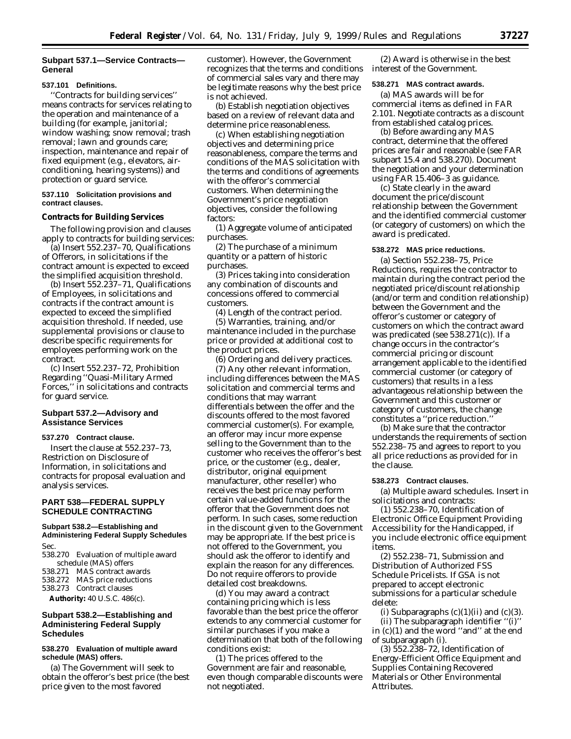### **Subpart 537.1—Service Contracts— General**

### **537.101 Definitions.**

''Contracts for building services'' means contracts for services relating to the operation and maintenance of a building (for example, janitorial; window washing; snow removal; trash removal; lawn and grounds care; inspection, maintenance and repair of fixed equipment (e.g., elevators, airconditioning, hearing systems)) and protection or guard service.

#### **537.110 Solicitation provisions and contract clauses.**

#### **Contracts for Building Services**

The following provision and clauses apply to contracts for building services:

(a) Insert 552.237–70, Qualifications of Offerors, in solicitations if the contract amount is expected to exceed the simplified acquisition threshold.

(b) Insert 552.237–71, Qualifications of Employees, in solicitations and contracts if the contract amount is expected to exceed the simplified acquisition threshold. If needed, use supplemental provisions or clause to describe specific requirements for employees performing work on the contract.

(c) Insert 552.237–72, Prohibition Regarding ''Quasi-Military Armed Forces,'' in solicitations and contracts for guard service.

# **Subpart 537.2—Advisory and Assistance Services**

#### **537.270 Contract clause.**

Insert the clause at 552.237–73, Restriction on Disclosure of Information, in solicitations and contracts for proposal evaluation and analysis services.

# **PART 538—FEDERAL SUPPLY SCHEDULE CONTRACTING**

# **Subpart 538.2—Establishing and Administering Federal Supply Schedules**

Sec.

538.270 Evaluation of multiple award schedule (MAS) offers 538.271 MAS contract awards 538.272 MAS price reductions 538.273 Contract clauses **Authority:** 40 U.S.C. 486(c).

# **Subpart 538.2—Establishing and Administering Federal Supply Schedules**

### **538.270 Evaluation of multiple award schedule (MAS) offers.**

(a) The Government will seek to obtain the offeror's best price (the best price given to the most favored

customer). However, the Government recognizes that the terms and conditions of commercial sales vary and there may be legitimate reasons why the best price is not achieved.

(b) Establish negotiation objectives based on a review of relevant data and determine price reasonableness.

(c) When establishing negotiation objectives and determining price reasonableness, compare the terms and conditions of the MAS solicitation with the terms and conditions of agreements with the offeror's commercial customers. When determining the Government's price negotiation objectives, consider the following factors:

(1) Aggregate volume of anticipated purchases.

(2) The purchase of a minimum quantity or a pattern of historic purchases.

(3) Prices taking into consideration any combination of discounts and concessions offered to commercial customers.

(4) Length of the contract period.

(5) Warranties, training, and/or maintenance included in the purchase price or provided at additional cost to the product prices.

(6) Ordering and delivery practices.

(7) Any other relevant information, including differences between the MAS solicitation and commercial terms and conditions that may warrant differentials between the offer and the discounts offered to the most favored commercial customer(s). For example, an offeror may incur more expense selling to the Government than to the customer who receives the offeror's best price, or the customer (e.g., dealer, distributor, original equipment manufacturer, other reseller) who receives the best price may perform certain value-added functions for the offeror that the Government does not perform. In such cases, some reduction in the discount given to the Government may be appropriate. If the best price is not offered to the Government, you should ask the offeror to identify and explain the reason for any differences. Do not require offerors to provide detailed cost breakdowns.

(d) You may award a contract containing pricing which is less favorable than the best price the offeror extends to any commercial customer for similar purchases if you make a determination that both of the following conditions exist:

(1) The prices offered to the Government are fair and reasonable, even though comparable discounts were not negotiated.

(2) Award is otherwise in the best interest of the Government.

#### **538.271 MAS contract awards.**

(a) MAS awards will be for commercial items as defined in FAR 2.101. Negotiate contracts as a discount from established catalog prices.

(b) Before awarding any MAS contract, determine that the offered prices are fair and reasonable (see FAR subpart 15.4 and 538.270). Document the negotiation and your determination using FAR 15.406–3 as guidance.

(c) State clearly in the award document the price/discount relationship between the Government and the identified commercial customer (or category of customers) on which the award is predicated.

### **538.272 MAS price reductions.**

(a) Section 552.238–75, Price Reductions, requires the contractor to maintain during the contract period the negotiated price/discount relationship (and/or term and condition relationship) between the Government and the offeror's customer or category of customers on which the contract award was predicated (see 538.271(c)). If a change occurs in the contractor's commercial pricing or discount arrangement applicable to the identified commercial customer (or category of customers) that results in a less advantageous relationship between the Government and this customer or category of customers, the change constitutes a ''price reduction.''

(b) Make sure that the contractor understands the requirements of section 552.238–75 and agrees to report to you all price reductions as provided for in the clause.

#### **538.273 Contract clauses.**

(a) *Multiple award schedules.* Insert in solicitations and contracts:

(1) 552.238–70, Identification of Electronic Office Equipment Providing Accessibility for the Handicapped, if you include electronic office equipment items.

(2) 552.238–71, Submission and Distribution of Authorized FSS Schedule Pricelists. If GSA is not prepared to accept electronic submissions for a particular schedule delete:

(i) Subparagraphs  $(c)(1)(ii)$  and  $(c)(3)$ .

(ii) The subparagraph identifier ''(i)'' in (c)(1) and the word ''and'' at the end of subparagraph (i).

(3) 552.238–72, Identification of Energy-Efficient Office Equipment and Supplies Containing Recovered Materials or Other Environmental **Attributes**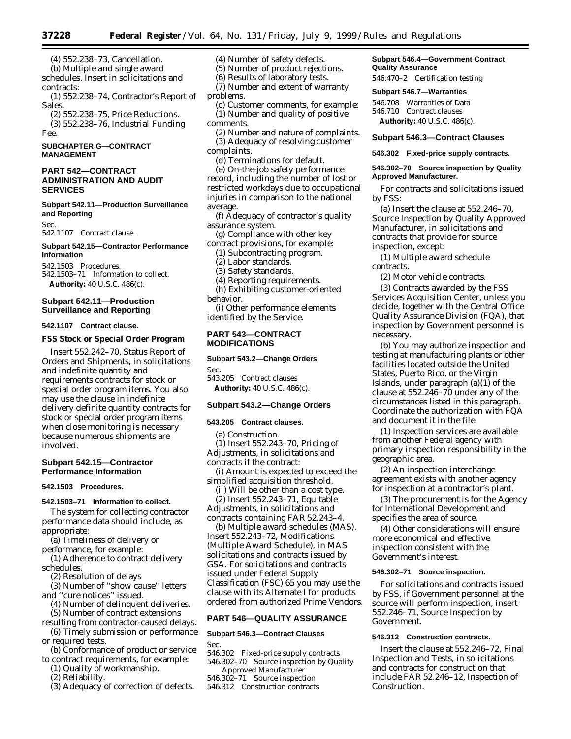(1) 552.238–74, Contractor's Report of Sales.

(2) 552.238–75, Price Reductions. (3) 552.238–76, Industrial Funding Fee.

### **SUBCHAPTER G—CONTRACT MANAGEMENT**

# **PART 542—CONTRACT ADMINISTRATION AND AUDIT SERVICES**

**Subpart 542.11—Production Surveillance and Reporting**

Sec.

542.1107 Contract clause.

### **Subpart 542.15—Contractor Performance Information**

542.1503 Procedures.

542.1503–71 Information to collect. **Authority:** 40 U.S.C. 486(c).

# **Subpart 542.11—Production Surveillance and Reporting**

**542.1107 Contract clause.**

# **FSS Stock or Special Order Program**

Insert 552.242–70, Status Report of Orders and Shipments, in solicitations and indefinite quantity and requirements contracts for stock or special order program items. You also may use the clause in indefinite delivery definite quantity contracts for stock or special order program items when close monitoring is necessary because numerous shipments are involved.

### **Subpart 542.15—Contractor Performance Information**

# **542.1503 Procedures.**

**542.1503–71 Information to collect.**

The system for collecting contractor performance data should include, as appropriate:

(a) Timeliness of delivery or

performance, for example: (1) Adherence to contract delivery schedules.

(2) Resolution of delays

(3) Number of ''show cause'' letters and ''cure notices'' issued.

(4) Number of delinquent deliveries. (5) Number of contract extensions

resulting from contractor-caused delays.

- (6) Timely submission or performance or required tests.
- (b) Conformance of product or service to contract requirements, for example:

(1) Quality of workmanship.

(2) Reliability.

(3) Adequacy of correction of defects.

- (4) Number of safety defects.
- (5) Number of product rejections.
- (6) Results of laboratory tests.

(7) Number and extent of warranty problems.

- (c) Customer comments, for example: (1) Number and quality of positive comments.
- (2) Number and nature of complaints. (3) Adequacy of resolving customer
- complaints.

(d) Terminations for default. (e) On-the-job safety performance record, including the number of lost or restricted workdays due to occupational injuries in comparison to the national average.

(f) Adequacy of contractor's quality assurance system.

- (g) Compliance with other key contract provisions, for example:
- (1) Subcontracting program.
- (2) Labor standards.
- (3) Safety standards.
- (4) Reporting requirements.

(h) Exhibiting customer-oriented behavior.

(i) Other performance elements identified by the Service.

### **PART 543—CONTRACT MODIFICATIONS**

# **Subpart 543.2—Change Orders**

Sec. 543.205 Contract clauses **Authority:** 40 U.S.C. 486(c).

### **Subpart 543.2—Change Orders**

# **543.205 Contract clauses.**

(a) *Construction.*

(1) Insert 552.243–70, Pricing of Adjustments, in solicitations and contracts if the contract:

(i) Amount is expected to exceed the simplified acquisition threshold.

(ii) Will be other than a cost type.

(2) Insert 552.243–71, Equitable Adjustments, in solicitations and contracts containing FAR 52.243–4.

(b) *Multiple award schedules (MAS).* Insert 552.243–72, Modifications (Multiple Award Schedule), in MAS solicitations and contracts issued by GSA. For solicitations and contracts issued under Federal Supply Classification (FSC) 65 you may use the clause with its Alternate I for products ordered from authorized Prime Vendors.

# **PART 546—QUALITY ASSURANCE**

# **Subpart 546.3—Contract Clauses**

Sec.

- 546.302 Fixed-price supply contracts 546.302–70 Source inspection by Quality
- Approved Manufacturer 546.302–71 Source inspection
- 546.312 Construction contracts

### **Subpart 546.4—Government Contract Quality Assurance**

546.470–2 Certification testing

# **Subpart 546.7—Warranties**

546.708 Warranties of Data 546.710 Contract clauses **Authority:** 40 U.S.C. 486(c).

#### **Subpart 546.3—Contract Clauses**

**546.302 Fixed-price supply contracts.**

### **546.302–70 Source inspection by Quality Approved Manufacturer.**

For contracts and solicitations issued by FSS:

(a) Insert the clause at 552.246–70, Source Inspection by Quality Approved Manufacturer, in solicitations and contracts that provide for source inspection, except:

(1) Multiple award schedule contracts.

(2) Motor vehicle contracts.

(3) Contracts awarded by the FSS Services Acquisition Center, unless you decide, together with the Central Office Quality Assurance Division (FQA), that inspection by Government personnel is necessary.

(b) You may authorize inspection and testing at manufacturing plants or other facilities located outside the United States, Puerto Rico, or the Virgin Islands, under paragraph (a)(1) of the clause at 552.246–70 under any of the circumstances listed in this paragraph. Coordinate the authorization with FQA and document it in the file.

(1) Inspection services are available from another Federal agency with primary inspection responsibility in the geographic area.

(2) An inspection interchange agreement exists with another agency for inspection at a contractor's plant.

(3) The procurement is for the Agency for International Development and specifies the area of source.

(4) Other considerations will ensure more economical and effective inspection consistent with the Government's interest.

#### **546.302–71 Source inspection.**

For solicitations and contracts issued by FSS, if Government personnel at the source will perform inspection, insert 552.246–71, Source Inspection by Government.

### **546.312 Construction contracts.**

Insert the clause at 552.246–72, Final Inspection and Tests, in solicitations and contracts for construction that include FAR 52.246–12, Inspection of Construction.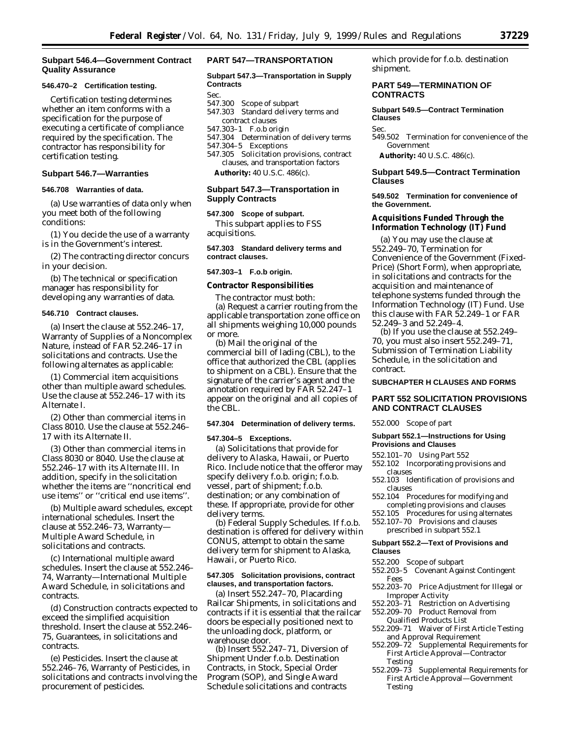### **Subpart 546.4—Government Contract Quality Assurance**

### **546.470–2 Certification testing.**

Certification testing determines whether an item conforms with a specification for the purpose of executing a certificate of compliance required by the specification. The contractor has responsibility for certification testing.

### **Subpart 546.7—Warranties**

#### **546.708 Warranties of data.**

(a) Use warranties of data only when you meet both of the following conditions:

(1) You decide the use of a warranty is in the Government's interest.

(2) The contracting director concurs in your decision.

(b) The technical or specification manager has responsibility for developing any warranties of data.

#### **546.710 Contract clauses.**

(a) Insert the clause at 552.246–17, Warranty of Supplies of a Noncomplex Nature, instead of FAR 52.246–17 in solicitations and contracts. Use the following alternates as applicable:

(1) *Commercial item acquisitions other than multiple award schedules*. Use the clause at 552.246–17 with its Alternate I.

(2) *Other than commercial items in Class 8010.* Use the clause at 552.246– 17 with its Alternate II.

(3) *Other than commercial items in Class 8030 or 8040*. Use the clause at 552.246–17 with its Alternate III. In addition, specify in the solicitation whether the items are ''noncritical end use items'' or ''critical end use items''.

(b) *Multiple award schedules, except international schedules.* Insert the clause at 552.246–73, Warranty— Multiple Award Schedule, in solicitations and contracts.

(c) *International multiple award schedules.* Insert the clause at 552.246– 74, Warranty—International Multiple Award Schedule, in solicitations and contracts.

(d) *Construction contracts expected to exceed the simplified acquisition threshold.* Insert the clause at 552.246– 75, Guarantees, in solicitations and contracts.

(e) *Pesticides.* Insert the clause at 552.246–76, Warranty of Pesticides, in solicitations and contracts involving the procurement of pesticides.

# **PART 547—TRANSPORTATION**

### **Subpart 547.3—Transportation in Supply Contracts**

Sec.

- 547.300 Scope of subpart
- 547.303 Standard delivery terms and contract clauses
- 547.303–1 F.o.b origin
- 547.304 Determination of delivery terms
- 547.304–5 Exceptions
- 547.305 Solicitation provisions, contract clauses, and transportation factors **Authority:** 40 U.S.C. 486(c).

# **Subpart 547.3—Transportation in Supply Contracts**

**547.300 Scope of subpart.** This subpart applies to FSS

acquisitions.

# **547.303 Standard delivery terms and contract clauses.**

### **547.303–1 F.o.b origin.**

#### **Contractor Responsibilities**

The contractor must both:

(a) Request a carrier routing from the applicable transportation zone office on all shipments weighing 10,000 pounds or more.

(b) Mail the original of the commercial bill of lading (CBL), to the office that authorized the CBL (applies to shipment on a CBL). Ensure that the signature of the carrier's agent and the annotation required by FAR 52.247–1 appear on the original and all copies of the CBL.

### **547.304 Determination of delivery terms.**

#### **547.304–5 Exceptions.**

(a) *Solicitations that provide for delivery to Alaska, Hawaii, or Puerto Rico.* Include notice that the offeror may specify delivery f.o.b. origin; f.o.b. vessel, part of shipment; f.o.b. destination; or any combination of these. If appropriate, provide for other delivery terms.

(b) *Federal Supply Schedules.* If f.o.b. destination is offered for delivery within CONUS, attempt to obtain the same delivery term for shipment to Alaska, Hawaii, or Puerto Rico.

### **547.305 Solicitation provisions, contract clauses, and transportation factors.**

(a) Insert 552.247–70, Placarding Railcar Shipments, in solicitations and contracts if it is essential that the railcar doors be especially positioned next to the unloading dock, platform, or warehouse door.

(b) Insert 552.247–71, Diversion of Shipment Under f.o.b. Destination Contracts, in Stock, Special Order Program (SOP), and Single Award Schedule solicitations and contracts

which provide for f.o.b. destination shipment.

# **PART 549—TERMINATION OF CONTRACTS**

#### **Subpart 549.5—Contract Termination Clauses**

Sec.

549.502 Termination for convenience of the Government

**Authority:** 40 U.S.C. 486(c).

### **Subpart 549.5—Contract Termination Clauses**

#### **549.502 Termination for convenience of the Government.**

# **Acquisitions Funded Through the Information Technology (IT) Fund**

(a) You may use the clause at 552.249–70, Termination for Convenience of the Government (Fixed-Price) (Short Form), when appropriate, in solicitations and contracts for the acquisition and maintenance of telephone systems funded through the Information Technology (IT) Fund. Use this clause with FAR 52.249–1 or FAR 52.249–3 and 52.249–4.

(b) If you use the clause at 552.249– 70, you must also insert 552.249–71, Submission of Termination Liability Schedule, in the solicitation and contract.

### **SUBCHAPTER H CLAUSES AND FORMS**

# **PART 552 SOLICITATION PROVISIONS AND CONTRACT CLAUSES**

552.000 Scope of part

### **Subpart 552.1—Instructions for Using Provisions and Clauses**

- 552.101–70 Using Part 552
- 552.102 Incorporating provisions and clauses
- 552.103 Identification of provisions and clauses
- 552.104 Procedures for modifying and completing provisions and clauses
- 552.105 Procedures for using alternates
- 552.107–70 Provisions and clauses
- prescribed in subpart 552.1

### **Subpart 552.2—Text of Provisions and Clauses**

- 552.200 Scope of subpart
- 552.203–5 Covenant Against Contingent Fees
- 552.203–70 Price Adjustment for Illegal or Improper Activity
- 552.203–71 Restriction on Advertising
- 552.209–70 Product Removal from Qualified Products List
- 552.209–71 Waiver of First Article Testing and Approval Requirement
- 552.209–72 Supplemental Requirements for First Article Approval—Contractor Testing
- 552.209–73 Supplemental Requirements for First Article Approval—Government Testing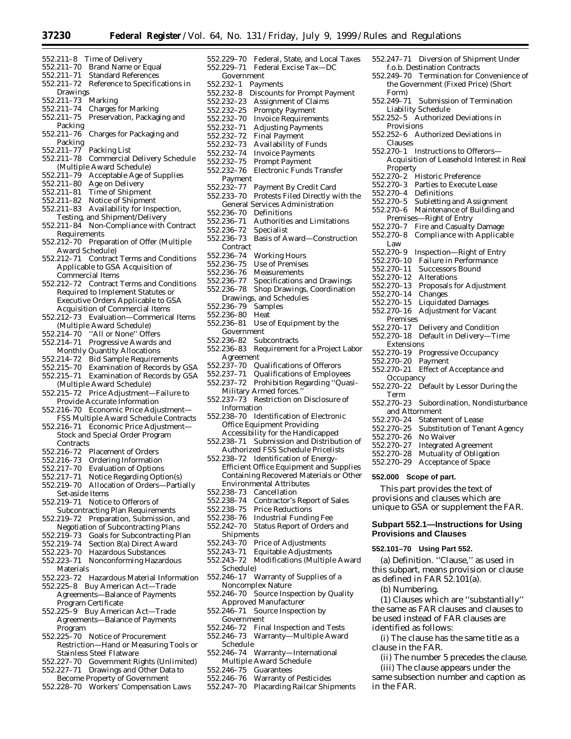| 552.211–8<br>Time of Delivery                                                 |
|-------------------------------------------------------------------------------|
| 552.211-70<br><b>Brand Name or Equal</b>                                      |
| <b>Standard References</b><br>552.211-71                                      |
| 552.211–72<br>Reference to Specifications in                                  |
| Drawings                                                                      |
| 552.211-73<br>Marking                                                         |
| 552.211-74                                                                    |
| <b>Charges for Marking</b>                                                    |
| 552.211-75<br>Preservation, Packaging and                                     |
| Packing                                                                       |
| 552.211-76<br>Charges for Packaging and                                       |
| Packing                                                                       |
| 552.211–77<br>Packing List                                                    |
| 552.211-78<br><b>Commercial Delivery Schedule</b>                             |
| (Multiple Award Schedule)                                                     |
| Acceptable Age of Supplies<br>552.211–79                                      |
| 552.211-80                                                                    |
| Age on Delivery                                                               |
| Time of Shipment<br>552.211–81                                                |
| Notice of Shipment<br>552.211–82                                              |
| 552.211-83<br>Availability for Inspection,                                    |
| Testing, and Shipment/Delivery                                                |
| Non-Compliance with Contract<br>552.211–84                                    |
| Requirements                                                                  |
| 552.212–70<br>Preparation of Offer (Multiple                                  |
| <b>Award Schedule)</b>                                                        |
| 552.212-71 Contract Terms and Conditions                                      |
|                                                                               |
| Applicable to GSA Acquisition of                                              |
| <b>Commercial Items</b>                                                       |
| 552.212–72<br><b>Contract Terms and Conditions</b>                            |
| Required to Implement Statutes or                                             |
| <b>Executive Orders Applicable to GSA</b>                                     |
| <b>Acquisition of Commercial Items</b>                                        |
| 552.212–73<br>Evaluation-Commerical Items                                     |
| (Multiple Award Schedule)                                                     |
|                                                                               |
| "All or None" Offers<br>552.214–70                                            |
| 552.214-71<br>Progressive Awards and                                          |
| Monthly Quantity Allocations                                                  |
| <b>Bid Sample Requirements</b><br>552.214–72                                  |
| 552.215-70<br>Examination of Records by GSA                                   |
| 552.215-71<br>Examination of Records by GSA                                   |
| (Multiple Award Schedule)                                                     |
| Price Adjustment-Failure to<br>552.215–72                                     |
| Provide Accurate Information                                                  |
|                                                                               |
| 552.216–70<br>Economic Price Adjustment-                                      |
| FSS Multiple Award Schedule Contracts                                         |
| 552.216-71<br>Economic Price Adjustment-                                      |
| <b>Stock and Special Order Program</b>                                        |
| Contracts                                                                     |
| 552.216-72<br><b>Placement of Orders</b>                                      |
| 552.216-73<br>Ordering Information                                            |
| 552.217–70<br><b>Evaluation of Options</b>                                    |
| 552.217-71<br>Notice Regarding Option(s)                                      |
| Allocation of Orders-Partially<br>552.219–70                                  |
|                                                                               |
|                                                                               |
| Set-aside Items                                                               |
| Notice to Offerors of<br>552.219–71                                           |
| <b>Subcontracting Plan Requirements</b>                                       |
| Preparation, Submission, and<br>552.219–72                                    |
|                                                                               |
| <b>Negotiation of Subcontracting Plans</b>                                    |
| 552.219-73 Goals for Subcontracting Plan                                      |
| 552.219-74<br>Section 8(a) Direct Award                                       |
| 552.223-70<br>Hazardous Substances                                            |
| 552.223-71<br>Nonconforming Hazardous                                         |
| Materials                                                                     |
| 552.223–72<br>Hazardous Material Information                                  |
| 552.225-8<br><b>Buy American Act-Trade</b>                                    |
| Agreements-Balance of Payments                                                |
|                                                                               |
| Program Certificate                                                           |
| 552.225–9<br><b>Buy American Act-Trade</b>                                    |
| Agreements-Balance of Payments                                                |
| Program                                                                       |
| Notice of Procurement<br>552.225–70                                           |
| Restriction-Hand or Measuring Tools or                                        |
| Stainless Steel Flatware                                                      |
| Government Rights (Unlimited)<br>552.227-70                                   |
| 552.227-71 Drawings and Other Data to<br><b>Become Property of Government</b> |

- 
- 552.228–70 Workers' Compensation Laws

| 64, |                          | No. 131 / Friday, July 9, 1999 /                                   |
|-----|--------------------------|--------------------------------------------------------------------|
|     |                          |                                                                    |
|     | 552.229–70               | Federal, State, and Local Taxes                                    |
|     | 552.229–71               | Federal Excise Tax—DC                                              |
|     | Government<br>552.232–1  |                                                                    |
|     | 552.232–8                | Payments                                                           |
|     | 552.232–23               | <b>Discounts for Prompt Payment</b><br><b>Assignment of Claims</b> |
|     | 552.232–25               | <b>Prompty Payment</b>                                             |
|     | 552.232-70               | <b>Invoice Requirements</b>                                        |
|     | 552.232–71               | <b>Adjusting Payments</b>                                          |
|     | 552.232-72               | <b>Final Payment</b>                                               |
|     | 552.232–73               | <b>Availability of Funds</b>                                       |
|     | 552.232-74               | <b>Invoice Payments</b>                                            |
|     | 552.232–75               | <b>Prompt Payment</b>                                              |
|     | 552.232-76               | <b>Electronic Funds Transfer</b>                                   |
|     | Payment                  |                                                                    |
|     | 552.232-77               | Payment By Credit Card                                             |
|     | 552.233–70               | Protests Filed Directly with the                                   |
|     |                          | <b>General Services Administration</b>                             |
|     | 552.236–70               | Definitions                                                        |
|     | 552.236-71               | Authorities and Limitations                                        |
|     | 552.236-72               | Specialist                                                         |
|     | 552.236–73               | Basis of Award—Construction                                        |
|     | Contract                 |                                                                    |
|     | 552.236–74               | <b>Working Hours</b>                                               |
|     | 552.236–75               | Use of Premises                                                    |
|     | 552.236–76               | Measurements                                                       |
|     | 552.236-77               | Specifications and Drawings                                        |
|     | 552.236-78               | Shop Drawings, Coordination                                        |
|     |                          | Drawings, and Schedules                                            |
|     | 552.236–79               | Samples                                                            |
|     | 552.236–80               | Heat                                                               |
|     | 552.236–81               | Use of Equipment by the                                            |
|     | Government<br>552.236-82 |                                                                    |
|     | 552.236-83               | Subcontracts<br>Requirement for a Project Labor                    |
|     | Agreement                |                                                                    |
|     | 552.237-70               | Qualifications of Offerors                                         |
|     | 552.237-71               | Qualifications of Employees                                        |
|     | 552.237-72               | Prohibition Regarding "Quasi-                                      |
|     |                          | Military Armed forces."                                            |
|     | 552.237-73               | Restriction on Disclosure of                                       |
|     | Information              |                                                                    |
|     | 552.238–70               | <b>Identification of Electronic</b>                                |
|     |                          | <b>Office Equipment Providing</b>                                  |
|     |                          | Accessibility for the Handicapped                                  |
|     |                          | 552.238-71 Submission and Distribution of                          |
|     |                          | Authorized FSS Schedule Pricelists                                 |
|     | 552.238–72               | Identification of Energy-                                          |
|     |                          | Efficient Office Equipment and Supplies                            |
|     |                          | Containing Recovered Materials or Other                            |
|     |                          | <b>Environmental Attributes</b>                                    |
|     | 552.238–73               | Cancellation                                                       |
|     | 552.238-74               | <b>Contractor's Report of Sales</b>                                |
|     | 552.238–75               | <b>Price Reductions</b>                                            |
|     | 552.238-76<br>552.242-70 | <b>Industrial Funding Fee</b>                                      |
|     |                          | <b>Status Report of Orders and</b>                                 |
|     | Shipments                |                                                                    |
|     | 552.243-70<br>552.243-71 | Price of Adjustments<br>Equitable Adjustments                      |
|     | 552.243-72               | Modifications (Multiple Award                                      |
|     | Schedule)                |                                                                    |
|     | 552.246–17               | Warranty of Supplies of a                                          |
|     |                          | <b>Noncomplex Nature</b>                                           |
|     |                          |                                                                    |

- 552.246–70 Source Inspection by Quality Approved Manufacturer
- 552.246–71 Source Inspection by Government
- 552.246–72 Final Inspection and Tests 552.246–73 Warranty—Multiple Award Schedule
- 552.246–74 Warranty—International Multiple Award Schedule
- 552.246–75 Guarantees
- 552.246–76 Warranty of Pesticides
- 552.247–70 Placarding Railcar Shipments
- 552.247–71 Diversion of Shipment Under f.o.b. Destination Contracts 552.249–70 Termination for Convenience of the Government (Fixed Price) (Short Form) 552.249–71 Submission of Termination Liability Schedule 552.252–5 Authorized Deviations in Provisions 552.252–6 Authorized Deviations in Clauses 552.270–1 Instructions to Offerors— Acquisition of Leasehold Interest in Real Property 552.270–2 Historic Preference 552.270–3 Parties to Execute Lease 552.270–4 Definitions 552.270–5 Subletting and Assignment 552.270–6 Maintenance of Building and Premises—Right of Entry 552.270–7 Fire and Casualty Damage 552.270–8 Compliance with Applicable Law<br> $552.270-9$ 552.270–9 Inspection—Right of Entry Failure in Performance 552.270–11 Successors Bound 552.270–12 Alterations Proposals for Adjustment 552.270–14 Changes Liquidated Damages 552.270–16 Adjustment for Vacant Premises<br>552.270-17 552.270–17 Delivery and Condition 552.270–18 Default in Delivery—Time Extensions<br>552.270-19 P Progressive Occupancy 552.270–20 Payment Effect of Acceptance and **Occupancy** 552.270–22 Default by Lessor During the Term 552.270–23 Subordination, Nondisturbance and Attornment 552.270–24 Statement of Lease 552.270–25 Substitution of Tenant Agency 552.270–26 No Waiver 552.270–27 Integrated Agreement Mutuality of Obligation 552.270–29 Acceptance of Space
- **552.000 Scope of part.**

This part provides the text of provisions and clauses which are unique to GSA or supplement the FAR.

# **Subpart 552.1—Instructions for Using Provisions and Clauses**

### **552.101–70 Using Part 552.**

(a) *Definition.* "Clause," as used in this subpart, means provision or clause as defined in FAR 52.101(a).

(b) *Numbering.*

(1) Clauses which are ''substantially'' the same as FAR clauses and clauses to be used instead of FAR clauses are identified as follows:

(i) The clause has the same title as a clause in the FAR.

(ii) The number 5 precedes the clause. (iii) The clause appears under the

same subsection number and caption as in the FAR.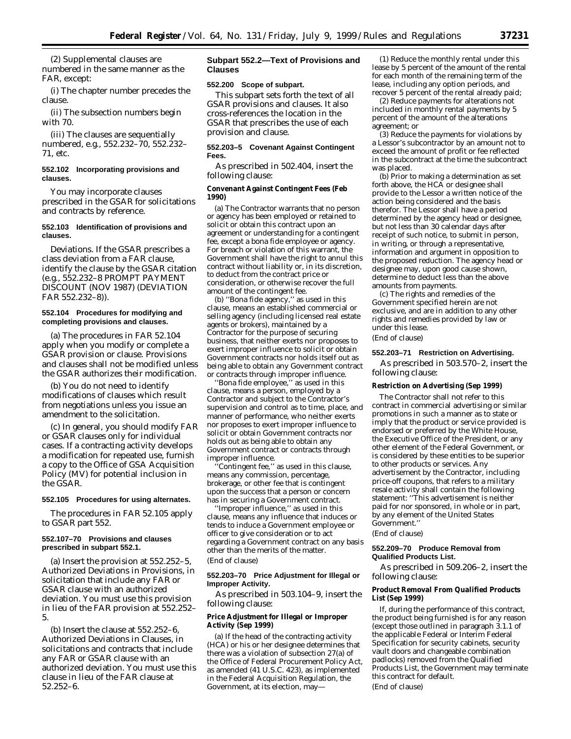(2) Supplemental clauses are numbered in the same manner as the FAR, except:

(i) The chapter number precedes the clause.

(ii) The subsection numbers begin with 70.

(iii) The clauses are sequentially numbered, e.g., 552.232–70, 552.232– 71, etc.

#### **552.102 Incorporating provisions and clauses.**

You may incorporate clauses prescribed in the GSAR for solicitations and contracts by reference.

#### **552.103 Identification of provisions and clauses.**

*Deviations.* If the GSAR prescribes a class deviation from a FAR clause, identify the clause by the GSAR citation (e.g., 552.232–8 PROMPT PAYMENT DISCOUNT (NOV 1987) (DEVIATION FAR 552.232–8)).

### **552.104 Procedures for modifying and completing provisions and clauses.**

(a) The procedures in FAR 52.104 apply when you modify or complete a GSAR provision or clause. Provisions and clauses shall not be modified unless the GSAR authorizes their modification.

(b) You do not need to identify modifications of clauses which result from negotiations unless you issue an amendment to the solicitation.

(c) In general, you should modify FAR or GSAR clauses only for individual cases. If a contracting activity develops a modification for repeated use, furnish a copy to the Office of GSA Acquisition Policy (MV) for potential inclusion in the GSAR.

#### **552.105 Procedures for using alternates.**

The procedures in FAR 52.105 apply to GSAR part 552.

#### **552.107–70 Provisions and clauses prescribed in subpart 552.1.**

(a) Insert the provision at 552.252–5, Authorized Deviations in Provisions, in solicitation that include any FAR or GSAR clause with an authorized deviation. You must use this provision in lieu of the FAR provision at 552.252– 5.

(b) Insert the clause at 552.252–6, Authorized Deviations in Clauses, in solicitations and contracts that include any FAR or GSAR clause with an authorized deviation. You must use this clause in lieu of the FAR clause at 52.252–6.

### **Subpart 552.2—Text of Provisions and Clauses**

#### **552.200 Scope of subpart.**

This subpart sets forth the text of all GSAR provisions and clauses. It also cross-references the location in the GSAR that prescribes the use of each provision and clause.

### **552.203–5 Covenant Against Contingent Fees.**

As prescribed in 502.404, insert the following clause:

### **Convenant Against Contingent Fees (Feb 1990)**

(a) The Contractor warrants that no person or agency has been employed or retained to solicit or obtain this contract upon an agreement or understanding for a contingent fee, except a bona fide employee or agency. For breach or violation of this warrant, the Government shall have the right to annul this contract without liability or, in its discretion, to deduct from the contract price or consideration, or otherwise recover the full amount of the contingent fee.

(b) ''Bona fide agency,'' as used in this clause, means an established commercial or selling agency (including licensed real estate agents or brokers), maintained by a Contractor for the purpose of securing business, that neither exerts nor proposes to exert improper influence to solicit or obtain Government contracts nor holds itself out as being able to obtain any Government contract or contracts through improper influence.

''Bona fide employee,'' as used in this clause, means a person, employed by a Contractor and subject to the Contractor's supervision and control as to time, place, and manner of performance, who neither exerts nor proposes to exert improper influence to solicit or obtain Government contracts nor holds out as being able to obtain any Government contract or contracts through improper influence.

''Contingent fee,'' as used in this clause, means any commission, percentage, brokerage, or other fee that is contingent upon the success that a person or concern has in securing a Government contract.

'Improper influence," as used in this clause, means any influence that induces or tends to induce a Government employee or officer to give consideration or to act regarding a Government contract on any basis other than the merits of the matter. (End of clause)

#### **552.203–70 Price Adjustment for Illegal or Improper Activity.**

As prescribed in 503.104–9, insert the following clause:

# **Price Adjustment for Illegal or Improper Activity (Sep 1999)**

(a) If the head of the contracting activity (HCA) or his or her designee determines that there was a violation of subsection 27(a) of the Office of Federal Procurement Policy Act, as amended (41 U.S.C. 423), as implemented in the Federal Acquisition Regulation, the Government, at its election, may—

(1) Reduce the monthly rental under this lease by 5 percent of the amount of the rental for each month of the remaining term of the lease, including any option periods, and recover 5 percent of the rental already paid;

(2) Reduce payments for alterations not included in monthly rental payments by 5 percent of the amount of the alterations agreement; or

(3) Reduce the payments for violations by a Lessor's subcontractor by an amount not to exceed the amount of profit or fee reflected in the subcontract at the time the subcontract was placed.

(b) Prior to making a determination as set forth above, the  $HC\tilde{A}$  or designee shall provide to the Lessor a written notice of the action being considered and the basis therefor. The Lessor shall have a period determined by the agency head or designee, but not less than 30 calendar days after receipt of such notice, to submit in person, in writing, or through a representative, information and argument in opposition to the proposed reduction. The agency head or designee may, upon good cause shown, determine to deduct less than the above amounts from payments.

(c) The rights and remedies of the Government specified herein are not exclusive, and are in addition to any other rights and remedies provided by law or under this lease.

# (End of clause)

# **552.203–71 Restriction on Advertising.**

As prescribed in 503.570–2, insert the following clause:

#### **Restriction on Advertising (Sep 1999)**

The Contractor shall not refer to this contract in commercial advertising or similar promotions in such a manner as to state or imply that the product or service provided is endorsed or preferred by the White House, the Executive Office of the President, or any other element of the Federal Government, or is considered by these entities to be superior to other products or services. Any advertisement by the Contractor, including price-off coupons, that refers to a military resale activity shall contain the following statement: ''This advertisement is neither paid for nor sponsored, in whole or in part, by any element of the United States Government.''

#### (End of clause)

#### **552.209–70 Produce Removal from Qualified Products List.**

As prescribed in 509.206–2, insert the following clause:

#### **Product Removal From Qualified Products List (Sep 1999)**

If, during the performance of this contract, the product being furnished is for any reason (except those outlined in paragraph 3.1.1 of the applicable Federal or Interim Federal Specification for security cabinets, security vault doors and changeable combination padlocks) removed from the Qualified Products List, the Government may terminate this contract for default. (End of clause)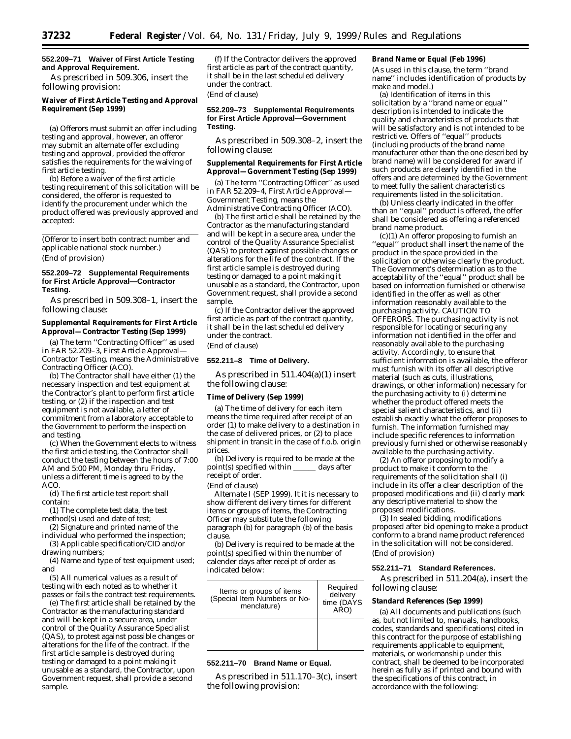#### **552.209–71 Waiver of First Article Testing and Approval Requirement.**

As prescribed in 509.306, insert the following provision:

### **Waiver of First Article Testing and Approval Requirement (Sep 1999)**

(a) Offerors must submit an offer including testing and approval, however, an offeror may submit an alternate offer excluding testing and approval, provided the offeror satisfies the requirements for the waiving of first article testing.

(b) Before a waiver of the first article testing requirement of this solicitation will be considered, the offeror is requested to identify the procurement under which the product offered was previously approved and accepted:

lllllllllllllllllllll

(Offeror to insert both contract number and applicable national stock number.) (End of provision)

#### **552.209–72 Supplemental Requirements for First Article Approval—Contractor Testing.**

As prescribed in 509.308–1, insert the following clause:

### **Supplemental Requirements for First Article Approval—Contractor Testing (Sep 1999)**

(a) The term ''Contracting Officer'' as used in FAR 52.209–3, First Article Approval— Contractor Testing, means the Administrative Contracting Officer (ACO).

(b) The Contractor shall have either (1) the necessary inspection and test equipment at the Contractor's plant to perform first article testing, or (2) if the inspection and test equipment is not available, a letter of commitment from a laboratory acceptable to the Government to perform the inspection and testing.

(c) When the Government elects to witness the first article testing, the Contractor shall conduct the testing between the hours of 7:00 AM and 5:00 PM, Monday thru Friday, unless a different time is agreed to by the  $ACO$ 

(d) The first article test report shall contain:

(1) The complete test data, the test method(s) used and date of test;

(2) Signature and printed name of the individual who performed the inspection;

(3) Applicable specification/CID and/or drawing numbers;

(4) Name and type of test equipment used; and

(5) All numerical values as a result of testing with each noted as to whether it passes or fails the contract test requirements.

(e) The first article shall be retained by the Contractor as the manufacturing standard and will be kept in a secure area, under control of the Quality Assurance Specialist (QAS), to protest against possible changes or alterations for the life of the contract. If the first article sample is destroyed during testing or damaged to a point making it unusable as a standard, the Contractor, upon Government request, shall provide a second sample.

(f) If the Contractor delivers the approved first article as part of the contract quantity, it shall be in the last scheduled delivery under the contract.

(End of clause)

#### **552.209–73 Supplemental Requirements for First Article Approval—Government Testing.**

As prescribed in 509.308–2, insert the following clause:

#### **Supplemental Requirements for First Article Approval—Government Testing (Sep 1999)**

(a) The term ''Contracting Officer'' as used in FAR 52.209–4, First Article Approval— Government Testing, means the Administrative Contracting Officer (ACO).

(b) The first article shall be retained by the Contractor as the manufacturing standard and will be kept in a secure area, under the control of the Quality Assurance Specialist (QAS) to protect against possible changes or alterations for the life of the contract. If the first article sample is destroyed during testing or damaged to a point making it unusable as a standard, the Contractor, upon Government request, shall provide a second sample.

(c) If the Contractor deliver the approved first article as part of the contract quantity, it shall be in the last scheduled delivery under the contract.

(End of clause)

#### **552.211–8 Time of Delivery.**

As prescribed in 511.404(a)(1) insert the following clause:

#### **Time of Delivery (Sep 1999)**

(a) The time of delivery for each item means the time required after receipt of an order (1) to make delivery to a destination in the case of delivered prices, or (2) to place shipment in transit in the case of f.o.b. origin prices.

(b) Delivery is required to be made at the point(s) specified within \_\_\_\_\_\_ days after receipt of order.

# (End of clause)

*Alternate I (SEP 1999).* It it is necessary to show different delivery times for different items or groups of items, the Contracting Officer may substitute the following paragraph (b) for paragraph (b) of the basis clause.

(b) Delivery is required to be made at the point(s) specified within the number of calender days after receipt of order as indicated below:

| Items or groups of items<br>(Special Item Numbers or No- | Required                       |
|----------------------------------------------------------|--------------------------------|
| menclature)                                              | delivery<br>time (DAYS<br>ARO) |
|                                                          |                                |

### **552.211–70 Brand Name or Equal.**

As prescribed in 511.170–3(c), insert the following provision:

#### **Brand Name or Equal (Feb 1996)**

(As used in this clause, the term ''brand name'' includes identification of products by make and model.)

(a) Identification of items in this solicitation by a ''brand name or equal'' description is intended to indicate the quality and characteristics of products that will be satisfactory and is not intended to be restrictive. Offers of ''equal'' products (including products of the brand name manufacturer other than the one described by brand name) will be considered for award if such products are clearly identified in the offers and are determined by the Government to meet fully the salient characteristics requirements listed in the solicitation.

(b) Unless clearly indicated in the offer than an ''equal'' product is offered, the offer shall be considered as offering a referenced brand name product.

(c)(1) An offeror proposing to furnish an ''equal'' product shall insert the name of the product in the space provided in the solicitation or otherwise clearly the product. The Government's determination as to the acceptability of the ''equal'' product shall be based on information furnished or otherwise identified in the offer as well as other information reasonably available to the purchasing activity. CAUTION TO OFFERORS. The purchasing activity is not responsible for locating or securing any information not identified in the offer and reasonably available to the purchasing activity. Accordingly, to ensure that sufficient information is available, the offeror must furnish with its offer all descriptive material (such as cuts, illustrations, drawings, or other information) necessary for the purchasing activity to (i) determine whether the product offered meets the special salient characteristics, and (ii) establish exactly what the offeror proposes to furnish. The information furnished may include specific references to information previously furnished or otherwise reasonably available to the purchasing activity.

(2) An offeror proposing to modify a product to make it conform to the requirements of the solicitation shall (i) include in its offer a clear description of the proposed modifications and (ii) clearly mark any descriptive material to show the proposed modifications.

(3) In sealed bidding, modifications proposed after bid opening to make a product conform to a brand name product referenced in the solicitation will not be considered. (End of provision)

#### **552.211–71 Standard References.**

As prescribed in 511.204(a), insert the following clause:

#### **Standard References (Sep 1999)**

(a) All documents and publications (such as, but not limited to, manuals, handbooks, codes, standards and specifications) cited in this contract for the purpose of establishing requirements applicable to equipment, materials, or workmanship under this contract, shall be deemed to be incorporated herein as fully as if printed and bound with the specifications of this contract, in accordance with the following: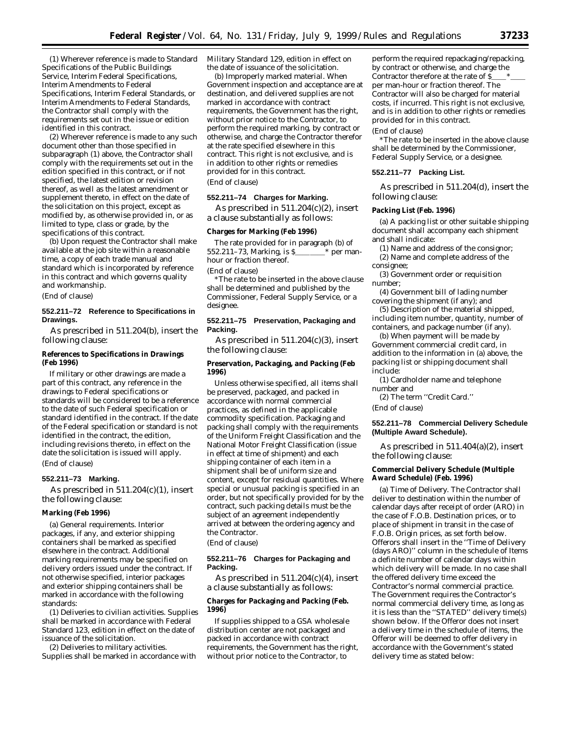(1) Wherever reference is made to Standard Specifications of the Public Buildings Service, Interim Federal Specifications, Interim Amendments to Federal Specifications, Interim Federal Standards, or Interim Amendments to Federal Standards, the Contractor shall comply with the requirements set out in the issue or edition identified in this contract.

(2) Wherever reference is made to any such document other than those specified in subparagraph (1) above, the Contractor shall comply with the requirements set out in the edition specified in this contract, or if not specified, the latest edition or revision thereof, as well as the latest amendment or supplement thereto, in effect on the date of the solicitation on this project, except as modified by, as otherwise provided in, or as limited to type, class or grade, by the specifications of this contract.

(b) Upon request the Contractor shall make available at the job site within a reasonable time, a copy of each trade manual and standard which is incorporated by reference in this contract and which governs quality and workmanship.

(End of clause)

### **552.211–72 Reference to Specifications in Drawings.**

As prescribed in 511.204(b), insert the following clause:

### **References to Specifications in Drawings (Feb 1996)**

If military or other drawings are made a part of this contract, any reference in the drawings to Federal specifications or standards will be considered to be a reference to the date of such Federal specification or standard identified in the contract. If the date of the Federal specification or standard is not identified in the contract, the edition, including revisions thereto, in effect on the date the solicitation is issued will apply. (End of clause)

#### **552.211–73 Marking.**

As prescribed in  $511.204(c)(1)$ , insert the following clause:

#### **Marking (Feb 1996)**

(a) *General requirements.* Interior packages, if any, and exterior shipping containers shall be marked as specified elsewhere in the contract. Additional marking requirements may be specified on delivery orders issued under the contract. If not otherwise specified, interior packages and exterior shipping containers shall be marked in accordance with the following standards:

(1) *Deliveries to civilian activities.* Supplies shall be marked in accordance with Federal Standard 123, edition in effect on the date of issuance of the solicitation.

(2) *Deliveries to military activities.* Supplies shall be marked in accordance with Military Standard 129, edition in effect on the date of issuance of the solicitation.

(b) *Improperly marked material.* When Government inspection and acceptance are at destination, and delivered supplies are not marked in accordance with contract requirements, the Government has the right, without prior notice to the Contractor, to perform the required marking, by contract or otherwise, and charge the Contractor therefor at the rate specified elsewhere in this contract. This right is not exclusive, and is in addition to other rights or remedies provided for in this contract. (End of clause)

#### **552.211–74 Charges for Marking.**

As prescribed in  $511.204(c)(2)$ , insert a clause substantially as follows:

#### **Charges for Marking (Feb 1996)**

The rate provided for in paragraph (b) of  $52.211-73$ , Marking, is  $S_{\text{max}}$  per man-552.211–73, Marking, is  $\S$ hour or fraction thereof.

(End of clause)

\**The rate to be inserted in the above clause shall be determined and published by the Commissioner, Federal Supply Service, or a designee.*

### **552.211–75 Preservation, Packaging and Packing.**

As prescribed in 511.204(c)(3), insert the following clause:

# **Preservation, Packaging, and Packing (Feb 1996)**

Unless otherwise specified, all items shall be preserved, packaged, and packed in accordance with normal commercial practices, as defined in the applicable commodity specification. Packaging and packing shall comply with the requirements of the Uniform Freight Classification and the National Motor Freight Classification (issue in effect at time of shipment) and each shipping container of each item in a shipment shall be of uniform size and content, except for residual quantities. Where special or unusual packing is specified in an order, but not specifically provided for by the contract, such packing details must be the subject of an agreement independently arrived at between the ordering agency and the Contractor.

(End of clause)

#### **552.211–76 Charges for Packaging and Packing.**

As prescribed in  $511.204(c)(4)$ , insert a clause substantially as follows:

#### **Charges for Packaging and Packing (Feb. 1996)**

If supplies shipped to a GSA wholesale distribution center are not packaged and packed in accordance with contract requirements, the Government has the right, without prior notice to the Contractor, to

perform the required repackaging/repacking, by contract or otherwise, and charge the Contractor therefore at the rate of  $\overline{S}$ per man-hour or fraction thereof. The Contractor will also be charged for material costs, if incurred. This right is not exclusive, and is in addition to other rights or remedies provided for in this contract.

# (End of clause)

\**The rate to be inserted in the above clause shall be determined by the Commissioner, Federal Supply Service, or a designee.*

#### **552.211–77 Packing List.**

As prescribed in 511.204(d), insert the following clause:

#### **Packing List (Feb. 1996)**

(a) A packing list or other suitable shipping document shall accompany each shipment and shall indicate:

(1) Name and address of the consignor; (2) Name and complete address of the consignee;

(3) Government order or requisition

number;

(4) Government bill of lading number covering the shipment (if any); and

(5) Description of the material shipped, including item number, quantity, number of containers, and package number (if any).

(b) When payment will be made by Government commercial credit card, in addition to the information in (a) above, the packing list or shipping document shall include:

(1) Cardholder name and telephone number and

(2) The term ''Credit Card.''

(End of clause)

#### **552.211–78 Commercial Delivery Schedule (Multiple Award Schedule).**

As prescribed in 511.404(a)(2), insert the following clause:

#### **Commercial Delivery Schedule (Multiple Award Schedule) (Feb. 1996)**

(a) *Time of Delivery.* The Contractor shall deliver to destination within the number of calendar days after receipt of order (ARO) in the case of F.O.B. Destination prices, or to place of shipment in transit in the case of F.O.B. Origin prices, as set forth below. Offerors shall insert in the ''Time of Delivery (days ARO)'' column in the schedule of Items a definite number of calendar days within which delivery will be made. In no case shall the offered delivery time exceed the Contractor's normal commercial practice. The Government requires the Contractor's normal commercial delivery time, as long as it is less than the ''STATED'' delivery time(s) shown below. If the Offeror does not insert a delivery time in the schedule of items, the Offeror will be deemed to offer delivery in accordance with the Government's stated delivery time as stated below: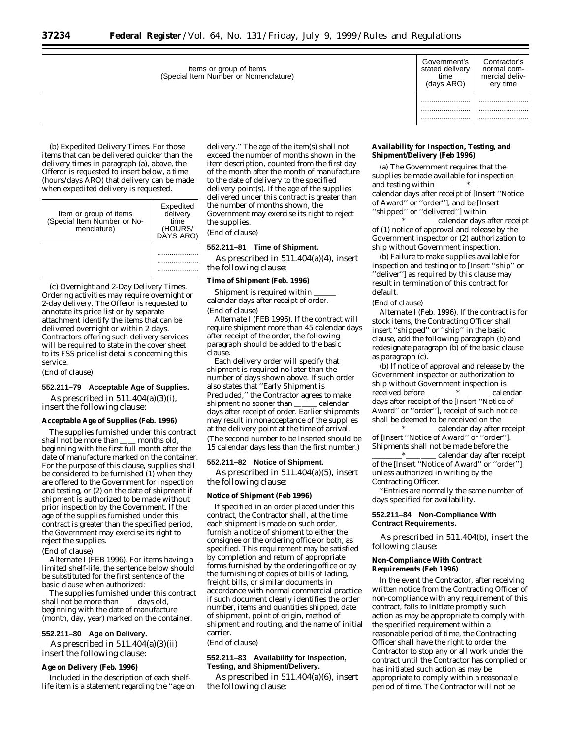| Items or group of items<br>(Special Item Number or Nomenclature) | Government's<br>stated delivery<br>time<br>$\frac{1}{2}$ (days ARO) | Contractor's<br>normal com-<br>mercial deliv-<br>ery time |
|------------------------------------------------------------------|---------------------------------------------------------------------|-----------------------------------------------------------|
|                                                                  |                                                                     |                                                           |
|                                                                  | <br>                                                                | <br>                                                      |
|                                                                  |                                                                     |                                                           |

(b) *Expedited Delivery Times.* For those items that can be delivered quicker than the delivery times in paragraph (a), above, the Offeror is requested to insert below, a time (hours/days ARO) that delivery can be made when expedited delivery is requested.

| Item or group of items<br>(Special Item Number or No-<br>menclature) | Expedited<br>delivery<br>time<br>(HOURS/<br>DAYS ARO) |
|----------------------------------------------------------------------|-------------------------------------------------------|
|                                                                      |                                                       |

(c) *Overnight and 2-Day Delivery Times.* Ordering activities may require overnight or 2-day delivery. The Offeror is requested to annotate its price list or by separate attachment identify the items that can be delivered overnight or within 2 days. Contractors offering such delivery services will be required to state in the cover sheet to its FSS price list details concerning this service.

(End of clause)

#### **552.211–79 Acceptable Age of Supplies.**

As prescribed in  $511.404(a)(3)(i)$ , insert the following clause:

#### **Acceptable Age of Supplies (Feb. 1996)**

The supplies furnished under this contract shall not be more than \_\_\_\_ months old, beginning with the first full month after the date of manufacture marked on the container. For the purpose of this clause, supplies shall be considered to be furnished (1) when they are offered to the Government for inspection and testing, or (2) on the date of shipment if shipment is authorized to be made without prior inspection by the Government. If the age of the supplies furnished under this contract is greater than the specified period, the Government may exercise its right to reject the supplies.

(End of clause)

*Alternate I (FEB 1996).* For items having a limited shelf-life, the sentence below should be substituted for the first sentence of the basic clause when authorized:

The supplies furnished under this contract shall not be more than <u>eque</u> days old, beginning with the date of manufacture (month, day, year) marked on the container.

#### **552.211–80 Age on Delivery.**

As prescribed in  $511.404(a)(3)(ii)$ insert the following clause:

### **Age on Delivery (Feb. 1996)**

Included in the description of each shelflife item is a statement regarding the ''age on

delivery.'' The age of the item(s) shall not exceed the number of months shown in the item description, counted from the first day of the month after the month of manufacture to the date of delivery to the specified delivery point(s). If the age of the supplies delivered under this contract is greater than the number of months shown, the Government may exercise its right to reject the supplies.

(End of clause)

#### **552.211–81 Time of Shipment.**

As prescribed in 511.404(a)(4), insert the following clause:

#### **Time of Shipment (Feb. 1996)**

Shipment is required within calendar days after receipt of order. (End of clause)

*Alternate I (FEB 1996).* If the contract will require shipment more than 45 calendar days after receipt of the order, the following paragraph should be added to the basic clause.

Each delivery order will specify that shipment is required no later than the number of days shown above. If such order also states that ''Early Shipment is Precluded,'' the Contractor agrees to make shipment no sooner than \_\_\_\_\_\_\_ calendar days after receipt of order. Earlier shipments may result in nonacceptance of the supplies at the delivery point at the time of arrival.

*(The second number to be inserted should be 15 calendar days less than the first number.)*

#### **552.211–82 Notice of Shipment.**

As prescribed in 511.404(a)(5), insert the following clause:

#### **Notice of Shipment (Feb 1996)**

If specified in an order placed under this contract, the Contractor shall, at the time each shipment is made on such order, furnish a notice of shipment to either the consignee or the ordering office or both, as specified. This requirement may be satisfied by completion and return of appropriate forms furnished by the ordering office or by the furnishing of copies of bills of lading, freight bills, or similar documents in accordance with normal commercial practice if such document clearly identifies the order number, items and quantities shipped, date of shipment, point of origin, method of shipment and routing, and the name of initial carrier.

(End of clause)

#### **552.211–83 Availability for Inspection, Testing, and Shipment/Delivery.**

As prescribed in 511.404(a)(6), insert the following clause:

#### **Availability for Inspection, Testing, and Shipment/Delivery (Feb 1996)**

(a) The Government requires that the supplies be made available for inspection and testing within \_\_\_\_\_\_\_\_\_\*\_ calendar days after receipt of [*Insert ''Notice of Award'' or ''order''*], and be [*Insert*

*''shipped'' or ''delivered''*] within

<sup>\*</sup><sub>\_\_\_</sub>\_\_\_\_\_\_\_ calendar days after receipt of (1) notice of approval and release by the Government inspector or (2) authorization to ship without Government inspection.

(b) Failure to make supplies available for inspection and testing or to [*Insert ''ship'' or ''deliver''*] as required by this clause may result in termination of this contract for default.

#### (End of clause)

*Alternate I (Feb. 1996).* If the contract is for stock items, the Contracting Officer shall insert ''shipped'' or ''ship'' in the basic clause, add the following paragraph (b) and redesignate paragraph (b) of the basic clause as paragraph (c).

(b) If notice of approval and release by the Government inspector or authorization to ship without Government inspection is received before \_\_\_\_\_\_\_\_\_\*\_\_\_\_\_\_\_\_ calendar days after receipt of the [*Insert ''Notice of Award'' or ''order''*], receipt of such notice shall be deemed to be received on the calendar day after receipt

of [*Insert ''Notice of Award'' or ''order''*]. Shipments shall not be made before the  $\frac{1}{2}$  calendar day after receipt of the [*Insert ''Notice of Award'' or ''order''*] unless authorized in writing by the Contracting Officer.

\*Entries are normally the same number of days specified for availability.

### **552.211–84 Non-Compliance With Contract Requirements.**

As prescribed in 511.404(b), insert the following clause:

#### **Non-Compliance With Contract Requirements (Feb 1996)**

In the event the Contractor, after receiving written notice from the Contracting Officer of non-compliance with any requirement of this contract, fails to initiate promptly such action as may be appropriate to comply with the specified requirement within a reasonable period of time, the Contracting Officer shall have the right to order the Contractor to stop any or all work under the contract until the Contractor has complied or has initiated such action as may be appropriate to comply within a reasonable period of time. The Contractor will not be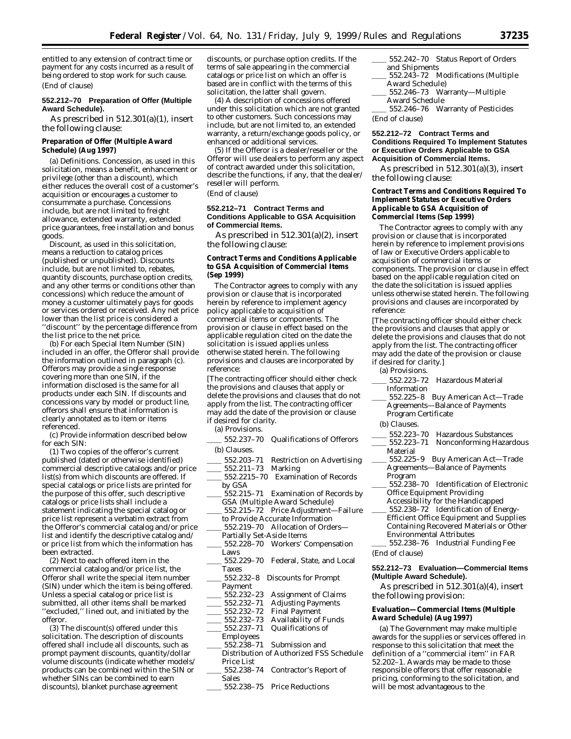entitled to any extension of contract time or payment for any costs incurred as a result of being ordered to stop work for such cause. (End of clause)

#### **552.212–70 Preparation of Offer (Multiple Award Schedule).**

As prescribed in 512.301(a)(1), insert the following clause:

# **Preparation of Offer (Multiple Award Schedule) (Aug 1997)**

(a) Definitions. *Concession,* as used in this solicitation, means a benefit, enhancement or privilege (other than a discount), which either reduces the overall cost of a customer's acquisition or encourages a customer to consummate a purchase. Concessions include, but are not limited to freight allowance, extended warranty, extended price guarantees, free installation and bonus goods.

*Discount,* as used in this solicitation, means a reduction to catalog prices (published or unpublished). Discounts include, but are not limited to, rebates, quantity discounts, purchase option credits, and any other terms or conditions other than concessions) which reduce the amount of money a customer ultimately pays for goods or services ordered or received. Any net price lower than the list price is considered a ''discount'' by the percentage difference from the list price to the net price.

(b) For each Special Item Number (SIN) included in an offer, the Offeror shall provide the information outlined in paragraph (c). Offerors may provide a single response covering more than one SIN, if the information disclosed is the same for all products under each SIN. If discounts and concessions vary by model or product line, offerors shall ensure that information is clearly annotated as to item or items referenced.

(c) Provide information described below for each SIN:

(1) Two copies of the offeror's current published (dated or otherwise identified) commercial descriptive catalogs and/or price list(s) from which discounts are offered. If special catalogs or price lists are printed for the purpose of this offer, such descriptive catalogs or price lists shall include a statement indicating the special catalog or price list represent a verbatim extract from the Offeror's commercial catalog and/or price list and identify the descriptive catalog and/ or price list from which the information has been extracted.

(2) Next to each offered item in the commercial catalog and/or price list, the Offeror shall write the special item number (SIN) under which the item is being offered. Unless a special catalog or price list is submitted, all other items shall be marked "excluded," lined out, and initiated by the offeror.

(3) The discount(s) offered under this solicitation. The description of discounts offered shall include all discounts, such as prompt payment discounts, quantity/dollar volume discounts (indicate whether models/ products can be combined within the SIN or whether SINs can be combined to earn discounts), blanket purchase agreement

discounts, or purchase option credits. If the terms of sale appearing in the commercial catalogs or price list on which an offer is based are in conflict with the terms of this solicitation, the latter shall govern.

(4) A description of concessions offered under this solicitation which are not granted to other customers. Such concessions may include, but are not limited to, an extended warranty, a return/exchange goods policy, or enhanced or additional services.

(5) If the Offeror is a dealer/reseller or the Offeror will use dealers to perform any aspect of contract awarded under this solicitation, describe the functions, if any, that the dealer/ reseller will perform.

# (End of clause)

#### **552.212–71 Contract Terms and Conditions Applicable to GSA Acquisition of Commercial Items.**

As prescribed in 512.301(a)(2), insert the following clause:

#### **Contract Terms and Conditions Applicable to GSA Acquisition of Commercial Items (Sep 1999)**

The Contractor agrees to comply with any provision or clause that is incorporated herein by reference to implement agency policy applicable to acquisition of commercial items or components. The provision or clause in effect based on the applicable regulation cited on the date the solicitation is issued applies unless otherwise stated herein. The following provisions and clauses are incorporated by reference:

[*The contracting officer should either check the provisions and clauses that apply or delete the provisions and clauses that do not apply from the list. The contracting officer may add the date of the provision or clause if desired for clarity.*

(a) *Provisions.*

- 552.237–70 Qualifications of Offerors (b) *Clauses.*
- 552.203-71 Restriction on Advertising
- ll 552.211–73 Marking
- 552.2215–70 Examination of Records by GSA
- 552.215–71 Examination of Records by GSA (Multiple Award Schedule)
- $1552.215-72$  Price Adjustment—Failure to Provide Accurate Information
- 552.219-70 Allocation of Orders-Partially Set-Aside Items
- 552.228–70 Workers' Compensation Laws
- 552.229–70 Federal, State, and Local Taxes
- 552.232-8 Discounts for Prompt
- Payment<br>552.232–23
- 152.232–23 Assignment of Claims<br>552.232–71 Adjusting Payments
- 552.232–71 Adjusting Payments<br>552.232–72 Final Payment
- 552.232–72 Final Payment<br> 552.232–73 Availability of
- 552.232–73 Availability of Funds<br> 552.237–71 Qualifications of Qualifications of
- - Employees Submission and
- Distribution of Authorized FSS Schedule Price List
- 552.238–74 Contractor's Report of Sales
- 1552.238–75 Price Reductions
- ll 552.242–70 Status Report of Orders and Shipments
- 552.243–72 Modifications (Multiple Award Schedule)
- 552.246-73 Warranty-Multiple Award Schedule
- 552.246–76 Warranty of Pesticides (End of clause)

#### **552.212–72 Contract Terms and Conditions Required To Implement Statutes or Executive Orders Applicable to GSA Acquisition of Commercial Items.**

As prescribed in 512.301(a)(3), insert the following clause:

### **Contract Terms and Conditions Required To Implement Statutes or Executive Orders Applicable to GSA Acquisition of Commercial Items (Sep 1999)**

The Contractor agrees to comply with any provision or clause that is incorporated herein by reference to implement provisions of law or Executive Orders applicable to acquisition of commercial items or components. The provision or clause in effect based on the applicable regulation cited on the date the solicitation is issued applies unless otherwise stated herein. The following provisions and clauses are incorporated by reference:

[*The contracting officer should either check the provisions and clauses that apply or delete the provisions and clauses that do not apply from the list. The contracting officer may add the date of the provision or clause if desired for clarity.*]

#### (a) *Provisions.*

- 552.223-72 Hazardous Material Information
- ll 552.225–8 Buy American Act—Trade Agreements—Balance of Payments Program Certificate

#### (b) *Clauses.*

- 
- 152.223–70 Hazardous Substances<br>
552.223–71 Nonconforming Hazard Nonconforming Hazardous Material
- 552.225-9 Buy American Act-Trade Agreements—Balance of Payments Program
- 552.238–70 Identification of Electronic Office Equipment Providing Accessibility for the Handicapped
- $552.238-72$  Identification of Energy-Efficient Office Equipment and Supplies Containing Recovered Materials or Other Environmental Attributes
- 1552.238–76 Industrial Funding Fee (End of clause)

#### **552.212–73 Evaluation—Commercial Items (Multiple Award Schedule).**

As prescribed in 512.301(a)(4), insert the following provision:

#### **Evaluation—Commercial Items (Multiple Award Schedule) (Aug 1997)**

(a) The Government may make multiple awards for the supplies or services offered in response to this solicitation that meet the definition of a ''commercial item'' in FAR 52.202–1. Awards may be made to those responsible offerors that offer reasonable pricing, conforming to the solicitation, and will be most advantageous to the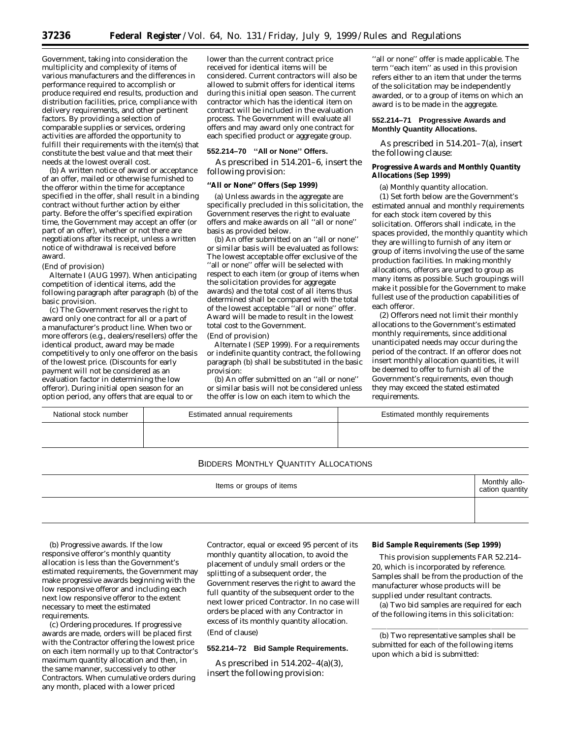Government, taking into consideration the multiplicity and complexity of items of various manufacturers and the differences in performance required to accomplish or produce required end results, production and distribution facilities, price, compliance with delivery requirements, and other pertinent factors. By providing a selection of comparable supplies or services, ordering activities are afforded the opportunity to fulfill their requirements with the item(s) that constitute the best value and that meet their needs at the lowest overall cost.

(b) A written notice of award or acceptance of an offer, mailed or otherwise furnished to the offeror within the time for acceptance specified in the offer, shall result in a binding contract without further action by either party. Before the offer's specified expiration time, the Government may accept an offer (or part of an offer), whether or not there are negotiations after its receipt, unless a written notice of withdrawal is received before award.

# (End of provision)

*Alternate I (AUG 1997).* When anticipating competition of identical items, add the following paragraph after paragraph (b) of the basic provision.

(c) The Government reserves the right to award only one contract for all or a part of a manufacturer's product line. When two or more offerors (e.g., dealers/resellers) offer the identical product, award may be made competitively to only one offeror on the basis of the lowest price. (Discounts for early payment will not be considered as an evaluation factor in determining the low offeror). During initial open season for an option period, any offers that are equal to or

lower than the current contract price received for identical items will be considered. Current contractors will also be allowed to submit offers for identical items during this initial open season. The current contractor which has the identical item on contract will be included in the evaluation process. The Government will evaluate all offers and may award only one contract for each specified product or aggregate group.

#### **552.214–70 ''All or None'' Offers.**

As prescribed in 514.201–6, insert the following provision:

### **''All or None'' Offers (Sep 1999)**

(a) Unless awards in the aggregate are specifically precluded in this solicitation, the Government reserves the right to evaluate offers and make awards on all ''all or none'' basis as provided below.

(b) An offer submitted on an ''all or none'' or similar basis will be evaluated as follows: The lowest acceptable offer exclusive of the ''all or none'' offer will be selected with respect to each item (or group of items when the solicitation provides for aggregate awards) and the total cost of all items thus determined shall be compared with the total of the lowest acceptable ''all or none'' offer. Award will be made to result in the lowest total cost to the Government.

# (End of provision)

*Alternate I (SEP 1999).* For a requirements or indefinite quantity contract, the following paragraph (b) shall be substituted in the basic provision:

(b) An offer submitted on an ''all or none'' or similar basis will not be considered unless the offer is low on each item to which the

''all or none'' offer is made applicable. The term ''each item'' as used in this provision refers either to an item that under the terms of the solicitation may be independently awarded, or to a group of items on which an award is to be made in the aggregate.

### **552.214–71 Progressive Awards and Monthly Quantity Allocations.**

As prescribed in 514.201–7(a), insert the following clause:

### **Progressive Awards and Monthly Quantity Allocations (Sep 1999)**

(a) *Monthly quantity allocation.* (1) Set forth below are the Government's estimated annual and monthly requirements for each stock item covered by this solicitation. Offerors shall indicate, in the spaces provided, the monthly quantity which they are willing to furnish of any item or group of items involving the use of the same production facilities. In making monthly allocations, offerors are urged to group as many items as possible. Such groupings will make it possible for the Government to make fullest use of the production capabilities of each offeror.

(2) Offerors need not limit their monthly allocations to the Government's estimated monthly requirements, since additional unanticipated needs may occur during the period of the contract. If an offeror does not insert monthly allocation quantities, it will be deemed to offer to furnish all of the Government's requirements, even though they may exceed the stated estimated requirements.

| National stock number | Estimated annual requirements | Estimated monthly requirements |
|-----------------------|-------------------------------|--------------------------------|
|                       |                               |                                |
|                       |                               |                                |

# BIDDERS MONTHLY QUANTITY ALLOCATIONS

| Items or groups of items | Monthly allo-<br>cation quantity |
|--------------------------|----------------------------------|
|                          |                                  |

(b) *Progressive awards.* If the low responsive offeror's monthly quantity allocation is less than the Government's estimated requirements, the Government may make progressive awards beginning with the low responsive offeror and including each next low responsive offeror to the extent necessary to meet the estimated requirements.

(c) *Ordering procedures.* If progressive awards are made, orders will be placed first with the Contractor offering the lowest price on each item normally up to that Contractor's maximum quantity allocation and then, in the same manner, successively to other Contractors. When cumulative orders during any month, placed with a lower priced

Contractor, equal or exceed 95 percent of its monthly quantity allocation, to avoid the placement of unduly small orders or the splitting of a subsequent order, the Government reserves the right to award the full quantity of the subsequent order to the next lower priced Contractor. In no case will orders be placed with any Contractor in excess of its monthly quantity allocation. (End of clause)

# **552.214–72 Bid Sample Requirements.**

As prescribed in 514.202–4(a)(3), insert the following provision:

#### **Bid Sample Requirements (Sep 1999)**

This provision supplements FAR 52.214– 20, which is incorporated by reference. Samples shall be from the production of the manufacturer whose products will be supplied under resultant contracts.

(a) Two bid samples are required for each of the following items in this solicitation:

(b) Two representative samples shall be submitted for each of the following items upon which a bid is submitted: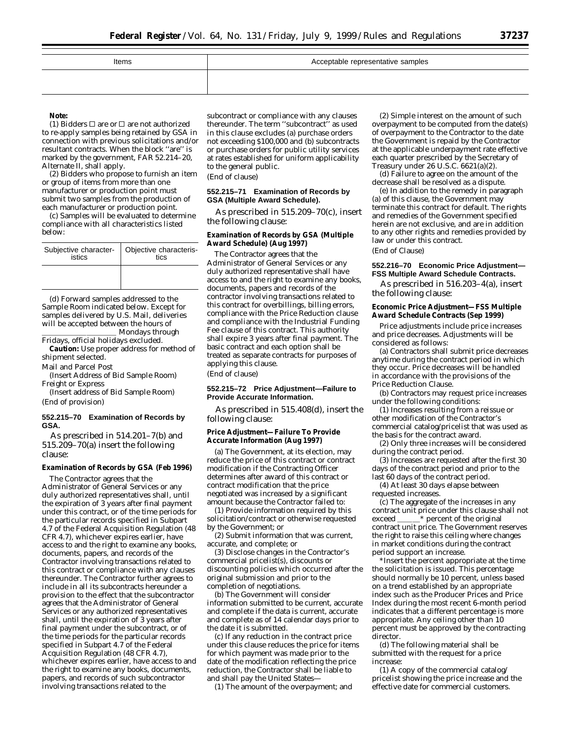| Items | Acceptable representative samples |
|-------|-----------------------------------|
|       |                                   |
|       |                                   |

### **Note:**

(1) Bidders  $\Box$  are or  $\Box$  are not authorized to re-apply samples being retained by GSA in connection with previous solicitations and/or resultant contracts. When the block ''are'' is marked by the government, FAR 52.214–20, Alternate II, shall apply.

(2) Bidders who propose to furnish an item or group of items from more than one manufacturer or production point must submit two samples from the production of each manufacturer or production point.

(c) Samples will be evaluated to determine compliance with all characteristics listed below:

| istics | Subjective character-   Objective characteris-<br>tics |
|--------|--------------------------------------------------------|
|        |                                                        |

(d) Forward samples addressed to the Sample Room indicated below. Except for samples delivered by U.S. Mail, deliveries will be accepted between the hours of Mondays through

Fridays, official holidays excluded. **Caution:** Use proper address for method of shipment selected.

# Mail and Parcel Post

(Insert Address of Bid Sample Room) Freight or Express

(Insert address of Bid Sample Room) (End of provision)

#### **552.215–70 Examination of Records by GSA.**

As prescribed in 514.201–7(b) and 515.209–70(a) insert the following clause:

### **Examination of Records by GSA (Feb 1996)**

The Contractor agrees that the Administrator of General Services or any duly authorized representatives shall, until the expiration of 3 years after final payment under this contract, or of the time periods for the particular records specified in Subpart 4.7 of the Federal Acquisition Regulation (48 CFR 4.7), whichever expires earlier, have access to and the right to examine any books, documents, papers, and records of the Contractor involving transactions related to this contract or compliance with any clauses thereunder. The Contractor further agrees to include in all its subcontracts hereunder a provision to the effect that the subcontractor agrees that the Administrator of General Services or any authorized representatives shall, until the expiration of 3 years after final payment under the subcontract, or of the time periods for the particular records specified in Subpart 4.7 of the Federal Acquisition Regulation (48 CFR 4.7), whichever expires earlier, have access to and the right to examine any books, documents, papers, and records of such subcontractor involving transactions related to the

subcontract or compliance with any clauses thereunder. The term ''subcontract'' as used in this clause excludes (a) purchase orders not exceeding \$100,000 and (b) subcontracts or purchase orders for public utility services at rates established for uniform applicability to the general public. (End of clause)

### **552.215–71 Examination of Records by GSA (Multiple Award Schedule).**

As prescribed in 515.209–70(c), insert the following clause:

### **Examination of Records by GSA (Multiple Award Schedule) (Aug 1997)**

The Contractor agrees that the Administrator of General Services or any duly authorized representative shall have access to and the right to examine any books, documents, papers and records of the contractor involving transactions related to this contract for overbillings, billing errors, compliance with the Price Reduction clause and compliance with the Industrial Funding Fee clause of this contract. This authority shall expire 3 years after final payment. The basic contract and each option shall be treated as separate contracts for purposes of applying this clause.

(End of clause)

### **552.215–72 Price Adjustment—Failure to Provide Accurate Information.**

As prescribed in 515.408(d), insert the following clause:

#### **Price Adjustment—Failure To Provide Accurate Information (Aug 1997)**

(a) The Government, at its election, may reduce the price of this contract or contract modification if the Contracting Officer determines after award of this contract or contract modification that the price negotiated was increased by a significant amount because the Contractor failed to:

(1) Provide information required by this solicitation/contract or otherwise requested by the Government; or

(2) Submit information that was current, accurate, and complete; or

(3) Disclose changes in the Contractor's commercial pricelist(s), discounts or discounting policies which occurred after the original submission and prior to the completion of negotiations.

(b) The Government will consider information submitted to be current, accurate and complete if the data is current, accurate and complete as of 14 calendar days prior to the date it is submitted.

(c) If any reduction in the contract price under this clause reduces the price for items for which payment was made prior to the date of the modification reflecting the price reduction, the Contractor shall be liable to and shall pay the United States—

(1) The amount of the overpayment; and

(2) Simple interest on the amount of such overpayment to be computed from the date(s) of overpayment to the Contractor to the date the Government is repaid by the Contractor at the applicable underpayment rate effective each quarter prescribed by the Secretary of Treasury under 26 U.S.C. 6621(a)(2).

(d) Failure to agree on the amount of the decrease shall be resolved as a dispute.

(e) In addition to the remedy in paragraph (a) of this clause, the Government may terminate this contract for default. The rights and remedies of the Government specified herein are not exclusive, and are in addition to any other rights and remedies provided by law or under this contract. (End of Clause)

### **552.216–70 Economic Price Adjustment— FSS Multiple Award Schedule Contracts.**

As prescribed in 516.203–4(a), insert the following clause:

### **Economic Price Adjustment—FSS Multiple Award Schedule Contracts (Sep 1999)**

Price adjustments include price increases and price decreases. Adjustments will be considered as follows:

(a) Contractors shall submit price decreases anytime during the contract period in which they occur. Price decreases will be handled in accordance with the provisions of the Price Reduction Clause.

(b) Contractors may request price increases under the following conditions:

(1) Increases resulting from a reissue or other modification of the Contractor's commercial catalog/pricelist that was used as the basis for the contract award.

(2) Only three increases will be considered during the contract period.

(3) Increases are requested after the first 30 days of the contract period and prior to the

last 60 days of the contract period.

(4) At least 30 days elapse between requested increases.

(c) The aggregate of the increases in any contract unit price under this clause shall not exceed \_\_\_\_\_\_\* percent of the original contract unit price. The Government reserves the right to raise this ceiling where changes in market conditions during the contract period support an increase.

\**Insert the percent appropriate at the time the solicitation is issued. This percentage should normally be 10 percent, unless based on a trend established by an appropriate index such as the Producer Prices and Price Index during the most recent 6-month period indicates that a different percentage is more appropriate. Any ceiling other than 10 percent must be approved by the contracting director.*

(d) The following material shall be submitted with the request for a price increase:

(1) A copy of the commercial catalog/ pricelist showing the price increase and the effective date for commercial customers.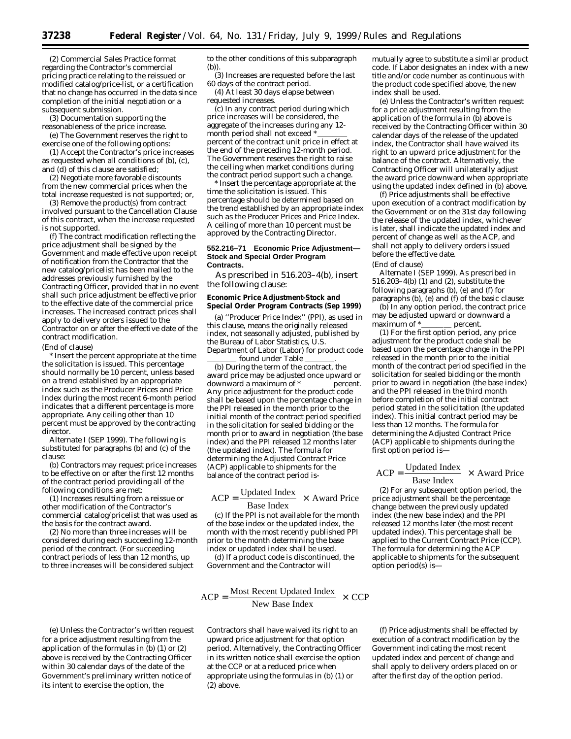(2) Commercial Sales Practice format regarding the Contractor's commercial pricing practice relating to the reissued or modified catalog/price-list, or a certification that no change has occurred in the data since completion of the initial negotiation or a subsequent submission.

(3) Documentation supporting the reasonableness of the price increase.

(e) The Government reserves the right to exercise one of the following options:

(1) Accept the Contractor's price increases as requested when all conditions of (b), (c), and (d) of this clause are satisfied;

(2) Negotiate more favorable discounts from the new commercial prices when the total increase requested is not supported; or,

(3) Remove the product(s) from contract involved pursuant to the Cancellation Clause of this contract, when the increase requested is not supported.

(f) The contract modification reflecting the price adjustment shall be signed by the Government and made effective upon receipt of notification from the Contractor that the new catalog/pricelist has been mailed to the addresses previously furnished by the Contracting Officer, provided that in no event shall such price adjustment be effective prior to the effective date of the commercial price increases. The increased contract prices shall apply to delivery orders issued to the Contractor on or after the effective date of the contract modification.

(End of clause)

*\* Insert the percent appropriate at the time the solicitation is issued. This percentage should normally be 10 percent, unless based on a trend established by an appropriate index such as the Producer Prices and Price Index during the most recent 6-month period indicates that a different percentage is more appropriate. Any ceiling other than 10 percent must be approved by the contracting director.*

*Alternate I (SEP 1999).* The following is substituted for paragraphs (b) and (c) of the clause:

(b) Contractors may request price increases to be effective on or after the first 12 months of the contract period providing all of the following conditions are met:

(1) Increases resulting from a reissue or other modification of the Contractor's commercial catalog/pricelist that was used as the basis for the contract award.

(2) No more than three increases will be considered during each succeeding 12-month period of the contract. (For succeeding contract periods of less than 12 months, up to three increases will be considered subject

(e) Unless the Contractor's written request for a price adjustment resulting from the application of the formulas in (b) (1) or (2) above is received by the Contracting Officer within 30 calendar days of the date of the Government's preliminary written notice of its intent to exercise the option, the

to the other conditions of this subparagraph  $(b)$ 

(3) Increases are requested before the last 60 days of the contract period.

(4) At least 30 days elapse between requested increases.

(c) In any contract period during which price increases will be considered, the aggregate of the increases during any 12 month period shall not exceed \* percent of the contract unit price in effect at the end of the preceding 12-month period. The Government reserves the right to raise the ceiling when market conditions during the contract period support such a change.

*\* Insert the percentage appropriate at the time the solicitation is issued. This percentage should be determined based on the trend established by an appropriate index such as the Producer Prices and Price Index. A ceiling of more than 10 percent must be approved by the Contracting Director.*

#### **552.216–71 Economic Price Adjustment— Stock and Special Order Program Contracts.**

As prescribed in 516.203–4(b), insert the following clause:

### **Economic Price Adjustment-Stock and Special Order Program Contracts (Sep 1999)**

(a) ''Producer Price Index'' (PPI), as used in this clause, means the originally released index, not seasonally adjusted, published by the Bureau of Labor Statistics, U.S. Department of Labor (Labor) for product code

found under Table (b) During the term of the contract, the award price may be adjusted once upward or downward a maximum of  $*$  exceptent. downward a maximum of  $*$ Any price adjustment for the product code shall be based upon the percentage change in the PPI released in the month prior to the initial month of the contract period specified in the solicitation for sealed bidding or the month prior to award in negotiation (the base index) and the PPI released 12 months later (the updated index). The formula for determining the Adjusted Contract Price (ACP) applicable to shipments for the balance of the contract period is-

$$
ACP = \frac{UpdateIndex}{Base Index} \times Award Price
$$

(c) If the PPI is not available for the month of the base index or the updated index, the month with the most recently published PPI prior to the month determining the base index or updated index shall be used.

(d) If a product code is discontinued, the Government and the Contractor will

$$
ACP = \frac{\text{Most Recent Update Index}}{\text{New Base Index}} \times CCP
$$

Contractors shall have waived its right to an upward price adjustment for that option period. Alternatively, the Contracting Officer in its written notice shall exercise the option at the CCP or at a reduced price when appropriate using the formulas in (b) (1) or (2) above.

(f) Price adjustments shall be effected by execution of a contract modification by the Government indicating the most recent updated index and percent of change and shall apply to delivery orders placed on or after the first day of the option period.

mutually agree to substitute a similar product code. If Labor designates an index with a new title and/or code number as continuous with the product code specified above, the new index shall be used.

(e) Unless the Contractor's written request for a price adjustment resulting from the application of the formula in  $(b)$  above is received by the Contracting Officer within 30 calendar days of the release of the updated index, the Contractor shall have waived its right to an upward price adjustment for the balance of the contract. Alternatively, the Contracting Officer will unilaterally adjust the award price downward when appropriate using the updated index defined in (b) above.

(f) Price adjustments shall be effective upon execution of a contract modification by the Government or on the 31st day following the release of the updated index, whichever is later, shall indicate the updated index and percent of change as well as the ACP, and shall not apply to delivery orders issued before the effective date.

(End of clause)

*Alternate I (SEP 1999).* As prescribed in 516.203–4(b) (1) and (2), substitute the following paragraphs (b), (e) and (f) for paragraphs (b), (e) and (f) of the basic clause:

(b) In any option period, the contract price may be adjusted upward or downward a maximum of  $*$  \_\_\_\_\_\_\_\_\_ percent. maximum of  $*$ 

(1) For the first option period, any price adjustment for the product code shall be based upon the percentage change in the PPI released in the month prior to the initial month of the contract period specified in the solicitation for sealed bidding or the month prior to award in negotiation (the base index) and the PPI released in the third month before completion of the initial contract period stated in the solicitation (the updated index). This initial contract period may be less than 12 months. The formula for determining the Adjusted Contract Price (ACP) applicable to shipments during the first option period is—

$$
ACP = \frac{UpdateIndex}{Base Index} \times Award Price
$$

(2) For any subsequent option period, the price adjustment shall be the percentage change between the previously updated index (the new base index) and the PPI released 12 months later (the most recent updated index). This percentage shall be applied to the Current Contract Price (CCP). The formula for determining the ACP applicable to shipments for the subsequent option period(s) is—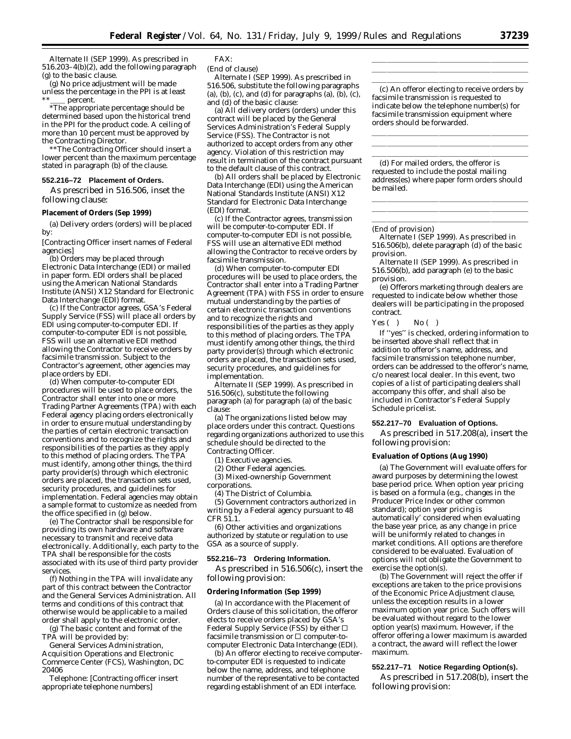*Alternate II (SEP 1999).* As prescribed in 516.203–4(b)(2), add the following paragraph (g) to the basic clause.

(g) No price adjustment will be made unless the percentage in the PPI is at least  $=$  percent.

*\*The appropriate percentage should be determined based upon the historical trend in the PPI for the product code. A ceiling of more than 10 percent must be approved by the Contracting Director.*

*\*\*The Contracting Officer should insert a lower percent than the maximum percentage stated in paragraph (b) of the clause.*

# **552.216–72 Placement of Orders.**

As prescribed in 516.506, inset the following clause:

#### **Placement of Orders (Sep 1999)**

(a) Delivery orders (orders) will be placed by:

[*Contracting Officer insert names of Federal agencies*]

(b) Orders may be placed through Electronic Data Interchange (EDI) or mailed in paper form. EDI orders shall be placed using the American National Standards Institute (ANSI) X12 Standard for Electronic Data Interchange (EDI) format.

(c) If the Contractor agrees, GSA's Federal Supply Service (FSS) will place all orders by EDI using computer-to-computer EDI. If computer-to-computer EDI is not possible, FSS will use an alternative EDI method allowing the Contractor to receive orders by facsimile transmission. Subject to the Contractor's agreement, other agencies may place orders by EDI.

(d) When computer-to-computer EDI procedures will be used to place orders, the Contractor shall enter into one or more Trading Partner Agreements (TPA) with each Federal agency placing orders electronically in order to ensure mutual understanding by the parties of certain electronic transaction conventions and to recognize the rights and responsibilities of the parties as they apply to this method of placing orders. The TPA must identify, among other things, the third party provider(s) through which electronic orders are placed, the transaction sets used, security procedures, and guidelines for implementation. Federal agencies may obtain a sample format to customize as needed from the office specified in (g) below.

(e) The Contractor shall be responsible for providing its own hardware and software necessary to transmit and receive data electronically. Additionally, each party to the TPA shall be responsible for the costs associated with its use of third party provider services.

(f) Nothing in the TPA will invalidate any part of this contract between the Contractor and the General Services Administration. All terms and conditions of this contract that otherwise would be applicable to a mailed order shall apply to the electronic order.

(g) The basic content and format of the TPA will be provided by:

General Services Administration, Acquisition Operations and Electronic Commerce Center (FCS), Washington, DC 20406

Telephone: [Contracting officer insert appropriate telephone numbers]

FAX:

(End of clause)

*Alternate I (SEP 1999).* As prescribed in 516.506, substitute the following paragraphs (a), (b), (c), and (d) for paragraphs  $(a)$ ,  $(b)$ ,  $(c)$ , and (d) of the basic clause:

(a) All delivery orders (orders) under this contract will be placed by the General Services Administration's Federal Supply Service (FSS). The Contractor is not authorized to accept orders from any other agency. Violation of this restriction may result in termination of the contract pursuant to the default clause of this contract.

(b) All orders shall be placed by Electronic Data Interchange (EDI) using the American National Standards Institute (ANSI) X12 Standard for Electronic Data Interchange (EDI) format.

(c) If the Contractor agrees, transmission will be computer-to-computer EDI. If computer-to-computer EDI is not possible, FSS will use an alternative EDI method allowing the Contractor to receive orders by facsimile transmission.

(d) When computer-to-computer EDI procedures will be used to place orders, the Contractor shall enter into a Trading Partner Agreement (TPA) with FSS in order to ensure mutual understanding by the parties of certain electronic transaction conventions and to recognize the rights and responsibilities of the parties as they apply to this method of placing orders. The TPA must identify among other things, the third party provider(s) through which electronic orders are placed, the transaction sets used, security procedures, and guidelines for implementation.

*Alternate II (SEP 1999).* As prescribed in 516.506(c), substitute the following paragraph (a) for paragraph (a) of the basic clause:

(a) The organizations listed below may place orders under this contract. Questions regarding organizations authorized to use this schedule should be directed to the Contracting Officer.

(1) Executive agencies.

(2) Other Federal agencies.

(3) Mixed-ownership Government corporations.

(4) The District of Columbia.

(5) Government contractors authorized in writing by a Federal agency pursuant to 48 CFR 51.1.

(6) Other activities and organizations authorized by statute or regulation to use GSA as a source of supply.

### **552.216–73 Ordering Information.**

As prescribed in 516.506(c), insert the following provision:

#### **Ordering Information (Sep 1999)**

(a) In accordance with the Placement of Orders clause of this solicitation, the offeror elects to receive orders placed by GSA's Federal Supply Service (FSS) by either  $\Box$ facsimile transmission or  $\Box$  computer-tocomputer Electronic Data Interchange (EDI).

(b) An offeror electing to receive computerto-computer EDI is requested to indicate below the name, address, and telephone number of the representative to be contacted regarding establishment of an EDI interface.

(c) An offeror electing to receive orders by facsimile transmission is requested to indicate below the telephone number(s) for facsimile transmission equipment where orders should be forwarded.

lllllllllllllllllllll

lllllllllllllllllllll

lllllllllllllllllllll lllalla llista se est alla seguente del control de la control de la control de la control de la control de la

(d) For mailed orders, the offeror is requested to include the postal mailing address(es) where paper form orders should be mailed.

lllllllllllllllllllll

#### (End of provision)

*Alternate I (SEP 1999)*. As prescribed in 516.506(b), delete paragraph (d) of the basic provision.

*Alternate II (SEP 1999)*. As prescribed in 516.506(b), add paragraph (e) to the basic provision.

(e) Offerors marketing through dealers are requested to indicate below whether those dealers will be participating in the proposed contract.

 $Yes( ) No( )$ 

If ''yes'' is checked, ordering information to be inserted above shall reflect that in addition to offeror's name, address, and facsimile transmission telephone number, orders can be addressed to the offeror's name, c/o nearest local dealer. In this event, two copies of a list of participating dealers shall accompany this offer, and shall also be included in Contractor's Federal Supply Schedule pricelist.

#### **552.217–70 Evaluation of Options.**

As prescribed in 517.208(a), insert the following provision:

#### **Evaluation of Options (Aug 1990)**

(a) The Government will evaluate offers for award purposes by determining the lowest base period price. When option year pricing is based on a formula (e.g., changes in the Producer Price Index or other common standard); option year pricing is automatically' considered when evaluating the base year price, as any change in price will be uniformly related to changes in market conditions. All options are therefore considered to be evaluated. Evaluation of options will not obligate the Government to exercise the option(s).

(b) The Government will reject the offer if exceptions are taken to the price provisions of the Economic Price Adjustment clause, unless the exception results in a lower maximum option year price. Such offers will be evaluated without regard to the lower option year(s) maximum. However, if the offeror offering a lower maximum is awarded a contract, the award will reflect the lower maximum.

### **552.217–71 Notice Regarding Option(s).**

As prescribed in 517.208(b), insert the following provision: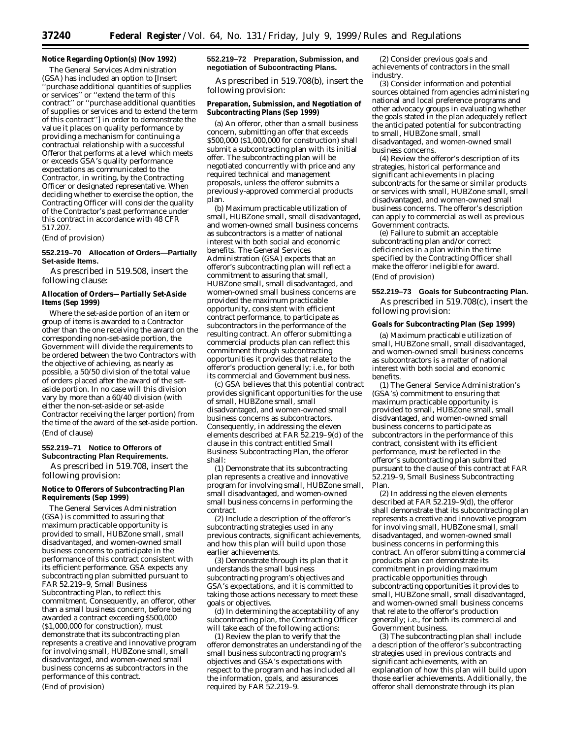## **Notice Regarding Option(s) (Nov 1992)**

The General Services Administration (GSA) has included an option to [*Insert ''purchase additional quantities of supplies or services'' or ''extend the term of this contract'' or ''purchase additional quantities of supplies or services and to extend the term of this contract''*] in order to demonstrate the value it places on quality performance by providing a mechanism for continuing a contractual relationship with a successful Offeror that performs at a level which meets or exceeds GSA's quality performance expectations as communicated to the Contractor, in writing, by the Contracting Officer or designated representative. When deciding whether to exercise the option, the Contracting Officer will consider the quality of the Contractor's past performance under this contract in accordance with 48 CFR 517.207.

(End of provision)

### **552.219–70 Allocation of Orders—Partially Set-aside Items.**

As prescribed in 519.508, insert the following clause:

### **Allocation of Orders—Partially Set-Aside Items (Sep 1999)**

Where the set-aside portion of an item or group of items is awarded to a Contractor other than the one receiving the award on the corresponding non-set-aside portion, the Government will divide the requirements to be ordered between the two Contractors with the objective of achieving, as nearly as possible, a 50/50 division of the total value of orders placed after the award of the setaside portion. In no case will this division vary by more than a 60/40 division (with either the non-set-aside or set-aside Contractor receiving the larger portion) from the time of the award of the set-aside portion. (End of clause)

## **552.219–71 Notice to Offerors of Subcontracting Plan Requirements.**

As prescribed in 519.708, insert the following provision:

### **Notice to Offerors of Subcontracting Plan Requirements (Sep 1999)**

The General Services Administration (GSA) is committed to assuring that maximum practicable opportunity is provided to small, HUBZone small, small disadvantaged, and women-owned small business concerns to participate in the performance of this contract consistent with its efficient performance. GSA expects any subcontracting plan submitted pursuant to FAR 52.219–9, Small Business Subcontracting Plan, to reflect this commitment. Consequently, an offeror, other than a small business concern, before being awarded a contract exceeding \$500,000 (\$1,000,000 for construction), must demonstrate that its subcontracting plan represents a creative and innovative program for involving small, HUBZone small, small disadvantaged, and women-owned small business concerns as subcontractors in the performance of this contract. (End of provision)

### **552.219–72 Preparation, Submission, and negotiation of Subcontracting Plans.**

As prescribed in 519.708(b), insert the following provision:

### **Preparation, Submission, and Negotiation of Subcontracting Plans (Sep 1999)**

(a) An offeror, other than a small business concern, submitting an offer that exceeds \$500,000 (\$1,000,000 for construction) shall submit a subcontracting plan with its initial offer. The subcontracting plan will be negotiated concurrently with price and any required technical and management proposals, unless the offeror submits a previously-approved commercial products plan.

(b) Maximum practicable utilization of small, HUBZone small, small disadvantaged, and women-owned small business concerns as subcontractors is a matter of national interest with both social and economic benefits. The General Services Administration (GSA) expects that an offeror's subcontracting plan will reflect a commitment to assuring that small, HUBZone small, small disadvantaged, and women-owned small business concerns are provided the maximum practicable opportunity, consistent with efficient contract performance, to participate as subcontractors in the performance of the resulting contract. An offeror submitting a commercial products plan can reflect this commitment through subcontracting opportunities it provides that relate to the offeror's production generally; i.e., for both its commercial and Government business.

(c) GSA believes that this potential contract provides significant opportunities for the use of small, HUBZone small, small disadvantaged, and women-owned small business concerns as subcontractors. Consequently, in addressing the eleven elements described at FAR 52.219–9(d) of the clause in this contract entitled Small Business Subcontracting Plan, the offeror shall:

(1) Demonstrate that its subcontracting plan represents a creative and innovative program for involving small, HUBZone small, small disadvantaged, and women-owned small business concerns in performing the contract.

(2) Include a description of the offeror's subcontracting strategies used in any previous contracts, significant achievements, and how this plan will build upon those earlier achievements.

(3) Demonstrate through its plan that it understands the small business subcontracting program's objectives and GSA's expectations, and it is committed to taking those actions necessary to meet these goals or objectives.

(d) In determining the acceptability of any subcontracting plan, the Contracting Officer will take each of the following actions:

(1) Review the plan to verify that the offeror demonstrates an understanding of the small business subcontracting program's objectives and GSA's expectations with respect to the program and has included all the information, goals, and assurances required by FAR 52.219–9.

(2) Consider previous goals and achievements of contractors in the small industry.

(3) Consider information and potential sources obtained from agencies administering national and local preference programs and other advocacy groups in evaluating whether the goals stated in the plan adequately reflect the anticipated potential for subcontracting to small, HUBZone small, small disadvantaged, and women-owned small business concerns.

(4) Review the offeror's description of its strategies, historical performance and significant achievements in placing subcontracts for the same or similar products or services with small, HUBZone small, small disadvantaged, and women-owned small business concerns. The offeror's description can apply to commercial as well as previous Government contracts.

(e) Failure to submit an acceptable subcontracting plan and/or correct deficiencies in a plan within the time specified by the Contracting Officer shall make the offeror ineligible for award. (End of provision)

# **552.219–73 Goals for Subcontracting Plan.**

As prescribed in 519.708(c), insert the following provision:

### **Goals for Subcontracting Plan (Sep 1999)**

(a) Maximum practicable utilization of small, HUBZone small, small disadvantaged, and women-owned small business concerns as subcontractors is a matter of national interest with both social and economic benefits.

(1) The General Service Administration's (GSA's) commitment to ensuring that maximum practicable opportunity is provided to small, HUBZone small, small disdvantaged, and women-owned small business concerns to participate as subcontractors in the performance of this contract, consistent with its efficient performance, must be reflected in the offeror's subcontracting plan submitted pursuant to the clause of this contract at FAR 52.219–9, Small Business Subcontracting Plan.

(2) In addressing the eleven elements described at FAR 52.219–9(d), the offeror shall demonstrate that its subcontracting plan represents a creative and innovative program for involving small, HUBZone small, small disadvantaged, and women-owned small business concerns in performing this contract. An offeror submitting a commercial products plan can demonstrate its commitment in providing maximum practicable opportunities through subcontracting opportunities it provides to small, HUBZone small, small disadvantaged, and women-owned small business concerns that relate to the offeror's production generally; i.e., for both its commercial and Government business.

(3) The subcontracting plan shall include a description of the offeror's subcontracting strategies used in previous contracts and significant achievements, with an explanation of how this plan will build upon those earlier achievements. Additionally, the offeror shall demonstrate through its plan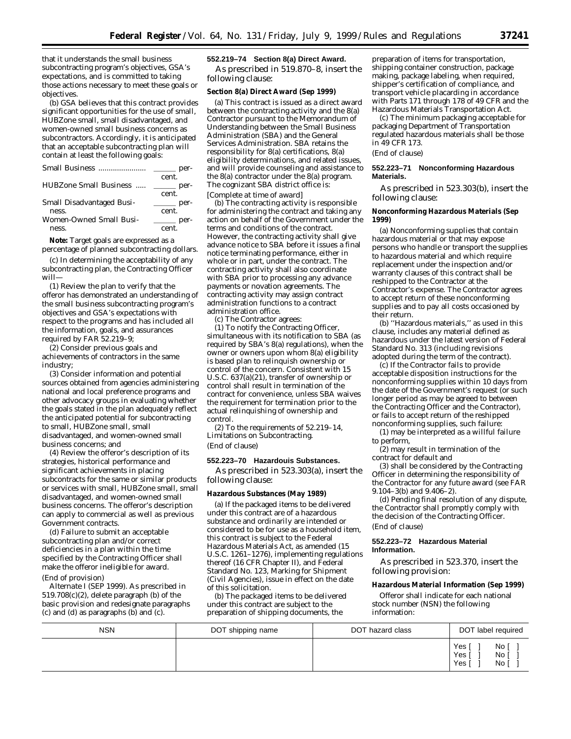that it understands the small business subcontracting program's objectives, GSA's expectations, and is committed to taking those actions necessary to meet these goals or objectives.

(b) GSA believes that this contract provides significant opportunities for the use of small, HUBZone small, small disadvantaged, and women-owned small business concerns as subcontractors. Accordingly, it is anticipated that an acceptable subcontracting plan will contain at least the following goals:

|                           | per-                   |
|---------------------------|------------------------|
|                           | cent.                  |
| HUBZone Small Business    |                        |
|                           | cent.                  |
| Small Disadvantaged Busi- | $\rightharpoonup$ per- |
| ness.                     | cent.                  |
| Women-Owned Small Busi-   |                        |
| ness.                     | cent                   |

**Note:** Target goals are expressed as a percentage of planned subcontracting dollars.

(c) In determining the acceptability of any subcontracting plan, the Contracting Officer will—

(1) Review the plan to verify that the offeror has demonstrated an understanding of the small business subcontracting program's objectives and GSA's expectations with respect to the programs and has included all the information, goals, and assurances required by FAR 52.219–9;

(2) Consider previous goals and achievements of contractors in the same industry;

(3) Consider information and potential sources obtained from agencies administering national and local preference programs and other advocacy groups in evaluating whether the goals stated in the plan adequately reflect the anticipated potential for subcontracting to small, HUBZone small, small disadvantaged, and women-owned small business concerns; and

(4) Review the offeror's description of its strategies, historical performance and significant achievements in placing subcontracts for the same or similar products or services with small, HUBZone small, small disadvantaged, and women-owned small business concerns. The offeror's description can apply to commercial as well as previous Government contracts.

(d) Failure to submit an acceptable subcontracting plan and/or correct deficiencies in a plan within the time specified by the Contracting Officer shall make the offeror ineligible for award. (End of provision)

*Alternate I (SEP 1999).* As prescribed in  $519.708(c)(2)$ , delete paragraph (b) of the basic provision and redesignate paragraphs (c) and (d) as paragraphs (b) and (c).

#### **552.219–74 Section 8(a) Direct Award.**

As prescribed in 519.870–8, insert the following clause:

# **Section 8(a) Direct Award (Sep 1999)**

(a) This contract is issued as a direct award between the contracting activity and the 8(a) Contractor pursuant to the Memorandum of Understanding between the Small Business Administration (SBA) and the General Services Administration. SBA retains the responsibility for 8(a) certifications, 8(a) eligibility determinations, and related issues, and will provide counseling and assistance to the 8(a) contractor under the 8(a) program. The cognizant SBA district office is: [*Complete at time of award*]

(b) The contracting activity is responsible for administering the contract and taking any action on behalf of the Government under the terms and conditions of the contract. However, the contracting activity shall give advance notice to SBA before it issues a final notice terminating performance, either in whole or in part, under the contract. The contracting activity shall also coordinate with SBA prior to processing any advance payments or novation agreements. The contracting activity may assign contract administration functions to a contract administration office.

(c) The Contractor agrees:

(1) To notify the Contracting Officer, simultaneous with its notification to SBA (as required by SBA's 8(a) regulations), when the owner or owners upon whom 8(a) eligibility is based plan to relinquish ownership or control of the concern. Consistent with 15 U.S.C. 637(a)(21), transfer of ownership or control shall result in termination of the contract for convenience, unless SBA waives the requirement for termination prior to the actual relinquishing of ownership and control.

(2) To the requirements of 52.219–14, Limitations on Subcontracting. (End of clause)

#### **552.223–70 Hazardouis Substances.**

As prescribed in 523.303(a), insert the following clause:

#### **Hazardous Substances (May 1989)**

(a) If the packaged items to be delivered under this contract are of a hazardous substance and ordinarily are intended or considered to be for use as a household item, this contract is subject to the Federal Hazardous Materials Act, as amended (15 U.S.C. 1261–1276), implementing regulations thereof (16 CFR Chapter II), and Federal Standard No. 123, Marking for Shipment (Civil Agencies), issue in effect on the date of this solicitation.

(b) The packaged items to be delivered under this contract are subject to the preparation of shipping documents, the

preparation of items for transportation, shipping container construction, package making, package labeling, when required, shipper's certification of compliance, and transport vehicle placarding in accordance with Parts 171 through 178 of 49 CFR and the Hazardous Materials Transportation Act.

(c) The minimum packaging acceptable for packaging Department of Transportation regulated hazardous materials shall be those in 49 CFR 173.

(End of clause)

### **552.223–71 Nonconforming Hazardous Materials.**

As prescribed in 523.303(b), insert the following clause:

### **Nonconforming Hazardous Materials (Sep 1999)**

(a) Nonconforming supplies that contain hazardous material or that may expose persons who handle or transport the supplies to hazardous material and which require replacement under the inspection and/or warranty clauses of this contract shall be reshipped to the Contractor at the Contractor's expense. The Contractor agrees to accept return of these nonconforming supplies and to pay all costs occasioned by their return.

(b) ''Hazardous materials,'' as used in this clause, includes any material defined as hazardous under the latest version of Federal Standard No. 313 (including revisions adopted during the term of the contract).

(c) If the Contractor fails to provide acceptable disposition instructions for the nonconforming supplies within 10 days from the date of the Government's request (or such longer period as may be agreed to between the Contracting Officer and the Contractor), or fails to accept return of the reshipped nonconforming supplies, such failure:

(1) may be interpreted as a willful failure to perform,

(2) may result in termination of the contract for default and

(3) shall be considered by the Contracting Officer in determining the responsibility of the Contractor for any future award (see FAR 9.104–3(b) and 9.406–2).

(d) Pending final resolution of any dispute, the Contractor shall promptly comply with the decision of the Contracting Officer. (End of clause)

### **552.223–72 Hazardous Material Information.**

As prescribed in 523.370, insert the following provision:

### **Hazardous Material Information (Sep 1999)**

Offeror shall indicate for each national stock number (NSN) the following information:

| <b>NSN</b> | DOT shipping name | DOT hazard class | DOT label required                        |
|------------|-------------------|------------------|-------------------------------------------|
|            |                   |                  | Yes<br>No [<br>Yes<br>No [<br>Yes<br>No [ |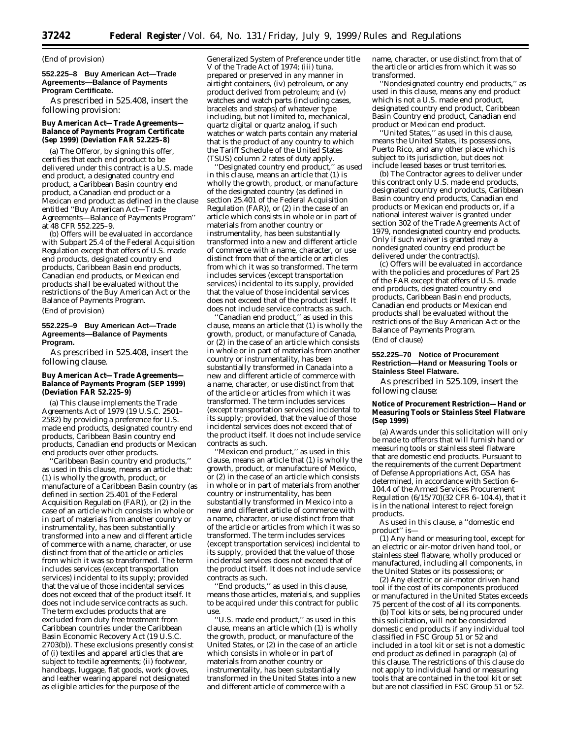(End of provision)

### **552.225–8 Buy American Act—Trade Agreements—Balance of Payments Program Certificate.**

As prescribed in 525.408, insert the following provision:

### **Buy American Act—Trade Agreements— Balance of Payments Program Certificate (Sep 1999) (Deviation FAR 52.225–8)**

(a) The Offeror, by signing this offer, certifies that each end product to be delivered under this contract is a U.S. made end product, a designated country end product, a Caribbean Basin country end product, a Canadian end product or a Mexican end product as defined in the clause entitled ''Buy American Act—Trade Agreements—Balance of Payments Program'' at 48 CFR 552.225–9.

(b) Offers will be evaluated in accordance with Subpart 25.4 of the Federal Acquisition Regulation except that offers of U.S. made end products, designated country end products, Caribbean Basin end products, Canadian end products, or Mexican end products shall be evaluated without the restrictions of the Buy American Act or the Balance of Payments Program.

(End of provision)

### **552.225–9 Buy American Act—Trade Agreements—Balance of Payments Program.**

As prescribed in 525.408, insert the following clause.

### **Buy American Act—Trade Agreements— Balance of Payments Program (SEP 1999) (Deviation FAR 52.225–9)**

(a) This clause implements the Trade Agreements Act of 1979 (19 U.S.C. 2501– 2582) by providing a preference for U.S. made end products, designated country end products, Caribbean Basin country end products, Canadian end products or Mexican end products over other products.

''Caribbean Basin country end products,'' as used in this clause, means an article that: (1) is wholly the growth, product, or manufacture of a Caribbean Basin country (as defined in section 25.401 of the Federal Acquisition Regulation (FAR)), or (2) in the case of an article which consists in whole or in part of materials from another country or instrumentality, has been substantially transformed into a new and different article of commerce with a name, character, or use distinct from that of the article or articles from which it was so transformed. The term includes services (except transportation services) incidental to its supply; provided that the value of those incidental services does not exceed that of the product itself. It does not include service contracts as such. The term excludes products that are excluded from duty free treatment from Caribbean countries under the Caribbean Basin Economic Recovery Act (19 U.S.C. 2703(b)). These exclusions presently consist of (i) textiles and apparel articles that are subject to textile agreements; (ii) footwear, handbags, luggage, flat goods, work gloves, and leather wearing apparel not designated as eligible articles for the purpose of the

Generalized System of Preference under title V of the Trade Act of 1974; (iii) tuna, prepared or preserved in any manner in airtight containers, (iv) petroleum, or any product derived from petroleum; and (v) watches and watch parts (including cases, bracelets and straps) of whatever type including, but not limited to, mechanical, quartz digital or quartz analog, if such watches or watch parts contain any material that is the product of any country to which the Tariff Schedule of the United States (TSUS) column 2 rates of duty apply.

''Designated country end product,'' as used in this clause, means an article that (1) is wholly the growth, product, or manufacture of the designated country (as defined in section 25.401 of the Federal Acquisition Regulation (FAR)), or (2) in the case of an article which consists in whole or in part of materials from another country or instrumentality, has been substantially transformed into a new and different article of commerce with a name, character, or use distinct from that of the article or articles from which it was so transformed. The term includes services (except transportation services) incidental to its supply, provided that the value of those incidental services does not exceed that of the product itself. It does not include service contracts as such.

'Canadian end product," as used in this clause, means an article that (1) is wholly the growth, product, or manufacture of Canada, or (2) in the case of an article which consists in whole or in part of materials from another country or instrumentality, has been substantially transformed in Canada into a new and different article of commerce with a name, character, or use distinct from that of the article or articles from which it was transformed. The term includes services (except transportation services) incidental to its supply; provided, that the value of those incidental services does not exceed that of the product itself. It does not include service contracts as such.

''Mexican end product,'' as used in this clause, means an article that (1) is wholly the growth, product, or manufacture of Mexico, or (2) in the case of an article which consists in whole or in part of materials from another country or instrumentality, has been substantially transformed in Mexico into a new and different article of commerce with a name, character, or use distinct from that of the article or articles from which it was so transformed. The term includes services (except transportation services) incidental to its supply, provided that the value of those incidental services does not exceed that of the product itself. It does not include service contracts as such.

End products," as used in this clause, means those articles, materials, and supplies to be acquired under this contract for public use.

''U.S. made end product,'' as used in this clause, means an article which (1) is wholly the growth, product, or manufacture of the United States, or (2) in the case of an article which consists in whole or in part of materials from another country or instrumentality, has been substantially transformed in the United States into a new and different article of commerce with a

name, character, or use distinct from that of the article or articles from which it was so transformed.

''Nondesignated country end products,'' as used in this clause, means any end product which is not a U.S. made end product, designated country end product, Caribbean Basin Country end product, Canadian end product or Mexican end product.

''United States,'' as used in this clause, means the United States, its possessions, Puerto Rico, and any other place which is subject to its jurisdiction, but does not include leased bases or trust territories.

(b) The Contractor agrees to deliver under this contract only U.S. made end products, designated country end products, Caribbean Basin country end products, Canadian end products or Mexican end products or, if a national interest waiver is granted under section 302 of the Trade Agreements Act of 1979, nondesignated country end products. Only if such waiver is granted may a nondesignated country end product be delivered under the contract(s).

(c) Offers will be evaluated in accordance with the policies and procedures of Part 25 of the FAR except that offers of U.S. made end products, designated country end products, Caribbean Basin end products, Canadian end products or Mexican end products shall be evaluated without the restrictions of the Buy American Act or the Balance of Payments Program.

(End of clause)

### **552.225–70 Notice of Procurement Restriction—Hand or Measuring Tools or Stainless Steel Flatware.**

As prescribed in 525.109, insert the following clause:

### **Notice of Procurement Restriction—Hand or Measuring Tools or Stainless Steel Flatware (Sep 1999)**

(a) Awards under this solicitation will only be made to offerors that will furnish hand or measuring tools or stainless steel flatware that are domestic end products. Pursuant to the requirements of the current Department of Defense Appropriations Act, GSA has determined, in accordance with Section 6– 104.4 of the Armed Services Procurement Regulation (6/15/70)(32 CFR 6–104.4), that it is in the national interest to reject foreign products.

As used in this clause, a ''domestic end product'' is—

(1) Any hand or measuring tool, except for an electric or air-motor driven hand tool, or stainless steel flatware, wholly produced or manufactured, including all components, in the United States or its possessions; or

(2) Any electric or air-motor driven hand tool if the cost of its components produced or manufactured in the United States exceeds 75 percent of the cost of all its components.

(b) Tool kits or sets, being procured under this solicitation, will not be considered domestic end products if any individual tool classified in FSC Group 51 or 52 and included in a tool kit or set is not a domestic end product as defined in paragraph (a) of this clause. The restrictions of this clause do not apply to individual hand or measuring tools that are contained in the tool kit or set but are not classified in FSC Group 51 or 52.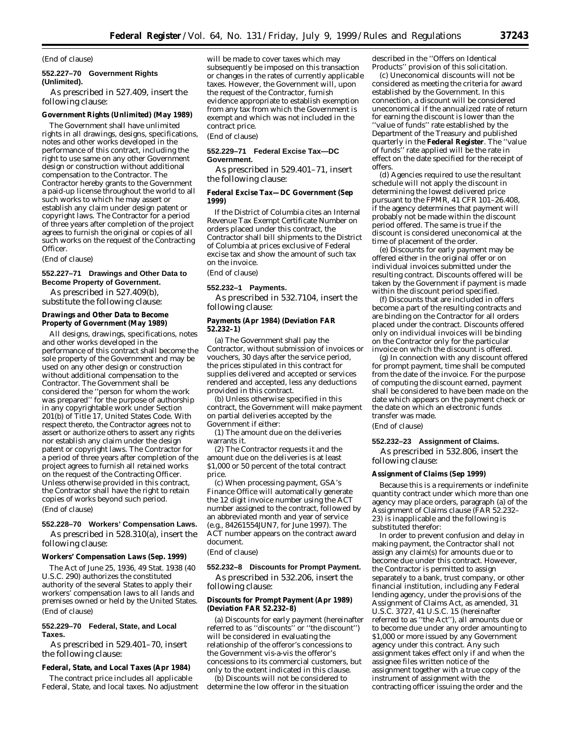#### (End of clause)

#### **552.227–70 Government Rights (Unlimited).**

As prescribed in 527.409, insert the following clause:

#### **Government Rights (Unlimited) (May 1989)**

The Government shall have unlimited rights in all drawings, designs, specifications, notes and other works developed in the performance of this contract, including the right to use same on any other Government design or construction without additional compensation to the Contractor. The Contractor hereby grants to the Government a paid-up license throughout the world to all such works to which he may assert or establish any claim under design patent or copyright laws. The Contractor for a period of three years after completion of the project agrees to furnish the original or copies of all such works on the request of the Contracting Officer.

(End of clause)

### **552.227–71 Drawings and Other Data to Become Property of Government.**

As prescribed in 527.409(b), substitute the following clause:

### **Drawings and Other Data to Become Property of Government (May 1989)**

All designs, drawings, specifications, notes and other works developed in the performance of this contract shall become the sole property of the Government and may be used on any other design or construction without additional compensation to the Contractor. The Government shall be considered the ''person for whom the work was prepared'' for the purpose of authorship in any copyrightable work under Section 201(b) of Title 17, United States Code. With respect thereto, the Contractor agrees not to assert or authorize others to assert any rights nor establish any claim under the design patent or copyright laws. The Contractor for a period of three years after completion of the project agrees to furnish all retained works on the request of the Contracting Officer. Unless otherwise provided in this contract, the Contractor shall have the right to retain copies of works beyond such period. (End of clause)

### **552.228–70 Workers' Compensation Laws.**

As prescribed in 528.310(a), insert the following clause:

#### **Workers' Compensation Laws (Sep. 1999)**

The Act of June 25, 1936, 49 Stat. 1938 (40 U.S.C. 290) authorizes the constituted authority of the several States to apply their workers' compensation laws to all lands and premises owned or held by the United States. (End of clause)

### **552.229–70 Federal, State, and Local Taxes.**

As prescribed in 529.401–70, insert the following clause:

### **Federal, State, and Local Taxes (Apr 1984)**

The contract price includes all applicable Federal, State, and local taxes. No adjustment

will be made to cover taxes which may subsequently be imposed on this transaction or changes in the rates of currently applicable taxes. However, the Government will, upon the request of the Contractor, furnish evidence appropriate to establish exemption from any tax from which the Government is exempt and which was not included in the contract price.

(End of clause)

## **552.229–71 Federal Excise Tax—DC Government.**

As prescribed in 529.401–71, insert the following clause:

### **Federal Excise Tax—DC Government (Sep 1999)**

If the District of Columbia cites an Internal Revenue Tax Exempt Certificate Number on orders placed under this contract, the Contractor shall bill shipments to the District of Columbia at prices exclusive of Federal excise tax and show the amount of such tax on the invoice.

(End of clause)

### **552.232–1 Payments.**

As prescribed in 532.7104, insert the following clause:

### **Payments (Apr 1984) (Deviation FAR 52.232–1)**

(a) The Government shall pay the Contractor, without submission of invoices or vouchers, 30 days after the service period, the prices stipulated in this contract for supplies delivered and accepted or services rendered and accepted, less any deductions provided in this contract.

(b) Unless otherwise specified in this contract, the Government will make payment on partial deliveries accepted by the Government if either:

(1) The amount due on the deliveries warrants it.

(2) The Contractor requests it and the amount due on the deliveries is at least \$1,000 or 50 percent of the total contract price.

(c) When processing payment, GSA's Finance Office will automatically generate the 12 digit invoice number using the ACT number assigned to the contract, followed by an abbreviated month and year of service (e.g., 84261554JUN7, for June 1997). The ACT number appears on the contract award document.

# (End of clause)

### **552.232–8 Discounts for Prompt Payment.**

As prescribed in 532.206, insert the following clause:

#### **Discounts for Prompt Payment (Apr 1989) (Deviation FAR 52.232–8)**

(a) Discounts for early payment (hereinafter referred to as ''discounts'' or ''the discount'') will be considered in evaluating the relationship of the offeror's concessions to the Government vis-a-vis the offeror's concessions to its commercial customers, but only to the extent indicated in this clause.

(b) Discounts will not be considered to determine the low offeror in the situation

described in the ''Offers on Identical Products'' provision of this solicitation.

(c) Uneconomical discounts will not be considered as meeting the criteria for award established by the Government. In this connection, a discount will be considered uneconomical if the annualized rate of return for earning the discount is lower than the ''value of funds'' rate established by the Department of the Treasury and published quarterly in the **Federal Register**. The ''value of funds'' rate applied will be the rate in effect on the date specified for the receipt of offers.

(d) Agencies required to use the resultant schedule will not apply the discount in determining the lowest delivered price pursuant to the FPMR, 41 CFR 101-26.408, if the agency determines that payment will probably not be made within the discount period offered. The same is true if the discount is considered uneconomical at the time of placement of the order.

(e) Discounts for early payment may be offered either in the original offer or on individual invoices submitted under the resulting contract. Discounts offered will be taken by the Government if payment is made within the discount period specified.

(f) Discounts that are included in offers become a part of the resulting contracts and are binding on the Contractor for all orders placed under the contract. Discounts offered only on individual invoices will be binding on the Contractor only for the particular invoice on which the discount is offered.

(g) In connection with any discount offered for prompt payment, time shall be computed from the date of the invoice. For the purpose of computing the discount earned, payment shall be considered to have been made on the date which appears on the payment check or the date on which an electronic funds transfer was made.

(End of clause)

### **552.232–23 Assignment of Claims.**

As prescribed in 532.806, insert the following clause:

#### **Assignment of Claims (Sep 1999)**

Because this is a requirements or indefinite quantity contract under which more than one agency may place orders, paragraph (a) of the Assignment of Claims clause (FAR 52.232– 23) is inapplicable and the following is substituted therefor:

In order to prevent confusion and delay in making payment, the Contractor shall not assign any claim(s) for amounts due or to become due under this contract. However, the Contractor is permitted to assign separately to a bank, trust company, or other financial institution, including any Federal lending agency, under the provisions of the Assignment of Claims Act, as amended, 31 U.S.C. 3727, 41 U.S.C. 15 (hereinafter referred to as ''the Act''), all amounts due or to become due under any order amounting to \$1,000 or more issued by any Government agency under this contract. Any such assignment takes effect only if and when the assignee files written notice of the assignment together with a true copy of the instrument of assignment with the contracting officer issuing the order and the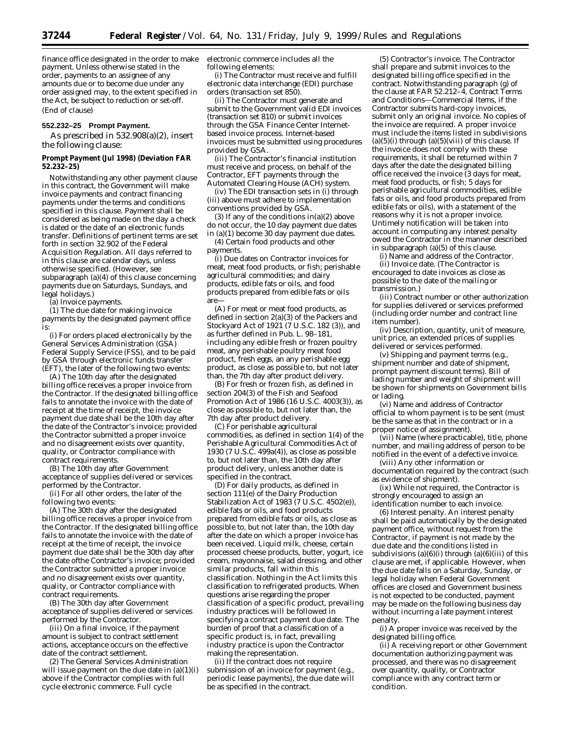finance office designated in the order to make payment. Unless otherwise stated in the order, payments to an assignee of any amounts due or to become due under any order assigned may, to the extent specified in the Act, be subject to reduction or set-off. (End of clause)

#### **552.232–25 Prompt Payment.**

As prescribed in 532.908(a)(2), insert the following clause:

### **Prompt Payment (Jul 1998) (Deviation FAR 52.232–25)**

Notwithstanding any other payment clause in this contract, the Government will make invoice payments and contract financing payments under the terms and conditions specified in this clause. Payment shall be considered as being made on the day a check is dated or the date of an electronic funds transfer. Definitions of pertinent terms are set forth in section 32.902 of the Federal Acquisition Regulation. All days referred to in this clause are calendar days, unless otherwise specified. (However, see subparagraph (a)(4) of this clause concerning payments due on Saturdays, Sundays, and legal holidays.)

(a) Invoice payments.

(1) The due date for making invoice payments by the designated payment office is:

(i) For orders placed electronically by the General Services Administration (GSA) Federal Supply Service (FSS), and to be paid by GSA through electronic funds transfer (EFT), the later of the following two events:

(A) The 10th day after the designated billing office receives a proper invoice from the Contractor. If the designated billing office fails to annotate the invoice with the date of receipt at the time of receipt, the invoice payment due date shall be the 10th day after the date of the Contractor's invoice; provided the Contractor submitted a proper invoice and no disagreement exists over quantity, quality, or Contractor compliance with contract requirements.

(B) The 10th day after Government acceptance of supplies delivered or services performed by the Contractor.

(ii) For all other orders, the later of the following two events:

(A) The 30th day after the designated billing office receives a proper invoice from the Contractor. If the designated billing office fails to annotate the invoice with the date of receipt at the time of receipt, the invoice payment due date shall be the 30th day after the date ofthe Contractor's invoice; provided the Contractor submitted a proper invoice and no disagreement exists over quantity, quality, or Contractor compliance with contract requirements.

(B) The 30th day after Government acceptance of supplies delivered or services performed by the Contractor.

(iii) On a final invoice, if the payment amount is subject to contract settlement actions, acceptance occurs on the effective date of the contract settlement.

(2) The General Services Administration will issue payment on the due date in (a)(1)(i) above if the Contractor complies with full cycle electronic commerce. Full cycle

electronic commerce includes all the following elements:

(i) The Contractor must receive and fulfill electronic data interchange (EDI) purchase orders (transaction set 850).

(ii) The Contractor must generate and submit to the Government valid EDI invoices (transaction set 810) or submit invoices through the GSA Finance Center Internetbased invoice process. Internet-based invoices must be submitted using procedures provided by GSA.

(iii) The Contractor's financial institution must receive and process, on behalf of the Contractor, EFT payments through the Automated Clearing House (ACH) system.

(iv) The EDI transaction sets in (i) through (iii) above must adhere to implementation conventions provided by GSA.

(3) If any of the conditions  $in(a)(2)$  above do not occur, the 10 day payment due dates in (a)(1) become 30 day payment due dates.

(4) Certain food products and other payments.

(i) Due dates on Contractor invoices for meat, meat food products, or fish; perishable agricultural commodities; and dairy products, edible fats or oils, and food products prepared from edible fats or oils  $are$ 

(A) For meat or meat food products, as defined in section 2(a)(3) of the Packers and Stockyard Act of 1921 (7 U.S.C. 182 (3)), and as further defined in Pub. L. 98–181, including any edible fresh or frozen poultry meat, any perishable poultry meat food product, fresh eggs, an any perishable egg product, as close as possible to, but not later than, the 7th day after product delivery.

(B) For fresh or frozen fish, as defined in section 204(3) of the Fish and Seafood Promotion Act of 1986 (16 U.S.C. 4003(3)), as close as possible to, but not later than, the 7th day after product delivery.

(C) For perishable agricultural commodities, as defined in section 1(4) of the Perishable Agricultural Commodities Act of 1930 (7 U.S.C. 499a(4)), as close as possible to, but not later than, the 10th day after product delivery, unless another date is specified in the contract.

(D) For daily products, as defined in section 111(e) of the Dairy Production Stabilization Act of 1983 (7 U.S.C. 4502(e)), edible fats or oils, and food products prepared from edible fats or oils, as close as possible to, but not later than, the 10th day after the date on which a proper invoice has been received. Liquid milk, cheese, certain processed cheese products, butter, yogurt, ice cream, mayonnaise, salad dressing, and other similar products, fall within this classification. Nothing in the Act limits this classification to refrigerated products. When questions arise regarding the proper classification of a specific product, prevailing industry practices will be followed in specifying a contract payment due date. The burden of proof that a classification of a specific product is, in fact, prevailing industry practice is upon the Contractor making the representation.

(ii) If the contract does not require submission of an invoice for payment (e.g., periodic lease payments), the due date will be as specified in the contract.

(5) Contractor's invoice. The Contractor shall prepare and submit invoices to the designated billing office specified in the contract. Notwithstanding paragraph (g) of the clause at FAR 52.212–4, Contract Terms and Conditions—Commercial Items, if the Contractor submits hard-copy invoices, submit only an original invoice. No copies of the invoice are required. A proper invoice must include the items listed in subdivisions  $(a)(5)(i)$  through  $(a)(5)(viii)$  of this clause. If the invoice does not comply with these requirements, it shall be returned within 7 days after the date the designated billing office received the invoice (3 days for meat, meat food products, or fish; 5 days for perishable agricultural commodities, edible fats or oils, and food products prepared from edible fats or oils), with a statement of the reasons why it is not a proper invoice. Untimely notification will be taken into account in computing any interest penalty owed the Contractor in the manner described in subparagraph (a)(5) of this clause.

(i) Name and address of the Contractor. (ii) Invoice date. (The Contractor is

encouraged to date invoices as close as possible to the date of the mailing or transmission.)

(iii) Contract number or other authorization for supplies delivered or services preformed (including order number and contract line item number).

(iv) Description, quantity, unit of measure, unit price, an extended prices of supplies delivered or services performed.

(v) Shipping and payment terms (e.g., shipment number and date of shipment, prompt payment discount terms). Bill of lading number and weight of shipment will be shown for shipments on Government bills or lading.

(vi) Name and address of Contractor official to whom payment is to be sent (must be the same as that in the contract or in a proper notice of assignment).

(vii) Name (where practicable), title, phone number, and mailing address of person to be notified in the event of a defective invoice.

(viii) Any other information or documentation required by the contract (such as evidence of shipment).

(ix) While not required, the Contractor is strongly encouraged to assign an identification number to each invoice.

(6) Interest penalty. An interest penalty shall be paid automatically by the designated payment office, without request from the Contractor, if payment is not made by the due date and the conditions listed in subdivisions  $(a)(6)(i)$  through  $(a)(6)(iii)$  of this clause are met, if applicable. However, when the due date falls on a Saturday, Sunday, or legal holiday when Federal Government offices are closed and Government business is not expected to be conducted, payment may be made on the following business day without incurring a late payment interest penalty.

(i) A proper invoice was received by the designated billing office.

(ii) A receiving report or other Government documentation authorizing payment was processed, and there was no disagreement over quantity, quality, or Contractor compliance with any contract term or condition.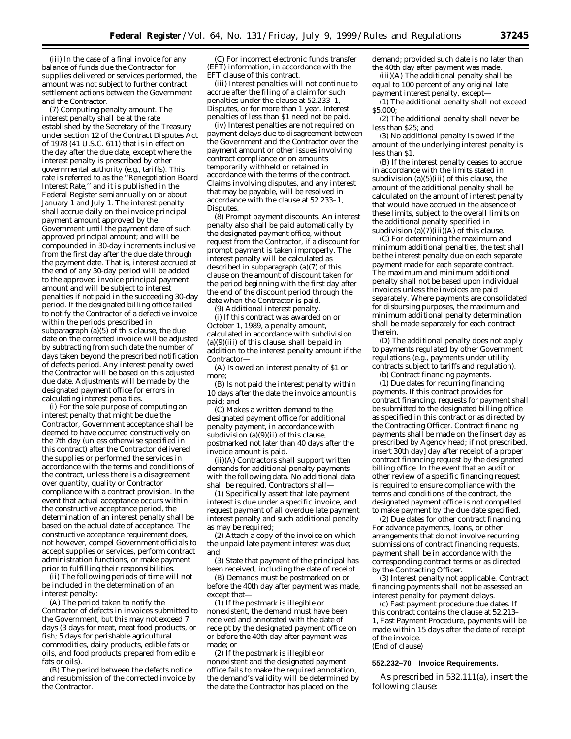(iii) In the case of a final invoice for any balance of funds due the Contractor for supplies delivered or services performed, the amount was not subject to further contract settlement actions between the Government and the Contractor.

(7) Computing penalty amount. The interest penalty shall be at the rate established by the Secretary of the Treasury under section 12 of the Contract Disputes Act of 1978 (41 U.S.C. 611) that is in effect on the day after the due date, except where the interest penalty is prescribed by other governmental authority (e.g., tariffs). This rate is referred to as the ''Renegotiation Board Interest Rate,'' and it is published in the Federal Register semiannually on or about January 1 and July 1. The interest penalty shall accrue daily on the invoice principal payment amount approved by the Government until the payment date of such approved principal amount; and will be compounded in 30-day increments inclusive from the first day after the due date through the payment date. That is, interest accrued at the end of any 30-day period will be added to the approved invoice principal payment amount and will be subject to interest penalties if not paid in the succeeding 30-day period. If the designated billing office failed to notify the Contractor of a defective invoice within the periods prescribed in subparagraph (a)(5) of this clause, the due date on the corrected invoice will be adjusted by subtracting from such date the number of days taken beyond the prescribed notification of defects period. Any interest penalty owed the Contractor will be based on this adjusted due date. Adjustments will be made by the designated payment office for errors in calculating interest penalties.

(i) For the sole purpose of computing an interest penalty that might be due the Contractor, Government acceptance shall be deemed to have occurred constructively on the 7th day (unless otherwise specified in this contract) after the Contractor delivered the supplies or performed the services in accordance with the terms and conditions of the contract, unless there is a disagreement over quantity, quality or Contractor compliance with a contract provision. In the event that actual acceptance occurs within the constructive acceptance period, the determination of an interest penalty shall be based on the actual date of acceptance. The constructive acceptance requirement does, not however, compel Government officials to accept supplies or services, perform contract administration functions, or make payment prior to fulfilling their responsibilities.

(ii) The following periods of time will not be included in the determination of an interest penalty:

(A) The period taken to notify the Contractor of defects in invoices submitted to the Government, but this may not exceed 7 days (3 days for meat, meat food products, or fish; 5 days for perishable agricultural commodities, dairy products, edible fats or oils, and food products prepared from edible fats or oils).

(B) The period between the defects notice and resubmission of the corrected invoice by the Contractor.

(C) For incorrect electronic funds transfer (EFT) information, in accordance with the EFT clause of this contract.

(iii) Interest penalties will not continue to accrue after the filing of a claim for such penalties under the clause at 52.233–1, Disputes, or for more than 1 year. Interest penalties of less than \$1 need not be paid.

(iv) Interest penalties are not required on payment delays due to disagreement between the Government and the Contractor over the payment amount or other issues involving contract compliance or on amounts temporarily withheld or retained in accordance with the terms of the contract. Claims involving disputes, and any interest that may be payable, will be resolved in accordance with the clause at 52.233–1, Disputes.

(8) Prompt payment discounts. An interest penalty also shall be paid automatically by the designated payment office, without request from the Contractor, if a discount for prompt payment is taken improperly. The interest penalty will be calculated as described in subparagraph (a)(7) of this clause on the amount of discount taken for the period beginning with the first day after the end of the discount period through the date when the Contractor is paid.

(9) Additional interest penalty.

(i) If this contract was awarded on or October 1, 1989, a penalty amount, calculated in accordance with subdivision (a)(9)(iii) of this clause, shall be paid in addition to the interest penalty amount if the Contractor—

(A) Is owed an interest penalty of \$1 or more;

(B) Is not paid the interest penalty within 10 days after the date the invoice amount is paid; and

(C) Makes a written demand to the designated payment office for additional penalty payment, in accordance with subdivision (a)(9)(ii) of this clause, postmarked not later than 40 days after the invoice amount is paid.

(ii)(A) Contractors shall support written demands for additional penalty payments with the following data. No additional data shall be required. Contractors shall—

(1) Specifically assert that late payment interest is due under a specific invoice, and request payment of all overdue late payment interest penalty and such additional penalty as may be required;

(2) Attach a copy of the invoice on which the unpaid late payment interest was due; and

(3) State that payment of the principal has been received, including the date of receipt.

(B) Demands must be postmarked on or before the 40th day after payment was made, except that—

(1) If the postmark is illegible or nonexistent, the demand must have been received and annotated with the date of receipt by the designated payment office on or before the 40th day after payment was made; or

(2) If the postmark is illegible or nonexistent and the designated payment office fails to make the required annotation, the demand's validity will be determined by the date the Contractor has placed on the

demand; provided such date is no later than the 40th day after payment was made.

(iii)(A) The additional penalty shall be equal to 100 percent of any original late payment interest penalty, except—

(1) The additional penalty shall not exceed \$5,000;

(2) The additional penalty shall never be less than \$25; and

(3) No additional penalty is owed if the amount of the underlying interest penalty is less than \$1.

(B) If the interest penalty ceases to accrue in accordance with the limits stated in subdivision (a)(5)(iii) of this clause, the amount of the additional penalty shall be calculated on the amount of interest penalty that would have accrued in the absence of these limits, subject to the overall limits on the additional penalty specified in subdivision  $(a)(7)(iii)(A)$  of this clause.

(C) For determining the maximum and minimum additional penalties, the test shall be the interest penalty due on each separate payment made for each separate contract. The maximum and minimum additional penalty shall not be based upon individual invoices unless the invoices are paid separately. Where payments are consolidated for disbursing purposes, the maximum and minimum additional penalty determination shall be made separately for each contract therein.

(D) The additional penalty does not apply to payments regulated by other Government regulations (e.g., payments under utility contracts subject to tariffs and regulation).

(b) Contract financing payments.

(1) Due dates for recurring financing payments. If this contract provides for contract financing, requests for payment shall be submitted to the designated billing office as specified in this contract or as directed by the Contracting Officer. Contract financing payments shall be made on the [insert day as prescribed by Agency head; if not prescribed, insert 30th day] day after receipt of a proper contract financing request by the designated billing office. In the event that an audit or other review of a specific financing request is required to ensure compliance with the terms and conditions of the contract, the designated payment office is not compelled to make payment by the due date specified.

(2) Due dates for other contract financing. For advance payments, loans, or other arrangements that do not involve recurring submissions of contract financing requests, payment shall be in accordance with the corresponding contract terms or as directed by the Contracting Officer.

(3) Interest penalty not applicable. Contract financing payments shall not be assessed an interest penalty for payment delays.

(c) Fast payment procedure due dates. If this contract contains the clause at 52.213– 1, Fast Payment Procedure, payments will be made within 15 days after the date of receipt of the invoice. (End of clause)

#### **552.232–70 Invoice Requirements.**

As prescribed in 532.111(a), insert the following clause: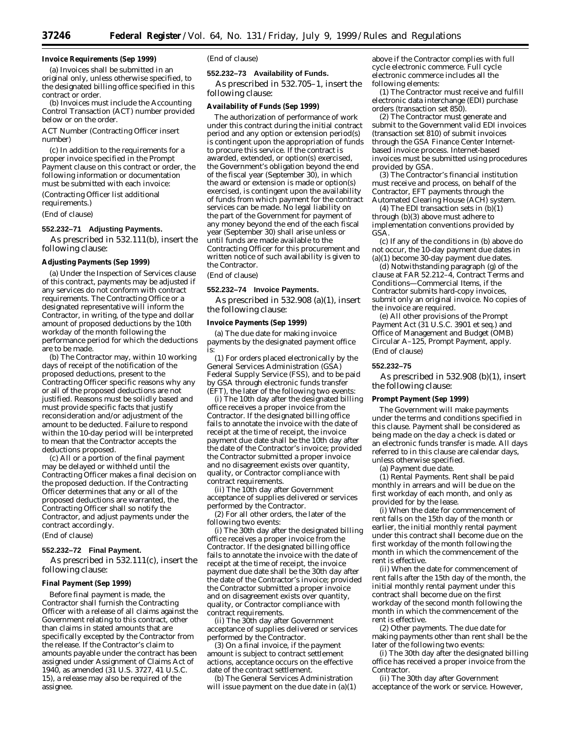### **Invoice Requirements (Sep 1999)**

(a) Invoices shall be submitted in an original only, unless otherwise specified, to the designated billing office specified in this contract or order.

(b) Invoices must include the Accounting Control Transaction (ACT) number provided below or on the order.

ACT Number (Contracting Officer insert number)

(c) In addition to the requirements for a proper invoice specified in the Prompt Payment clause on this contract or order, the following information or documentation must be submitted with each invoice:

(Contracting Officer list additional

requirements.)

(End of clause)

#### **552.232–71 Adjusting Payments.**

As prescribed in 532.111(b), insert the following clause:

### **Adjusting Payments (Sep 1999)**

(a) Under the Inspection of Services clause of this contract, payments may be adjusted if any services do not conform with contract requirements. The Contracting Office or a designated representative will inform the Contractor, in writing, of the type and dollar amount of proposed deductions by the 10th workday of the month following the performance period for which the deductions are to be made.

(b) The Contractor may, within 10 working days of receipt of the notification of the proposed deductions, present to the Contracting Officer specific reasons why any or all of the proposed deductions are not justified. Reasons must be solidly based and must provide specific facts that justify reconsideration and/or adjustment of the amount to be deducted. Failure to respond within the 10-day period will be interpreted to mean that the Contractor accepts the deductions proposed.

(c) All or a portion of the final payment may be delayed or withheld until the Contracting Officer makes a final decision on the proposed deduction. If the Contracting Officer determines that any or all of the proposed deductions are warranted, the Contracting Officer shall so notify the Contractor, and adjust payments under the contract accordingly. (End of clause)

### **552.232–72 Final Payment.**

As prescribed in 532.111(c), insert the following clause:

### **Final Payment (Sep 1999)**

Before final payment is made, the Contractor shall furnish the Contracting Officer with a release of all claims against the Government relating to this contract, other than claims in stated amounts that are specifically excepted by the Contractor from the release. If the Contractor's claim to amounts payable under the contract has been assigned under Assignment of Claims Act of 1940, as amended (31 U.S. 3727, 41 U.S.C. 15), a release may also be required of the assignee.

### (End of clause)

#### **552.232–73 Availability of Funds.**

As prescribed in 532.705–1, insert the following clause:

### **Availability of Funds (Sep 1999)**

The authorization of performance of work under this contract during the initial contract period and any option or extension period(s) is contingent upon the appropriation of funds to procure this service. If the contract is awarded, extended, or option(s) exercised, the Government's obligation beyond the end of the fiscal year (September 30), in which the award or extension is made or option(s) exercised, is contingent upon the availability of funds from which payment for the contract services can be made. No legal liability on the part of the Government for payment of any money beyond the end of the each fiscal year (September 30) shall arise unless or until funds are made available to the Contracting Officer for this procurement and written notice of such availability is given to the Contractor.

#### (End of clause)

#### **552.232–74 Invoice Payments.**

As prescribed in 532.908 (a)(1), insert the following clause:

### **Invoice Payments (Sep 1999)**

(a) The due date for making invoice payments by the designated payment office is:

(1) For orders placed electronically by the General Services Administration (GSA) Federal Supply Service (FSS), and to be paid by GSA through electronic funds transfer (EFT), the later of the following two events:

(i) The 10th day after the designated billing office receives a proper invoice from the Contractor. If the designated billing office fails to annotate the invoice with the date of receipt at the time of receipt, the invoice payment due date shall be the 10th day after the date of the Contractor's invoice; provided the Contractor submitted a proper invoice and no disagreement exists over quantity, quality, or Contractor compliance with contract requirements.

(ii) The 10th day after Government acceptance of supplies delivered or services performed by the Contractor.

(2) For all other orders, the later of the following two events:

(i) The 30th day after the designated billing office receives a proper invoice from the Contractor. If the designated billing office fails to annotate the invoice with the date of receipt at the time of receipt, the invoice payment due date shall be the 30th day after the date of the Contractor's invoice; provided the Contractor submitted a proper invoice and on disagreement exists over quantity, quality, or Contractor compliance with contract requirements.

(ii) The 30th day after Government acceptance of supplies delivered or services performed by the Contractor.

(3) On a final invoice, if the payment amount is subject to contract settlement actions, acceptance occurs on the effective date of the contract settlement.

(b) The General Services Administration will issue payment on the due date in (a)(1)

above if the Contractor complies with full cycle electronic commerce. Full cycle electronic commerce includes all the following elements:

(1) The Contractor must receive and fulfill electronic data interchange (EDI) purchase orders (transaction set 850).

(2) The Contractor must generate and submit to the Government valid EDI invoices (transaction set 810) of submit invoices through the GSA Finance Center Internetbased invoice process. Internet-based invoices must be submitted using procedures provided by GSA.

(3) The Contractor's financial institution must receive and process, on behalf of the Contractor, EFT payments through the Automated Clearing House (ACH) system.

(4) The EDI transaction sets in  $(b)(1)$ through (b)(3) above must adhere to implementation conventions provided by GSA.

(c) If any of the conditions in (b) above do not occur, the 10-day payment due dates in (a)(1) become 30-day payment due dates.

(d) Notwithstanding paragraph (g) of the clause at FAR 52.212–4, Contract Terms and Conditions—Commercial Items, if the Contractor submits hard-copy invoices, submit only an original invoice. No copies of the invoice are required.

(e) All other provisions of the Prompt Payment Act (31 U.S.C. 3901 et seq.) and Office of Management and Budget (OMB) Circular A–125, Prompt Payment, apply. (End of clause)

#### **552.232–75**

As prescribed in 532.908 (b)(1), insert the following clause:

#### **Prompt Payment (Sep 1999)**

The Government will make payments under the terms and conditions specified in this clause. Payment shall be considered as being made on the day a check is dated or an electronic funds transfer is made. All days referred to in this clause are calendar days, unless otherwise specified.

(a) *Payment due date.*

(1) *Rental Payments.* Rent shall be paid monthly in arrears and will be due on the first workday of each month, and only as provided for by the lease.

(i) When the date for commencement of rent falls on the 15th day of the month or earlier, the initial monthly rental payment under this contract shall become due on the first workday of the month following the month in which the commencement of the rent is effective.

(ii) When the date for commencement of rent falls after the 15th day of the month, the initial monthly rental payment under this contract shall become due on the first workday of the second month following the month in which the commencement of the rent is effective.

(2) *Other payments.* The due date for making payments other than rent shall be the later of the following two events:

(i) The 30th day after the designated billing office has received a proper invoice from the Contractor.

(ii) The 30th day after Government acceptance of the work or service. However,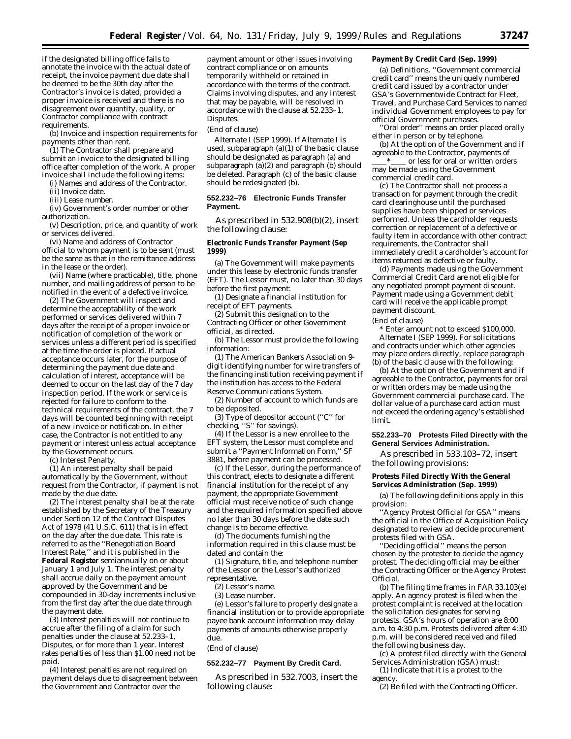if the designated billing office fails to annotate the invoice with the actual date of receipt, the invoice payment due date shall be deemed to be the 30th day after the Contractor's invoice is dated, provided a proper invoice is received and there is no disagreement over quantity, quality, or Contractor compliance with contract requirements.

(b) *Invoice and inspection requirements for payments other than rent.*

(1) The Contractor shall prepare and submit an invoice to the designated billing office after completion of the work. A proper invoice shall include the following items:

(i) Names and address of the Contractor. (ii) Invoice date.

(iii) Lease number.

(iv) Government's order number or other authorization.

(v) Description, price, and quantity of work or services delivered.

(vi) Name and address of Contractor official to whom payment is to be sent (must be the same as that in the remittance address in the lease or the order).

(vii) Name (where practicable), title, phone number, and mailing address of person to be notified in the event of a defective invoice.

(2) The Government will inspect and determine the acceptability of the work performed or services delivered within 7 days after the receipt of a proper invoice or notification of completion of the work or services unless a different period is specified at the time the order is placed. If actual acceptance occurs later, for the purpose of determining the payment due date and calculation of interest, acceptance will be deemed to occur on the last day of the 7 day inspection period. If the work or service is rejected for failure to conform to the technical requirements of the contract, the 7 days will be counted beginning with receipt of a new invoice or notification. In either case, the Contractor is not entitled to any payment or interest unless actual acceptance by the Government occurs.

(c) *Interest Penalty.*

(1) An interest penalty shall be paid automatically by the Government, without request from the Contractor, if payment is not made by the due date.

(2) The interest penalty shall be at the rate established by the Secretary of the Treasury under Section 12 of the Contract Disputes Act of 1978 (41 U.S.C. 611) that is in effect on the day after the due date. This rate is referred to as the ''Renegotiation Board Interest Rate,'' and it is published in the **Federal Register** semiannually on or about January 1 and July 1. The interest penalty shall accrue daily on the payment amount approved by the Government and be compounded in 30-day increments inclusive from the first day after the due date through the payment date.

(3) Interest penalties will not continue to accrue after the filing of a claim for such penalties under the clause at 52.233–1, Disputes, or for more than 1 year. Interest rates penalties of less than \$1.00 need not be paid.

(4) Interest penalties are not required on payment delays due to disagreement between the Government and Contractor over the

payment amount or other issues involving contract compliance or on amounts temporarily withheld or retained in accordance with the terms of the contract. Claims involving disputes, and any interest that may be payable, will be resolved in accordance with the clause at 52.233–1, Disputes.

(End of clause)

*Alternate I (SEP 1999).* If Alternate I is used, subparagraph (a)(1) of the basic clause should be designated as paragraph (a) and subparagraph (a)(2) and paragraph (b) should be deleted. Paragraph (c) of the basic clause should be redesignated (b).

### **552.232–76 Electronic Funds Transfer Payment.**

As prescribed in 532.908(b)(2), insert the following clause:

#### **Electronic Funds Transfer Payment (Sep 1999)**

(a) The Government will make payments under this lease by electronic funds transfer (EFT). The Lessor must, no later than 30 days before the first payment:

(1) Designate a financial institution for receipt of EFT payments.

(2) Submit this designation to the Contracting Officer or other Government official, as directed.

(b) The Lessor must provide the following information:

(1) The American Bankers Association 9 digit identifying number for wire transfers of the financing institution receiving payment if the institution has access to the Federal Reserve Communications System.

(2) Number of account to which funds are to be deposited.

(3) Type of depositor account (''C'' for checking, ''S'' for savings).

(4) If the Lessor is a new enrollee to the EFT system, the Lessor must complete and submit a "Payment Information Form," SF 3881, before payment can be processed.

(c) If the Lessor, during the performance of this contract, elects to designate a different financial institution for the receipt of any payment, the appropriate Government official must receive notice of such change and the required information specified above no later than 30 days before the date such change is to become effective.

(d) The documents furnishing the information required in this clause must be dated and contain the:

(1) Signature, title, and telephone number of the Lessor or the Lessor's authorized representative.

(2) Lessor's name.

(3) Lease number.

(e) Lessor's failure to properly designate a financial institution or to provide appropriate payee bank account information may delay payments of amounts otherwise properly due.

(End of clause)

### **552.232–77 Payment By Credit Card.**

As prescribed in 532.7003, insert the following clause:

### **Payment By Credit Card (Sep. 1999)**

(a) Definitions. ''Government commercial credit card'' means the uniquely numbered credit card issued by a contractor under GSA's Governmentwide Contract for Fleet, Travel, and Purchase Card Services to named individual Government employees to pay for official Government purchases.

''Oral order'' means an order placed orally either in person or by telephone.

(b) At the option of the Government and if agreeable to the Contractor, payments of  $\lambda^*$  or less for oral or written orders may be made using the Government commercial credit card.

(c) The Contractor shall not process a transaction for payment through the credit card clearinghouse until the purchased supplies have been shipped or services performed. Unless the cardholder requests correction or replacement of a defective or faulty item in accordance with other contract requirements, the Contractor shall immediately credit a cardholder's account for items returned as defective or faulty.

(d) Payments made using the Government Commercial Credit Card are not eligible for any negotiated prompt payment discount. Payment made using a Government debit card will receive the applicable prompt payment discount.

(End of clause)

\* *Enter amount not to exceed \$100,000. Alternate I (SEP 1999).* For solicitations and contracts under which other agencies may place orders directly, replace paragraph (b) of the basic clause with the following:

(b) At the option of the Government and if agreeable to the Contractor, payments for oral or written orders may be made using the Government commercial purchase card. The dollar value of a purchase card action must not exceed the ordering agency's established limit.

### **552.233–70 Protests Filed Directly with the General Services Administration.**

As prescribed in 533.103–72, insert the following provisions:

### **Protests Filed Directly With the General Services Administration (Sep. 1999)**

(a) The following definitions apply in this provision:

''Agency Protest Official for GSA'' means the official in the Office of Acquisition Policy designated to review ad decide procurement protests filed with GSA.

'Deciding official'' means the person chosen by the protester to decide the agency protest. The deciding official may be either the Contracting Officer or the Agency Protest Official.

(b) The filing time frames in FAR 33.103(e) apply. An agency protest is filed when the protest complaint is received at the location the solicitation designates for serving protests. GSA's hours of operation are 8:00 a.m. to 4:30 p.m. Protests delivered after 4:30 p.m. will be considered received and filed the following business day.

(c) A protest filed directly with the General Services Administration (GSA) must:

(1) Indicate that it is a protest to the agency.

 $(2)$  Be filed with the Contracting Officer.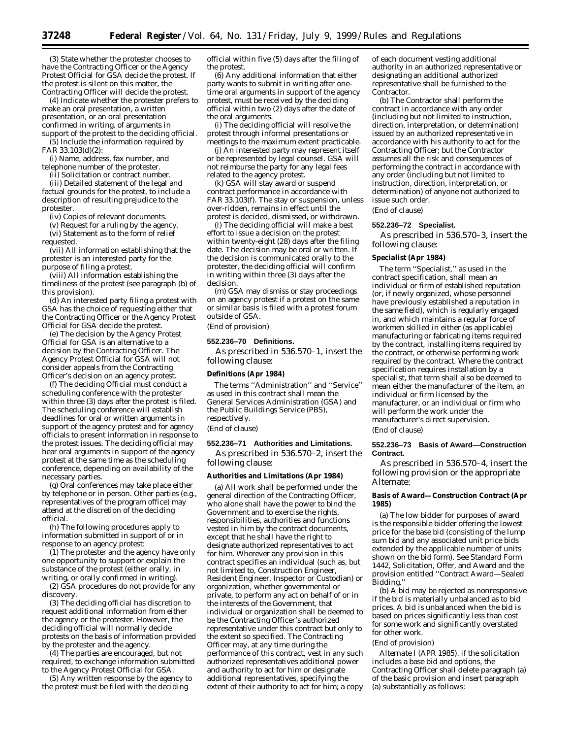(3) State whether the protester chooses to have the Contracting Officer or the Agency Protest Official for GSA decide the protest. If the protest is silent on this matter, the Contracting Officer will decide the protest.

(4) Indicate whether the protester prefers to make an oral presentation, a written presentation, or an oral presentation confirmed in writing, of arguments in support of the protest to the deciding official. (5) Include the information required by

FAR 33.103(d)(2):

(i) Name, address, fax number, and telephone number of the protester.

(ii) Solicitation or contract number.

(iii) Detailed statement of the legal and factual grounds for the protest, to include a description of resulting prejudice to the protester.

(iv) Copies of relevant documents.

(v) Request for a ruling by the agency. (vi) Statement as to the form of relief requested.

(vii) All information establishing that the protester is an interested party for the purpose of filing a protest.

(viii) All information establishing the timeliness of the protest (see paragraph (b) of this provision).

(d) An interested party filing a protest with GSA has the choice of requesting either that the Contracting Officer or the Agency Protest Official for GSA decide the protest.

(e) The decision by the Agency Protest Official for GSA is an alternative to a decision by the Contracting Officer. The Agency Protest Official for GSA will not consider appeals from the Contracting Officer's decision on an agency protest.

(f) The deciding Official must conduct a scheduling conference with the protester within three (3) days after the protest is filed. The scheduling conference will establish deadlines for oral or written arguments in support of the agency protest and for agency officials to present information in response to the protest issues. The deciding official may hear oral arguments in support of the agency protest at the same time as the scheduling conference, depending on availability of the necessary parties.

(g) Oral conferences may take place either by telephone or in person. Other parties (e.g., representatives of the program office) may attend at the discretion of the deciding official.

(h) The following procedures apply to information submitted in support of or in response to an agency protest:

(1) The protester and the agency have only one opportunity to support or explain the substance of the protest (either orally, in writing, or orally confirmed in writing).

(2) GSA procedures do not provide for any discovery.

(3) The deciding official has discretion to request additional information from either the agency or the protester. However, the deciding official will normally decide protests on the basis of information provided by the protester and the agency.

(4) The parties are encouraged, but not required, to exchange information submitted to the Agency Protest Official for GSA.

(5) Any written response by the agency to the protest must be filed with the deciding

official within five (5) days after the filing of the protest.

(6) Any additional information that either party wants to submit in writing after onetime oral arguments in support of the agency protest, must be received by the deciding official within two (2) days after the date of the oral arguments.

(i) The deciding official will resolve the protest through informal presentations or meetings to the maximum extent practicable.

(j) An interested party may represent itself or be represented by legal counsel. GSA will not reimburse the party for any legal fees related to the agency protest.

(k) GSA will stay award or suspend contract performance in accordance with FAR 33.103(f). The stay or suspension, unless over-ridden, remains in effect until the protest is decided, dismissed, or withdrawn.

(l) The deciding official will make a best effort to issue a decision on the protest within twenty-eight (28) days after the filing date. The decision may be oral or written. If the decision is communicated orally to the protester, the deciding official will confirm in writing within three (3) days after the decision.

(m) GSA may dismiss or stay proceedings on an agency protest if a protest on the same or similar basis is filed with a protest forum outside of GSA.

(End of provision)

### **552.236–70 Definitions.**

As prescribed in 536.570–1, insert the following clause:

### **Definitions (Apr 1984)**

The terms ''Administration'' and ''Service'' as used in this contract shall mean the General Services Administration (GSA) and the Public Buildings Service (PBS), respectively.

### (End of clause)

#### **552.236–71 Authorities and Limitations.**

As prescribed in 536.570–2, insert the following clause:

# **Authorities and Limitations (Apr 1984)**

(a) All work shall be performed under the general direction of the Contracting Officer, who alone shall have the power to bind the Government and to exercise the rights, responsibilities, authorities and functions vested in him by the contract documents, except that he shall have the right to designate authorized representatives to act for him. Wherever any provision in this contract specifies an individual (such as, but not limited to, Construction Engineer, Resident Engineer, Inspector or Custodian) or organization, whether governmental or private, to perform any act on behalf of or in the interests of the Government, that individual or organization shall be deemed to be the Contracting Officer's authorized representative under this contract but only to the extent so specified. The Contracting Officer may, at any time during the performance of this contract, vest in any such authorized representatives additional power and authority to act for him or designate additional representatives, specifying the extent of their authority to act for him; a copy

of each document vesting additional authority in an authorized representative or designating an additional authorized representative shall be furnished to the Contractor.

(b) The Contractor shall perform the contract in accordance with any order (including but not limited to instruction, direction, interpretation, or determination) issued by an authorized representative in accordance with his authority to act for the Contracting Officer; but the Contractor assumes all the risk and consequences of performing the contract in accordance with any order (including but not limited to instruction, direction, interpretation, or determination) of anyone not authorized to issue such order. (End of clause)

#### **552.236–72 Specialist.**

As prescribed in 536.570–3, insert the following clause:

#### **Specialist (Apr 1984)**

The term ''Specialist,'' as used in the contract specification, shall mean an individual or firm of established reputation (or, if newly organized, whose personnel have previously established a reputation in the same field), which is regularly engaged in, and which maintains a regular force of workmen skilled in either (as applicable) manufacturing or fabricating items required by the contract, installing items required by the contract, or otherwise performing work required by the contract. Where the contract specification requires installation by a specialist, that term shall also be deemed to mean either the manufacturer of the item, an individual or firm licensed by the manufacturer, or an individual or firm who will perform the work under the manufacturer's direct supervision. (End of clause)

### **552.236–73 Basis of Award—Construction Contract.**

As prescribed in 536.570–4, insert the following provision or the appropriate Alternate:

#### **Basis of Award—Construction Contract (Apr 1985)**

(a) The low bidder for purposes of award is the responsible bidder offering the lowest price for the base bid (consisting of the lump sum bid and any associated unit price bids extended by the applicable number of units shown on the bid form). See Standard Form 1442, Solicitation, Offer, and Award and the provision entitled ''Contract Award—Sealed Bidding.

(b) A bid may be rejected as nonresponsive if the bid is materially unbalanced as to bid prices. A bid is unbalanced when the bid is based on prices significantly less than cost for some work and significantly overstated for other work.

#### (End of provision)

*Alternate I (APR 1985).* if the solicitation includes a base bid and options, the Contracting Officer shall delete paragraph (a) of the basic provision and insert paragraph (a) substantially as follows: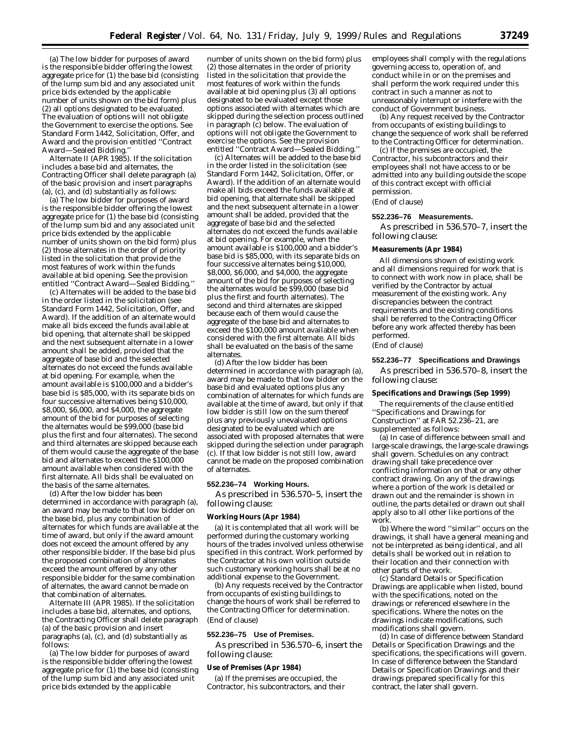(a) The low bidder for purposes of award is the responsible bidder offering the lowest aggregate price for (1) the base bid (consisting of the lump sum bid and any associated unit price bids extended by the applicable number of units shown on the bid form) plus (2) all options designated to be evaluated. The evaluation of options will not obligate the Government to exercise the options. See Standard Form 1442, Solicitation, Offer, and Award and the provision entitled ''Contract Award-Sealed Bidding.

*Alternate II (APR 1985).* If the solicitation includes a base bid and alternates, the Contracting Officer shall delete paragraph (a) of the basic provision and insert paragraphs (a), (c), and  $\overline{d}$  substantially as follows:

(a) The low bidder for purposes of award is the responsible bidder offering the lowest aggregate price for (1) the base bid (consisting of the lump sum bid and any associated unit price bids extended by the applicable number of units shown on the bid form) plus (2) those alternates in the order of priority listed in the solicitation that provide the most features of work within the funds available at bid opening. See the provision entitled ''Contract Award—Sealed Bidding.''

(c) Alternates will be added to the base bid in the order listed in the solicitation (see Standard Form 1442, Solicitation, Offer, and Award). If the addition of an alternate would make all bids exceed the funds available at bid opening, that alternate shall be skipped and the next subsequent alternate in a lower amount shall be added, provided that the aggregate of base bid and the selected alternates do not exceed the funds available at bid opening. For example, when the amount available is \$100,000 and a bidder's base bid is \$85,000, with its separate bids on four successive alternatives being \$10,000, \$8,000, \$6,000, and \$4,000, the aggregate amount of the bid for purposes of selecting the alternates would be \$99,000 (base bid plus the first and four alternates). The second and third alternates are skipped because each of them would cause the aggregate of the base bid and alternates to exceed the \$100,000 amount available when considered with the first alternate. All bids shall be evaluated on the basis of the same alternates.

(d) After the low bidder has been determined in accordance with paragraph (a), an award may be made to that low bidder on the base bid, plus any combination of alternates for which funds are available at the time of award, but only if the award amount does not exceed the amount offered by any other responsible bidder. If the base bid plus the proposed combination of alternates exceed the amount offered by any other responsible bidder for the same combination of alternates, the award cannot be made on that combination of alternates.

*Alternate III (APR 1985).* If the solicitation includes a base bid, alternates, and options, the Contracting Officer shall delete paragraph (a) of the basic provision and insert paragraphs (a), (c), and (d) substantially as follows:

(a) The low bidder for purposes of award is the responsible bidder offering the lowest aggregate price for (1) the base bid (consisting of the lump sum bid and any associated unit price bids extended by the applicable

number of units shown on the bid form) plus (2) those alternates in the order of priority listed in the solicitation that provide the most features of work within the funds available at bid opening plus (3) all options designated to be evaluated except those options associated with alternates which are skipped during the selection process outlined in paragraph (c) below. The evaluation of options will not obligate the Government to exercise the options. See the provision entitled ''Contract Award—Sealed Bidding.''

(c) Alternates will be added to the base bid in the order listed in the solicitation (see Standard Form 1442, Solicitation, Offer, or Award). If the addition of an alternate would make all bids exceed the funds available at bid opening, that alternate shall be skipped and the next subsequent alternate in a lower amount shall be added, provided that the aggregate of base bid and the selected alternates do not exceed the funds available at bid opening. For example, when the amount available is \$100,000 and a bidder's base bid is \$85,000, with its separate bids on four successive alternates being \$10,000, \$8,000, \$6,000, and \$4,000, the aggregate amount of the bid for purposes of selecting the alternates would be \$99,000 (base bid plus the first and fourth alternates). The second and third alternates are skipped because each of them would cause the aggregate of the base bid and alternates to exceed the \$100,000 amount available when considered with the first alternate. All bids shall be evaluated on the basis of the same alternates.

(d) After the low bidder has been determined in accordance with paragraph (a), award may be made to that low bidder on the base bid and evaluated options plus any combination of alternates for which funds are available at the time of award, but only if that low bidder is still low on the sum thereof plus any previously unevaluated options designated to be evaluated which are associated with proposed alternates that were skipped during the selection under paragraph (c). If that low bidder is not still low, award cannot be made on the proposed combination of alternates.

#### **552.236–74 Working Hours.**

As prescribed in 536.570–5, insert the following clause:

### **Working Hours (Apr 1984)**

(a) It is contemplated that all work will be performed during the customary working hours of the trades involved unless otherwise specified in this contract. Work performed by the Contractor at his own volition outside such customary working hours shall be at no additional expense to the Government.

(b) Any requests received by the Contractor from occupants of existing buildings to change the hours of work shall be referred to the Contracting Officer for determination. (End of clause)

### **552.236–75 Use of Premises.**

As prescribed in 536.570–6, insert the following clause:

#### **Use of Premises (Apr 1984)**

(a) If the premises are occupied, the Contractor, his subcontractors, and their employees shall comply with the regulations governing access to, operation of, and conduct while in or on the premises and shall perform the work required under this contract in such a manner as not to unreasonably interrupt or interfere with the conduct of Government business.

(b) Any request received by the Contractor from occupants of existing buildings to change the sequence of work shall be referred to the Contracting Officer for determination.

(c) If the premises are occupied, the Contractor, his subcontractors and their employees shall not have access to or be admitted into any building outside the scope of this contract except with official permission.

(End of clause)

### **552.236–76 Measurements.**

As prescribed in 536.570–7, insert the following clause:

#### **Measurements (Apr 1984)**

All dimensions shown of existing work and all dimensions required for work that is to connect with work now in place, shall be verified by the Contractor by actual measurement of the existing work. Any discrepancies between the contract requirements and the existing conditions shall be referred to the Contracting Officer before any work affected thereby has been performed.

### (End of clause)

#### **552.236–77 Specifications and Drawings**

As prescribed in 536.570–8, insert the following clause:

### **Specifications and Drawings (Sep 1999)**

The requirements of the clause entitled ''Specifications and Drawings for Construction'' at FAR 52.236–21, are supplemented as follows:

(a) In case of difference between small and large-scale drawings, the large-scale drawings shall govern. Schedules on any contract drawing shall take precedence over conflicting information on that or any other contract drawing. On any of the drawings where a portion of the work is detailed or drawn out and the remainder is shown in outline, the parts detailed or drawn out shall apply also to all other like portions of the work.

(b) Where the word ''similar'' occurs on the drawings, it shall have a general meaning and not be interpreted as being identical, and all details shall be worked out in relation to their location and their connection with other parts of the work.

(c) Standard Details or Specification Drawings are applicable when listed, bound with the specifications, noted on the drawings or referenced elsewhere in the specifications. Where the notes on the drawings indicate modifications, such modifications shall govern.

(d) In case of difference between Standard Details or Specification Drawings and the specifications, the specifications will govern. In case of difference between the Standard Details or Specification Drawings and their drawings prepared specifically for this contract, the later shall govern.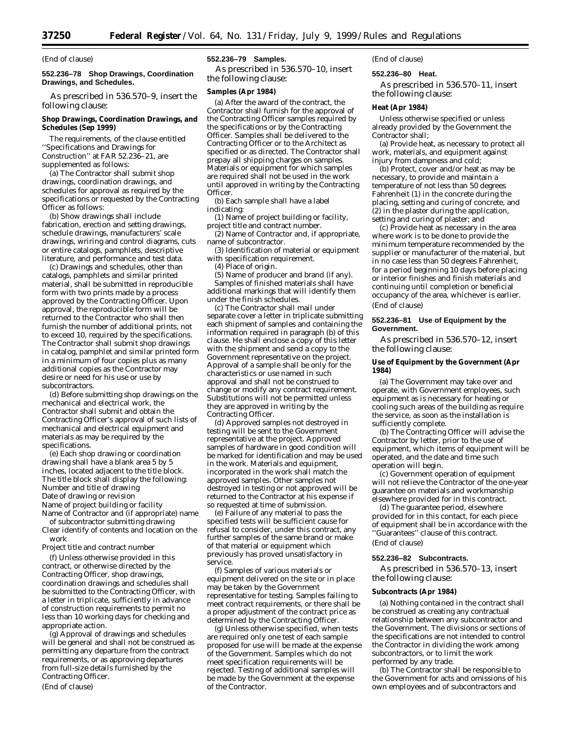(End of clause)

### **552.236–78 Shop Drawings, Coordination Drawings, and Schedules.**

As prescribed in 536.570–9, insert the following clause:

### **Shop Drawings, Coordination Drawings, and Schedules (Sep 1999)**

The requirements, of the clause entitled ''Specifications and Drawings for Construction'' at FAR 52.236–21, are supplemented as follows:

(a) The Contractor shall submit shop drawings, coordination drawings, and schedules for approval as required by the specifications or requested by the Contracting Officer as follows:

(b) Show drawings shall include fabrication, erection and setting drawings, schedule drawings, manufacturers' scale drawings, wriring and control diagrams, cuts or entire catalogs, pamphlets, descriptive literature, and performance and test data.

(c) Drawings and schedules, other than catalogs, pamphlets and similar printed material, shall be submitted in reproducible form with two prints made by a process approved by the Contracting Officer. Upon approval, the reproducible form will be returned to the Contractor who shall then furnish the number of additional prints, not to exceed 10, required by the specifications. The Contractor shall submit shop drawings in catalog, pamphlet and similar printed form in a minimum of four copies plus as many additional copies as the Contractor may desire or need for his use or use by subcontractors.

(d) Before submitting shop drawings on the mechanical and electrical work, the Contractor shall submit and obtain the Contracting Officer's approval of such lists of mechanical and electrical equipment and materials as may be required by the specifications.

(e) Each shop drawing or coordination drawing shall have a blank area 5 by 5 inches, located adjacent to the title block. The title block shall display the following: Number and title of drawing Date of drawing or revision Name of project building or facility Name of Contractor and (if appropriate) name

of subcontractor submitting drawing Clear identify of contents and location on the

work Project title and contract number

(f) Unless otherwise provided in this contract, or otherwise directed by the Contracting Officer, shop drawings, coordination drawings and schedules shall be submitted to the Contracting Officer, with a letter in triplicate, sufficiently in advance of construction requirements to permit no less than 10 working days for checking and appropriate action.

(g) Approval of drawings and schedules will be general and shall not be construed as permitting any departure from the contract requirements, or as approving departures from full-size details furnished by the Contracting Officer. (End of clause)

### **552.236–79 Samples.**

As prescribed in 536.570–10, insert the following clause:

## **Samples (Apr 1984)**

(a) After the award of the contract, the Contractor shall furnish for the approval of the Contracting Officer samples required by the specifications or by the Contracting Officer. Samples shall be delivered to the Contracting Officer or to the Architect as specified or as directed. The Contractor shall prepay all shipping charges on samples. Materials or equipment for which samples are required shall not be used in the work until approved in writing by the Contracting Officer.

(b) Each sample shall have a label indicating:

(1) Name of project building or facility, project title and contract number.

(2) Name of Contractor and, if appropriate, name of subcontractor.

(3) Identification of material or equipment with specification requirement.

(4) Place of origin.

(5) Name of producer and brand (if any). Samples of finished materials shall have additional markings that will identify them under the finish schedules.

(c) The Contractor shall mail under separate cover a letter in triplicate submitting each shipment of samples and containing the information required in paragraph (b) of this clause. He shall enclose a copy of this letter with the shipment and send a copy to the Government representative on the project. Approval of a sample shall be only for the characteristics or use named in such approval and shall not be construed to change or modify any contract requirement. Substitutions will not be permitted unless they are approved in writing by the Contracting Officer.

(d) Approved samples not destroyed in testing will be sent to the Government representative at the project. Approved samples of hardware in good condition will be marked for identification and may be used in the work. Materials and equipment, incorporated in the work shall match the approved samples. Other samples not destroyed in testing or not approved will be returned to the Contractor at his expense if so requested at time of submission.

(e) Failure of any material to pass the specified tests will be sufficient cause for refusal to consider, under this contract, any further samples of the same brand or make of that material or equipment which previously has proved unsatisfactory in service.

(f) Samples of various materials or equipment delivered on the site or in place may be taken by the Government representative for testing. Samples failing to meet contract requirements, or there shall be a proper adjustment of the contract price as determined by the Contracting Officer.

(g) Unless otherwise specified, when tests are required only one test of each sample proposed for use will be made at the expense of the Government. Samples which do not meet specification requirements will be rejected. Testing of additional samples will be made by the Government at the expense of the Contractor.

(End of clause)

**552.236–80 Heat.**

As prescribed in 536.570–11, insert the following clause:

#### **Heat (Apr 1984)**

Unless otherwise specified or unless already provided by the Government the Contractor shall;

(a) Provide heat, as necessary to protect all work, materials, and equipment against injury from dampness and cold;

(b) Protect, cover and/or heat as may be necessary, to provide and maintain a temperature of not less than 50 degrees Fahrenheit (1) in the concrete during the placing, setting and curing of concrete, and (2) in the plaster during the application, setting and curing of plaster; and

(c) Provide heat as necessary in the area where work is to be done to provide the minimum temperature recommended by the supplier or manufacturer of the material, but in no case less than 50 degrees Fahrenheit, for a period beginning 10 days before placing or interior finishes and finish materials and continuing until completion or beneficial occupancy of the area, whichever is earlier. (End of clause)

### **552.236–81 Use of Equipment by the Government.**

As prescribed in 536.570–12, insert the following clause:

### **Use of Equipment by the Government (Apr 1984)**

(a) The Government may take over and operate, with Government employees, such equipment as is necessary for heating or cooling such areas of the building as require the service, as soon as the installation is sufficiently complete.

(b) The Contracting Officer will advise the Contractor by letter, prior to the use of equipment, which items of equipment will be operated, and the date and time such operation will begin.

(c) Government operation of equipment will not relieve the Contractor of the one-year guarantee on materials and workmanship elsewhere provided for in this contract.

(d) The guarantee period, elsewhere provided for in this contact, for each piece of equipment shall be in accordance with the ''Guarantees'' clause of this contract. (End of clause)

#### **552.236–82 Subcontracts.**

As prescribed in 536.570–13, insert the following clause:

#### **Subcontracts (Apr 1984)**

(a) Nothing contained in the contract shall be construed as creating any contractual relationship between any subcontractor and the Government. The divisions or sections of the specifications are not intended to control the Contractor in dividing the work among subcontractors, or to limit the work performed by any trade.

(b) The Contractor shall be responsible to the Government for acts and omissions of his own employees and of subcontractors and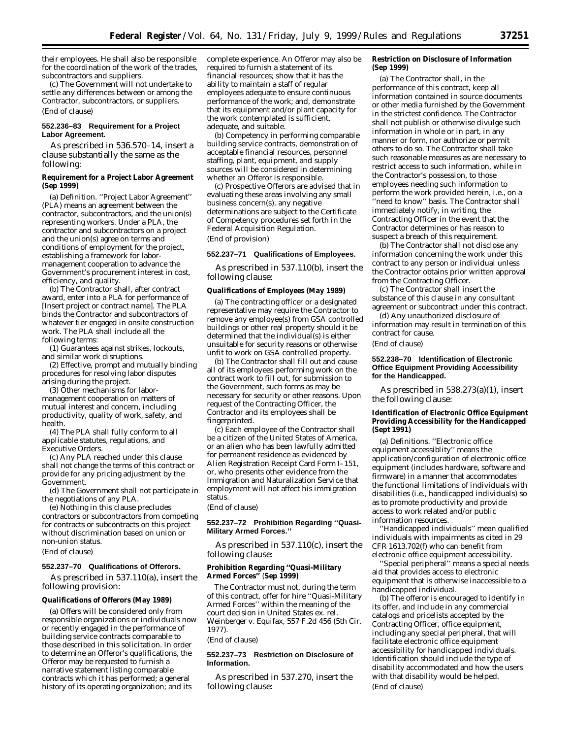their employees. He shall also be responsible for the coordination of the work of the trades, subcontractors and suppliers.

(c) The Government will not undertake to settle any differences between or among the Contractor, subcontractors, or suppliers. (End of clause)

### **552.236–83 Requirement for a Project Labor Agreement.**

As prescribed in 536.570–14, insert a clause substantially the same as the following:

### **Requirement for a Project Labor Agreement (Sep 1999)**

(a) Definition. ''Project Labor Agreement'' (PLA) means an agreement between the contractor, subcontractors, and the union(s) representing workers. Under a PLA, the contractor and subcontractors on a project and the union(s) agree on terms and conditions of employment for the project, establishing a framework for labormanagement cooperation to advance the Government's procurement interest in cost, efficiency, and quality.

(b) The Contractor shall, after contract award, enter into a PLA for performance of [*Insert project or contract name*]. The PLA binds the Contractor and subcontractors of whatever tier engaged in onsite construction work. The PLA shall include all the following terms:

(1) Guarantees against strikes, lockouts, and similar work disruptions.

(2) Effective, prompt and mutually binding procedures for resolving labor disputes arising during the project.

(3) Other mechanisms for labormanagement cooperation on matters of mutual interest and concern, including productivity, quality of work, safety, and health.

(4) The PLA shall fully conform to all applicable statutes, regulations, and Executive Orders.

(c) Any PLA reached under this clause shall not change the terms of this contract or provide for any pricing adjustment by the Government.

(d) The Government shall not participate in the negotiations of any PLA.

(e) Nothing in this clause precludes contractors or subcontractors from competing for contracts or subcontracts on this project without discrimination based on union or non-union status.

(End of clause)

#### **552.237–70 Qualifications of Offerors.**

As prescribed in 537.110(a), insert the following provision:

#### **Qualifications of Offerors (May 1989)**

(a) Offers will be considered only from responsible organizations or individuals now or recently engaged in the performance of building service contracts comparable to those described in this solicitation. In order to determine an Offeror's qualifications, the Offeror may be requested to furnish a narrative statement listing comparable contracts which it has performed; a general history of its operating organization; and its

complete experience. An Offeror may also be required to furnish a statement of its financial resources; show that it has the ability to maintain a staff of regular employees adequate to ensure continuous performance of the work; and, demonstrate that its equipment and/or plant capacity for the work contemplated is sufficient, adequate, and suitable.

(b) Competency in performing comparable building service contracts, demonstration of acceptable financial resources, personnel staffing, plant, equipment, and supply sources will be considered in determining whether an Offeror is responsible.

(c) Prospective Offerors are advised that in evaluating these areas involving any small business concern(s), any negative determinations are subject to the Certificate of Competency procedures set forth in the Federal Acquisition Regulation. (End of provision)

### **552.237–71 Qualifications of Employees.**

As prescribed in 537.110(b), insert the following clause:

### **Qualifications of Employees (May 1989)**

(a) The contracting officer or a designated representative may require the Contractor to remove any employee(s) from GSA controlled buildings or other real property should it be determined that the individual(s) is either unsuitable for security reasons or otherwise unfit to work on GSA controlled property.

(b) The Contractor shall fill out and cause all of its employees performing work on the contract work to fill out, for submission to the Government, such forms as may be necessary for security or other reasons. Upon request of the Contracting Officer, the Contractor and its employees shall be fingerprinted.

(c) Each employee of the Contractor shall be a citizen of the United States of America, or an alien who has been lawfully admitted for permanent residence as evidenced by Alien Registration Receipt Card Form I–151, or, who presents other evidence from the Immigration and Naturalization Service that employment will not affect his immigration status.

(End of clause)

# **552.237–72 Prohibition Regarding ''Quasi-Military Armed Forces.''**

As prescribed in 537.110(c), insert the following clause:

### **Prohibition Regarding ''Quasi-Military Armed Forces''** (**Sep 1999)**

The Contractor must not, during the term of this contract, offer for hire ''Quasi-Military Armed Forces'' within the meaning of the court decision in United States ex. rel. Weinberger v. Equifax, 557 F.2d 456 (5th Cir. 1977).

(End of clause)

### **552.237–73 Restriction on Disclosure of Information.**

As prescribed in 537.270, insert the following clause:

#### **Restriction on Disclosure of Information (Sep 1999)**

(a) The Contractor shall, in the performance of this contract, keep all information contained in source documents or other media furnished by the Government in the strictest confidence. The Contractor shall not publish or otherwise divulge such information in whole or in part, in any manner or form, nor authorize or permit others to do so. The Contractor shall take such reasonable measures as are necessary to restrict access to such information, while in the Contractor's possession, to those employees needing such information to perform the work provided herein, i.e., on a ''need to know'' basis. The Contractor shall immediately notify, in writing, the Contracting Officer in the event that the Contractor determines or has reason to suspect a breach of this requirement.

(b) The Contractor shall not disclose any information concerning the work under this contract to any person or individual unless the Contractor obtains prior written approval from the Contracting Officer.

(c) The Contractor shall insert the substance of this clause in any consultant agreement or subcontract under this contract.

(d) Any unauthorized disclosure of information may result in termination of this contract for cause.

(End of clause)

### **552.238–70 Identification of Electronic Office Equipment Providing Accessibility for the Handicapped.**

As prescribed in 538.273(a)(1), insert the following clause:

### **Identification of Electronic Office Equipment Providing Accessibility for the Handicapped (Sept 1991)**

(a) *Definitions.* ''Electronic office equipment accessiblity'' means the application/configuration of electronic office equipment (includes hardware, software and firmware) in a manner that accommodates the functional limitations of individuals with disabilities (i.e., handicapped individuals) so as to promote productivity and provide access to work related and/or public information resources.

''Handicapped individuals'' mean qualified individuals with impairments as cited in 29 CFR 1613.702(f) who can benefit from electronic office equipment accessibility.

''Special peripheral'' means a special needs aid that provides access to electronic equipment that is otherwise inaccessible to a handicapped individual.

(b) The offeror is encouraged to identify in its offer, and include in any commercial catalogs and pricelists accepted by the Contracting Officer, office equipment, including any special peripheral, that will facilitate electronic office equipment accessibility for handicapped individuals. Identification should include the type of disability accommodated and how the users with that disability would be helped. (End of clause)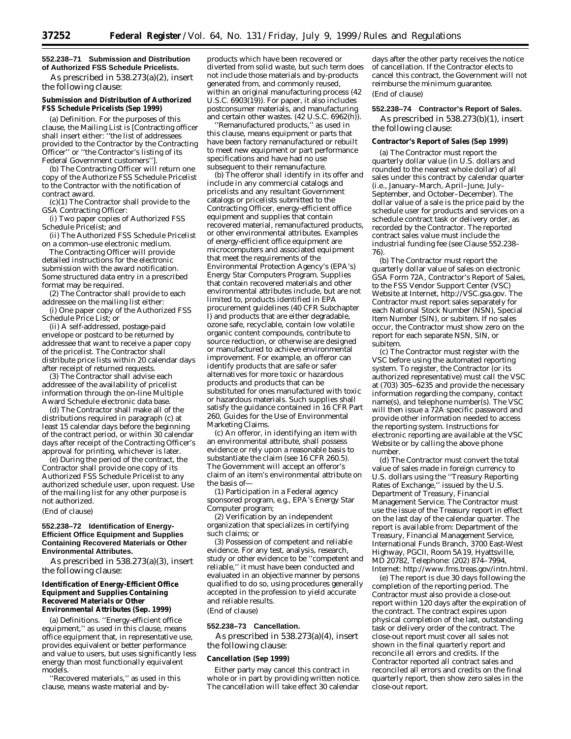## **552.238–71 Submission and Distribution of Authorized FSS Schedule Pricelists.**

As prescribed in 538.273(a)(2), insert the following clause:

### **Submission and Distribution of Authorized FSS Schedule Pricelists (Sep 1999)**

(a) Definition. For the purposes of this clause, the Mailing List is [Contracting officer shall insert either: ''the list of addressees provided to the Contractor by the Contracting Officer'' or ''the Contractor's listing of its Federal Government customers''].

(b) The Contracting Officer will return one copy of the Authorize FSS Schedule Pricelist to the Contractor with the notification of contract award.

(c)(1) The Contractor shall provide to the GSA Contracting Officer:

(i) Two paper copies of Authorized FSS Schedule Pricelist; and

(ii) The Authorized FSS Schedule Pricelist on a common-use electronic medium.

The Contracting Officer will provide detailed instructions for the electronic submission with the award notification. Some structured data entry in a prescribed format may be required.

(2) The Contractor shall provide to each addressee on the mailing list either:

(i) One paper copy of the Authorized FSS Schedule Price List; or

(ii) A self-addressed, postage-paid envelope or postcard to be returned by addressee that want to receive a paper copy of the pricelist. The Contractor shall distribute price lists within 20 calendar days after receipt of returned requests.

(3) The Contractor shall advise each addressee of the availability of pricelist information through the on-line Multiple Award Schedule electronic data base.

(d) The Contractor shall make all of the distributions required in paragraph (c) at least 15 calendar days before the beginning of the contract period, or within 30 calendar days after receipt of the Contracting Officer's approval for printing, whichever is later.

(e) During the period of the contract, the Contractor shall provide one copy of its Authorized FSS Schedule Pricelist to any authorized schedule user, upon request. Use of the mailing list for any other purpose is not authorized.

(End of clause)

### **552.238–72 Identification of Energy-Efficient Office Equipment and Supplies Containing Recovered Materials or Other Environmental Attributes.**

As prescribed in 538.273(a)(3), insert the following clause:

### **Identification of Energy-Efficient Office Equipment and Supplies Containing Recovered Materials or Other Environmental Attributes (Sep. 1999)**

(a) *Definitions.* ''Energy-efficient office equipment,'' as used in this clause, means office equipment that, in representative use, provides equivalent or better performance and value to users, but uses significantly less energy than most functionally equivalent models.

''Recovered materials,'' as used in this clause, means waste material and byproducts which have been recovered or diverted from solid waste, but such term does not include those materials and by-products generated from, and commonly reused, within an original manufacturing process (42 U.S.C. 6903(19)). For paper, it also includes postconsumer materials, and manufacturing and certain other wastes. (42 U.S.C. 6962(h)).

''Remanufactured products,'' as used in this clause, means equipment or parts that have been factory remanufactured or rebuilt to meet new equipment or part performance specifications and have had no use subsequent to their remanufacture.

(b) The offeror shall identify in its offer and include in any commercial catalogs and pricelists and any resultant Government catalogs or pricelists submitted to the Contracting Officer, energy-efficient office equipment and supplies that contain recovered material, remanufactured products, or other environmental attributes. Examples of energy-efficient office equipment are microcomputers and associated equipment that meet the requirements of the Environmental Protection Agency's (EPA's) Energy Star Computers Program. Supplies that contain recovered materials and other environmental attributes include, but are not limited to, products identified in EPA procurement guidelines (40 CFR Subchapter I) and products that are either degradable, ozone safe, recyclable, contain low volatile organic content compounds, contribute to source reduction, or otherwise are designed or manufactured to achieve environmental improvement. For example, an offeror can identify products that are safe or safer alternatives for more toxic or hazardous products and products that can be substituted for ones manufactured with toxic or hazardous materials. Such supplies shall satisfy the guidance contained in 16 CFR Part 260, Guides for the Use of Environmental Marketing Claims.

(c) An offeror, in identifying an item with an environmental attribute, shall possess evidence or rely upon a reasonable basis to substantiate the claim (see 16 CFR 260.5). The Government will accept an offeror's claim of an item's environmental attribute on the basis of—

(1) Participation in a Federal agency sponsored program, e.g., EPA's Energy Star Computer program;

(2) Verification by an independent organization that specializes in certifying such claims; or

(3) Possession of competent and reliable evidence. For any test, analysis, research, study or other evidence to be ''competent and reliable,'' it must have been conducted and evaluated in an objective manner by persons qualified to do so, using procedures generally accepted in the profession to yield accurate and reliable results.

# (End of clause)

### **552.238–73 Cancellation.**

As prescribed in 538.273(a)(4), insert the following clause:

#### **Cancellation (Sep 1999)**

Either party may cancel this contract in whole or in part by providing written notice. The cancellation will take effect 30 calendar

days after the other party receives the notice of cancellation. If the Contractor elects to cancel this contract, the Government will not reimburse the minimum guarantee. (End of clause)

### **552.238–74 Contractor's Report of Sales.**

As prescribed in 538.273(b)(1), insert the following clause:

#### **Contractor's Report of Sales (Sep 1999)**

(a) The Contractor must report the quarterly dollar value (in U.S. dollars and rounded to the nearest whole dollar) of all sales under this contract by calendar quarter (i.e., January–March, April–June, July– September, and October–December). The dollar value of a sale is the price paid by the schedule user for products and services on a schedule contract task or delivery order, as recorded by the Contractor. The reported contract sales value must include the industrial funding fee (see Clause 552.238– 76).

(b) The Contractor must report the quarterly dollar value of sales on electronic GSA Form 72A, Contractor's Report of Sales, to the FSS Vendor Support Center (VSC) Website at Internet, http://VSC.gsa.gov. The Contractor must report sales separately for each National Stock Number (NSN), Special Item Number (SIN), or subitem. If no sales occur, the Contractor must show zero on the report for each separate NSN, SIN, or subitem.

(c) The Contractor must register with the VSC before using the automated reporting system. To register, the Contractor (or its authorized representative) must call the VSC at (703) 305–6235 and provide the necessary information regarding the company, contact name(s), and telephone number(s). The VSC will then issue a 72A specific password and provide other information needed to access the reporting system. Instructions for electronic reporting are available at the VSC Website or by calling the above phone number.

(d) The Contractor must convert the total value of sales made in foreign currency to U.S. dollars using the ''Treasury Reporting Rates of Exchange,'' issued by the U.S. Department of Treasury, Financial Management Service. The Contractor must use the issue of the Treasury report in effect on the last day of the calendar quarter. The report is available from: Department of the Treasury, Financial Management Service, International Funds Branch, 3700 East-West Highway, PGCII, Room 5A19, Hyattsville, MD 20782, Telephone: (202) 874–7994, Internet: http://www.fms.treas.gov/intn.html.

(e) The report is due 30 days following the completion of the reporting period. The Contractor must also provide a close-out report within 120 days after the expiration of the contract. The contract expires upon physical completion of the last, outstanding task or delivery order of the contract. The close-out report must cover all sales not shown in the final quarterly report and reconcile all errors and credits. If the Contractor reported all contract sales and reconciled all errors and credits on the final quarterly report, then show zero sales in the close-out report.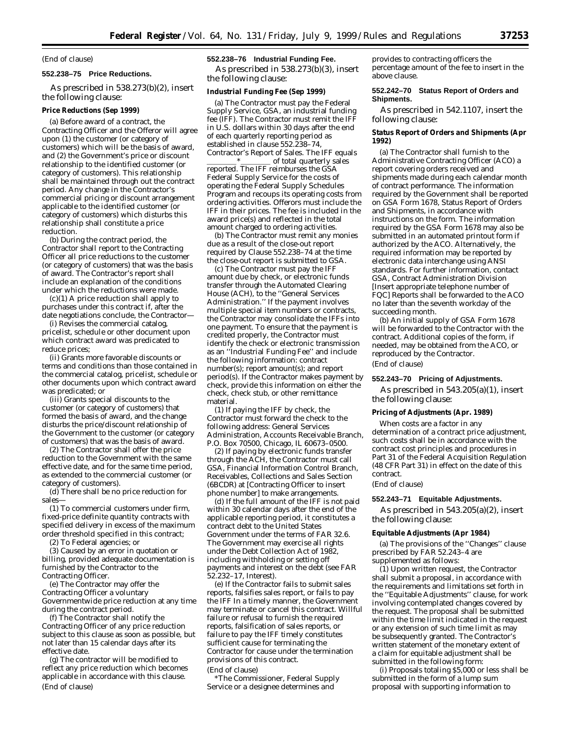#### (End of clause)

#### **552.238–75 Price Reductions.**

As prescribed in 538.273(b)(2), insert the following clause:

### **Price Reductions (Sep 1999)**

(a) Before award of a contract, the Contracting Officer and the Offeror will agree upon (1) the customer (or category of customers) which will be the basis of award, and (2) the Government's price or discount relationship to the identified customer (or category of customers). This relationship shall be maintained through out the contract period. Any change in the Contractor's commercial pricing or discount arrangement applicable to the identified customer (or category of customers) which disturbs this relationship shall constitute a price reduction.

(b) During the contract period, the Contractor shall report to the Contracting Officer all price reductions to the customer (or category of customers) that was the basis of award. The Contractor's report shall include an explanation of the conditions under which the reductions were made.

(c)(1) A price reduction shall apply to purchases under this contract if, after the date negotiations conclude, the Contractor—

(i) Revises the commercial catalog, pricelist, schedule or other document upon which contract award was predicated to reduce prices;

(ii) Grants more favorable discounts or terms and conditions than those contained in the commercial catalog, pricelist, schedule or other documents upon which contract award was predicated; or

(iii) Grants special discounts to the customer (or category of customers) that formed the basis of award, and the change disturbs the price/discount relationship of the Government to the customer (or category of customers) that was the basis of award.

(2) The Contractor shall offer the price reduction to the Government with the same effective date, and for the same time period, as extended to the commercial customer (or category of customers).

(d) There shall be no price reduction for sales—

(1) To commercial customers under firm, fixed-price definite quantity contracts with specified delivery in excess of the maximum order threshold specified in this contract;

(2) To Federal agencies; or

(3) Caused by an error in quotation or billing, provided adequate documentation is furnished by the Contractor to the Contracting Officer.

(e) The Contractor may offer the Contracting Officer a voluntary Governmentwide price reduction at any time during the contract period.

(f) The Contractor shall notify the Contracting Officer of any price reduction subject to this clause as soon as possible, but not later than 15 calendar days after its effective date.

(g) The contractor will be modified to reflect any price reduction which becomes applicable in accordance with this clause. (End of clause)

### **552.238–76 Industrial Funding Fee.**

As prescribed in 538.273(b)(3), insert the following clause:

# **Industrial Funding Fee (Sep 1999)**

(a) The Contractor must pay the Federal Supply Service, GSA, an industrial funding fee (IFF). The Contractor must remit the IFF in U.S. dollars within 30 days after the end of each quarterly reporting period as established in clause 552.238–74, Contractor's Report of Sales. The IFF equals of total quarterly sales reported. The IFF reimburses the GSA Federal Supply Service for the costs of operating the Federal Supply Schedules Program and recoups its operating costs from ordering activities. Offerors must include the IFF in their prices. The fee is included in the award price(s) and reflected in the total amount charged to ordering activities.

(b) The Contractor must remit any monies due as a result of the close-out report required by Clause 552.238–74 at the time the close-out report is submitted to GSA.

(c) The Contractor must pay the IFF amount due by check, or electronic funds transfer through the Automated Clearing House (ACH), to the ''General Services Administration.'' If the payment involves multiple special item numbers or contracts, the Contractor may consolidate the IFFs into one payment. To ensure that the payment is credited properly, the Contractor must identify the check or electronic transmission as an ''Industrial Funding Fee'' and include the following information: contract number(s); report amount(s); and report period(s). If the Contractor makes payment by check, provide this information on either the check, check stub, or other remittance material.

(1) If paying the IFF by check, the Contractor must forward the check to the following address: General Services Administration, Accounts Receivable Branch, P.O. Box 70500, Chicago, IL 60673–0500.

(2) If paying by electronic funds transfer through the ACH, the Contractor must call GSA, Financial Information Control Branch, Receivables, Collections and Sales Section (6BCDR) at [Contracting Officer to insert phone number] to make arrangements.

(d) If the full amount of the IFF is not paid within 30 calendar days after the end of the applicable reporting period, it constitutes a contract debt to the United States Government under the terms of FAR 32.6. The Government may exercise all rights under the Debt Collection Act of 1982, including withholding or setting off payments and interest on the debt (see FAR 52.232–17, Interest).

(e) If the Contractor fails to submit sales reports, falsifies sales report, or fails to pay the IFF In a timely manner, the Government may terminate or cancel this contract. Willful failure or refusal to furnish the required reports, falsification of sales reports, or failure to pay the IFF timely constitutes sufficient cause for terminating the Contractor for cause under the termination provisions of this contract.

(End of clause)

*\*The Commissioner, Federal Supply Service or a designee determines and*

*provides to contracting officers the percentage amount of the fee to insert in the above clause.*

### **552.242–70 Status Report of Orders and Shipments.**

As prescribed in 542.1107, insert the following clause:

### **Status Report of Orders and Shipments (Apr 1992)**

(a) The Contractor shall furnish to the Administrative Contracting Officer (ACO) a report covering orders received and shipments made during each calendar month of contract performance. The information required by the Government shall be reported on GSA Form 1678, Status Report of Orders and Shipments, in accordance with instructions on the form. The information required by the GSA Form 1678 may also be submitted in an automated printout form if authorized by the ACO. Alternatively, the required information may be reported by electronic data interchange using ANSI standards. For further information, contact GSA, Contract Administration Division [Insert appropriate telephone number of FQC] Reports shall be forwarded to the ACO no later than the seventh workday of the succeeding month.

(b) An initial supply of GSA Form 1678 will be forwarded to the Contractor with the contract. Additional copies of the form, if needed, may be obtained from the ACO, or reproduced by the Contractor.

(End of clause)

### **552.243–70 Pricing of Adjustments.**

As prescribed in 543.205(a)(1), insert the following clause:

#### **Pricing of Adjustments (Apr. 1989)**

When costs are a factor in any determination of a contract price adjustment, such costs shall be in accordance with the contract cost principles and procedures in Part 31 of the Federal Acquisition Regulation (48 CFR Part 31) in effect on the date of this contract.

### (End of clause)

#### **552.243–71 Equitable Adjustments.**

As prescribed in 543.205(a)(2), insert the following clause:

### **Equitable Adjustments (Apr 1984)**

(a) The provisions of the ''Changes'' clause prescribed by FAR 52.243–4 are supplemented as follows:

(1) Upon written request, the Contractor shall submit a proposal, in accordance with the requirements and limitations set forth in the ''Equitable Adjustments'' clause, for work involving contemplated changes covered by the request. The proposal shall be submitted within the time limit indicated in the request or any extension of such time limit as may be subsequently granted. The Contractor's written statement of the monetary extent of a claim for equitable adjustment shall be submitted in the following form:

(i) Proposals totaling \$5,000 or less shall be submitted in the form of a lump sum proposal with supporting information to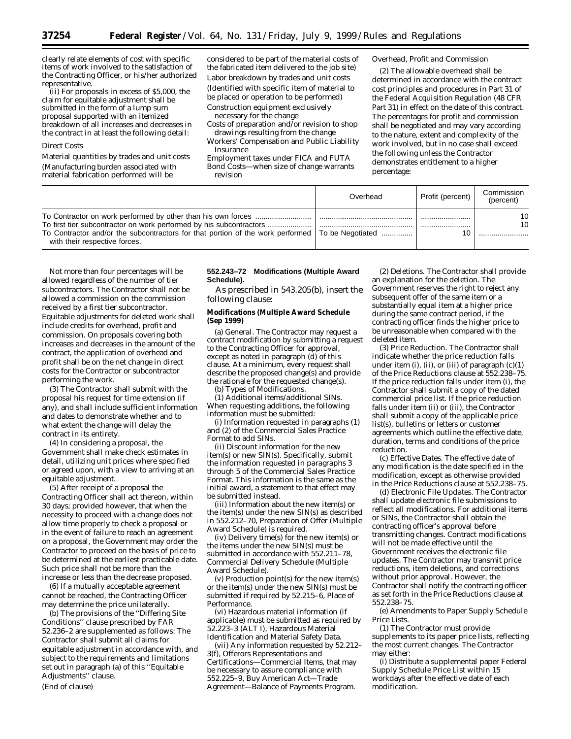clearly relate elements of cost with specific items of work involved to the satisfaction of the Contracting Officer, or his/her authorized representative.

(ii) For proposals in excess of \$5,000, the claim for equitable adjustment shall be submitted in the form of a lump sum proposal supported with an itemized breakdown of all increases and decreases in the contract in at least the following detail:

### *Direct Costs*

Material quantities by trades and unit costs (Manufacturing burden associated with material fabrication performed will be

considered to be part of the material costs of the fabricated item delivered to the job site) Labor breakdown by trades and unit costs (Identified with specific item of material to be placed or operation to be performed) Construction equipment exclusively

necessary for the change Costs of preparation and/or revision to shop

drawings resulting from the change

Workers' Compensation and Public Liability Insurance Employment taxes under FICA and FUTA

Bond Costs—when size of change warrants revision

# *Overhead, Profit and Commission*

(2) The allowable overhead shall be determined in accordance with the contract cost principles and procedures in Part 31 of the Federal Acquisition Regulation (48 CFR Part 31) in effect on the date of this contract. The percentages for profit and commission shall be negotiated and may vary according to the nature, extent and complexity of the work involved, but in no case shall exceed the following unless the Contractor demonstrates entitlement to a higher percentage:

|                                                                                                                                                                                                         | Overhead | Profit (percent) | Commission<br>(percent) |
|---------------------------------------------------------------------------------------------------------------------------------------------------------------------------------------------------------|----------|------------------|-------------------------|
| To first tier subcontractor on work performed by his subcontractors<br>To Contractor and/or the subcontractors for that portion of the work performed To be Negotiated<br>with their respective forces. | .        |                  | 10<br>10                |

Not more than four percentages will be allowed regardless of the number of tier subcontractors. The Contractor shall not be allowed a commission on the commission received by a first tier subcontractor. Equitable adjustments for deleted work shall include credits for overhead, profit and commission. On proposals covering both increases and decreases in the amount of the contract, the application of overhead and profit shall be on the net change in direct costs for the Contractor or subcontractor performing the work.

(3) The Contractor shall submit with the proposal his request for time extension (if any), and shall include sufficient information and dates to demonstrate whether and to what extent the change will delay the contract in its entirety.

(4) In considering a proposal, the Government shall make check estimates in detail, utilizing unit prices where specified or agreed upon, with a view to arriving at an equitable adjustment.

(5) After receipt of a proposal the Contracting Officer shall act thereon, within 30 days; provided however, that when the necessity to proceed with a change does not allow time properly to check a proposal or in the event of failure to reach an agreement on a proposal, the Government may order the Contractor to proceed on the basis of price to be determined at the earliest practicable date. Such price shall not be more than the increase or less than the decrease proposed.

(6) If a mutually acceptable agreement cannot be reached, the Contracting Officer may determine the price unilaterally.

(b) The provisions of the ''Differing Site Conditions'' clause prescribed by FAR 52.236–2 are supplemented as follows: The Contractor shall submit all claims for equitable adjustment in accordance with, and subject to the requirements and limitations set out in paragraph (a) of this ''Equitable Adjustments'' clause. (End of clause)

### **552.243–72 Modifications (Multiple Award Schedule).**

As prescribed in 543.205(b), insert the following clause:

### **Modifications (Multiple Award Schedule (Sep 1999)**

(a) *General.* The Contractor may request a contract modification by submitting a request to the Contracting Officer for approval, except as noted in paragraph (d) of this clause. At a minimum, every request shall describe the proposed change(s) and provide the rationale for the requested change(s).

(b) *Types of Modifications.*

(1) *Additional items/additional SINs.* When requesting additions, the following information must be submitted:

(i) Information requested in paragraphs (1) and (2) of the Commercial Sales Practice Format to add SINs.

(ii) Discount information for the new item(s) or new SIN(s). Specifically, submit the information requested in *paragraphs 3 through 5* of the Commercial Sales Practice Format. This information is the same as the initial award, a statement to that effect may be submitted instead.

(iii) Information about the new item(s) or the item(s) under the new SIN(s) as described in 552.212–70, Preparation of Offer (Multiple Award Schedule) is required.

(iv) Delivery time(s) for the new item(s) or the items under the new SIN(s) must be submitted in accordance with 552.211–78, Commercial Delivery Schedule (Multiple Award Schedule).

(v) Production point(s) for the new item(s) or the item(s) under the new SIN(s) must be submitted if required by 52.215–6, Place of Performance.

(vi) Hazardous material information (if applicable) must be submitted as required by 52.223–3 (ALT I), Hazardous Material Identification and Material Safety Data.

(vii) Any information requested by 52.212– 3(f), Offerors Representations and Certifications—Commercial Items, that may be necessary to assure compliance with 552.225–9, Buy American Act—Trade Agreement—Balance of Payments Program.

(2) *Deletions.* The Contractor shall provide an explanation for the deletion. The Government reserves the right to reject any subsequent offer of the same item or a substantially equal item at a higher price during the same contract period, if the contracting officer finds the higher price to be unreasonable when compared with the deleted item.

(3) *Price Reduction.* The Contractor shall indicate whether the price reduction falls under item (i), (ii), or (iii) of paragraph  $(c)(1)$ of the Price Reductions clause at 552.238–75. If the price reduction falls under item (i), the Contractor shall submit a copy of the dated commercial price list. If the price reduction falls under item (ii) or (iii), the Contractor shall submit a copy of the applicable price list(s), bulletins or letters or customer agreements which outline the effective date, duration, terms and conditions of the price reduction.

(c) *Effective Dates.* The effective date of any modification is the date specified in the modification, except as otherwise provided in the Price Reductions clause at 552.238–75.

(d) *Electronic File Updates.* The Contractor shall update electronic file submissions to reflect all modifications. For additional items or SINs, the Contractor shall obtain the contracting officer's approval before transmitting changes. Contract modifications will not be made effective until the Government receives the electronic file updates. The Contractor may transmit price reductions, item deletions, and corrections without prior approval. However, the Contractor shall notify the contracting officer as set forth in the Price Reductions clause at 552.238–75.

(e) *Amendments to Paper Supply Schedule Price Lists.*

(1) The Contractor must provide supplements to its paper price lists, reflecting the most current changes. The Contractor may either:

(i) Distribute a supplemental paper Federal Supply Schedule Price List within 15 workdays after the effective date of each modification.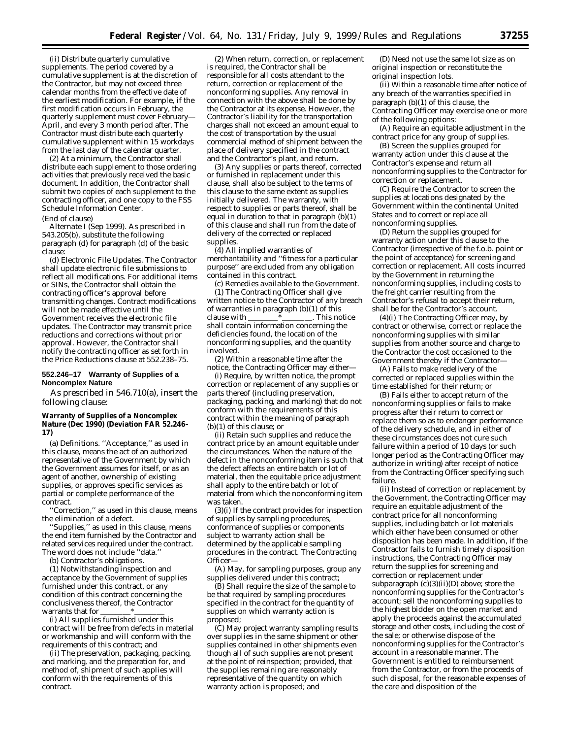(ii) Distribute quarterly cumulative supplements. The period covered by a cumulative supplement is at the discretion of the Contractor, but may not exceed three calendar months from the effective date of the earliest modification. For example, if the first modification occurs in February, the quarterly supplement must cover February— April, and every 3 month period after. The Contractor must distribute each quarterly cumulative supplement within 15 workdays from the last day of the calendar quarter.

(2) At a minimum, the Contractor shall distribute each supplement to those ordering activities that previously received the basic document. In addition, the Contractor shall submit two copies of each supplement to the contracting officer, and one copy to the FSS Schedule Information Center.

### (End of clause)

*Alternate I (Sep 1999).* As prescribed in 543.205(b), substitute the following paragraph (d) for paragraph (d) of the basic clause:

(d) *Electronic File Updates.* The Contractor shall update electronic file submissions to reflect all modifications. For additional items or SINs, the Contractor shall obtain the contracting officer's approval before transmitting changes. Contract modifications will not be made effective until the Government receives the electronic file updates. The Contractor may transmit price reductions and corrections without prior approval. However, the Contractor shall notify the contracting officer as set forth in the Price Reductions clause at 552.238–75.

### **552.246–17 Warranty of Supplies of a Noncomplex Nature**

As prescribed in 546.710(a), insert the following clause:

### **Warranty of Supplies of a Noncomplex Nature (Dec 1990) (Deviation FAR 52.246– 17)**

(a) *Definitions.* "Acceptance," as used in this clause, means the act of an authorized representative of the Government by which the Government assumes for itself, or as an agent of another, ownership of existing supplies, or approves specific services as partial or complete performance of the contract.

''Correction,'' as used in this clause, means the elimination of a defect.

'Supplies," as used in this clause, means the end item furnished by the Contractor and related services required under the contract. The word does not include ''data.''

(b) *Contractor's obligations.*

(1) Notwithstanding inspection and acceptance by the Government of supplies furnished under this contract, or any condition of this contract concerning the conclusiveness thereof, the Contractor warrants that for

(i) All supplies furnished under this contract will be free from defects in material or workmanship and will conform with the requirements of this contract; and

(ii) The preservation, packaging, packing, and marking, and the preparation for, and method of, shipment of such applies will conform with the requirements of this contract.

(2) When return, correction, or replacement is required, the Contractor shall be responsible for all costs attendant to the return, correction or replacement of the nonconforming supplies. Any removal in connection with the above shall be done by the Contractor at its expense. However, the Contractor's liability for the transportation charges shall not exceed an amount equal to the cost of transportation by the usual commercial method of shipment between the place of delivery specified in the contract and the Contractor's plant, and return.

(3) Any supplies or parts thereof, corrected or furnished in replacement under this clause, shall also be subject to the terms of this clause to the same extent as supplies initially delivered. The warranty, with respect to supplies or parts thereof, shall be equal in duration to that in paragraph (b)(1) of this clause and shall run from the date of delivery of the corrected or replaced supplies.

(4) All implied warranties of merchantability and ''fitness for a particular purpose'' are excluded from any obligation contained in this contract.

(c) *Remedies available to the Government.* (1) The Contracting Officer shall give written notice to the Contractor of any breach of warranties in paragraph  $(b)(1)$  of this clause with  $\overline{\phantom{a}}$ .  $\overline{\phantom{a}}$ . This notice shall contain information concerning the deficiencies found, the location of the nonconforming supplies, and the quantity involved.

(2) Within a reasonable time after the notice, the Contracting Officer may either—

(i) Require, by written notice, the prompt correction or replacement of any supplies or parts thereof (including preservation, packaging, packing, and marking) that do not conform with the requirements of this contract within the meaning of paragraph (b)(1) of this clause; or

(ii) Retain such supplies and reduce the contract price by an amount equitable under the circumstances. When the nature of the defect in the nonconforming item is such that the defect affects an entire batch or lot of material, then the equitable price adjustment shall apply to the entire batch or lot of material from which the nonconforming item was taken.

(3)(i) If the contract provides for inspection of supplies by sampling procedures, conformance of supplies or components subject to warranty action shall be determined by the applicable sampling procedures in the contract. The Contracting Officer—

(A) May, for sampling purposes, group any supplies delivered under this contract;

(B) Shall require the size of the sample to be that required by sampling procedures specified in the contract for the quantity of supplies on which warranty action is proposed;

(C) May project warranty sampling results over supplies in the same shipment or other supplies contained in other shipments even though all of such supplies are not present at the point of reinspection; *provided*, that the supplies remaining are reasonably representative of the quantity on which warranty action is proposed; and

(D) Need not use the same lot size as on original inspection or reconstitute the original inspection lots.

(ii) Within a reasonable time after notice of any breach of the warranties specified in paragraph (b)(1) of this clause, the Contracting Officer may exercise one or more of the following options:

(A) Require an equitable adjustment in the contract price for any group of supplies.

(B) Screen the supplies grouped for warranty action under this clause at the Contractor's expense and return all nonconforming supplies to the Contractor for correction or replacement.

(C) Require the Contractor to screen the supplies at locations designated by the Government within the continental United States and to correct or replace all nonconforming supplies.

(D) Return the supplies grouped for warranty action under this clause to the Contractor (irrespective of the f.o.b. point or the point of acceptance) for screening and correction or replacement. All costs incurred by the Government in returning the nonconforming supplies, including costs to the freight carrier resulting from the Contractor's refusal to accept their return, shall be for the Contractor's account.

(4)(i) The Contracting Officer may, by contract or otherwise, correct or replace the nonconforming supplies with similar supplies from another source and charge to the Contractor the cost occasioned to the Government thereby if the Contractor—

(A) Fails to make redelivery of the corrected or replaced supplies within the time established for their return; or

(B) Fails either to accept return of the nonconforming supplies or fails to make progress after their return to correct or replace them so as to endanger performance of the delivery schedule, and in either of these circumstances does not cure such failure within a period of 10 days (or such longer period as the Contracting Officer may authorize in writing) after receipt of notice from the Contracting Officer specifying such failure.

(ii) Instead of correction or replacement by the Government, the Contracting Officer may require an equitable adjustment of the contract price for all nonconforming supplies, including batch or lot materials which either have been consumed or other disposition has been made. In addition, if the Contractor fails to furnish timely disposition instructions, the Contracting Officer may return the supplies for screening and correction or replacement under subparagraph  $(c)(3)(ii)(D)$  above; store the nonconforming supplies for the Contractor's account; sell the nonconforming supplies to the highest bidder on the open market and apply the proceeds against the accumulated storage and other costs, including the cost of the sale; or otherwise dispose of the nonconforming supplies for the Contractor's account in a reasonable manner. The Government is entitled to reimbursement from the Contractor, or from the proceeds of such disposal, for the reasonable expenses of the care and disposition of the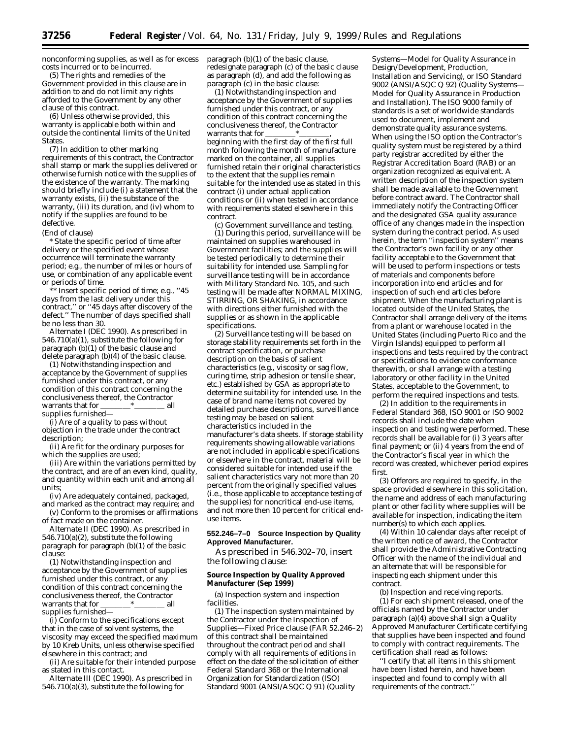nonconforming supplies, as well as for excess costs incurred or to be incurred.

(5) The rights and remedies of the Government provided in this clause are in addition to and do not limit any rights afforded to the Government by any other clause of this contract.

(6) Unless otherwise provided, this warranty is applicable both within and outside the continental limits of the United States.

(7) In addition to other marking requirements of this contract, the Contractor shall stamp or mark the supplies delivered or otherwise furnish notice with the supplies of the existence of the warranty. The marking should briefly include (i) a statement that the warranty exists, (ii) the substance of the warranty, (iii) its duration, and (iv) whom to notify if the supplies are found to be defective.

(End of clause)

*\* State the specific period of time after delivery or the specified event whose occurrence will terminate the warranty period; e.g., the number of miles or hours of use, or combination of any applicable event or periods of time.*

*\*\* Insert specific period of time; e.g., ''45 days from the last delivery under this contract,'' or ''45 days after discovery of the defect.'' The number of days specified shall be no less than 30.*

*Alternate I (DEC 1990).* As prescribed in 546.710(a)(1), substitute the following for paragraph (b)(1) of the basic clause and delete paragraph (b)(4) of the basic clause.

(1) Notwithstanding inspection and acceptance by the Government of supplies furnished under this contract, or any condition of this contract concerning the conclusiveness thereof, the Contractor warrants that for llll\*llll all supplies furnished—

(i) Are of a quality to pass without objection in the trade under the contract description;

(ii) Are fit for the ordinary purposes for which the supplies are used;

(iii) Are within the variations permitted by the contract, and are of an even kind, quality, and quantity within each unit and among all units;

(iv) Are adequately contained, packaged, and marked as the contract may require; and

(v) Conform to the promises or affirmations of fact made on the container.

*Alternate II (DEC 1990).* As prescribed in 546.710(a)(2), substitute the following paragraph for paragraph (b)(1) of the basic clause:

(1) Notwithstanding inspection and acceptance by the Government of supplies furnished under this contract, or any condition of this contract concerning the conclusiveness thereof, the Contractor warrants that for llll\*llll all supplies furnished—

(i) Conform to the specifications except that in the case of solvent systems, the viscosity may exceed the specified maximum by 10 Kreb Units, unless otherwise specified elsewhere in this contract; and

(ii) Are suitable for their intended purpose as stated in this contact.

*Alternate III (DEC 1990).* As prescribed in 546.710(a)(3), substitute the following for

paragraph (b)(1) of the basic clause, redesignate paragraph (c) of the basic clause as paragraph (d), and add the following as paragraph (c) in the basic clause:

(1) Notwithstanding inspection and acceptance by the Government of supplies furnished under this contract, or any condition of this contract concerning the conclusiveness thereof, the Contractor warrants that for beginning with the first day of the first full month following the month of manufacture marked on the container, all supplies furnished retain their original characteristics to the extent that the supplies remain suitable for the intended use as stated in this contract (i) under actual application conditions or (ii) when tested in accordance with requirements stated elsewhere in this contract.

(c) *Government surveillance and testing.*

(1) During this period, surveillance will be maintained on supplies warehoused in Government facilities; and the supplies will be tested periodically to determine their suitability for intended use. Sampling for surveillance testing will be in accordance with Military Standard No. 105, and such testing will be made after NORMAL MIXING, STIRRING, OR SHAKING, in accordance with directions either furnished with the supplies or as shown in the applicable specifications.

(2) Surveillance testing will be based on storage stability requirements set forth in the contract specification, or purchase description on the basis of salient characteristics (e.g., viscosity or sag flow, curing time, strip adhesion or tensile shear, etc.) established by GSA as appropriate to determine suitability for intended use. In the case of brand name items not covered by detailed purchase descriptions, surveillance testing may be based on salient characteristics included in the manufacturer's data sheets. If storage stability requirements showing allowable variations are not included in applicable specifications or elsewhere in the contract, material will be considered suitable for intended use if the salient characteristics vary not more than 20 percent from the originally specified values (i.e., those applicable to acceptance testing of the supplies) for noncritical end-use items, and not more then 10 percent for critical enduse items.

### **552.246–7–0 Source Inspection by Quality Approved Manufacturer.**

As prescribed in 546.302–70, insert the following clause:

### **Source Inspection by Quality Approved Manufacturer (Sep 1999)**

(a) *Inspection system and inspection facilities.*

(1) The inspection system maintained by the Contractor under the Inspection of Supplies—Fixed Price clause (FAR 52.246–2) of this contract shall be maintained throughout the contract period and shall comply with all requirements of editions in effect on the date of the solicitation of either Federal Standard 368 or the International Organization for Standardization (ISO) Standard 9001 (ANSI/ASQC Q 91) (Quality

Systems—Model for Quality Assurance in Design/Development, Production, Installation and Servicing), or ISO Standard 9002 (ANSI/ASQC Q 92) (Quality Systems— Model for Quality Assurance in Production and Installation). The ISO 9000 family of standards is a set of worldwide standards used to document, implement and demonstrate quality assurance systems. When using the ISO option the Contractor's quality system must be registered by a third party registrar accredited by either the Registrar Accreditation Board (RAB) or an organization recognized as equivalent. A written description of the inspection system shall be made available to the Government before contract award. The Contractor shall immediately notify the Contracting Officer and the designated GSA quality assurance office of any changes made in the inspection system during the contract period. As used herein, the term ''inspection system'' means the Contractor's own facility or any other facility acceptable to the Government that will be used to perform inspections or tests of materials and components before incorporation into end articles and for inspection of such end articles before shipment. When the manufacturing plant is located outside of the United States, the Contractor shall arrange delivery of the items from a plant or warehouse located in the United States (including Puerto Rico and the Virgin Islands) equipped to perform all inspections and tests required by the contract or specifications to evidence conformance therewith, or shall arrange with a testing laboratory or other facility in the United States, acceptable to the Government, to perform the required inspections and tests.

(2) In addition to the requirements in Federal Standard 368, ISO 9001 or ISO 9002 records shall include the date when inspection and testing were performed. These records shall be available for (i) 3 years after final payment; or (ii) 4 years from the end of the Contractor's fiscal year in which the record was created, whichever period expires first.

(3) Offerors are required to specify, in the space provided elsewhere in this solicitation, the name and address of each manufacturing plant or other facility where supplies will be available for inspection, indicating the item number(s) to which each applies.

(4) Within 10 calendar days after receipt of the written notice of award, the Contractor shall provide the Administrative Contracting Officer with the name of the individual and an alternate that will be responsible for inspecting each shipment under this contract.

(b) *Inspection and receiving reports.* (1) For each shipment released, one of the officials named by the Contractor under paragraph (a)(4) above shall sign a Quality Approved Manufacturer Certificate certifying that supplies have been inspected and found to comply with contract requirements. The certification shall read as follows:

''I certify that all items in this shipment have been listed herein, and have been inspected and found to comply with all requirements of the contract.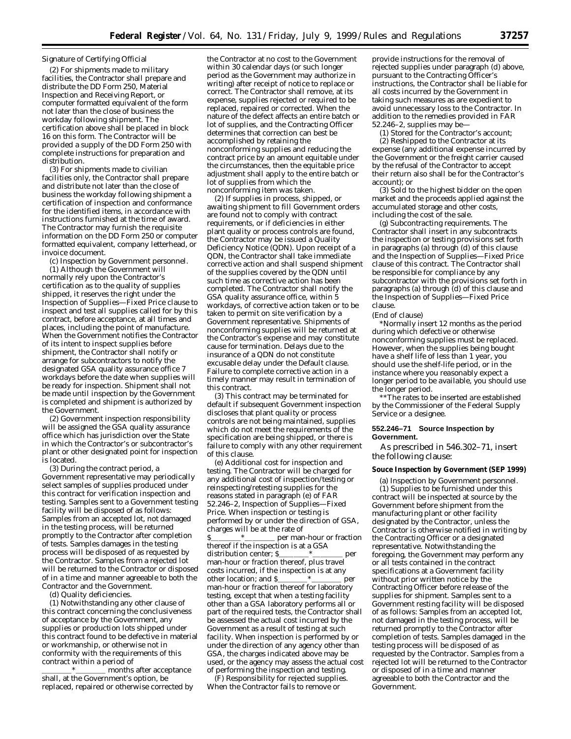### Signature of Certifying Official

(2) For shipments made to military facilities, the Contractor shall prepare and distribute the DD Form 250, Material Inspection and Receiving Report, or computer formatted equivalent of the form not later than the close of business the workday following shipment. The certification above shall be placed in block 16 on this form. The Contractor will be provided a supply of the DD Form 250 with complete instructions for preparation and distribution.

(3) For shipments made to civilian facilities *only*, the Contractor shall prepare and distribute not later than the close of business the workday following shipment a certification of inspection and conformance for the identified items, in accordance with instructions furnished at the time of award. The Contractor may furnish the requisite information on the DD Form 250 or computer formatted equivalent, company letterhead, or invoice document.

(c) *Inspection by Government personnel.*

(1) Although the Government will normally rely upon the Contractor's certification as to the quality of supplies shipped, it reserves the right under the Inspection of Supplies—Fixed Price clause to inspect and test all supplies called for by this contract, before acceptance, at all times and places, including the point of manufacture. When the Government notifies the Contractor of its intent to inspect supplies before shipment, the Contractor shall notify or arrange for subcontractors to notify the designated GSA quality assurance office 7 workdays before the date when supplies will be ready for inspection. Shipment shall not be made until inspection by the Government is completed and shipment is authorized by the Government.

(2) Government inspection responsibility will be assigned the GSA quality assurance office which has jurisdiction over the State in which the Contractor's or subcontractor's plant or other designated point for inspection is located.

(3) During the contract period, a Government representative may periodically select samples of supplies produced under this contract for verification inspection and testing. Samples sent to a Government testing facility will be disposed of as follows: Samples from an accepted lot, not damaged in the testing process, will be returned promptly to the Contractor after completion of tests. Samples damages in the testing process will be disposed of as requested by the Contractor. Samples from a rejected lot will be returned to the Contractor or disposed of in a time and manner agreeable to both the Contractor and the Government.

(d) Quality deficiencies.

(1) Notwithstanding any other clause of this contract concerning the conclusiveness of acceptance by the Government, any supplies or production lots shipped under this contract found to be defective in material or workmanship, or otherwise not in conformity with the requirements of this contract within a period of

 $l$  months after acceptance shall, at the Government's option, be replaced, repaired or otherwise corrected by

the Contractor at no cost to the Government within 30 calendar days (or such longer period as the Government may authorize in writing) after receipt of notice to replace or correct. The Contractor shall remove, at its expense, supplies rejected or required to be replaced, repaired or corrected. When the nature of the defect affects an entire batch or lot of supplies, and the Contracting Officer determines that correction can best be accomplished by retaining the nonconforming supplies and reducing the contract price by an amount equitable under the circumstances, then the equitable price adjustment shall apply to the entire batch or lot of supplies from which the nonconforming item was taken.

(2) If supplies in process, shipped, or awaiting shipment to fill Government orders are found not to comply with contract requirements, or if deficiencies in either plant quality or process controls are found, the Contractor may be issued a Quality Deficiency Notice (QDN). Upon receipt of a QDN, the Contractor shall take immediate corrective action and shall suspend shipment of the supplies covered by the QDN until such time as corrective action has been completed. The Contractor shall notify the GSA quality assurance office, within 5 workdays, of corrective action taken or to be taken to permit on site verification by a Government representative. Shipments of nonconforming supplies will be returned at the Contractor's expense and may constitute cause for termination. Delays due to the insurance of a QDN do not constitute excusable delay under the Default clause. Failure to complete corrective action in a timely manner may result in termination of this contract.

(3) This contract may be terminated for default if subsequent Government inspection discloses that plant quality or process controls are not being maintained, supplies which do not meet the requirements of the specification are being shipped, or there is failure to comply with any other requirement of this clause.

(e) *Additional cost for inspection and testing*. The Contractor will be charged for any additional cost of inspection/testing or reinspecting/retesting supplies for the reasons stated in paragraph (e) of FAR 52.246–2, Inspection of Supplies—Fixed Price. When inspection or testing is performed by or under the direction of GSA, charges will be at the rate of

per man-hour or fraction thereof if the inspection is at a GSA distribution center;  $\delta$  \* \* per man-hour or fraction thereof, plus travel costs incurred, if the inspection is at any other location; and  $\sqrt{ }$  \* per man-hour or fraction thereof for laboratory testing, except that when a testing facility other than a GSA laboratory performs all or part of the required tests, the Contractor shall be assessed the actual cost incurred by the Government as a result of testing at such facility. When inspection is performed by or under the direction of any agency other than GSA, the charges indicated above may be used, or the agency may assess the actual cost of performing the inspection and testing.

(F) *Responsibility for rejected supplies.* When the Contractor fails to remove or

provide instructions for the removal of rejected supplies under paragraph (d) above, pursuant to the Contracting Officer's instructions, the Contractor shall be liable for all costs incurred by the Government in taking such measures as are expedient to avoid unnecessary loss to the Contractor. In addition to the remedies provided in FAR 52.246–2, supplies may be—

(1) Stored for the Contractor's account; (2) Reshipped to the Contractor at its expense (any additional expense incurred by the Government or the freight carrier caused by the refusal of the Contractor to accept their return also shall be for the Contractor's account); or

(3) Sold to the highest bidder on the open market and the proceeds applied against the accumulated storage and other costs, including the cost of the sale.

(g) *Subcontracting requirements.* The Contractor shall insert in any subcontracts the inspection or testing provisions set forth in paragraphs (a) through (d) of this clause and the Inspection of Supplies—Fixed Price clause of this contract. The Contractor shall be responsible for compliance by any subcontractor with the provisions set forth in paragraphs (a) through (d) of this clause and the Inspection of Supplies—Fixed Price clause.

#### (End of clause)

*\*Normally insert 12 months as the period during which defective or otherwise nonconforming supplies must be replaced. However, when the supplies being bought have a shelf life of less than 1 year, you should use the shelf-life period, or in the instance where you reasonably expect a longer period to be available, you should use the longer period.*

*\*\*The rates to be inserted are established by the Commissioner of the Federal Supply Service or a designee.*

### **552.246–71 Source Inspection by Government.**

As prescribed in 546.302–71, insert the following clause:

#### **Souce Inspection by Government (SEP 1999)**

(a) *Inspection by Government personnel.* (1) Supplies to be furnished under this contract will be inspected at source by the Government before shipment from the manufacturing plant or other facility designated by the Contractor, unless the Contractor is otherwise notified in writing by the Contracting Officer or a designated representative. Notwithstanding the foregoing, the Government may perform any or all tests contained in the contract specifications at a Government facility without prior written notice by the Contracting Officer before release of the supplies for shipment. Samples sent to a Government resting facility will be disposed of as follows: Samples from an accepted lot, not damaged in the testing process, will be returned promptly to the Contractor after completion of tests. Samples damaged in the testing process will be disposed of as requested by the Contractor. Samples from a rejected lot will be returned to the Contractor or disposed of in a time and manner agreeable to both the Contractor and the Government.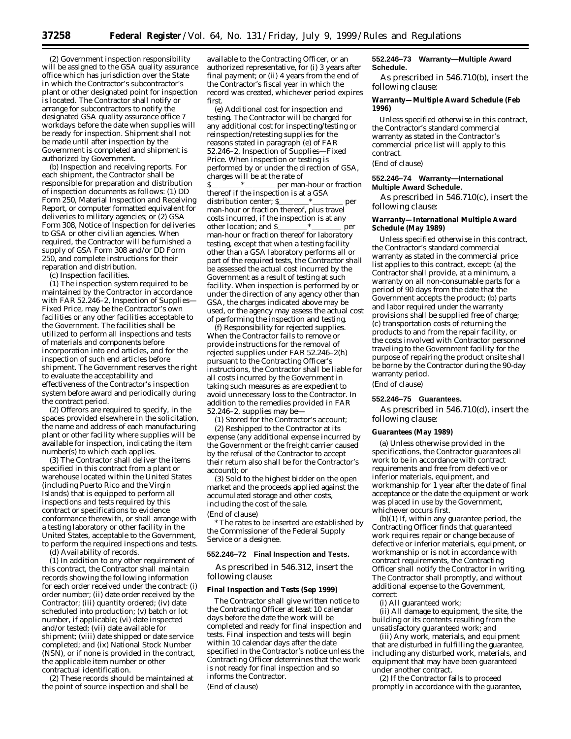(2) Government inspection responsibility will be assigned to the GSA quality assurance office which has jurisdiction over the State in which the Contractor's subcontractor's plant or other designated point for inspection is located. The Contractor shall notify or arrange for subcontractors to notify the designated GSA quality assurance office 7 workdays before the date when supplies will be ready for inspection. Shipment shall not be made until after inspection by the Government is completed and shipment is authorized by Government.

(b) *Inspection and receiving reports.* For each shipment, the Contractor shall be responsible for preparation and distribution of inspection documents as follows: (1) DD Form 250, Material Inspection and Receiving Report, or computer formatted equivalent for deliveries to military agencies; or (2) GSA Form 308, Notice of Inspection for deliveries to GSA or other civilian agencies. When required, the Contractor will be furnished a supply of GSA Form 308 and/or DD Form 250, and complete instructions for their reparation and distribution.

(c) *Inspection facilities.*

(1) The inspection system required to be maintained by the Contractor in accordance with FAR 52.246-2, Inspection of Supplies-Fixed Price, may be the Contractor's own facilities or any other facilities acceptable to the Government. The facilities shall be utilized to perform all inspections and tests of materials and components before incorporation into end articles, and for the inspection of such end articles before shipment. The Government reserves the right to evaluate the acceptability and effectiveness of the Contractor's inspection system before award and periodically during the contract period.

(2) Offerors are required to specify, in the spaces provided elsewhere in the solicitation, the name and address of each manufacturing plant or other facility where supplies will be available for inspection, indicating the item number(s) to which each applies.

(3) The Contractor shall deliver the items specified in this contract from a plant or warehouse located within the United States (including Puerto Rico and the Virgin Islands) that is equipped to perform all inspections and tests required by this contract or specifications to evidence conformance therewith, or shall arrange with a testing laboratory or other facility in the United States, acceptable to the Government, to perform the required inspections and tests.

(d) *Availability of records.*

(1) In addition to any other requirement of this contract, the Contractor shall maintain records showing the following information for each order received under the contract: (i) order number; (ii) date order received by the Contractor; (iii) quantity ordered; (iv) date scheduled into production; (v) batch or lot number, if applicable; (vi) date inspected and/or tested; (vii) date available for shipment; (viii) date shipped or date service completed; and (ix) National Stock Number (NSN), or if none is provided in the contract, the applicable item number or other contractual identification.

(2) These records should be maintained at the point of source inspection and shall be

available to the Contracting Officer, or an authorized representative, for (i) 3 years after final payment; or (ii) 4 years from the end of the Contractor's fiscal year in which the record was created, whichever period expires first.

(e) *Additional cost for inspection and testing.* The Contractor will be charged for any additional cost for inspecting/testing or reinspection/retesting supplies for the reasons stated in paragraph (e) of FAR 52.246–2, Inspection of Supplies—Fixed Price. When inspection or testing is performed by or under the direction of GSA, charges will be at the rate of

per man-hour or fraction thereof if the inspection is at a GSA distribution center;  $\frac{1}{2}$   $\frac{1}{2}$  per man-hour or fraction thereof, plus travel costs incurred, if the inspection is at any other location; and  $\frac{\gamma_{\text{max}}}{\gamma_{\text{max}}}$  per other location; and \$\_ man-hour or fraction thereof for laboratory testing, except that when a testing facility other than a GSA laboratory performs all or part of the required tests, the Contractor shall be assessed the actual cost incurred by the Government as a result of testing at such facility. When inspection is performed by or under the direction of any agency other than GSA, the charges indicated above may be used, or the agency may assess the actual cost of performing the inspection and testing.

(f) *Responsibility for rejected supplies.* When the Contractor fails to remove or provide instructions for the removal of rejected supplies under FAR 52.246–2(h) pursuant to the Contracting Officer's instructions, the Contractor shall be liable for all costs incurred by the Government in taking such measures as are expedient to avoid unnecessary loss to the Contractor. In addition to the remedies provided in FAR 52.246–2, supplies may be—

(1) Stored for the Contractor's account;

(2) Reshipped to the Contractor at its expense (any additional expense incurred by the Government or the freight carrier caused by the refusal of the Contractor to accept their return also shall be for the Contractor's account); or

(3) Sold to the highest bidder on the open market and the proceeds applied against the accumulated storage and other costs, including the cost of the sale.

(End of clause)

*\*The rates to be inserted are established by the Commissioner of the Federal Supply Service or a designee.*

### **552.246–72 Final Inspection and Tests.**

As prescribed in 546.312, insert the following clause:

#### **Final Inspection and Tests (Sep 1999)**

The Contractor shall give written notice to the Contracting Officer at least 10 calendar days before the date the work will be completed and ready for final inspection and tests. Final inspection and tests will begin within 10 calendar days after the date specified in the Contractor's notice unless the Contracting Officer determines that the work is not ready for final inspection and so informs the Contractor. (End of clause)

### **552.246–73 Warranty—Multiple Award Schedule.**

As prescribed in 546.710(b), insert the following clause:

### **Warranty—Multiple Award Schedule (Feb 1996)**

Unless specified otherwise in this contract, the Contractor's standard commercial warranty as stated in the Contractor's commercial price list will apply to this contract. (End of clause)

### **552.246–74 Warranty—International Multiple Award Schedule.**

As prescribed in 546.710(c), insert the following clause:

### **Warranty—International Multiple Award Schedule (May 1989)**

Unless specified otherwise in this contract, the Contractor's standard commercial warranty as stated in the commercial price list applies to this contract, except: (a) the Contractor shall provide, at a minimum, a warranty on all non-consumable parts for a period of 90 days from the date that the Government accepts the product; (b) parts and labor required under the warranty provisions shall be supplied free of charge; (c) transportation costs of returning the products to and from the repair facility, or the costs involved with Contractor personnel traveling to the Government facility for the purpose of repairing the product onsite shall be borne by the Contractor during the 90-day warranty period. (End of clause)

# **552.246–75 Guarantees.**

As prescribed in 546.710(d), insert the following clause:

#### **Guarantees (May 1989)**

(a) Unless otherwise provided in the specifications, the Contractor guarantees all work to be in accordance with contract requirements and free from defective or inferior materials, equipment, and workmanship for 1 year after the date of final acceptance or the date the equipment or work was placed in use by the Government, whichever occurs first.

(b)(1) If, within any guarantee period, the Contracting Officer finds that guaranteed work requires repair or change because of defective or inferior materials, equipment, or workmanship or is not in accordance with contract requirements, the Contracting Officer shall notify the Contractor in writing. The Contractor shall promptly, and without additional expense to the Government, correct:

(i) All guaranteed work;

(ii) All damage to equipment, the site, the building or its contents resulting from the unsatisfactory guaranteed work; and

(iii) Any work, materials, and equipment that are disturbed in fulfilling the guarantee, including any disturbed work, materials, and equipment that may have been guaranteed under another contract.

(2) If the Contractor fails to proceed promptly in accordance with the guarantee,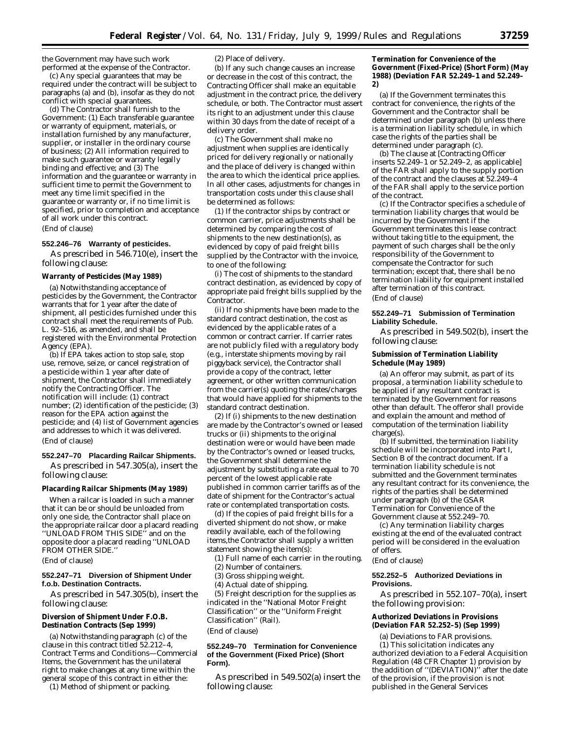the Government may have such work performed at the expense of the Contractor.

(c) Any special guarantees that may be required under the contract will be subject to paragraphs (a) and (b), insofar as they do not conflict with special guarantees.

(d) The Contractor shall furnish to the Government: (1) Each transferable guarantee or warranty of equipment, materials, or installation furnished by any manufacturer, supplier, or installer in the ordinary course of business; (2) All information required to make such guarantee or warranty legally binding and effective; and (3) The information and the guarantee or warranty in sufficient time to permit the Government to meet any time limit specified in the guarantee or warranty or, if no time limit is specified, prior to completion and acceptance of all work under this contract. (End of clause)

#### **552.246–76 Warranty of pesticides.**

As prescribed in 546.710(e), insert the following clause:

### **Warranty of Pesticides (May 1989)**

(a) Notwithstanding acceptance of pesticides by the Government, the Contractor warrants that for 1 year after the date of shipment, all pesticides furnished under this contract shall meet the requirements of Pub. L. 92–516, as amended, and shall be registered with the Environmental Protection Agency (EPA).

(b) If EPA takes action to stop sale, stop use, remove, seize, or cancel registration of a pesticide within 1 year after date of shipment, the Contractor shall immediately notify the Contracting Officer. The notification will include: (1) contract number; (2) identification of the pesticide; (3) reason for the EPA action against the pesticide; and (4) list of Government agencies and addresses to which it was delivered. (End of clause)

#### **552.247–70 Placarding Railcar Shipments.**

As prescribed in 547.305(a), insert the following clause:

#### **Placarding Railcar Shipments (May 1989)**

When a railcar is loaded in such a manner that it can be or should be unloaded from only one side, the Contractor shall place on the appropriate railcar door a placard reading ''UNLOAD FROM THIS SIDE'' and on the opposite door a placard reading ''UNLOAD FROM OTHER SIDE.''

(End of clause)

### **552.247–71 Diversion of Shipment Under f.o.b. Destination Contracts.**

As prescribed in 547.305(b), insert the following clause:

### **Diversion of Shipment Under F.O.B. Destination Contracts (Sep 1999)**

(a) Notwithstanding paragraph (c) of the clause in this contract titled 52.212–4, Contract Terms and Conditions—Commercial Items, the Government has the unilateral right to make changes at any time within the general scope of this contract in either the:

(1) Method of shipment or packing.

(2) Place of delivery.

(b) If any such change causes an increase or decrease in the cost of this contract, the Contracting Officer shall make an equitable adjustment in the contract price, the delivery schedule, or both. The Contractor must assert its right to an adjustment under this clause within 30 days from the date of receipt of a delivery order.

(c) The Government shall make no adjustment when supplies are identically priced for delivery regionally or nationally and the place of delivery is changed within the area to which the identical price applies. In all other cases, adjustments for changes in transportation costs under this clause shall be determined as follows:

(1) If the contractor ships by contract or common carrier, price adjustments shall be determined by comparing the cost of shipments to the new destination(s), as evidenced by copy of paid freight bills supplied by the Contractor with the invoice, to one of the following:

(i) The cost of shipments to the standard contract destination, as evidenced by copy of appropriate paid freight bills supplied by the Contractor.

(ii) If no shipments have been made to the standard contract destination, the cost as evidenced by the applicable rates of a common or contract carrier. If carrier rates are not publicly filed with a regulatory body (e.g., interstate shipments moving by rail piggyback service), the Contractor shall provide a copy of the contract, letter agreement, or other written communication from the carrier(s) quoting the rates/charges that would have applied for shipments to the standard contract destination.

(2) If (i) shipments to the new destination are made by the Contractor's owned or leased trucks or (ii) shipments to the original destination were or would have been made by the Contractor's owned or leased trucks, the Government shall determine the adjustment by substituting a rate equal to 70 percent of the lowest applicable rate published in common carrier tariffs as of the date of shipment for the Contractor's actual rate or contemplated transportation costs.

(d) If the copies of paid freight bills for a diverted shipment do not show, or make readily available, each of the following items,the Contractor shall supply a written statement showing the item(s):

(1) Full name of each carrier in the routing.

- (2) Number of containers.
- (3) Gross shipping weight.
- (4) Actual date of shipping.

(5) Freight description for the supplies as indicated in the ''National Motor Freight Classification'' or the ''Uniform Freight Classification'' (Rail).

(End of clause)

### **552.249–70 Termination for Convenience of the Government (Fixed Price) (Short Form).**

As prescribed in 549.502(a) insert the following clause:

#### **Termination for Convenience of the Government (Fixed-Price) (Short Form) (May 1988) (Deviation FAR 52.249–1 and 52.249– 2)**

(a) If the Government terminates this contract for convenience, the rights of the Government and the Contractor shall be determined under paragraph (b) unless there is a termination liability schedule, in which case the rights of the parties shall be determined under paragraph (c).

(b) The clause at [Contracting Officer inserts 52.249–1 or 52.249–2, as applicable] of the FAR shall apply to the supply portion of the contract and the clauses at 52.249–4 of the FAR shall apply to the service portion of the contract.

(c) If the Contractor specifies a schedule of termination liability charges that would be incurred by the Government if the Government terminates this lease contract without taking title to the equipment, the payment of such charges shall be the only responsibility of the Government to compensate the Contractor for such termination; except that, there shall be no termination liability for equipment installed after termination of this contract. (End of clause)

### **552.249–71 Submission of Termination Liability Schedule.**

As prescribed in 549.502(b), insert the following clause:

### **Submission of Termination Liability Schedule (May 1989)**

(a) An offeror may submit, as part of its proposal, a termination liability schedule to be applied if any resultant contract is terminated by the Government for reasons other than default. The offeror shall provide and explain the amount and method of computation of the termination liability charge(s).

(b) If submitted, the termination liability schedule will be incorporated into Part I, Section B of the contract document. If a termination liability schedule is not submitted and the Government terminates any resultant contract for its convenience, the rights of the parties shall be determined under paragraph (b) of the GSAR Termination for Convenience of the Government clause at 552.249–70.

(c) Any termination liability charges existing at the end of the evaluated contract period will be considered in the evaluation of offers.

### (End of clause)

### **552.252–5 Authorized Deviations in Provisions.**

As prescribed in 552.107–70(a), insert the following provision:

### **Authorized Deviations in Provisions (Deviation FAR 52.252–5) (Sep 1999)**

(a) *Deviations to FAR provisions.* (1) This solicitation indicates any authorized deviation to a Federal Acquisition Regulation (48 CFR Chapter 1) provision by the addition of ''(DEVIATION)'' after the date of the provision, if the provision is not published in the General Services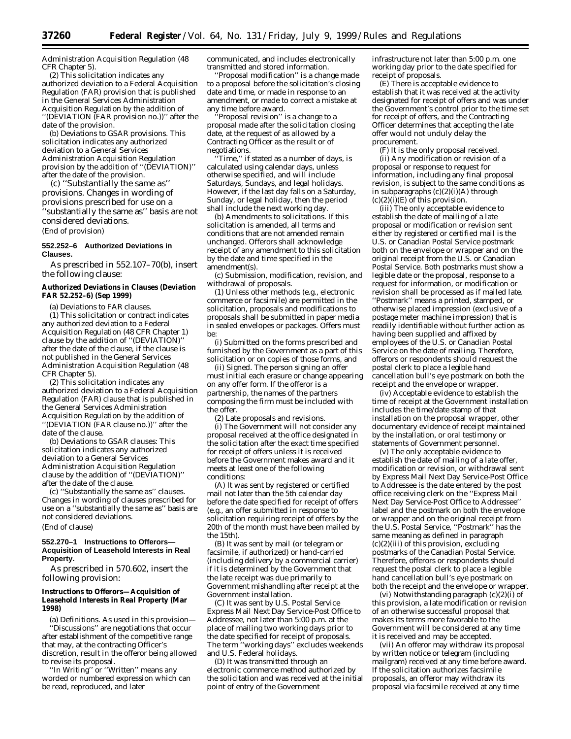Administration Acquisition Regulation (48 CFR Chapter 5).

(2) This solicitation indicates any authorized deviation to a Federal Acquisition Regulation (FAR) provision that is published in the General Services Administration Acquisition Regulation by the addition of ''(DEVIATION (FAR provision no.))'' after the date of the provision.

(b) *Deviations to GSAR provisions.* This solicitation indicates any authorized deviation to a General Services Administration Acquisition Regulation provision by the addition of ''(DEVIATION)'' after the date of the provision.

(c) ''*Substantially the same as'' provisions.* Changes in wording of provisions prescribed for use on a 'substantially the same as" basis are not considered deviations.

(End of provision)

### **552.252–6 Authorized Deviations in Clauses.**

As prescribed in 552.107–70(b), insert the following clause:

### **Authorized Deviations in Clauses (Deviation FAR 52.252–6) (Sep 1999)**

(a) *Deviations to FAR clauses.*

(1) This solicitation or contract indicates any authorized deviation to a Federal Acquisition Regulation (48 CFR Chapter 1) clause by the addition of ''(DEVIATION)'' after the date of the clause, if the clause is not published in the General Services Administration Acquisition Regulation (48 CFR Chapter 5).

(2) This solicitation indicates any authorized deviation to a Federal Acquisition Regulation (FAR) clause that is published in the General Services Administration Acquisition Regulation by the addition of ''(DEVIATION (FAR clause no.))'' after the date of the clause.

(b) *Deviations to GSAR clauses:* This solicitation indicates any authorized deviation to a General Services Administration Acquisition Regulation clause by the addition of ''(DEVIATION)'' after the date of the clause.

(c) ''*Substantially the same as'' clauses.* Changes in wording of clauses prescribed for use on a ''substantially the same as'' basis are not considered deviations.

# (End of clause)

#### **552.270–1 Instructions to Offerors— Acquisition of Leasehold Interests in Real Property.**

As prescribed in 570.602, insert the following provision:

### **Instructions to Offerors—Acquisition of Leasehold Interests in Real Property (Mar 1998)**

(a) Definitions. As used in this provision— ''Discussions'' are negotiations that occur after establishment of the competitive range that may, at the contracting Officer's discretion, result in the offeror being allowed to revise its proposal.

''In Writing'' or ''Written'' means any worded or numbered expression which can be read, reproduced, and later

communicated, and includes electronically transmitted and stored information.

''Proposal modification'' is a change made to a proposal before the solicitation's closing date and time, or made in response to an amendment, or made to correct a mistake at any time before award.

''Proposal revision'' is a change to a proposal made after the solicitation closing date, at the request of as allowed by a Contracting Officer as the result or of negotiations.

Time," if stated as a number of days, is calculated using calendar days, unless otherwise specified, and will include Saturdays, Sundays, and legal holidays. However, if the last day falls on a Saturday, Sunday, or legal holiday, then the period shall include the next working day.

(b) Amendments to solicitations. If this solicitation is amended, all terms and conditions that are not amended remain unchanged. Offerors shall acknowledge receipt of any amendment to this solicitation by the date and time specified in the amendment(s).

(c) Submission, modification, revision, and withdrawal of proposals.

(1) Unless other methods (e.g., electronic commerce or facsimile) are permitted in the solicitation, proposals and modifications to proposals shall be submitted in paper media in sealed envelopes or packages. Offers must be:

(i) Submitted on the forms prescribed and furnished by the Government as a part of this solicitation or on copies of those forms, and

(ii) Signed. The person signing an offer must initial each erasure or change appearing on any offer form. If the offeror is a partnership, the names of the partners composing the firm must be included with the offer.

(2) Late proposals and revisions.

(i) The Government will not consider any proposal received at the office designated in the solicitation after the exact time specified for receipt of offers unless it is received before the Government makes award and it meets at least one of the following conditions:

(A) It was sent by registered or certified mail not later than the 5th calendar day before the date specified for receipt of offers (e.g., an offer submitted in response to solicitation requiring receipt of offers by the 20th of the month must have been mailed by the 15th).

(B) It was sent by mail (or telegram or facsimile, if authorized) or hand-carried (including delivery by a commercial carrier) if it is determined by the Government that the late receipt was due primarily to Government mishandling after receipt at the Government installation.

(C) It was sent by U.S. Postal Service Express Mail Next Day Service-Post Office to Addressee, not later than 5:00 p.m. at the place of mailing two working days prior to the date specified for receipt of proposals. The term ''working days'' excludes weekends and U.S. Federal holidays.

(D) It was transmitted through an electronic commerce method authorized by the solicitation and was received at the initial point of entry of the Government

infrastructure not later than 5:00 p.m. one working day prior to the date specified for receipt of proposals.

(E) There is acceptable evidence to establish that it was received at the activity designated for receipt of offers and was under the Government's control prior to the time set for receipt of offers, and the Contracting Officer determines that accepting the late offer would not unduly delay the procurement.

(F) It is the only proposal received. (ii) Any modification or revision of a proposal or response to request for information, including any final proposal revision, is subject to the same conditions as in subparagraphs  $(c)(2)(i)(A)$  through  $(c)(2)(i)(E)$  of this provision.

(iii) The only acceptable evidence to establish the date of mailing of a late proposal or modification or revision sent either by registered or certified mail is the U.S. or Canadian Postal Service postmark both on the envelope or wrapper and on the original receipt from the U.S. or Canadian Postal Service. Both postmarks must show a legible date or the proposal, response to a request for information, or modification or revision shall be processed as if mailed late. ''Postmark'' means a printed, stamped, or otherwise placed impression (exclusive of a postage meter machine impression) that is readily identifiable without further action as having been supplied and affixed by employees of the U.S. or Canadian Postal Service on the date of mailing. Therefore, offerors or respondents should request the postal clerk to place a legible hand cancellation bull's eye postmark on both the receipt and the envelope or wrapper.

(iv) Acceptable evidence to establish the time of receipt at the Government installation includes the time/date stamp of that installation on the proposal wrapper, other documentary evidence of receipt maintained by the installation, or oral testimony or statements of Government personnel.

(v) The only acceptable evidence to establish the date of mailing of a late offer, modification or revision, or withdrawal sent by Express Mail Next Day Service-Post Office to Addressee is the date entered by the post office receiving clerk on the ''Express Mail Next Day Service-Post Office to Addressee'' label and the postmark on both the envelope or wrapper and on the original receipt from the U.S. Postal Service, ''Postmark'' has the same meaning as defined in paragraph  $(c)(2)(iii)$  of this provision, excluding postmarks of the Canadian Postal Service. Therefore, offerors or respondents should request the postal clerk to place a legible hand cancellation bull's eye postmark on both the receipt and the envelope or wrapper.

(vi) Notwithstanding paragraph (c)(2)(i) of this provision, a late modification or revision of an otherwise successful proposal that makes its terms more favorable to the Government will be considered at any time it is received and may be accepted.

(vii) An offeror may withdraw its proposal by written notice or telegram (including mailgram) received at any time before award. If the solicitation authorizes facsimile proposals, an offeror may withdraw its proposal via facsimile received at any time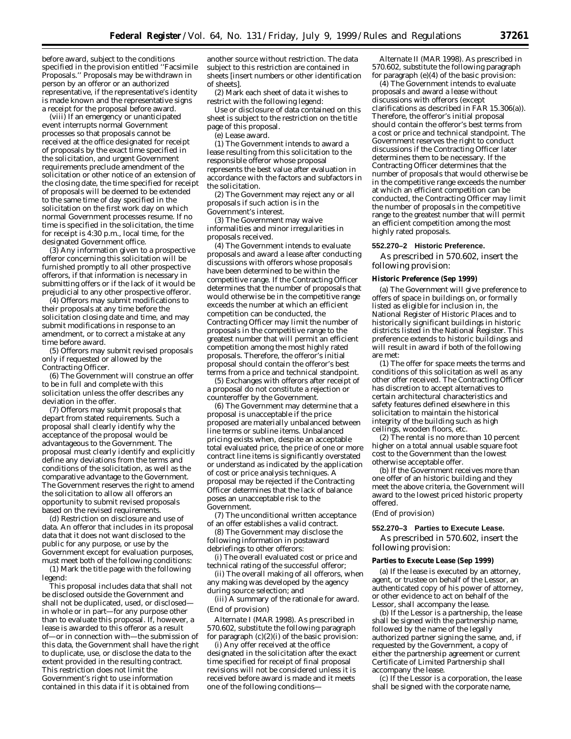before award, subject to the conditions specified in the provision entitled ''Facsimile Proposals.'' Proposals may be withdrawn in person by an offeror or an authorized representative, if the representative's identity is made known and the representative signs a receipt for the proposal before award.

(viii) If an emergency or unanticipated event interrupts normal Government processes so that proposals cannot be received at the office designated for receipt of proposals by the exact time specified in the solicitation, and urgent Government requirements preclude amendment of the solicitation or other notice of an extension of the closing date, the time specified for receipt of proposals will be deemed to be extended to the same time of day specified in the solicitation on the first work day on which normal Government processes resume. If no time is specified in the solicitation, the time for receipt is 4:30 p.m., local time, for the designated Government office.

(3) Any information given to a prospective offeror concerning this solicitation will be furnished promptly to all other prospective offerors, if that information is necessary in submitting offers or if the lack of it would be prejudicial to any other prospective offeror.

(4) Offerors may submit modifications to their proposals at any time before the solicitation closing date and time, and may submit modifications in response to an amendment, or to correct a mistake at any time before award.

(5) Offerors may submit revised proposals only if requested or allowed by the Contracting Officer.

(6) The Government will construe an offer to be in full and complete with this solicitation unless the offer describes any deviation in the offer.

(7) Offerors may submit proposals that depart from stated requirements. Such a proposal shall clearly identify why the acceptance of the proposal would be advantageous to the Government. The proposal must clearly identify and explicitly define any deviations from the terms and conditions of the solicitation, as well as the comparative advantage to the Government. The Government reserves the right to amend the solicitation to allow all offerors an opportunity to submit revised proposals based on the revised requirements.

(d) Restriction on disclosure and use of data. An offeror that includes in its proposal data that it does not want disclosed to the public for any purpose, or use by the Government except for evaluation purposes, must meet both of the following conditions:

(1) Mark the title page with the following legend:

This proposal includes data that shall not be disclosed outside the Government and shall not be duplicated, used, or disclosed in whole or in part—for any purpose other than to evaluate this proposal. If, however, a lease is awarded to this offeror as a result of—or in connection with—the submission of this data, the Government shall have the right to duplicate, use, or disclose the data to the extent provided in the resulting contract. This restriction does not limit the Government's right to use information contained in this data if it is obtained from

another source without restriction. The data subject to this restriction are contained in sheets [insert numbers or other identification of sheets].

(2) Mark each sheet of data it wishes to restrict with the following legend:

Use or disclosure of data contained on this sheet is subject to the restriction on the title page of this proposal.

(e) Lease award.

(1) The Government intends to award a lease resulting from this solicitation to the responsible offeror whose proposal represents the best value after evaluation in accordance with the factors and subfactors in the solicitation.

(2) The Government may reject any or all proposals if such action is in the Government's interest.

(3) The Government may waive informalities and minor irregularities in proposals received.

(4) The Government intends to evaluate proposals and award a lease after conducting discussions with offerors whose proposals have been determined to be within the competitive range. If the Contracting Officer determines that the number of proposals that would otherwise be in the competitive range exceeds the number at which an efficient competition can be conducted, the Contracting Officer may limit the number of proposals in the competitive range to the greatest number that will permit an efficient competition among the most highly rated proposals. Therefore, the offeror's initial proposal should contain the offeror's best terms from a price and technical standpoint.

(5) Exchanges with offerors after receipt of a proposal do not constitute a rejection or counteroffer by the Government.

(6) The Government may determine that a proposal is unacceptable if the price proposed are materially unbalanced between line terms or subline items. Unbalanced pricing exists when, despite an acceptable total evaluated price, the price of one or more contract line items is significantly overstated or understand as indicated by the application of cost or price analysis techniques. A proposal may be rejected if the Contracting Officer determines that the lack of balance poses an unacceptable risk to the Government.

(7) The unconditional written acceptance of an offer establishes a valid contract.

(8) The Government may disclose the following information in postaward debriefings to other offerors:

(i) The overall evaluated cost or price and technical rating of the successful offeror;

(ii) The overall making of all offerors, when any making was developed by the agency during source selection; and

(iii) A summary of the rationale for award. (End of provision)

*Alternate I (MAR 1998).* As prescribed in 570.602, substitute the following paragraph for paragraph (c)(2)(i) of the basic provision:

(i) Any offer received at the office designated in the solicitation after the exact time specified for receipt of final proposal revisions will not be considered unless it is received before award is made and it meets one of the following conditions—

*Alternate II (MAR 1998).* As prescribed in 570.602, substitute the following paragraph for paragraph (e)(4) of the basic provision:

(4) The Government intends to evaluate proposals and award a lease without discussions with offerors (except clarifications as described in FAR 15.306(a)). Therefore, the offeror's initial proposal should contain the offeror's best terms from a cost or price and technical standpoint. The Government reserves the right to conduct discussions if the Contracting Officer later determines them to be necessary. If the Contracting Officer determines that the number of proposals that would otherwise be in the competitive range exceeds the number at which an efficient competition can be conducted, the Contracting Officer may limit the number of proposals in the competitive range to the greatest number that will permit an efficient competition among the most highly rated proposals.

### **552.270–2 Historic Preference.**

As prescribed in 570.602, insert the following provision:

#### **Historic Preference (Sep 1999)**

(a) The Government will give preference to offers of space in buildings on, or formally listed as eligible for inclusion in, the National Register of Historic Places and to historically significant buildings in historic districts listed in the National Register. This preference extends to historic buildings and will result in award if both of the following are met:

(1) The offer for space meets the terms and conditions of this solicitation as well as any other offer received. The Contracting Officer has discretion to accept alternatives to certain architectural characteristics and safety features defined elsewhere in this solicitation to maintain the historical integrity of the building such as high ceilings, wooden floors, etc.

(2) The rental is no more than 10 percent higher on a total annual usable square foot cost to the Government than the lowest otherwise acceptable offer.

(b) If the Government receives more than one offer of an historic building and they meet the above criteria, the Government will award to the lowest priced historic property offered.

### (End of provision)

### **552.270–3 Parties to Execute Lease.**

As prescribed in 570.602, insert the following provision:

#### **Parties to Execute Lease (Sep 1999)**

(a) If the lease is executed by an attorney, agent, or trustee on behalf of the Lessor, an authenticated copy of his power of attorney, or other evidence to act on behalf of the Lessor, shall accompany the lease.

(b) If the Lessor is a partnership, the lease shall be signed with the partnership name, followed by the name of the legally authorized partner signing the same, and, if requested by the Government, a copy of either the partnership agreement or current Certificate of Limited Partnership shall accompany the lease.

(c) If the Lessor is a corporation, the lease shall be signed with the corporate name,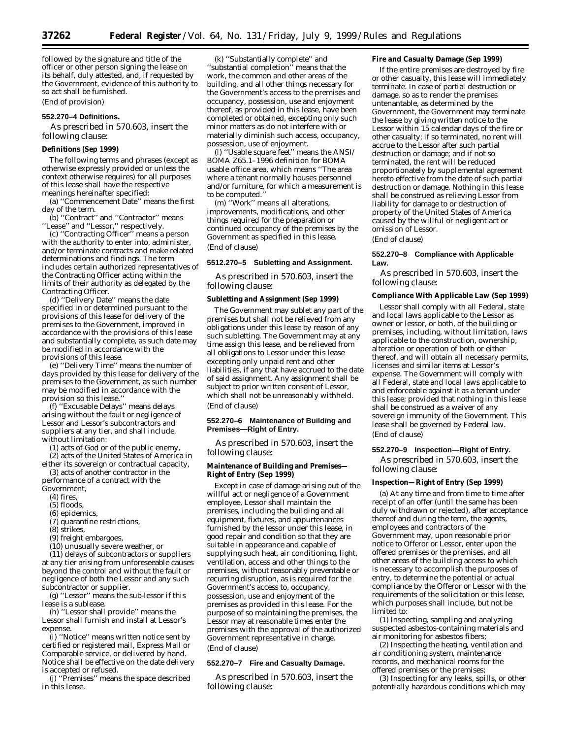followed by the signature and title of the officer or other person signing the lease on its behalf, duly attested, and, if requested by the Government, evidence of this authority to so act shall be furnished. (End of provision)

#### **552.270–4 Definitions.**

As prescribed in 570.603, insert the following clause:

#### **Definitions (Sep 1999)**

The following terms and phrases (except as otherwise expressly provided or unless the context otherwise requires) for all purposes of this lease shall have the respective meanings hereinafter specified:

(a) ''Commencement Date'' means the first day of the term.

(b) ''Contract'' and ''Contractor'' means ''Lease'' and ''Lessor,'' respectively.

(c) ''Contracting Officer'' means a person with the authority to enter into, administer, and/or terminate contracts and make related determinations and findings. The term includes certain authorized representatives of the Contracting Officer acting within the limits of their authority as delegated by the Contracting Officer.

(d) ''Delivery Date'' means the date specified in or determined pursuant to the provisions of this lease for delivery of the premises to the Government, improved in accordance with the provisions of this lease and substantially complete, as such date may be modified in accordance with the provisions of this lease.

(e) ''Delivery Time'' means the number of days provided by this lease for delivery of the premises to the Government, as such number may be modified in accordance with the provision so this lease.''

(f) ''Excusable Delays'' means delays arising without the fault or negligence of Lessor and Lessor's subcontractors and suppliers at any tier, and shall include, without limitation:

(1) acts of God or of the public enemy,

(2) acts of the United States of America in either its sovereign or contractual capacity,

(3) acts of another contractor in the performance of a contract with the

Government,

(4) fires,

(5) floods,

(6) epidemics,

(7) quarantine restrictions,

- (8) strikes,
- (9) freight embargoes,

(10) unusually severe weather, or

(11) delays of subcontractors or suppliers at any tier arising from unforeseeable causes beyond the control and without the fault or negligence of both the Lessor and any such subcontractor or supplier.

(g) ''Lessor'' means the sub-lessor if this lease is a sublease.

(h) ''Lessor shall provide'' means the Lessor shall furnish and install at Lessor's expense.

(i) ''Notice'' means written notice sent by certified or registered mail, Express Mail or Comparable service, or delivered by hand. Notice shall be effective on the date delivery is accepted or refused.

(j) ''Premises'' means the space described in this lease.

(k) ''Substantially complete'' and ''substantial completion'' means that the work, the common and other areas of the building, and all other things necessary for the Government's access to the premises and occupancy, possession, use and enjoyment thereof, as provided in this lease, have been completed or obtained, excepting only such minor matters as do not interfere with or materially diminish such access, occupancy, possession, use of enjoyment.

(l) ''Usable square feet'' means the ANSI/ BOMA Z65.1–1996 definition for BOMA usable office area, which means ''The area where a tenant normally houses personnel and/or furniture, for which a measurement is to be computed.''

(m) ''Work'' means all alterations, improvements, modifications, and other things required for the preparation or continued occupancy of the premises by the Government as specified in this lease. (End of clause)

#### **5512.270–5 Subletting and Assignment.**

As prescribed in 570.603, insert the following clause:

#### **Subletting and Assignment (Sep 1999)**

The Government may sublet any part of the premises but shall not be relieved from any obligations under this lease by reason of any such subletting. The Government may at any time assign this lease, and be relieved from all obligations to Lessor under this lease excepting only unpaid rent and other liabilities, if any that have accrued to the date of said assignment. Any assignment shall be subject to prior written consent of Lessor, which shall not be unreasonably withheld. (End of clause)

### **552.270–6 Maintenance of Building and Premises—Right of Entry.**

As prescribed in 570.603, insert the following clause:

### **Maintenance of Building and Premises— Right of Entry (Sep 1999)**

Except in case of damage arising out of the willful act or negligence of a Government employee, Lessor shall maintain the premises, including the building and all equipment, fixtures, and appurtenances furnished by the lessor under this lease, in good repair and condition so that they are suitable in appearance and capable of supplying such heat, air conditioning, light, ventilation, access and other things to the premises, without reasonably preventable or recurring disruption, as is required for the Government's access to, occupancy, possession, use and enjoyment of the premises as provided in this lease. For the purpose of so maintaining the premises, the Lessor may at reasonable times enter the premises with the approval of the authorized Government representative in charge. (End of clause)

### **552.270–7 Fire and Casualty Damage.**

As prescribed in 570.603, insert the following clause:

### **Fire and Casualty Damage (Sep 1999)**

If the entire premises are destroyed by fire or other casualty, this lease will immediately terminate. In case of partial destruction or damage, so as to render the premises untenantable, as determined by the Government, the Government may terminate the lease by giving written notice to the Lessor within 15 calendar days of the fire or other casualty; if so terminated, no rent will accrue to the Lessor after such partial destruction or damage; and if not so terminated, the rent will be reduced proportionately by supplemental agreement hereto effective from the date of such partial destruction or damage. Nothing in this lease shall be construed as relieving Lessor from liability for damage to or destruction of property of the United States of America caused by the willful or negligent act or omission of Lessor.

(End of clause)

### **552.270–8 Compliance with Applicable Law.**

As prescribed in 570.603, insert the following clause:

### **Compliance With Applicable Law (Sep 1999)**

Lessor shall comply with all Federal, state and local laws applicable to the Lessor as owner or lessor, or both, of the building or premises, including, without limitation, laws applicable to the construction, ownership, alteration or operation of both or either thereof, and will obtain all necessary permits, licenses and similar items at Lessor's expense. The Government will comply with all Federal, state and local laws applicable to and enforceable against it as a tenant under this lease; provided that nothing in this lease shall be construed as a waiver of any sovereign immunity of the Government. This lease shall be governed by Federal law. (End of clause)

### **552.270–9 Inspection—Right of Entry.**

As prescribed in 570.603, insert the following clause:

### **Inspection—Right of Entry (Sep 1999)**

(a) At any time and from time to time after receipt of an offer (until the same has been duly withdrawn or rejected), after acceptance thereof and during the term, the agents, employees and contractors of the Government may, upon reasonable prior notice to Offeror or Lessor, enter upon the offered premises or the premises, and all other areas of the building access to which is necessary to accomplish the purposes of entry, to determine the potential or actual compliance by the Offeror or Lessor with the requirements of the solicitation or this lease, which purposes shall include, but not be limited to:

(1) Inspecting, sampling and analyzing suspected asbestos-containing materials and air monitoring for asbestos fibers;

(2) Inspecting the heating, ventilation and air conditioning system, maintenance records, and mechanical rooms for the offered premises or the premises;

(3) Inspecting for any leaks, spills, or other potentially hazardous conditions which may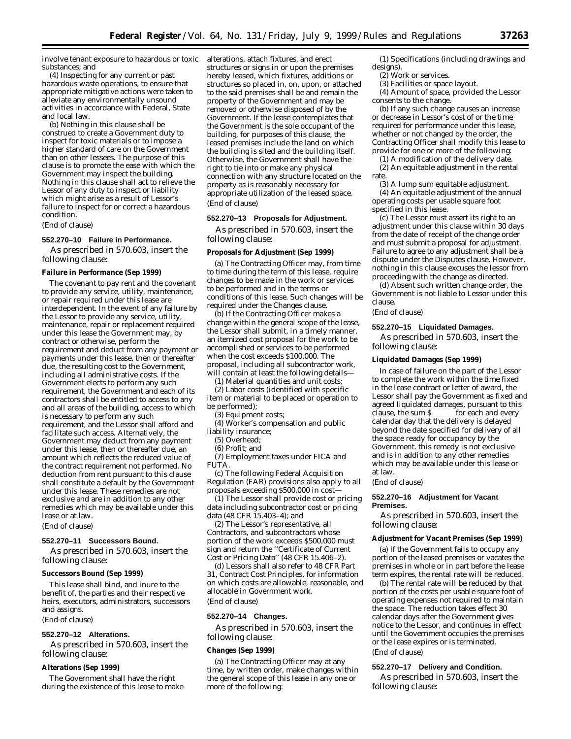involve tenant exposure to hazardous or toxic substances; and

(4) Inspecting for any current or past hazardous waste operations, to ensure that appropriate mitigative actions were taken to alleviate any environmentally unsound activities in accordance with Federal, State and local law.

(b) Nothing in this clause shall be construed to create a Government duty to inspect for toxic materials or to impose a higher standard of care on the Government than on other lessees. The purpose of this clause is to promote the ease with which the Government may inspect the building. Nothing in this clause shall act to relieve the Lessor of any duty to inspect or liability which might arise as a result of Lessor's failure to inspect for or correct a hazardous condition.

(End of clause)

### **552.270–10 Failure in Performance.**

As prescribed in 570.603, insert the following clause:

#### **Failure in Performance (Sep 1999)**

The covenant to pay rent and the covenant to provide any service, utility, maintenance, or repair required under this lease are interdependent. In the event of any failure by the Lessor to provide any service, utility, maintenance, repair or replacement required under this lease the Government may, by contract or otherwise, perform the requirement and deduct from any payment or payments under this lease, then or thereafter due, the resulting cost to the Government, including all administrative costs. If the Government elects to perform any such requirement, the Government and each of its contractors shall be entitled to access to any and all areas of the building, access to which is necessary to perform any such requirement, and the Lessor shall afford and facilitate such access. Alternatively, the Government may deduct from any payment under this lease, then or thereafter due, an amount which reflects the reduced value of the contract requirement not performed. No deduction from rent pursuant to this clause shall constitute a default by the Government under this lease. These remedies are not exclusive and are in addition to any other remedies which may be available under this lease or at law.

(End of clause)

#### **552.270–11 Successors Bound.**

As prescribed in 570.603, insert the following clause:

#### **Successors Bound (Sep 1999)**

This lease shall bind, and inure to the benefit of, the parties and their respective heirs, executors, administrators, successors and assigns.

(End of clause)

### **552.270–12 Alterations.**

As prescribed in 570.603, insert the following clause:

### **Alterations (Sep 1999)**

The Government shall have the right during the existence of this lease to make alterations, attach fixtures, and erect structures or signs in or upon the premises hereby leased, which fixtures, additions or structures so placed in, on, upon, or attached to the said premises shall be and remain the property of the Government and may be removed or otherwise disposed of by the Government. If the lease contemplates that the Government is the sole occupant of the building, for purposes of this clause, the leased premises include the land on which the building is sited and the building itself. Otherwise, the Government shall have the right to tie into or make any physical connection with any structure located on the property as is reasonably necessary for appropriate utilization of the leased space. (End of clause)

### **552.270–13 Proposals for Adjustment.**

As prescribed in 570.603, insert the following clause:

#### **Proposals for Adjustment (Sep 1999)**

(a) The Contracting Officer may, from time to time during the term of this lease, require changes to be made in the work or services to be performed and in the terms or conditions of this lease. Such changes will be required under the Changes clause.

(b) If the Contracting Officer makes a change within the general scope of the lease, the Lessor shall submit, in a timely manner, an itemized cost proposal for the work to be accomplished or services to be performed when the cost exceeds \$100,000. The proposal, including all subcontractor work, will contain at least the following details-

(1) Material quantities and unit costs;

(2) Labor costs (identified with specific item or material to be placed or operation to be performed);

(3) Equipment costs;

(4) Worker's compensation and public liability insurance;

(5) Overhead;

(6) Profit; and

(7) Employment taxes under FICA and FUTA.

(c) The following Federal Acquisition Regulation (FAR) provisions also apply to all proposals exceeding \$500,000 in cost—

(1) The Lessor shall provide cost or pricing data including subcontractor cost or pricing data (48 CFR 15.403–4); and

(2) The Lessor's representative, all Contractors, and subcontractors whose portion of the work exceeds \$500,000 must sign and return the ''Certificate of Current Cost or Pricing Data'' (48 CFR 15.406–2).

(d) Lessors shall also refer to 48 CFR Part 31, Contract Cost Principles, for information on which costs are allowable, reasonable, and allocable in Government work. (End of clause)

#### **552.270–14 Changes.**

As prescribed in 570.603, insert the following clause:

#### **Changes (Sep 1999)**

(a) The Contracting Officer may at any time, by written order, make changes within the general scope of this lease in any one or more of the following:

(1) Specifications (including drawings and designs).

(2) Work or services.

(3) Facilities or space layout.

(4) Amount of space, provided the Lessor consents to the change.

(b) If any such change causes an increase or decrease in Lessor's cost of or the time required for performance under this lease, whether or not changed by the order, the Contracting Officer shall modify this lease to provide for one or more of the following:

(1) A modification of the delivery date. (2) An equitable adjustment in the rental

rate. (3) A lump sum equitable adjustment.

(4) An equitable adjustment of the annual operating costs per usable square foot specified in this lease.

(c) The Lessor must assert its right to an adjustment under this clause within 30 days from the date of receipt of the change order and must submit a proposal for adjustment. Failure to agree to any adjustment shall be a dispute under the Disputes clause. However, nothing in this clause excuses the lessor from proceeding with the change as directed.

(d) Absent such written change order, the Government is not liable to Lessor under this clause.

(End of clause)

### **552.270–15 Liquidated Damages.**

As prescribed in 570.603, insert the following clause:

### **Liquidated Damages (Sep 1999)**

In case of failure on the part of the Lessor to complete the work within the time fixed in the lease contract or letter of award, the Lessor shall pay the Government as fixed and agreed liquidated damages, pursuant to this clause, the sum  $\sin \theta$  for each and every calendar day that the delivery is delayed beyond the date specified for delivery of all the space ready for occupancy by the Government. this remedy is not exclusive and is in addition to any other remedies which may be available under this lease or at law.

(End of clause)

#### **552.270–16 Adjustment for Vacant Premises.**

As prescribed in 570.603, insert the following clause:

#### **Adjustment for Vacant Premises (Sep 1999)**

(a) If the Government fails to occupy any portion of the leased premises or vacates the premises in whole or in part before the lease term expires, the rental rate will be reduced.

(b) The rental rate will be reduced by that portion of the costs per usable square foot of operating expenses not required to maintain the space. The reduction takes effect 30 calendar days after the Government gives notice to the Lessor, and continues in effect until the Government occupies the premises or the lease expires or is terminated. (End of clause)

### **552.270–17 Delivery and Condition.**

As prescribed in 570.603, insert the following clause: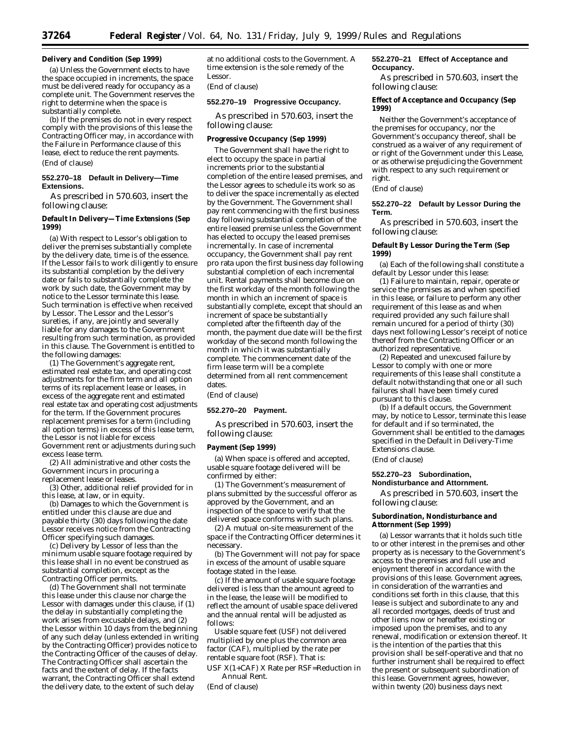#### **Delivery and Condition (Sep 1999)**

(a) Unless the Government elects to have the space occupied in increments, the space must be delivered ready for occupancy as a complete unit. The Government reserves the right to determine when the space is substantially complete.

(b) If the premises do not in every respect comply with the provisions of this lease the Contracting Officer may, in accordance with the Failure in Performance clause of this lease, elect to reduce the rent payments. (End of clause)

### **552.270–18 Default in Delivery—Time Extensions.**

As prescribed in 570.603, insert the following clause:

### **Default In Delivery—Time Extensions (Sep 1999)**

(a) With respect to Lessor's obligation to deliver the premises substantially complete by the delivery date, time is of the essence. If the Lessor fails to work diligently to ensure its substantial completion by the delivery date or fails to substantially complete the work by such date, the Government may by notice to the Lessor terminate this lease. Such termination is effective when received by Lessor. The Lessor and the Lessor's sureties, if any, are jointly and severally liable for any damages to the Government resulting from such termination, as provided in this clause. The Government is entitled to the following damages:

(1) The Government's aggregate rent, estimated real estate tax, and operating cost adjustments for the firm term and all option terms of its replacement lease or leases, in excess of the aggregate rent and estimated real estate tax and operating cost adjustments for the term. If the Government procures replacement premises for a term (including all option terms) in excess of this lease term, the Lessor is not liable for excess Government rent or adjustments during such excess lease term.

(2) All administrative and other costs the Government incurs in procuring a replacement lease or leases.

(3) Other, additional relief provided for in this lease, at law, or in equity.

(b) Damages to which the Government is entitled under this clause are due and payable thirty (30) days following the date Lessor receives notice from the Contracting Officer specifying such damages.

(c) Delivery by Lessor of less than the minimum usable square footage required by this lease shall in no event be construed as substantial completion, except as the Contracting Officer permits.

(d) The Government shall not terminate this lease under this clause nor charge the Lessor with damages under this clause, if (1) the delay in substantially completing the work arises from excusable delays, and (2) the Lessor within 10 days from the beginning of any such delay (unless extended in writing by the Contracting Officer) provides notice to the Contracting Officer of the causes of delay. The Contracting Officer shall ascertain the facts and the extent of delay. If the facts warrant, the Contracting Officer shall extend the delivery date, to the extent of such delay

at no additional costs to the Government. A time extension is the sole remedy of the Lessor.

(End of clause)

### **552.270–19 Progressive Occupancy.**

As prescribed in 570.603, insert the following clause:

### **Progressive Occupancy (Sep 1999)**

The Government shall have the right to elect to occupy the space in partial increments prior to the substantial completion of the entire leased premises, and the Lessor agrees to schedule its work so as to deliver the space incrementally as elected by the Government. The Government shall pay rent commencing with the first business day following substantial completion of the entire leased premise unless the Government has elected to occupy the leased premises incrementally. In case of incremental occupancy, the Government shall pay rent pro rata upon the first business day following substantial completion of each incremental unit. Rental payments shall become due on the first workday of the month following the month in which an increment of space is substantially complete, except that should an increment of space be substantially completed after the fifteenth day of the month, the payment due date will be the first workday of the second month following the month in which it was substantially complete. The commencement date of the firm lease term will be a complete determined from all rent commencement dates.

(End of clause)

### **552.270–20 Payment.**

As prescribed in 570.603, insert the following clause:

#### **Payment (Sep 1999)**

(a) When space is offered and accepted, usable square footage delivered will be confirmed by either:

(1) The Government's measurement of plans submitted by the successful offeror as approved by the Government, and an inspection of the space to verify that the delivered space conforms with such plans.

(2) A mutual on-site measurement of the space if the Contracting Officer determines it necessary.

(b) The Government will not pay for space in excess of the amount of usable square footage stated in the lease.

(c) If the amount of usable square footage delivered is less than the amount agreed to in the lease, the lease will be modified to reflect the amount of usable space delivered and the annual rental will be adjusted as follows:

Usable square feet (USF) not delivered multiplied by one plus the common area factor (CAF), multiplied by the rate per rentable square foot (RSF). That is:

USF X(1+CAF) X Rate per RSF=Reduction in Annual Rent.

(End of clause)

### **552.270–21 Effect of Acceptance and Occupancy.**

As prescribed in 570.603, insert the following clause:

### **Effect of Acceptance and Occupancy (Sep 1999)**

Neither the Government's acceptance of the premises for occupancy, nor the Government's occupancy thereof, shall be construed as a waiver of any requirement of or right of the Government under this Lease, or as otherwise prejudicing the Government with respect to any such requirement or right.

### (End of clause)

### **552.270–22 Default by Lessor During the Term.**

As prescribed in 570.603, insert the following clause:

### **Default By Lessor During the Term (Sep 1999)**

(a) Each of the following shall constitute a default by Lessor under this lease:

(1) Failure to maintain, repair, operate or service the premises as and when specified in this lease, or failure to perform any other requirement of this lease as and when required provided any such failure shall remain uncured for a period of thirty (30) days next following Lessor's receipt of notice thereof from the Contracting Officer or an authorized representative.

(2) Repeated and unexcused failure by Lessor to comply with one or more requirements of this lease shall constitute a default notwithstanding that one or all such failures shall have been timely cured pursuant to this clause.

(b) If a default occurs, the Government may, by notice to Lessor, terminate this lease for default and if so terminated, the Government shall be entitled to the damages specified in the Default in Delivery-Time Extensions clause.

#### (End of clause)

### **552.270–23 Subordination, Nondisturbance and Attornment.**

As prescribed in 570.603, insert the following clause:

### **Subordination, Nondisturbance and Attornment (Sep 1999)**

(a) Lessor warrants that it holds such title to or other interest in the premises and other property as is necessary to the Government's access to the premises and full use and enjoyment thereof in accordance with the provisions of this lease. Government agrees, in consideration of the warranties and conditions set forth in this clause, that this lease is subject and subordinate to any and all recorded mortgages, deeds of trust and other liens now or hereafter existing or imposed upon the premises, and to any renewal, modification or extension thereof. It is the intention of the parties that this provision shall be self-operative and that no further instrument shall be required to effect the present or subsequent subordination of this lease. Government agrees, however, within twenty (20) business days next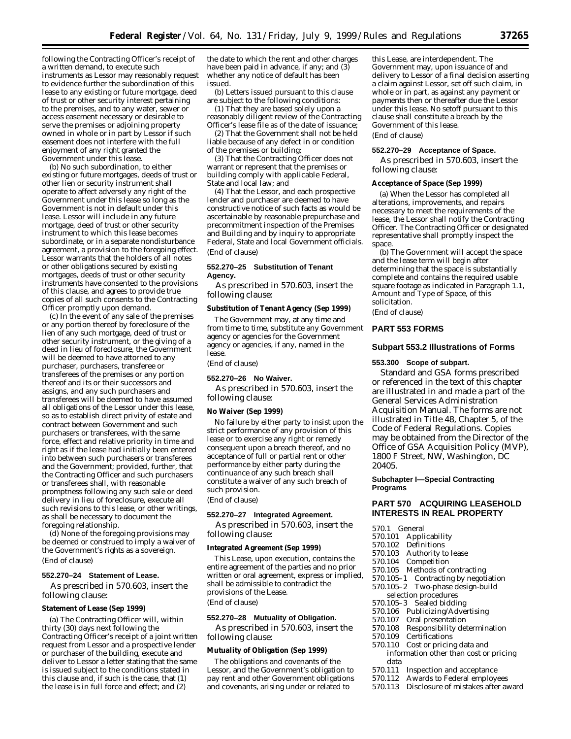following the Contracting Officer's receipt of a written demand, to execute such instruments as Lessor may reasonably request to evidence further the subordination of this lease to any existing or future mortgage, deed of trust or other security interest pertaining to the premises, and to any water, sewer or access easement necessary or desirable to serve the premises or adjoining property owned in whole or in part by Lessor if such easement does not interfere with the full enjoyment of any right granted the Government under this lease.

(b) No such subordination, to either existing or future mortgages, deeds of trust or other lien or security instrument shall operate to affect adversely any right of the Government under this lease so long as the Government is not in default under this lease. Lessor will include in any future mortgage, deed of trust or other security instrument to which this lease becomes subordinate, or in a separate nondisturbance agreement, a provision to the foregoing effect. Lessor warrants that the holders of all notes or other obligations secured by existing mortgages, deeds of trust or other security instruments have consented to the provisions of this clause, and agrees to provide true copies of all such consents to the Contracting Officer promptly upon demand.

(c) In the event of any sale of the premises or any portion thereof by foreclosure of the lien of any such mortgage, deed of trust or other security instrument, or the giving of a deed in lieu of foreclosure, the Government will be deemed to have attorned to any purchaser, purchasers, transferee or transferees of the premises or any portion thereof and its or their successors and assigns, and any such purchasers and transferees will be deemed to have assumed all obligations of the Lessor under this lease, so as to establish direct privity of estate and contract between Government and such purchasers or transferees, with the same force, effect and relative priority in time and right as if the lease had initially been entered into between such purchasers or transferees and the Government; provided, further, that the Contracting Officer and such purchasers or transferees shall, with reasonable promptness following any such sale or deed delivery in lieu of foreclosure, execute all such revisions to this lease, or other writings, as shall be necessary to document the foregoing relationship.

(d) None of the foregoing provisions may be deemed or construed to imply a waiver of the Government's rights as a sovereign. (End of clause)

### **552.270–24 Statement of Lease.**

As prescribed in 570.603, insert the following clause:

#### **Statement of Lease (Sep 1999)**

(a) The Contracting Officer will, within thirty (30) days next following the Contracting Officer's receipt of a joint written request from Lessor and a prospective lender or purchaser of the building, execute and deliver to Lessor a letter stating that the same is issued subject to the conditions stated in this clause and, if such is the case, that (1) the lease is in full force and effect; and (2)

the date to which the rent and other charges have been paid in advance, if any; and (3) whether any notice of default has been issued.

(b) Letters issued pursuant to this clause are subject to the following conditions:

(1) That they are based solely upon a reasonably diligent review of the Contracting Officer's lease file as of the date of issuance;

(2) That the Government shall not be held liable because of any defect in or condition of the premises or building;

(3) That the Contracting Officer does not warrant or represent that the premises or building comply with applicable Federal, State and local law; and

(4) That the Lessor, and each prospective lender and purchaser are deemed to have constructive notice of such facts as would be ascertainable by reasonable prepurchase and precommitment inspection of the Premises and Building and by inquiry to appropriate Federal, State and local Government officials. (End of clause)

### **552.270–25 Substitution of Tenant Agency.**

As prescribed in 570.603, insert the following clause:

### **Substitution of Tenant Agency (Sep 1999)**

The Government may, at any time and from time to time, substitute any Government agency or agencies for the Government agency or agencies, if any, named in the lease.

(End of clause)

### **552.270–26 No Waiver.**

As prescribed in 570.603, insert the following clause:

### **No Waiver (Sep 1999)**

No failure by either party to insist upon the strict performance of any provision of this lease or to exercise any right or remedy consequent upon a breach thereof, and no acceptance of full or partial rent or other performance by either party during the continuance of any such breach shall constitute a waiver of any such breach of such provision.

(End of clause)

### **552.270–27 Integrated Agreement.**

As prescribed in 570.603, insert the following clause:

### **Integrated Agreement (Sep 1999)**

This Lease, upon execution, contains the entire agreement of the parties and no prior written or oral agreement, express or implied, shall be admissible to contradict the provisions of the Lease.

(End of clause)

#### **552.270–28 Mutuality of Obligation.**

As prescribed in 570.603, insert the following clause:

#### **Mutuality of Obligation (Sep 1999)**

The obligations and covenants of the Lessor, and the Government's obligation to pay rent and other Government obligations and covenants, arising under or related to

this Lease, are interdependent. The Government may, upon issuance of and delivery to Lessor of a final decision asserting a claim against Lessor, set off such claim, in whole or in part, as against any payment or payments then or thereafter due the Lessor under this lease. No setoff pursuant to this clause shall constitute a breach by the Government of this lease. (End of clause)

#### **552.270–29 Acceptance of Space.**

As prescribed in 570.603, insert the following clause:

### **Acceptance of Space (Sep 1999)**

(a) When the Lessor has completed all alterations, improvements, and repairs necessary to meet the requirements of the lease, the Lessor shall notify the Contracting Officer. The Contracting Officer or designated representative shall promptly inspect the space.

(b) The Government will accept the space and the lease term will begin after determining that the space is substantially complete and contains the required usable square footage as indicated in Paragraph 1.1, Amount and Type of Space, of this solicitation.

(End of clause)

### **PART 553 FORMS**

### **Subpart 553.2 Illustrations of Forms**

## **553.300 Scope of subpart.**

Standard and GSA forms prescribed or referenced in the text of this chapter are illustrated in and made a part of the General Services Administration Acquisition Manual. The forms are not illustrated in Title 48, Chapter 5, of the Code of Federal Regulations. Copies may be obtained from the Director of the Office of GSA Acquisition Policy (MVP), 1800 F Street, NW, Washington, DC 20405.

### **Subchapter I—Special Contracting Programs**

# **PART 570 ACQUIRING LEASEHOLD INTERESTS IN REAL PROPERTY**

- 570.1 General
- 570.101 Applicability
- 570.102 Definitions 570.103 Authority to lease<br>570.104 Competition
- **Competition**
- 
- 570.105 Methods of contracting<br>570.105-1 Contracting by negoti Contracting by negotiation
- 570.105–2 Two-phase design-build selection procedures
- 570.105–3 Sealed bidding
- 
- 570.106 Publicizing/Advertising
- 570.107 Oral presentation<br>570.108 Responsibility det 570.108 Responsibility determination<br>570.109 Certifications
- 
- 570.109 Certifications<br>570.110 Cost or pricin Cost or pricing data and
- information other than cost or pricing
- data<br>570.111
- 570.111 Inspection and acceptance<br>570.112 Awards to Federal employe Awards to Federal employees
- 
- 570.113 Disclosure of mistakes after award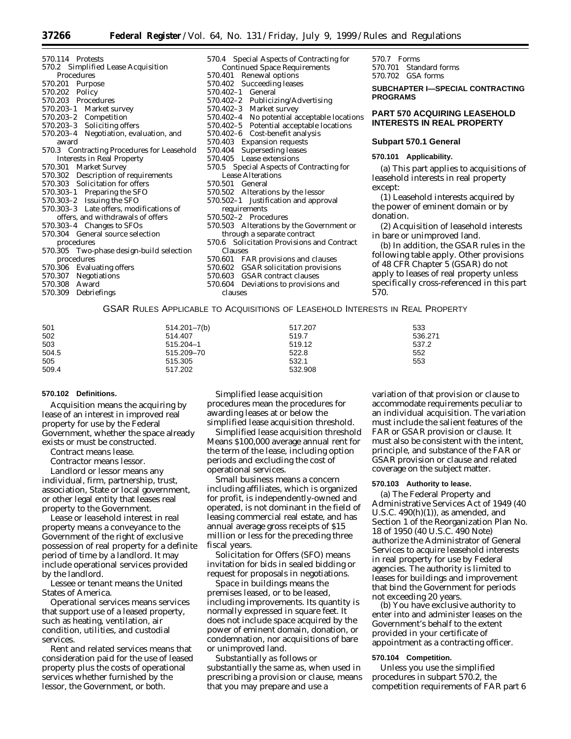| 570.114 Protests                                     |
|------------------------------------------------------|
| 570.2 Simplified Lease Acquisition                   |
| Procedures                                           |
| 570.201 Purpose                                      |
| 570.202 Policy                                       |
| 570.203 Procedures                                   |
| 570.203-1 Market survey                              |
|                                                      |
| 570.203-2 Competition<br>570.203-3 Soliciting offers |
| 570.203-4 Negotiation, evaluation, and               |
| award                                                |
| 570.3 Contracting Procedures for Leasehold           |
| <b>Interests in Real Property</b>                    |
| 570.301 Market Survey                                |
| 570.302 Description of requirements                  |
| 570.303 Solicitation for offers                      |
| 570.303-1 Preparing the SFO                          |
| 570.303-2 Issuing the SFO                            |
| 570.303-3 Late offers, modifications of              |
| offers, and withdrawals of offers                    |
| 570.303-4 Changes to SFOs                            |
| 570.304 General source selection                     |
| procedures                                           |
| 570.305 Two-phase design-build selection             |
| procedures                                           |
| 570.306 Evaluating offers                            |
| 570.307 Negotiations                                 |
| 570.308 Award                                        |
|                                                      |
| 570.309 Debriefings                                  |

| 570.4 Special Aspects of Contracting for                               |
|------------------------------------------------------------------------|
| <b>Continued Space Requirements</b>                                    |
| Renewal options<br>570.401                                             |
| 570.402 Succeeding leases                                              |
| 570.402-1 General                                                      |
| 570.402-2 Publicizing/Advertising                                      |
| 570.402-3 Market survey<br>570.402-4 No potential acceptable locations |
|                                                                        |
| 570.402-5 Potential acceptable locations                               |
| 570.402-6 Cost-benefit analysis                                        |
| 570.403 Expansion requests                                             |
| 570.404 Superseding leases                                             |
| 570.405 Lease extensions                                               |
| 570.5 Special Aspects of Contracting for                               |
| <b>Lease Alterations</b>                                               |
| 570.501 General                                                        |
| 570.502 Alterations by the lessor                                      |
| 570.502-1 Justification and approval                                   |
| requirements                                                           |
| 570.502-2 Procedures                                                   |
| 570.503 Alterations by the Government or                               |
| through a separate contract                                            |
| 570.6 Solicitation Provisions and Contract                             |
| Clauses                                                                |
| 570.601 FAR provisions and clauses                                     |
| 570.602 GSAR solicitation provisions                                   |
| 570.603 GSAR contract clauses                                          |
| 570.604 Deviations to provisions and                                   |
| clauses                                                                |

570.7 Forms 570.701 Standard forms 570.702 GSA forms

### **SUBCHAPTER I—SPECIAL CONTRACTING PROGRAMS**

### **PART 570 ACQUIRING LEASEHOLD INTERESTS IN REAL PROPERTY**

### **Subpart 570.1 General**

#### **570.101 Applicability.**

(a) This part applies to acquisitions of leasehold interests in real property except:

(1) Leasehold interests acquired by the power of eminent domain or by donation.

(2) Acquisition of leasehold interests in bare or unimproved land.

(b) In addition, the GSAR rules in the following table apply. Other provisions of 48 CFR Chapter 5 (GSAR) do not apply to leases of real property unless specifically cross-referenced in this part 570.

# GSAR RULES APPLICABLE TO ACQUISITIONS OF LEASEHOLD INTERESTS IN REAL PROPERTY

| 501   | 514.201-7(b) | 517.207 | 533     |
|-------|--------------|---------|---------|
| 502   | 514.407      | 519.7   | 536.271 |
| 503   | 515.204-1    | 519.12  | 537.2   |
| 504.5 | 515.209-70   | 522.8   | 552     |
| 505   | 515.305      | 532.1   | 553     |
| 509.4 | 517.202      | 532.908 |         |

### **570.102 Definitions.**

*Acquisition* means the acquiring by lease of an interest in improved real property for use by the Federal Government, whether the space already exists or must be constructed.

*Contract* means lease.

*Contractor* means lessor.

*Landlord* or *lessor* means any individual, firm, partnership, trust, association, State or local government, or other legal entity that leases real property to the Government.

*Lease* or *leasehold interest in real property* means a conveyance to the Government of the right of exclusive possession of real property for a definite period of time by a landlord. It may include operational services provided by the landlord.

*Lessee* or *tenant* means the United States of America.

*Operational services* means services that support use of a leased property, such as heating, ventilation, air condition, utilities, and custodial services.

*Rent and related services* means that consideration paid for the use of leased property plus the costs of operational services whether furnished by the lessor, the Government, or both.

*Simplified lease acquisition procedures* mean the procedures for awarding leases at or below the simplified lease acquisition threshold.

*Simplified lease acquisition threshold* Means \$100,000 average annual rent for the term of the lease, including option periods and excluding the cost of operational services.

*Small business* means a concern including affiliates, which is organized for profit, is independently-owned and operated, is not dominant in the field of leasing commercial real estate, and has annual average gross receipts of \$15 million or less for the preceding three fiscal years.

*Solicitation for Offers (SFO)* means invitation for bids in sealed bidding or request for proposals in negotiations.

*Space in buildings* means the premises leased, or to be leased, including improvements. Its quantity is normally expressed in square feet. It does not include space acquired by the power of eminent domain, donation, or condemnation, nor acquisitions of bare or unimproved land.

*Substantially as follows* or *substantially the same as*, when used in prescribing a provision or clause, means that you may prepare and use a

variation of that provision or clause to accommodate requirements peculiar to an individual acquisition. The variation must include the salient features of the FAR or GSAR provision or clause. It must also be consistent with the intent, principle, and substance of the FAR or GSAR provision or clause and related coverage on the subject matter.

#### **570.103 Authority to lease.**

(a) The Federal Property and Administrative Services Act of 1949 (40 U.S.C.  $490(h)(1)$ , as amended, and Section 1 of the Reorganization Plan No. 18 of 1950 (40 U.S.C. 490 Note) authorize the Administrator of General Services to acquire leasehold interests in real property for use by Federal agencies. The authority is limited to leases for buildings and improvement that bind the Government for periods not exceeding 20 years.

(b) You have exclusive authority to enter into and administer leases on the Government's behalf to the extent provided in your certificate of appointment as a contracting officer.

### **570.104 Competition.**

Unless you use the simplified procedures in subpart 570.2, the competition requirements of FAR part 6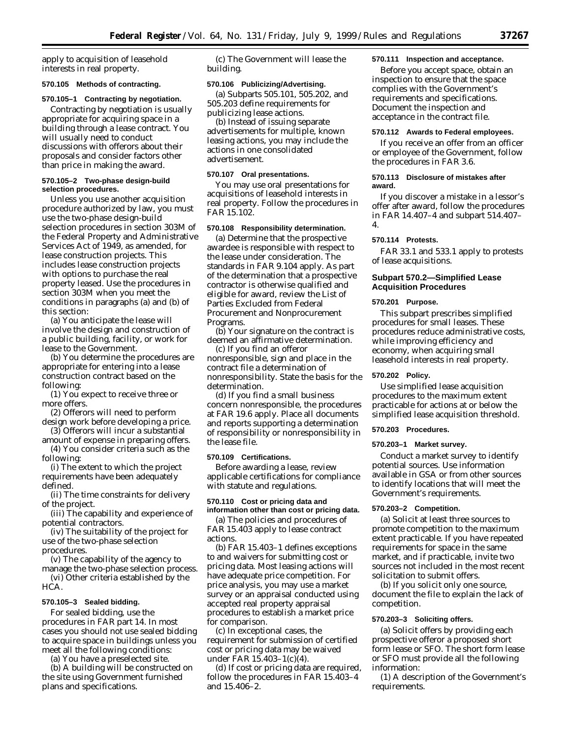apply to acquisition of leasehold interests in real property.

### **570.105 Methods of contracting.**

### **570.105–1 Contracting by negotiation.**

Contracting by negotiation is usually appropriate for acquiring space in a building through a lease contract. You will usually need to conduct discussions with offerors about their proposals and consider factors other than price in making the award.

## **570.105–2 Two-phase design-build selection procedures.**

Unless you use another acquisition procedure authorized by law, you must use the two-phase design-build selection procedures in section 303M of the Federal Property and Administrative Services Act of 1949, as amended, for lease construction projects. This includes lease construction projects with options to purchase the real property leased. Use the procedures in section 303M when you meet the conditions in paragraphs (a) and (b) of this section:

(a) You anticipate the lease will involve the design and construction of a public building, facility, or work for lease to the Government.

(b) You determine the procedures are appropriate for entering into a lease construction contract based on the following:

(1) You expect to receive three or more offers.

- (2) Offerors will need to perform design work before developing a price.
- (3) Offerors will incur a substantial amount of expense in preparing offers. (4) You consider criteria such as the

following:

(i) The extent to which the project requirements have been adequately defined.

(ii) The time constraints for delivery of the project.

(iii) The capability and experience of potential contractors.

(iv) The suitability of the project for use of the two-phase selection procedures.

(v) The capability of the agency to manage the two-phase selection process.

(vi) Other criteria established by the HCA.

#### **570.105–3 Sealed bidding.**

For sealed bidding, use the procedures in FAR part 14. In most cases you should not use sealed bidding to acquire space in buildings unless you meet all the following conditions:

(a) You have a preselected site.

(b) A building will be constructed on the site using Government furnished plans and specifications.

(c) The Government will lease the building.

### **570.106 Publicizing/Advertising.**

(a) Subparts 505.101, 505.202, and 505.203 define requirements for publicizing lease actions.

(b) Instead of issuing separate advertisements for multiple, known leasing actions, you may include the actions in one consolidated advertisement.

### **570.107 Oral presentations.**

You may use oral presentations for acquisitions of leasehold interests in real property. Follow the procedures in FAR 15.102.

### **570.108 Responsibility determination.**

(a) Determine that the prospective awardee is responsible with respect to the lease under consideration. The standards in FAR 9.104 apply. As part of the determination that a prospective contractor is otherwise qualified and eligible for award, review the List of Parties Excluded from Federal Procurement and Nonprocurement Programs.

(b) Your signature on the contract is deemed an affirmative determination.

(c) If you find an offeror nonresponsible, sign and place in the contract file a determination of nonresponsibility. State the basis for the determination.

(d) If you find a small business concern nonresponsible, the procedures at FAR 19.6 apply. Place all documents and reports supporting a determination of responsibility or nonresponsibility in the lease file.

#### **570.109 Certifications.**

Before awarding a lease, review applicable certifications for compliance with statute and regulations.

# **570.110 Cost or pricing data and information other than cost or pricing data.**

(a) The policies and procedures of FAR 15.403 apply to lease contract actions.

(b) FAR 15.403–1 defines exceptions to and waivers for submitting cost or pricing data. Most leasing actions will have adequate price competition. For price analysis, you may use a market survey or an appraisal conducted using accepted real property appraisal procedures to establish a market price for comparison.

(c) In exceptional cases, the requirement for submission of certified cost or pricing data may be waived under FAR 15.403–1(c)(4).

(d) If cost or pricing data are required, follow the procedures in FAR 15.403–4 and 15.406–2.

### **570.111 Inspection and acceptance.**

Before you accept space, obtain an inspection to ensure that the space complies with the Government's requirements and specifications. Document the inspection and acceptance in the contract file.

### **570.112 Awards to Federal employees.**

If you receive an offer from an officer or employee of the Government, follow the procedures in FAR 3.6.

# **570.113 Disclosure of mistakes after award.**

If you discover a mistake in a lessor's offer after award, follow the procedures in FAR 14.407–4 and subpart 514.407– 4.

#### **570.114 Protests.**

FAR 33.1 and 533.1 apply to protests of lease acquisitions.

### **Subpart 570.2—Simplified Lease Acquisition Procedures**

#### **570.201 Purpose.**

This subpart prescribes simplified procedures for small leases. These procedures reduce administrative costs, while improving efficiency and economy, when acquiring small leasehold interests in real property.

#### **570.202 Policy.**

Use simplified lease acquisition procedures to the maximum extent practicable for actions at or below the simplified lease acquisition threshold.

### **570.203 Procedures.**

#### **570.203–1 Market survey.**

Conduct a market survey to identify potential sources. Use information available in GSA or from other sources to identify locations that will meet the Government's requirements.

### **570.203–2 Competition.**

(a) Solicit at least three sources to promote competition to the maximum extent practicable. If you have repeated requirements for space in the same market, and if practicable, invite two sources not included in the most recent solicitation to submit offers.

(b) If you solicit only one source, document the file to explain the lack of competition.

### **570.203–3 Soliciting offers.**

(a) Solicit offers by providing each prospective offeror a proposed short form lease or SFO. The short form lease or SFO must provide all the following information:

(1) A description of the Government's requirements.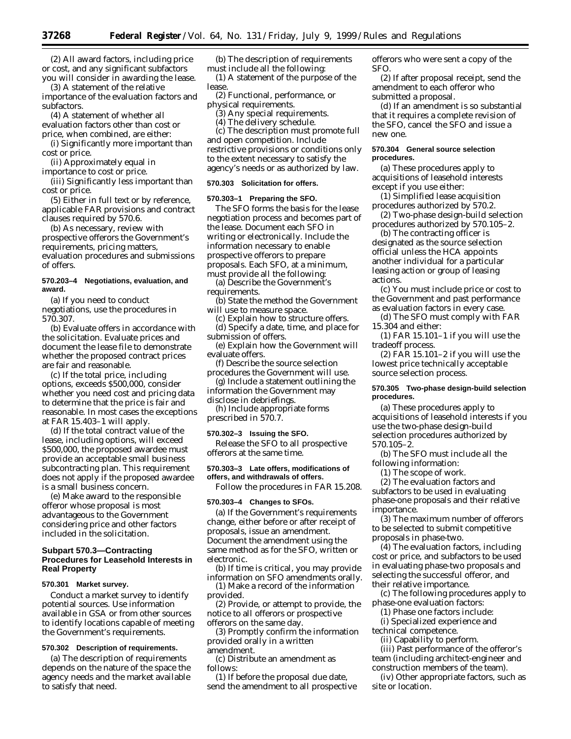(2) All award factors, including price or cost, and any significant subfactors you will consider in awarding the lease.

(3) A statement of the relative importance of the evaluation factors and subfactors.

(4) A statement of whether all evaluation factors other than cost or price, when combined, are either:

(i) Significantly more important than cost or price.

(ii) Approximately equal in importance to cost or price.

(iii) Significantly less important than cost or price.

(5) Either in full text or by reference, applicable FAR provisions and contract clauses required by 570.6.

(b) As necessary, review with prospective offerors the Government's requirements, pricing matters, evaluation procedures and submissions of offers.

### **570.203–4 Negotiations, evaluation, and award.**

(a) If you need to conduct negotiations, use the procedures in 570.307.

(b) Evaluate offers in accordance with the solicitation. Evaluate prices and document the lease file to demonstrate whether the proposed contract prices are fair and reasonable.

(c) If the total price, including options, exceeds \$500,000, consider whether you need cost and pricing data to determine that the price is fair and reasonable. In most cases the exceptions at FAR 15.403–1 will apply.

(d) If the total contract value of the lease, including options, will exceed \$500,000, the proposed awardee must provide an acceptable small business subcontracting plan. This requirement does not apply if the proposed awardee is a small business concern.

(e) Make award to the responsible offeror whose proposal is most advantageous to the Government considering price and other factors included in the solicitation.

### **Subpart 570.3—Contracting Procedures for Leasehold Interests in Real Property**

## **570.301 Market survey.**

Conduct a market survey to identify potential sources. Use information available in GSA or from other sources to identify locations capable of meeting the Government's requirements.

# **570.302 Description of requirements.**

(a) The description of requirements depends on the nature of the space the agency needs and the market available to satisfy that need.

(b) The description of requirements must include all the following:

(1) A statement of the purpose of the lease.

(2) Functional, performance, or physical requirements.

(3) Any special requirements.

(4) The delivery schedule.

(c) The description must promote full and open competition. Include restrictive provisions or conditions only to the extent necessary to satisfy the agency's needs or as authorized by law.

#### **570.303 Solicitation for offers.**

# **570.303–1 Preparing the SFO.**

The SFO forms the basis for the lease negotiation process and becomes part of the lease. Document each SFO in writing or electronically. Include the information necessary to enable prospective offerors to prepare proposals. Each SFO, at a minimum, must provide all the following:

(a) Describe the Government's requirements.

(b) State the method the Government will use to measure space.

(c) Explain how to structure offers. (d) Specify a date, time, and place for submission of offers.

(e) Explain how the Government will evaluate offers.

(f) Describe the source selection procedures the Government will use.

(g) Include a statement outlining the information the Government may

disclose in debriefings. (h) Include appropriate forms prescribed in 570.7.

#### **570.302–3 Issuing the SFO.**

Release the SFO to all prospective offerors at the same time.

### **570.303–3 Late offers, modifications of offers, and withdrawals of offers.**

Follow the procedures in FAR 15.208.

### **570.303–4 Changes to SFOs.**

(a) If the Government's requirements change, either before or after receipt of proposals, issue an amendment. Document the amendment using the same method as for the SFO, written or electronic.

(b) If time is critical, you may provide information on SFO amendments orally.

(1) Make a record of the information provided.

(2) Provide, or attempt to provide, the notice to all offerors or prospective offerors on the same day.

(3) Promptly confirm the information provided orally in a written amendment.

(c) Distribute an amendment as follows:

(1) If before the proposal due date, send the amendment to all prospective offerors who were sent a copy of the SFO.

(2) If after proposal receipt, send the amendment to each offeror who submitted a proposal.

(d) If an amendment is so substantial that it requires a complete revision of the SFO, cancel the SFO and issue a new one.

### **570.304 General source selection procedures.**

(a) These procedures apply to acquisitions of leasehold interests except if you use either:

(1) Simplified lease acquisition procedures authorized by 570.2.

(2) Two-phase design-build selection procedures authorized by 570.105–2.

(b) The contracting officer is designated as the source selection official unless the HCA appoints another individual for a particular leasing action or group of leasing actions.

(c) You must include price or cost to the Government and past performance as evaluation factors in every case.

(d) The SFO must comply with FAR 15.304 and either:

(1) FAR 15.101–1 if you will use the tradeoff process.

(2) FAR 15.101–2 if you will use the lowest price technically acceptable source selection process.

### **570.305 Two-phase design-build selection procedures.**

(a) These procedures apply to acquisitions of leasehold interests if you use the two-phase design-build selection procedures authorized by 570.105–2.

(b) The SFO must include all the following information:

(1) The scope of work.

(2) The evaluation factors and subfactors to be used in evaluating phase-one proposals and their relative importance.

(3) The maximum number of offerors to be selected to submit competitive proposals in phase-two.

(4) The evaluation factors, including cost or price, and subfactors to be used in evaluating phase-two proposals and selecting the successful offeror, and their relative importance.

(c) The following procedures apply to phase-one evaluation factors:

(1) Phase one factors include:

(i) Specialized experience and technical competence.

(ii) Capability to perform.

(iii) Past performance of the offeror's team (including architect-engineer and construction members of the team).

(iv) Other appropriate factors, such as site or location.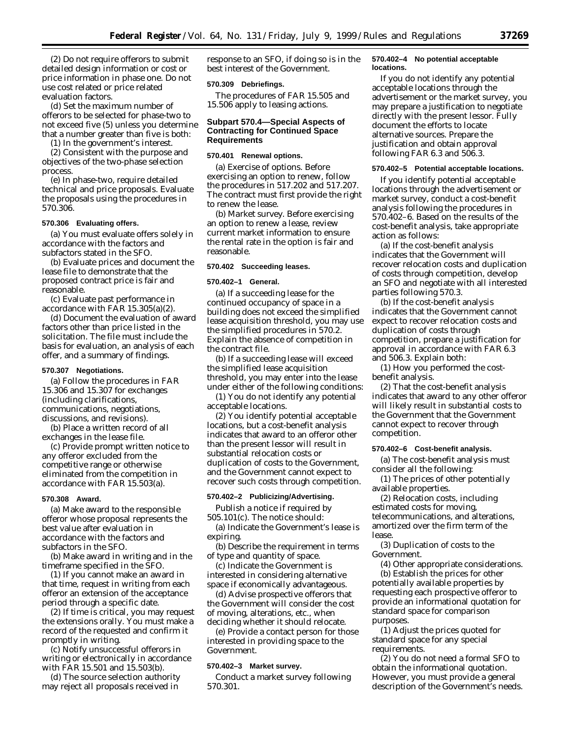(2) Do not require offerors to submit detailed design information or cost or price information in phase one. Do not use cost related or price related evaluation factors.

(d) Set the maximum number of offerors to be selected for phase-two to not exceed five (5) unless you determine that a number greater than five is both:

(1) In the government's interest.

(2) Consistent with the purpose and objectives of the two-phase selection process.

(e) In phase-two, require detailed technical and price proposals. Evaluate the proposals using the procedures in 570.306.

#### **570.306 Evaluating offers.**

(a) You must evaluate offers solely in accordance with the factors and subfactors stated in the SFO.

(b) Evaluate prices and document the lease file to demonstrate that the proposed contract price is fair and reasonable.

(c) Evaluate past performance in accordance with FAR 15.305(a)(2).

(d) Document the evaluation of award factors other than price listed in the solicitation. The file must include the basis for evaluation, an analysis of each offer, and a summary of findings.

# **570.307 Negotiations.**

(a) Follow the procedures in FAR 15.306 and 15.307 for exchanges (including clarifications, communications, negotiations, discussions, and revisions).

(b) Place a written record of all exchanges in the lease file.

(c) Provide prompt written notice to any offeror excluded from the competitive range or otherwise eliminated from the competition in accordance with FAR 15.503(a).

#### **570.308 Award.**

(a) Make award to the responsible offeror whose proposal represents the best value after evaluation in accordance with the factors and subfactors in the SFO.

(b) Make award in writing and in the timeframe specified in the SFO.

(1) If you cannot make an award in that time, request in writing from each offeror an extension of the acceptance period through a specific date.

(2) If time is critical, you may request the extensions orally. You must make a record of the requested and confirm it promptly in writing.

(c) Notify unsuccessful offerors in writing or electronically in accordance with FAR 15.501 and 15.503(b).

(d) The source selection authority may reject all proposals received in

response to an SFO, if doing so is in the best interest of the Government.

### **570.309 Debriefings.**

The procedures of FAR 15.505 and 15.506 apply to leasing actions.

# **Subpart 570.4—Special Aspects of Contracting for Continued Space Requirements**

### **570.401 Renewal options.**

(a) *Exercise of options.* Before exercising an option to renew, follow the procedures in 517.202 and 517.207. The contract must first provide the right to renew the lease.

(b) *Market survey.* Before exercising an option to renew a lease, review current market information to ensure the rental rate in the option is fair and reasonable.

# **570.402 Succeeding leases.**

### **570.402–1 General.**

(a) If a succeeding lease for the continued occupancy of space in a building does not exceed the simplified lease acquisition threshold, you may use the simplified procedures in 570.2. Explain the absence of competition in the contract file.

(b) If a succeeding lease will exceed the simplified lease acquisition threshold, you may enter into the lease under either of the following conditions:

(1) You do not identify any potential acceptable locations.

(2) You identify potential acceptable locations, but a cost-benefit analysis indicates that award to an offeror other than the present lessor will result in substantial relocation costs or duplication of costs to the Government, and the Government cannot expect to recover such costs through competition.

### **570.402–2 Publicizing/Advertising.**

Publish a notice if required by 505.101(c). The notice should:

(a) Indicate the Government's lease is expiring.

(b) Describe the requirement in terms of type and quantity of space.

(c) Indicate the Government is interested in considering alternative space if economically advantageous.

(d) Advise prospective offerors that the Government will consider the cost of moving, alterations, etc., when deciding whether it should relocate.

(e) Provide a contact person for those interested in providing space to the Government.

### **570.402–3 Market survey.**

Conduct a market survey following 570.301.

### **570.402–4 No potential acceptable locations.**

If you do not identify any potential acceptable locations through the advertisement or the market survey, you may prepare a justification to negotiate directly with the present lessor. Fully document the efforts to locate alternative sources. Prepare the justification and obtain approval following FAR 6.3 and 506.3.

#### **570.402–5 Potential acceptable locations.**

If you identify potential acceptable locations through the advertisement or market survey, conduct a cost-benefit analysis following the procedures in 570.402–6. Based on the results of the cost-benefit analysis, take appropriate action as follows:

(a) If the cost-benefit analysis indicates that the Government will recover relocation costs and duplication of costs through competition, develop an SFO and negotiate with all interested parties following 570.3.

(b) If the cost-benefit analysis indicates that the Government cannot expect to recover relocation costs and duplication of costs through competition, prepare a justification for approval in accordance with FAR 6.3 and 506.3. Explain both:

(1) How you performed the costbenefit analysis.

(2) That the cost-benefit analysis indicates that award to any other offeror will likely result in substantial costs to the Government that the Government cannot expect to recover through competition.

#### **570.402–6 Cost-benefit analysis.**

(a) The cost-benefit analysis must consider all the following:

(1) The prices of other potentially available properties.

(2) Relocation costs, including estimated costs for moving, telecommunications, and alterations, amortized over the firm term of the lease.

(3) Duplication of costs to the Government.

(4) Other appropriate considerations.

(b) Establish the prices for other potentially available properties by requesting each prospective offeror to provide an informational quotation for standard space for comparison purposes.

(1) Adjust the prices quoted for standard space for any special requirements.

(2) You do not need a formal SFO to obtain the informational quotation. However, you must provide a general description of the Government's needs.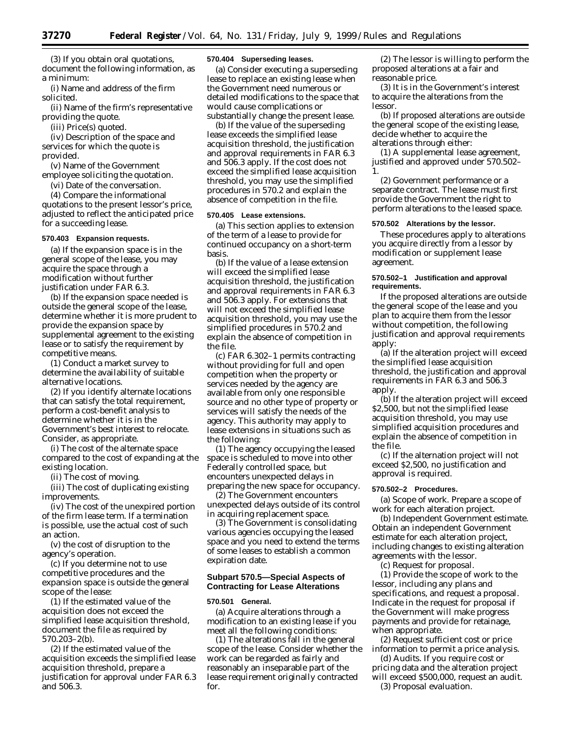(3) If you obtain oral quotations, document the following information, as a minimum:

(i) Name and address of the firm solicited.

(ii) Name of the firm's representative providing the quote.

(iii) Price(s) quoted.

(iv) Description of the space and services for which the quote is provided.

(v) Name of the Government employee soliciting the quotation.

(vi) Date of the conversation.

(4) Compare the informational quotations to the present lessor's price, adjusted to reflect the anticipated price for a succeeding lease.

### **570.403 Expansion requests.**

(a) If the expansion space is in the general scope of the lease, you may acquire the space through a modification without further justification under FAR 6.3.

(b) If the expansion space needed is outside the general scope of the lease, determine whether it is more prudent to provide the expansion space by supplemental agreement to the existing lease or to satisfy the requirement by competitive means.

(1) Conduct a market survey to determine the availability of suitable alternative locations.

(2) If you identify alternate locations that can satisfy the total requirement, perform a cost-benefit analysis to determine whether it is in the Government's best interest to relocate. Consider, as appropriate.

(i) The cost of the alternate space compared to the cost of expanding at the existing location.

(ii) The cost of moving.

(iii) The cost of duplicating existing improvements.

(iv) The cost of the unexpired portion of the firm lease term. If a termination is possible, use the actual cost of such an action.

(v) the cost of disruption to the agency's operation.

(c) If you determine not to use competitive procedures and the expansion space is outside the general scope of the lease:

(1) If the estimated value of the acquisition does not exceed the simplified lease acquisition threshold, document the file as required by 570.203–2(b).

(2) If the estimated value of the acquisition exceeds the simplified lease acquisition threshold, prepare a justification for approval under FAR 6.3 and 506.3.

#### **570.404 Superseding leases.**

(a) Consider executing a superseding lease to replace an existing lease when the Government need numerous or detailed modifications to the space that would cause complications or substantially change the present lease.

(b) If the value of the superseding lease exceeds the simplified lease acquisition threshold, the justification and approval requirements in FAR 6.3 and 506.3 apply. If the cost does not exceed the simplified lease acquisition threshold, you may use the simplified procedures in 570.2 and explain the absence of competition in the file.

### **570.405 Lease extensions.**

(a) This section applies to extension of the term of a lease to provide for continued occupancy on a short-term basis.

(b) If the value of a lease extension will exceed the simplified lease acquisition threshold, the justification and approval requirements in FAR 6.3 and 506.3 apply. For extensions that will not exceed the simplified lease acquisition threshold, you may use the simplified procedures in 570.2 and explain the absence of competition in the file.

(c) FAR 6.302–1 permits contracting without providing for full and open competition when the property or services needed by the agency are available from only one responsible source and no other type of property or services will satisfy the needs of the agency. This authority may apply to lease extensions in situations such as the following:

(1) The agency occupying the leased space is scheduled to move into other Federally controlled space, but encounters unexpected delays in preparing the new space for occupancy.

(2) The Government encounters unexpected delays outside of its control in acquiring replacement space.

(3) The Government is consolidating various agencies occupying the leased space and you need to extend the terms of some leases to establish a common expiration date.

### **Subpart 570.5—Special Aspects of Contracting for Lease Alterations**

#### **570.501 General.**

(a) Acquire alterations through a modification to an existing lease if you meet all the following conditions:

(1) The alterations fall in the general scope of the lease. Consider whether the work can be regarded as fairly and reasonably an inseparable part of the lease requirement originally contracted for.

(2) The lessor is willing to perform the proposed alterations at a fair and reasonable price.

(3) It is in the Government's interest to acquire the alterations from the lessor.

(b) If proposed alterations are outside the general scope of the existing lease, decide whether to acquire the alterations through either:

(1) A supplemental lease agreement, justified and approved under 570.502– 1.

(2) Government performance or a separate contract. The lease must first provide the Government the right to perform alterations to the leased space.

#### **570.502 Alterations by the lessor.**

These procedures apply to alterations you acquire directly from a lessor by modification or supplement lease agreement.

### **570.502–1 Justification and approval requirements.**

If the proposed alterations are outside the general scope of the lease and you plan to acquire them from the lessor without competition, the following justification and approval requirements apply:

(a) If the alteration project will exceed the simplified lease acquisition threshold, the justification and approval requirements in FAR 6.3 and 506.3 apply.

(b) If the alteration project will exceed \$2,500, but not the simplified lease acquisition threshold, you may use simplified acquisition procedures and explain the absence of competition in the file.

(c) If the alternation project will not exceed \$2,500, no justification and approval is required.

#### **570.502–2 Procedures.**

(a) *Scope of work*. Prepare a scope of work for each alteration project.

(b) *Independent Government estimate.* Obtain an independent Government estimate for each alteration project, including changes to existing alteration agreements with the lessor.

(c) *Request for proposal.*

(1) Provide the scope of work to the lessor, including any plans and specifications, and request a proposal. Indicate in the request for proposal if the Government will make progress payments and provide for retainage, when appropriate.

(2) Request sufficient cost or price information to permit a price analysis.

(d) *Audits*. If you require cost or pricing data and the alteration project will exceed \$500,000, request an audit. (3) *Proposal evaluation*.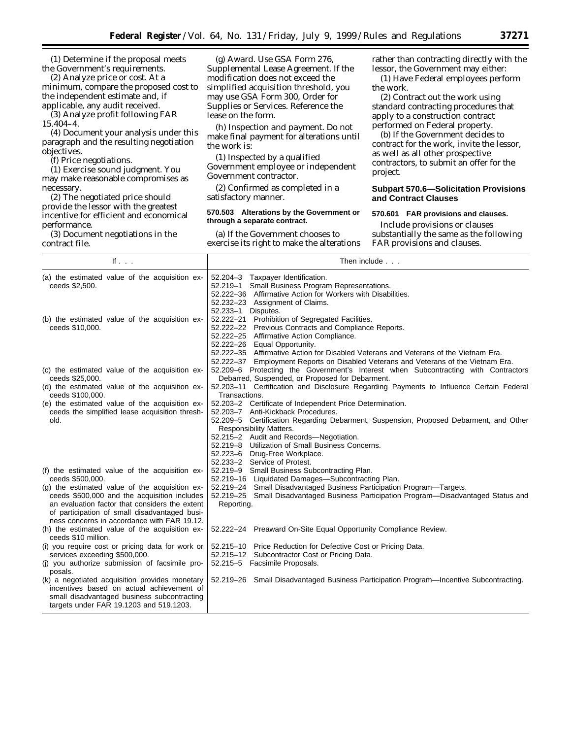(1) Determine if the proposal meets the Government's requirements.

(2) Analyze price or cost. At a minimum, compare the proposed cost to the independent estimate and, if applicable, any audit received.

(3) Analyze profit following FAR 15.404–4.

(4) Document your analysis under this paragraph and the resulting negotiation objectives.

(f) *Price negotiations*.

(1) Exercise sound judgment. You may make reasonable compromises as necessary.

(2) The negotiated price should provide the lessor with the greatest incentive for efficient and economical performance.

(3) Document negotiations in the contract file.

(g) *Award*. Use GSA Form 276, Supplemental Lease Agreement. If the modification does not exceed the simplified acquisition threshold, you may use GSA Form 300, Order for Supplies or Services. Reference the lease on the form.

(h) *Inspection and payment*. Do not make final payment for alterations until the work is:

(1) Inspected by a qualified Government employee or independent Government contractor.

(2) Confirmed as completed in a satisfactory manner.

### **570.503 Alterations by the Government or through a separate contract.**

(a) If the Government chooses to exercise its right to make the alterations rather than contracting directly with the lessor, the Government may either:

(1) Have Federal employees perform the work.

(2) Contract out the work using standard contracting procedures that apply to a construction contract performed on Federal property.

(b) If the Government decides to contract for the work, invite the lessor, as well as all other prospective contractors, to submit an offer for the project.

## **Subpart 570.6—Solicitation Provisions and Contract Clauses**

### **570.601 FAR provisions and clauses.**

Include provisions or clauses substantially the same as the following FAR provisions and clauses.

| If $\ldots$                                                                                                                                                                                                                                      | Then include                                                                                                                                                                                                                                                                                                                                                                       |
|--------------------------------------------------------------------------------------------------------------------------------------------------------------------------------------------------------------------------------------------------|------------------------------------------------------------------------------------------------------------------------------------------------------------------------------------------------------------------------------------------------------------------------------------------------------------------------------------------------------------------------------------|
| (a) the estimated value of the acquisition ex-<br>ceeds \$2,500.                                                                                                                                                                                 | 52.204-3 Taxpayer Identification.<br>52.219-1 Small Business Program Representations.<br>52.222–36 Affirmative Action for Workers with Disabilities.<br>52.232-23 Assignment of Claims.<br>52.233-1 Disputes.                                                                                                                                                                      |
| (b) the estimated value of the acquisition ex-<br>ceeds \$10,000.                                                                                                                                                                                | 52.222-21 Prohibition of Segregated Facilities.<br>52.222-22 Previous Contracts and Compliance Reports.<br>52.222-25 Affirmative Action Compliance.<br>52.222-26 Equal Opportunity.<br>52.222–35 Affirmative Action for Disabled Veterans and Veterans of the Vietnam Era.<br>52.222–37 Employment Reports on Disabled Veterans and Veterans of the Vietnam Era.                   |
| (c) the estimated value of the acquisition ex-                                                                                                                                                                                                   | 52.209-6 Protecting the Government's Interest when Subcontracting with Contractors                                                                                                                                                                                                                                                                                                 |
| ceeds \$25,000.<br>(d) the estimated value of the acquisition ex-<br>ceeds \$100,000.                                                                                                                                                            | Debarred, Suspended, or Proposed for Debarment.<br>52.203-11 Certification and Disclosure Regarding Payments to Influence Certain Federal<br>Transactions.                                                                                                                                                                                                                         |
| (e) the estimated value of the acquisition ex-<br>ceeds the simplified lease acquisition thresh-<br>old.                                                                                                                                         | 52.203-2 Certificate of Independent Price Determination.<br>52.203-7 Anti-Kickback Procedures.<br>52.209-5 Certification Regarding Debarment, Suspension, Proposed Debarment, and Other<br>Responsibility Matters.<br>52.215-2 Audit and Records-Negotiation.<br>52.219-8 Utilization of Small Business Concerns.<br>52.223-6 Drug-Free Workplace.<br>52.233-2 Service of Protest. |
| (f) the estimated value of the acquisition ex-<br>ceeds \$500,000.                                                                                                                                                                               | 52.219-9 Small Business Subcontracting Plan.<br>52.219–16 Liquidated Damages—Subcontracting Plan.                                                                                                                                                                                                                                                                                  |
| (g) the estimated value of the acquisition ex-<br>ceeds \$500,000 and the acquisition includes<br>an evaluation factor that considers the extent<br>of participation of small disadvantaged busi-<br>ness concerns in accordance with FAR 19.12. | 52.219-24 Small Disadvantaged Business Participation Program-Targets.<br>52.219–25 Small Disadvantaged Business Participation Program—Disadvantaged Status and<br>Reporting.                                                                                                                                                                                                       |
| (h) the estimated value of the acquisition ex-<br>ceeds \$10 million.                                                                                                                                                                            | 52.222-24 Preaward On-Site Equal Opportunity Compliance Review.                                                                                                                                                                                                                                                                                                                    |
| (i) you require cost or pricing data for work or<br>services exceeding \$500,000.<br>(i) you authorize submission of facsimile pro-<br>posals.                                                                                                   | 52.215-10 Price Reduction for Defective Cost or Pricing Data.<br>52.215-12 Subcontractor Cost or Pricing Data.<br>52.215-5 Facsimile Proposals.                                                                                                                                                                                                                                    |
| (k) a negotiated acquisition provides monetary<br>incentives based on actual achievement of<br>small disadvantaged business subcontracting<br>targets under FAR 19.1203 and 519.1203.                                                            | 52.219–26 Small Disadvantaged Business Participation Program—Incentive Subcontracting.                                                                                                                                                                                                                                                                                             |